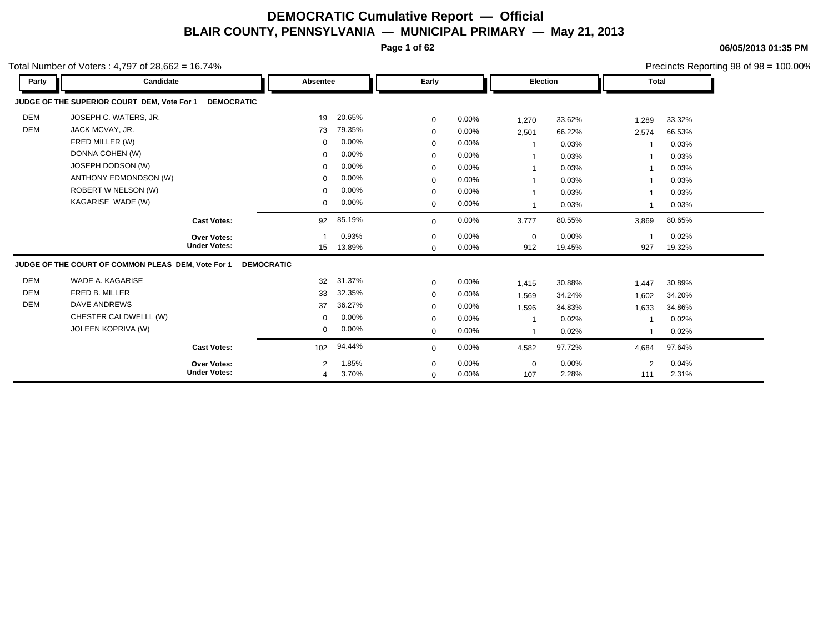**Page 1 of 62**

**06/05/2013 01:35 PM**

|            | Total Number of Voters : 4,797 of 28,662 = 16.74%                |                   |        |             |       |             |        |                | Precincts Reporting 98 of 98 = 100.00% |  |  |
|------------|------------------------------------------------------------------|-------------------|--------|-------------|-------|-------------|--------|----------------|----------------------------------------|--|--|
| Party      | Candidate                                                        | Absentee          |        | Early       |       | Election    |        | <b>Total</b>   |                                        |  |  |
|            | JUDGE OF THE SUPERIOR COURT DEM, Vote For 1<br><b>DEMOCRATIC</b> |                   |        |             |       |             |        |                |                                        |  |  |
| <b>DEM</b> | JOSEPH C. WATERS, JR.                                            | 19                | 20.65% | $\mathbf 0$ | 0.00% | 1,270       | 33.62% | 1,289          | 33.32%                                 |  |  |
| <b>DEM</b> | JACK MCVAY, JR.                                                  | 73                | 79.35% | $\mathbf 0$ | 0.00% | 2,501       | 66.22% | 2,574          | 66.53%                                 |  |  |
|            | FRED MILLER (W)                                                  | 0                 | 0.00%  | $\Omega$    | 0.00% |             | 0.03%  |                | 0.03%                                  |  |  |
|            | DONNA COHEN (W)                                                  | 0                 | 0.00%  | $\mathbf 0$ | 0.00% |             | 0.03%  |                | 0.03%                                  |  |  |
|            | JOSEPH DODSON (W)                                                | 0                 | 0.00%  | $\mathbf 0$ | 0.00% |             | 0.03%  |                | 0.03%                                  |  |  |
|            | ANTHONY EDMONDSON (W)                                            | 0                 | 0.00%  | $\mathbf 0$ | 0.00% |             | 0.03%  |                | 0.03%                                  |  |  |
|            | ROBERT W NELSON (W)                                              | $\Omega$          | 0.00%  | $\mathbf 0$ | 0.00% |             | 0.03%  |                | 0.03%                                  |  |  |
|            | KAGARISE WADE (W)                                                | $\mathbf{0}$      | 0.00%  | $\mathbf 0$ | 0.00% |             | 0.03%  | $\overline{1}$ | 0.03%                                  |  |  |
|            | <b>Cast Votes:</b>                                               | 92                | 85.19% | $\mathbf 0$ | 0.00% | 3,777       | 80.55% | 3,869          | 80.65%                                 |  |  |
|            | <b>Over Votes:</b>                                               |                   | 0.93%  | $\mathbf 0$ | 0.00% | $\mathbf 0$ | 0.00%  |                | 0.02%                                  |  |  |
|            | <b>Under Votes:</b>                                              | 15                | 13.89% | $\mathbf 0$ | 0.00% | 912         | 19.45% | 927            | 19.32%                                 |  |  |
|            | JUDGE OF THE COURT OF COMMON PLEAS DEM, Vote For 1               | <b>DEMOCRATIC</b> |        |             |       |             |        |                |                                        |  |  |
| <b>DEM</b> | WADE A. KAGARISE                                                 | 32                | 31.37% | $\mathbf 0$ | 0.00% | 1,415       | 30.88% | 1,447          | 30.89%                                 |  |  |
| <b>DEM</b> | FRED B. MILLER                                                   | 33                | 32.35% | $\mathbf 0$ | 0.00% | 1,569       | 34.24% | 1,602          | 34.20%                                 |  |  |
| <b>DEM</b> | <b>DAVE ANDREWS</b>                                              | 37                | 36.27% | $\mathbf 0$ | 0.00% | 1,596       | 34.83% | 1,633          | 34.86%                                 |  |  |
|            | CHESTER CALDWELLL (W)                                            | 0                 | 0.00%  | $\mathbf 0$ | 0.00% |             | 0.02%  |                | 0.02%                                  |  |  |
|            | JOLEEN KOPRIVA (W)                                               | 0                 | 0.00%  | $\mathbf 0$ | 0.00% |             | 0.02%  | 1              | 0.02%                                  |  |  |
|            | <b>Cast Votes:</b>                                               | 102               | 94.44% | $\Omega$    | 0.00% | 4,582       | 97.72% | 4,684          | 97.64%                                 |  |  |
|            | Over Votes:                                                      | $\overline{2}$    | 1.85%  | $\mathbf 0$ | 0.00% | $\mathbf 0$ | 0.00%  | 2              | 0.04%                                  |  |  |
|            | <b>Under Votes:</b>                                              | 4                 | 3.70%  | $\mathbf 0$ | 0.00% | 107         | 2.28%  | 111            | 2.31%                                  |  |  |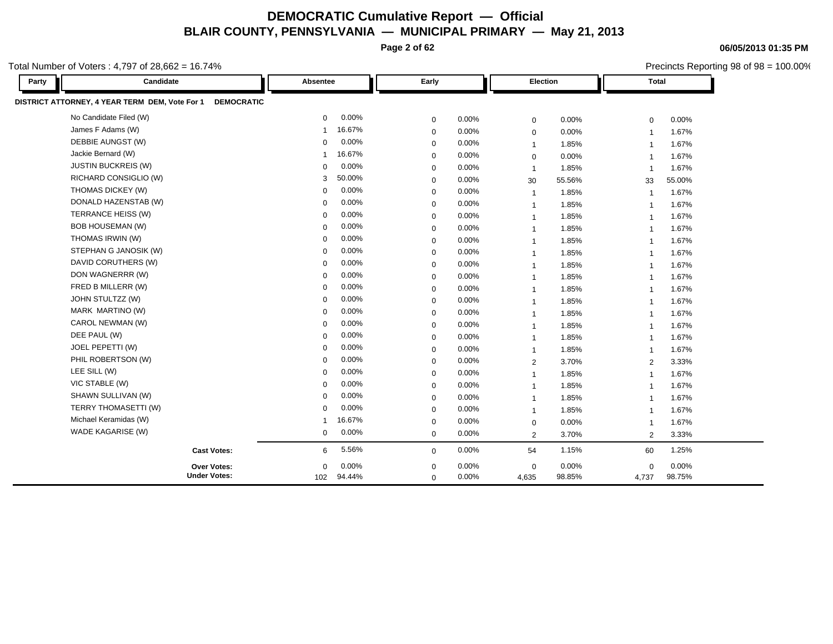**Page 2 of 62**

Total Number of Voters : 4,797 of 28,662 = 16.74%

| Party | Candidate                                                           | Absentee             | Early       |                         | Election |                | <b>Total</b> |  |
|-------|---------------------------------------------------------------------|----------------------|-------------|-------------------------|----------|----------------|--------------|--|
|       | DISTRICT ATTORNEY, 4 YEAR TERM DEM, Vote For 1<br><b>DEMOCRATIC</b> |                      |             |                         |          |                |              |  |
|       | No Candidate Filed (W)                                              | 0.00%<br>$\Omega$    | $\mathbf 0$ | 0.00%<br>$\mathbf 0$    | 0.00%    | $\mathbf 0$    | 0.00%        |  |
|       | James F Adams (W)                                                   | 16.67%<br>-1         | $\mathbf 0$ | 0.00%<br>$\mathbf 0$    | 0.00%    | $\overline{1}$ | 1.67%        |  |
|       | DEBBIE AUNGST (W)                                                   | 0.00%<br>$\mathbf 0$ | 0           | 0.00%<br>$\overline{1}$ | 1.85%    | $\overline{1}$ | 1.67%        |  |
|       | Jackie Bernard (W)                                                  | 16.67%<br>1          | $\mathbf 0$ | 0.00%<br>$\mathbf 0$    | 0.00%    | $\overline{1}$ | 1.67%        |  |
|       | <b>JUSTIN BUCKREIS (W)</b>                                          | 0.00%<br>$\mathbf 0$ | $\mathbf 0$ | 0.00%<br>$\mathbf{1}$   | 1.85%    | $\overline{1}$ | 1.67%        |  |
|       | RICHARD CONSIGLIO (W)                                               | 50.00%<br>3          | $\mathbf 0$ | 0.00%<br>30             | 55.56%   | 33             | 55.00%       |  |
|       | THOMAS DICKEY (W)                                                   | 0.00%<br>$\Omega$    | $\mathbf 0$ | 0.00%<br>$\overline{1}$ | 1.85%    | $\overline{1}$ | 1.67%        |  |
|       | DONALD HAZENSTAB (W)                                                | 0.00%<br>$\Omega$    | $\mathbf 0$ | 0.00%<br>$\overline{1}$ | 1.85%    | $\overline{1}$ | 1.67%        |  |
|       | TERRANCE HEISS (W)                                                  | 0.00%<br>$\Omega$    | $\mathbf 0$ | 0.00%<br>$\overline{1}$ | 1.85%    | $\overline{1}$ | 1.67%        |  |
|       | <b>BOB HOUSEMAN (W)</b>                                             | 0.00%<br>$\mathbf 0$ | $\mathbf 0$ | 0.00%<br>$\overline{1}$ | 1.85%    | $\overline{1}$ | 1.67%        |  |
|       | THOMAS IRWIN (W)                                                    | 0.00%<br>$\Omega$    | 0           | 0.00%<br>$\mathbf{1}$   | 1.85%    | $\overline{1}$ | 1.67%        |  |
|       | STEPHAN G JANOSIK (W)                                               | 0.00%<br>$\Omega$    | $\mathbf 0$ | 0.00%<br>$\overline{1}$ | 1.85%    | $\overline{1}$ | 1.67%        |  |
|       | DAVID CORUTHERS (W)                                                 | 0.00%<br>$\Omega$    | $\mathbf 0$ | 0.00%<br>$\overline{1}$ | 1.85%    | $\overline{1}$ | 1.67%        |  |
|       | DON WAGNERRR (W)                                                    | 0.00%<br>$\Omega$    | $\mathbf 0$ | 0.00%<br>$\overline{1}$ | 1.85%    | -1             | 1.67%        |  |
|       | FRED B MILLERR (W)                                                  | 0.00%<br>$\Omega$    | $\mathbf 0$ | 0.00%<br>$\overline{1}$ | 1.85%    | $\overline{1}$ | 1.67%        |  |
|       | JOHN STULTZZ (W)                                                    | 0.00%<br>$\Omega$    | $\mathbf 0$ | 0.00%<br>$\overline{1}$ | 1.85%    | $\overline{1}$ | 1.67%        |  |
|       | MARK MARTINO (W)                                                    | 0.00%<br>$\Omega$    | $\mathbf 0$ | 0.00%<br>$\overline{1}$ | 1.85%    | $\overline{1}$ | 1.67%        |  |
|       | CAROL NEWMAN (W)                                                    | 0.00%<br>$\Omega$    | $\mathbf 0$ | 0.00%<br>$\overline{1}$ | 1.85%    | $\overline{1}$ | 1.67%        |  |
|       | DEE PAUL (W)                                                        | 0.00%<br>$\Omega$    | $\mathbf 0$ | 0.00%<br>$\overline{1}$ | 1.85%    | $\overline{1}$ | 1.67%        |  |
|       | JOEL PEPETTI (W)                                                    | 0.00%<br>$\Omega$    | $\mathbf 0$ | 0.00%<br>$\overline{1}$ | 1.85%    | $\overline{1}$ | 1.67%        |  |
|       | PHIL ROBERTSON (W)                                                  | 0.00%<br>$\mathbf 0$ | 0           | 0.00%<br>$\overline{2}$ | 3.70%    | $\overline{2}$ | 3.33%        |  |
|       | LEE SILL (W)                                                        | 0.00%<br>$\Omega$    | $\mathbf 0$ | 0.00%<br>$\overline{1}$ | 1.85%    | $\overline{1}$ | 1.67%        |  |
|       | VIC STABLE (W)                                                      | 0.00%<br>$\Omega$    | $\mathbf 0$ | 0.00%<br>$\overline{1}$ | 1.85%    | $\overline{1}$ | 1.67%        |  |
|       | SHAWN SULLIVAN (W)                                                  | 0.00%<br>$\mathbf 0$ | $\mathbf 0$ | 0.00%<br>$\overline{1}$ | 1.85%    | $\overline{1}$ | 1.67%        |  |
|       | TERRY THOMASETTI (W)                                                | 0.00%<br>$\Omega$    | $\mathbf 0$ | 0.00%<br>$\overline{1}$ | 1.85%    | $\overline{1}$ | 1.67%        |  |
|       | Michael Keramidas (W)                                               | 16.67%<br>-1         | $\mathbf 0$ | 0.00%<br>$\mathbf 0$    | 0.00%    | $\overline{1}$ | 1.67%        |  |
|       | WADE KAGARISE (W)                                                   | 0.00%<br>0           | $\mathbf 0$ | 0.00%<br>$\overline{2}$ | 3.70%    | 2              | 3.33%        |  |
|       | <b>Cast Votes:</b>                                                  | 5.56%<br>6           | $\mathbf 0$ | 0.00%<br>54             | 1.15%    | 60             | 1.25%        |  |
|       | Over Votes:                                                         | 0.00%<br>$\mathbf 0$ | $\mathbf 0$ | 0.00%<br>$\mathbf 0$    | 0.00%    | $\mathbf 0$    | 0.00%        |  |
|       | <b>Under Votes:</b>                                                 | 102 94.44%           | $\mathbf 0$ | 0.00%<br>4,635          | 98.85%   | 4,737          | 98.75%       |  |

**06/05/2013 01:35 PM**

Precincts Reporting 98 of 98 = 100.00%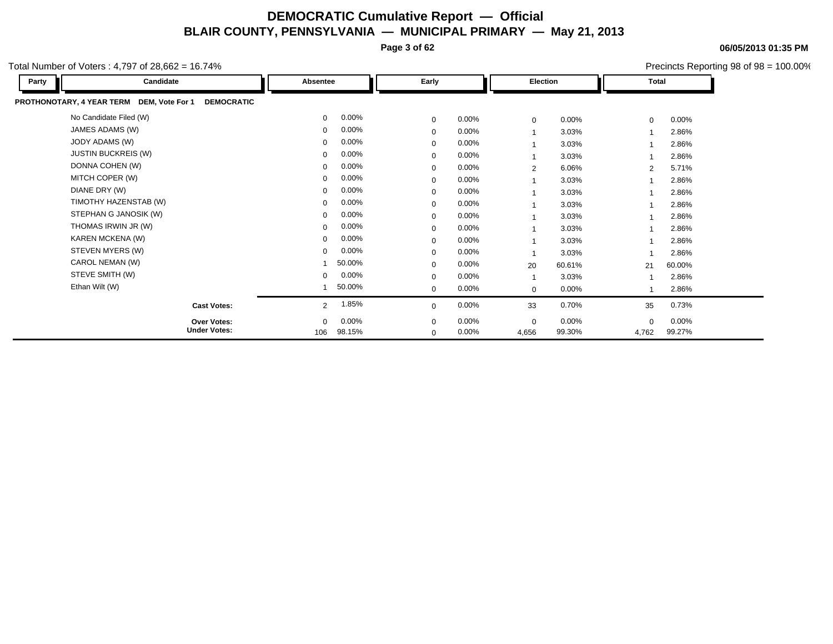**Page 3 of 62**

**06/05/2013 01:35 PM** Precincts Reporting 98 of 98 = 100.00%

| Party | Candidate                                                      | Absentee       |          | Early        |          | Election                |          | Total          |          |
|-------|----------------------------------------------------------------|----------------|----------|--------------|----------|-------------------------|----------|----------------|----------|
|       | PROTHONOTARY, 4 YEAR TERM DEM, Vote For 1<br><b>DEMOCRATIC</b> |                |          |              |          |                         |          |                |          |
|       | No Candidate Filed (W)                                         | $\mathbf 0$    | $0.00\%$ | $\mathbf 0$  | $0.00\%$ | $\mathbf 0$             | $0.00\%$ | $\mathbf 0$    | $0.00\%$ |
|       | JAMES ADAMS (W)                                                | $\mathbf{0}$   | $0.00\%$ | $\mathbf{0}$ | $0.00\%$ | $\overline{1}$          | 3.03%    |                | 2.86%    |
|       | JODY ADAMS (W)                                                 | $\mathbf 0$    | 0.00%    | 0            | $0.00\%$ | $\overline{\mathbf{A}}$ | 3.03%    |                | 2.86%    |
|       | <b>JUSTIN BUCKREIS (W)</b>                                     | $\Omega$       | $0.00\%$ | 0            | $0.00\%$ | $\mathbf{1}$            | 3.03%    |                | 2.86%    |
|       | DONNA COHEN (W)                                                | $\mathbf{0}$   | $0.00\%$ | $\mathbf 0$  | $0.00\%$ | 2                       | 6.06%    | $\overline{2}$ | 5.71%    |
|       | MITCH COPER (W)                                                | $\mathbf 0$    | 0.00%    | 0            | $0.00\%$ | $\overline{1}$          | 3.03%    |                | 2.86%    |
|       | DIANE DRY (W)                                                  | $\mathbf 0$    | $0.00\%$ | 0            | $0.00\%$ | 1                       | 3.03%    |                | 2.86%    |
|       | TIMOTHY HAZENSTAB (W)                                          | $\Omega$       | 0.00%    | $\mathbf 0$  | $0.00\%$ | $\overline{1}$          | 3.03%    |                | 2.86%    |
|       | STEPHAN G JANOSIK (W)                                          | $\mathbf 0$    | $0.00\%$ | 0            | $0.00\%$ | $\overline{1}$          | 3.03%    |                | 2.86%    |
|       | THOMAS IRWIN JR (W)                                            | $\Omega$       | $0.00\%$ | $\mathbf{0}$ | $0.00\%$ | 1                       | 3.03%    |                | 2.86%    |
|       | KAREN MCKENA (W)                                               | $\Omega$       | 0.00%    | $\mathbf 0$  | $0.00\%$ | $\overline{\mathbf{A}}$ | 3.03%    |                | 2.86%    |
|       | STEVEN MYERS (W)                                               | $\mathbf 0$    | $0.00\%$ | 0            | $0.00\%$ | $\overline{1}$          | 3.03%    |                | 2.86%    |
|       | CAROL NEMAN (W)                                                |                | 50.00%   | $\mathbf{0}$ | $0.00\%$ | 20                      | 60.61%   | 21             | 60.00%   |
|       | STEVE SMITH (W)                                                | $\mathbf 0$    | $0.00\%$ | $\Omega$     | $0.00\%$ | $\overline{1}$          | 3.03%    |                | 2.86%    |
|       | Ethan Wilt (W)                                                 |                | 50.00%   | $\mathbf{0}$ | $0.00\%$ | 0                       | 0.00%    |                | 2.86%    |
|       | <b>Cast Votes:</b>                                             | $\overline{2}$ | 1.85%    | $\mathbf 0$  | $0.00\%$ | 33                      | 0.70%    | 35             | 0.73%    |
|       | <b>Over Votes:</b>                                             | $\Omega$       | 0.00%    | $\mathbf{0}$ | $0.00\%$ | $\mathbf 0$             | 0.00%    | $\mathbf 0$    | $0.00\%$ |
|       | <b>Under Votes:</b>                                            | 106            | 98.15%   | 0            | $0.00\%$ | 4,656                   | 99.30%   | 4,762          | 99.27%   |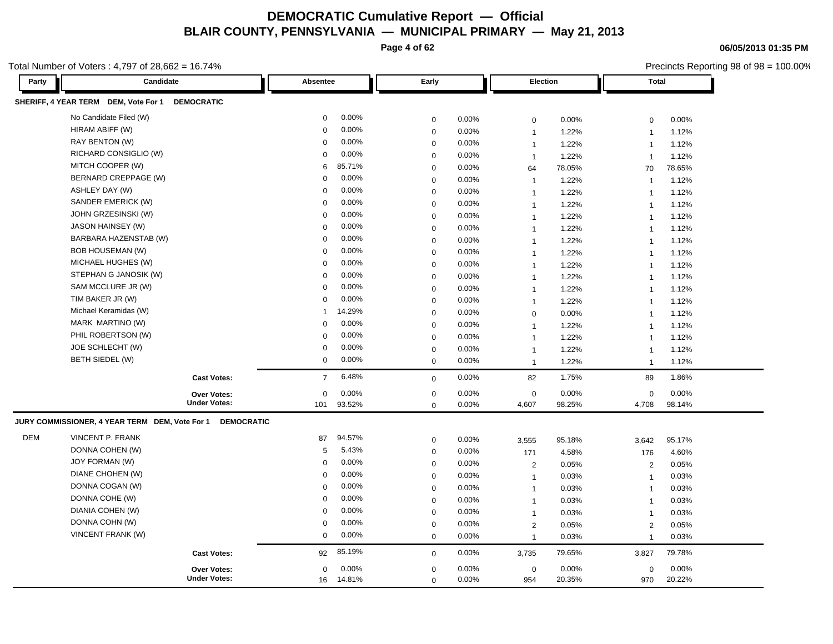**Page 4 of 62**

**06/05/2013 01:35 PM**

|            | otal Number of Voters: $4,797$ of $28,662 = 16.74\%$                |                         |             |          |                |        |                | Precincts Reporting 98 of 98 = 100.00% |
|------------|---------------------------------------------------------------------|-------------------------|-------------|----------|----------------|--------|----------------|----------------------------------------|
| Party      | Candidate                                                           | Absentee                | Early       |          | Election       |        | <b>Total</b>   |                                        |
|            | SHERIFF, 4 YEAR TERM DEM, Vote For 1<br><b>DEMOCRATIC</b>           |                         |             |          |                |        |                |                                        |
|            | No Candidate Filed (W)                                              | 0.00%<br>$\mathbf 0$    | 0           | 0.00%    | $\mathbf 0$    | 0.00%  | $\mathbf 0$    | 0.00%                                  |
|            | HIRAM ABIFF (W)                                                     | 0.00%<br>$\Omega$       | 0           | 0.00%    | $\mathbf{1}$   | 1.22%  | $\overline{1}$ | 1.12%                                  |
|            | RAY BENTON (W)                                                      | 0.00%<br>$\Omega$       | 0           | 0.00%    | $\mathbf{1}$   | 1.22%  | $\overline{1}$ | 1.12%                                  |
|            | RICHARD CONSIGLIO (W)                                               | 0.00%<br>$\Omega$       | 0           | 0.00%    | $\mathbf{1}$   | 1.22%  | $\overline{1}$ | 1.12%                                  |
|            | MITCH COOPER (W)                                                    | 85.71%<br>6             | 0           | $0.00\%$ | 64             | 78.05% | 70             | 78.65%                                 |
|            | BERNARD CREPPAGE (W)                                                | 0.00%<br>$\Omega$       | 0           | 0.00%    | $\mathbf{1}$   | 1.22%  | $\overline{1}$ | 1.12%                                  |
|            | ASHLEY DAY (W)                                                      | 0.00%<br>$\Omega$       | $\mathbf 0$ | 0.00%    | $\mathbf{1}$   | 1.22%  | $\overline{1}$ | 1.12%                                  |
|            | SANDER EMERICK (W)                                                  | 0.00%<br>$\Omega$       | $\mathbf 0$ | 0.00%    | $\mathbf{1}$   | 1.22%  | $\overline{1}$ | 1.12%                                  |
|            | JOHN GRZESINSKI (W)                                                 | 0.00%<br>$\Omega$       | 0           | 0.00%    | $\mathbf{1}$   | 1.22%  | $\overline{1}$ | 1.12%                                  |
|            | JASON HAINSEY (W)                                                   | 0.00%<br>$\Omega$       | $\Omega$    | 0.00%    | $\mathbf{1}$   | 1.22%  | $\overline{1}$ | 1.12%                                  |
|            | BARBARA HAZENSTAB (W)                                               | 0.00%<br>$\Omega$       | 0           | 0.00%    | $\mathbf{1}$   | 1.22%  | $\overline{1}$ | 1.12%                                  |
|            | <b>BOB HOUSEMAN (W)</b>                                             | 0.00%<br>$\Omega$       | 0           | 0.00%    | $\mathbf{1}$   | 1.22%  | $\overline{1}$ | 1.12%                                  |
|            | MICHAEL HUGHES (W)                                                  | 0.00%<br>$\Omega$       | 0           | 0.00%    | $\mathbf{1}$   | 1.22%  | $\overline{1}$ | 1.12%                                  |
|            | STEPHAN G JANOSIK (W)                                               | 0.00%<br>$\Omega$       | 0           | 0.00%    | $\mathbf{1}$   | 1.22%  | $\overline{1}$ | 1.12%                                  |
|            | SAM MCCLURE JR (W)                                                  | 0.00%<br>$\Omega$       | 0           | 0.00%    | $\mathbf{1}$   | 1.22%  | $\overline{1}$ | 1.12%                                  |
|            | TIM BAKER JR (W)                                                    | 0.00%<br>$\Omega$       | 0           | 0.00%    | $\mathbf{1}$   | 1.22%  | $\overline{1}$ | 1.12%                                  |
|            | Michael Keramidas (W)                                               | 14.29%                  | $\Omega$    | 0.00%    | $\mathbf 0$    | 0.00%  | $\overline{1}$ | 1.12%                                  |
|            | MARK MARTINO (W)                                                    | 0.00%<br>$\Omega$       | 0           | 0.00%    | $\mathbf{1}$   | 1.22%  | $\overline{1}$ | 1.12%                                  |
|            | PHIL ROBERTSON (W)                                                  | 0.00%<br>$\Omega$       | 0           | 0.00%    | $\mathbf{1}$   | 1.22%  | $\mathbf{1}$   | 1.12%                                  |
|            | JOE SCHLECHT (W)                                                    | 0.00%<br>$\Omega$       | 0           | 0.00%    | $\mathbf{1}$   | 1.22%  | $\overline{1}$ | 1.12%                                  |
|            | BETH SIEDEL (W)                                                     | 0.00%<br>$\mathbf 0$    | $\mathbf 0$ | 0.00%    | $\mathbf{1}$   | 1.22%  | $\overline{1}$ | 1.12%                                  |
|            | <b>Cast Votes:</b>                                                  | 6.48%<br>$\overline{7}$ | $\mathbf 0$ | $0.00\%$ | 82             | 1.75%  | 89             | 1.86%                                  |
|            | Over Votes:                                                         | 0.00%<br>$\mathbf 0$    | 0           | 0.00%    | $\mathbf 0$    | 0.00%  | $\mathbf 0$    | 0.00%                                  |
|            | <b>Under Votes:</b>                                                 | 93.52%<br>101           | 0           | $0.00\%$ | 4,607          | 98.25% | 4,708          | 98.14%                                 |
|            | JURY COMMISSIONER, 4 YEAR TERM DEM, Vote For 1<br><b>DEMOCRATIC</b> |                         |             |          |                |        |                |                                        |
| <b>DEM</b> | <b>VINCENT P. FRANK</b>                                             | 94.57%<br>87            | 0           | 0.00%    | 3,555          | 95.18% | 3,642          | 95.17%                                 |
|            | DONNA COHEN (W)                                                     | 5.43%<br>5              | $\mathbf 0$ | 0.00%    | 171            | 4.58%  | 176            | 4.60%                                  |
|            | JOY FORMAN (W)                                                      | 0.00%<br>$\Omega$       | $\Omega$    | 0.00%    | $\overline{2}$ | 0.05%  | 2              | 0.05%                                  |
|            | DIANE CHOHEN (W)                                                    | 0.00%<br>$\Omega$       | 0           | 0.00%    | $\mathbf{1}$   | 0.03%  | $\overline{1}$ | 0.03%                                  |
|            | DONNA COGAN (W)                                                     | 0.00%<br>$\Omega$       | 0           | 0.00%    | $\mathbf{1}$   | 0.03%  | $\overline{1}$ | 0.03%                                  |
|            | DONNA COHE (W)                                                      | 0.00%<br>$\Omega$       | 0           | $0.00\%$ | $\mathbf{1}$   | 0.03%  | $\mathbf{1}$   | 0.03%                                  |
|            | DIANIA COHEN (W)                                                    | 0.00%<br>$\Omega$       | 0           | 0.00%    | $\mathbf{1}$   | 0.03%  | $\mathbf{1}$   | 0.03%                                  |
|            | DONNA COHN (W)                                                      | 0.00%<br>$\Omega$       | 0           | 0.00%    | 2              | 0.05%  | 2              | 0.05%                                  |
|            | VINCENT FRANK (W)                                                   | 0.00%<br>$\mathbf 0$    | $\mathbf 0$ | 0.00%    | $\mathbf{1}$   | 0.03%  | $\mathbf{1}$   | 0.03%                                  |
|            | <b>Cast Votes:</b>                                                  | 85.19%<br>92            | $\mathbf 0$ | 0.00%    | 3,735          | 79.65% | 3,827          | 79.78%                                 |
|            | Over Votes:                                                         | 0.00%<br>$\Omega$       | 0           | $0.00\%$ | $\mathbf 0$    | 0.00%  | $\Omega$       | 0.00%                                  |
|            | <b>Under Votes:</b>                                                 | 14.81%<br>16            | 0           | $0.00\%$ | 954            | 20.35% | 970            | 20.22%                                 |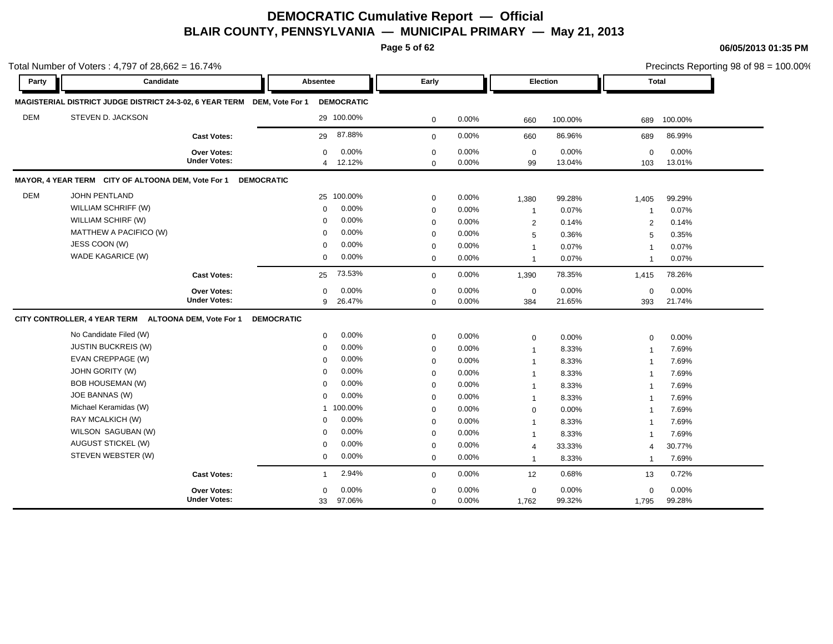**Page 5 of 62**

|            | Total Number of Voters: $4,797$ of 28,662 = 16.74%                        |                                           |                   |                                                                |                                           |                         |                                                  |                          |                                               |                          | Precincts Reporting 98 of 98 = 100.00% |
|------------|---------------------------------------------------------------------------|-------------------------------------------|-------------------|----------------------------------------------------------------|-------------------------------------------|-------------------------|--------------------------------------------------|--------------------------|-----------------------------------------------|--------------------------|----------------------------------------|
| Party      | Candidate                                                                 |                                           |                   | Absentee                                                       | Early                                     |                         | <b>Election</b>                                  |                          |                                               | Total                    |                                        |
|            | MAGISTERIAL DISTRICT JUDGE DISTRICT 24-3-02, 6 YEAR TERM DEM, Vote For 1  |                                           |                   | <b>DEMOCRATIC</b>                                              |                                           |                         |                                                  |                          |                                               |                          |                                        |
| <b>DEM</b> | STEVEN D. JACKSON                                                         |                                           |                   | 29 100.00%                                                     | $\mathbf 0$                               | 0.00%                   | 660                                              | 100.00%                  | 689                                           | 100.00%                  |                                        |
|            |                                                                           | <b>Cast Votes:</b>                        |                   | 87.88%<br>29                                                   | $\mathbf 0$                               | 0.00%                   | 660                                              | 86.96%                   | 689                                           | 86.99%                   |                                        |
|            |                                                                           | Over Votes:<br><b>Under Votes:</b>        |                   | 0.00%<br>$\Omega$<br>12.12%<br>$\overline{4}$                  | $\mathbf 0$<br>$\mathbf 0$                | 0.00%<br>0.00%          | $\mathbf 0$<br>99                                | 0.00%<br>13.04%          | $\Omega$<br>103                               | 0.00%<br>13.01%          |                                        |
|            | MAYOR, 4 YEAR TERM CITY OF ALTOONA DEM, Vote For 1 DEMOCRATIC             |                                           |                   |                                                                |                                           |                         |                                                  |                          |                                               |                          |                                        |
| <b>DEM</b> | JOHN PENTLAND<br>WILLIAM SCHRIFF (W)<br>WILLIAM SCHIRF (W)                |                                           |                   | 25 100.00%<br>0.00%<br>$\Omega$<br>0.00%<br>0                  | $\mathbf 0$<br>$\mathbf 0$<br>$\mathbf 0$ | 0.00%<br>0.00%<br>0.00% | 1,380<br>$\mathbf{1}$<br>2                       | 99.28%<br>0.07%<br>0.14% | 1,405<br>$\mathbf{1}$<br>$\overline{2}$       | 99.29%<br>0.07%<br>0.14% |                                        |
|            | MATTHEW A PACIFICO (W)<br>JESS COON (W)<br>WADE KAGARICE (W)              |                                           |                   | 0.00%<br>$\Omega$<br>0.00%<br>$\Omega$<br>0.00%<br>$\mathbf 0$ | $\mathbf 0$<br>$\mathbf 0$<br>$\mathbf 0$ | 0.00%<br>0.00%<br>0.00% | 5<br>$\overline{1}$<br>$\overline{1}$            | 0.36%<br>0.07%<br>0.07%  | 5<br>$\overline{1}$<br>$\overline{1}$         | 0.35%<br>0.07%<br>0.07%  |                                        |
|            |                                                                           | <b>Cast Votes:</b>                        |                   | 73.53%<br>25                                                   | $\Omega$                                  | 0.00%                   | 1,390                                            | 78.35%                   | 1,415                                         | 78.26%                   |                                        |
|            |                                                                           | <b>Over Votes:</b><br><b>Under Votes:</b> |                   | 0.00%<br>$\Omega$<br>26.47%<br>9                               | $\mathbf 0$<br>$\mathbf 0$                | 0.00%<br>0.00%          | $\pmb{0}$<br>384                                 | 0.00%<br>21.65%          | $\mathbf 0$<br>393                            | 0.00%<br>21.74%          |                                        |
|            | CITY CONTROLLER, 4 YEAR TERM ALTOONA DEM, Vote For 1                      |                                           | <b>DEMOCRATIC</b> |                                                                |                                           |                         |                                                  |                          |                                               |                          |                                        |
|            | No Candidate Filed (W)<br><b>JUSTIN BUCKREIS (W)</b><br>EVAN CREPPAGE (W) |                                           |                   | 0.00%<br>0<br>0.00%<br>$\Omega$<br>0.00%<br>$\Omega$           | $\mathbf 0$<br>$\mathbf 0$<br>$\mathbf 0$ | 0.00%<br>0.00%<br>0.00% | $\mathbf 0$<br>$\mathbf{1}$<br>$\mathbf{1}$      | 0.00%<br>8.33%<br>8.33%  | $\mathbf 0$<br>$\mathbf{1}$<br>$\overline{1}$ | 0.00%<br>7.69%<br>7.69%  |                                        |
|            | <b>JOHN GORITY (W)</b><br><b>BOB HOUSEMAN (W)</b><br>JOE BANNAS (W)       |                                           |                   | 0.00%<br>$\Omega$<br>0.00%<br>$\Omega$<br>0.00%<br>$\mathbf 0$ | $\mathbf 0$<br>$\mathbf 0$<br>$\mathbf 0$ | 0.00%<br>0.00%<br>0.00% | $\mathbf{1}$<br>$\mathbf{1}$                     | 8.33%<br>8.33%<br>8.33%  | -1                                            | 7.69%<br>7.69%<br>7.69%  |                                        |
|            | Michael Keramidas (W)<br>RAY MCALKICH (W)                                 |                                           |                   | 1 100.00%<br>0.00%<br>$\mathbf 0$                              | $\mathbf 0$<br>$\mathbf 0$                | 0.00%<br>0.00%          | $\mathbf{1}$<br>$\mathbf 0$<br>$\overline{1}$    | 0.00%<br>8.33%           |                                               | 7.69%<br>7.69%           |                                        |
|            | WILSON SAGUBAN (W)<br>AUGUST STICKEL (W)<br>STEVEN WEBSTER (W)            |                                           |                   | 0.00%<br>$\Omega$<br>0.00%<br>$\Omega$<br>0.00%<br>$\mathbf 0$ | $\mathbf 0$<br>$\mathbf 0$<br>$\mathbf 0$ | 0.00%<br>0.00%<br>0.00% | $\overline{1}$<br>$\overline{4}$<br>$\mathbf{1}$ | 8.33%<br>33.33%<br>8.33% | $\overline{4}$<br>-1                          | 7.69%<br>30.77%<br>7.69% |                                        |
|            |                                                                           | <b>Cast Votes:</b>                        |                   | 2.94%<br>$\mathbf{1}$                                          | $\mathbf 0$                               | 0.00%                   | 12                                               | 0.68%                    | 13                                            | 0.72%                    |                                        |
|            |                                                                           | <b>Over Votes:</b><br><b>Under Votes:</b> |                   | 0.00%<br>0<br>97.06%<br>33                                     | $\mathbf 0$<br>$\mathbf 0$                | 0.00%<br>0.00%          | $\mathbf 0$<br>1,762                             | 0.00%<br>99.32%          | $\mathbf 0$<br>1,795                          | 0.00%<br>99.28%          |                                        |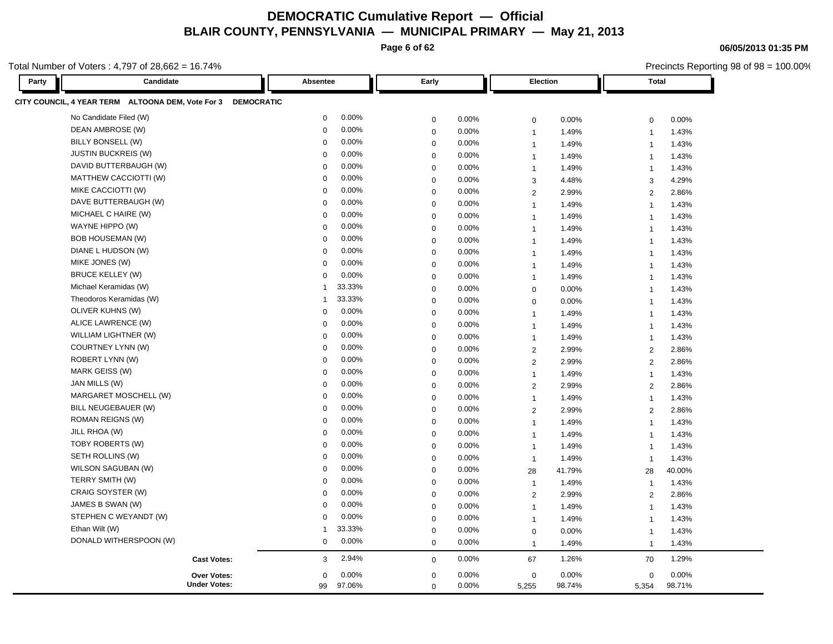**Page 6 of 62**

Total Number of Voters : 4,797 of 28,662 = 16.74%

| Party | Candidate                                                    | Absentee       |          | Early       |       |                | Election | <b>Total</b>            |        |
|-------|--------------------------------------------------------------|----------------|----------|-------------|-------|----------------|----------|-------------------------|--------|
|       | CITY COUNCIL, 4 YEAR TERM ALTOONA DEM, Vote For 3 DEMOCRATIC |                |          |             |       |                |          |                         |        |
|       | No Candidate Filed (W)                                       | $\mathbf 0$    | 0.00%    | $\mathbf 0$ | 0.00% | 0              | 0.00%    | $\pmb{0}$               | 0.00%  |
|       | DEAN AMBROSE (W)                                             | $\mathbf 0$    | 0.00%    | $\mathbf 0$ | 0.00% | $\mathbf{1}$   | 1.49%    | $\overline{1}$          | 1.43%  |
|       | BILLY BONSELL (W)                                            | 0              | 0.00%    | $\mathbf 0$ | 0.00% | $\overline{1}$ | 1.49%    | $\overline{1}$          | 1.43%  |
|       | <b>JUSTIN BUCKREIS (W)</b>                                   | $\mathbf 0$    | 0.00%    | $\mathbf 0$ | 0.00% | $\overline{1}$ | 1.49%    | $\overline{1}$          | 1.43%  |
|       | DAVID BUTTERBAUGH (W)                                        | $\Omega$       | 0.00%    | $\mathbf 0$ | 0.00% | $\overline{1}$ | 1.49%    | $\overline{1}$          | 1.43%  |
|       | MATTHEW CACCIOTTI (W)                                        | $\mathbf 0$    | 0.00%    | $\mathbf 0$ | 0.00% | 3              | 4.48%    | 3                       | 4.29%  |
|       | MIKE CACCIOTTI (W)                                           | $\mathbf 0$    | 0.00%    | $\mathbf 0$ | 0.00% | $\overline{2}$ | 2.99%    | 2                       | 2.86%  |
|       | DAVE BUTTERBAUGH (W)                                         | $\mathbf 0$    | 0.00%    | $\mathbf 0$ | 0.00% | $\overline{1}$ | 1.49%    | $\overline{1}$          | 1.43%  |
|       | MICHAEL C HAIRE (W)                                          | $\mathbf 0$    | 0.00%    | $\mathbf 0$ | 0.00% | $\overline{1}$ | 1.49%    | $\overline{1}$          | 1.43%  |
|       | WAYNE HIPPO (W)                                              | $\mathbf 0$    | 0.00%    | $\mathbf 0$ | 0.00% | $\overline{1}$ | 1.49%    | $\overline{1}$          | 1.43%  |
|       | <b>BOB HOUSEMAN (W)</b>                                      | $\mathbf 0$    | 0.00%    | $\mathbf 0$ | 0.00% | $\mathbf{1}$   | 1.49%    | $\overline{1}$          | 1.43%  |
|       | DIANE L HUDSON (W)                                           | $\mathbf 0$    | 0.00%    | $\mathbf 0$ | 0.00% | $\overline{1}$ | 1.49%    | $\overline{1}$          | 1.43%  |
|       | MIKE JONES (W)                                               | $\mathbf 0$    | 0.00%    | $\mathbf 0$ | 0.00% | $\overline{1}$ | 1.49%    | $\overline{1}$          | 1.43%  |
|       | <b>BRUCE KELLEY (W)</b>                                      | $\mathbf 0$    | 0.00%    | $\mathbf 0$ | 0.00% | $\overline{1}$ | 1.49%    | $\overline{\mathbf{1}}$ | 1.43%  |
|       | Michael Keramidas (W)                                        | 1              | 33.33%   | $\mathbf 0$ | 0.00% | $\mathbf 0$    | 0.00%    | $\overline{1}$          | 1.43%  |
|       | Theodoros Keramidas (W)                                      | 1              | 33.33%   | $\mathbf 0$ | 0.00% | $\mathbf 0$    | 0.00%    | $\overline{\mathbf{1}}$ | 1.43%  |
|       | OLIVER KUHNS (W)                                             | 0              | 0.00%    | $\mathbf 0$ | 0.00% | $\overline{1}$ | 1.49%    | $\overline{\mathbf{1}}$ | 1.43%  |
|       | ALICE LAWRENCE (W)                                           | $\Omega$       | 0.00%    | $\mathbf 0$ | 0.00% | $\overline{1}$ | 1.49%    | $\overline{1}$          | 1.43%  |
|       | WILLIAM LIGHTNER (W)                                         | $\Omega$       | 0.00%    | $\mathbf 0$ | 0.00% | $\mathbf{1}$   | 1.49%    | $\overline{1}$          | 1.43%  |
|       | COURTNEY LYNN (W)                                            | $\Omega$       | 0.00%    | $\mathbf 0$ | 0.00% | $\overline{2}$ | 2.99%    | $\overline{2}$          | 2.86%  |
|       | ROBERT LYNN (W)                                              | $\mathbf 0$    | 0.00%    | $\mathbf 0$ | 0.00% | $\overline{2}$ | 2.99%    | 2                       | 2.86%  |
|       | MARK GEISS (W)                                               | $\mathbf 0$    | 0.00%    | $\mathbf 0$ | 0.00% | $\mathbf{1}$   | 1.49%    | $\overline{1}$          | 1.43%  |
|       | JAN MILLS (W)                                                | $\Omega$       | 0.00%    | $\mathbf 0$ | 0.00% | $\overline{2}$ | 2.99%    | 2                       | 2.86%  |
|       | MARGARET MOSCHELL (W)                                        | $\mathbf 0$    | 0.00%    | $\mathbf 0$ | 0.00% | $\overline{1}$ | 1.49%    | $\overline{1}$          | 1.43%  |
|       | BILL NEUGEBAUER (W)                                          | $\mathbf 0$    | 0.00%    | $\mathbf 0$ | 0.00% | $\overline{2}$ | 2.99%    | $\overline{2}$          | 2.86%  |
|       | ROMAN REIGNS (W)                                             | $\mathbf 0$    | 0.00%    | $\mathbf 0$ | 0.00% | $\overline{1}$ | 1.49%    | $\overline{1}$          | 1.43%  |
|       | JILL RHOA (W)                                                | $\Omega$       | 0.00%    | $\mathbf 0$ | 0.00% | $\mathbf{1}$   | 1.49%    | $\overline{1}$          | 1.43%  |
|       | TOBY ROBERTS (W)                                             | $\mathbf 0$    | 0.00%    | $\mathbf 0$ | 0.00% | $\overline{1}$ | 1.49%    | $\overline{1}$          | 1.43%  |
|       | SETH ROLLINS (W)                                             | $\mathbf 0$    | 0.00%    | $\mathbf 0$ | 0.00% | $\overline{1}$ | 1.49%    | $\overline{1}$          | 1.43%  |
|       | WILSON SAGUBAN (W)                                           | $\Omega$       | 0.00%    | $\mathbf 0$ | 0.00% | 28             | 41.79%   | 28                      | 40.00% |
|       | TERRY SMITH (W)                                              | $\Omega$       | 0.00%    | $\mathbf 0$ | 0.00% | $\overline{1}$ | 1.49%    | $\overline{1}$          | 1.43%  |
|       | CRAIG SOYSTER (W)                                            | $\Omega$       | 0.00%    | $\mathbf 0$ | 0.00% | $\overline{2}$ | 2.99%    | 2                       | 2.86%  |
|       | JAMES B SWAN (W)                                             | 0              | 0.00%    | $\mathbf 0$ | 0.00% | $\overline{1}$ | 1.49%    | $\overline{1}$          | 1.43%  |
|       | STEPHEN C WEYANDT (W)                                        | $\Omega$       | $0.00\%$ | $\mathbf 0$ | 0.00% | $\overline{1}$ | 1.49%    | $\overline{1}$          | 1.43%  |
|       | Ethan Wilt (W)                                               | $\overline{1}$ | 33.33%   | $\mathbf 0$ | 0.00% | $\mathbf 0$    | 0.00%    | $\overline{1}$          | 1.43%  |
|       | DONALD WITHERSPOON (W)                                       | 0              | 0.00%    | $\mathbf 0$ | 0.00% | $\mathbf{1}$   | 1.49%    | $\overline{1}$          | 1.43%  |
|       | <b>Cast Votes:</b>                                           | 3              | 2.94%    | $\mathbf 0$ | 0.00% | 67             | 1.26%    | 70                      | 1.29%  |
|       | <b>Over Votes:</b>                                           | 0              | 0.00%    | $\mathbf 0$ | 0.00% | 0              | 0.00%    | $\mathbf 0$             | 0.00%  |
|       | <b>Under Votes:</b>                                          | 99             | 97.06%   | $\mathbf 0$ | 0.00% | 5,255          | 98.74%   | 5,354                   | 98.71% |

**06/05/2013 01:35 PM**

Precincts Reporting 98 of 98 = 100.00%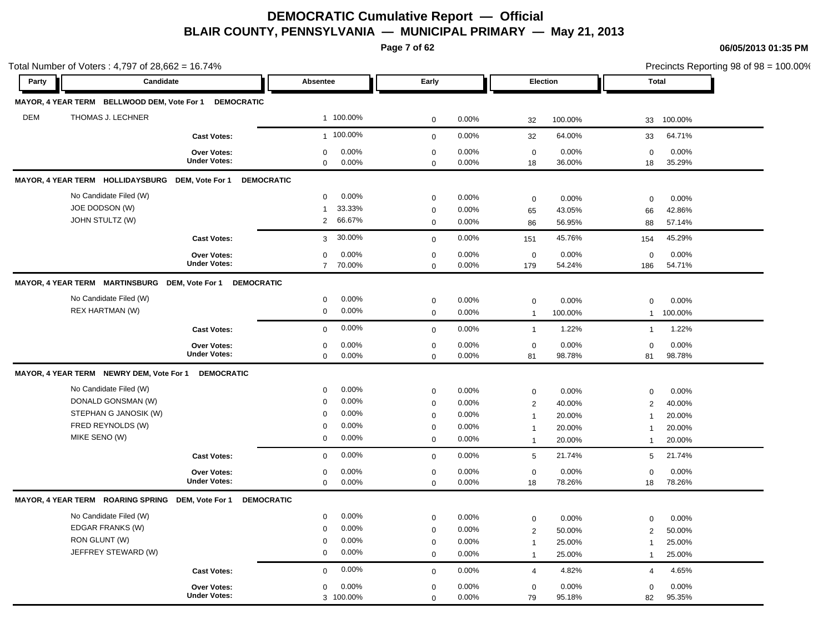**Page 7 of 62**

|            | Total Number of Voters: $4,797$ of $28,662 = 16.74\%$                                                       |                                           |                                                                                        |                                                                         |                                           |                                                                                |                                                                                                | Precincts Reporting 98 of 98 = 100.00%                                         |
|------------|-------------------------------------------------------------------------------------------------------------|-------------------------------------------|----------------------------------------------------------------------------------------|-------------------------------------------------------------------------|-------------------------------------------|--------------------------------------------------------------------------------|------------------------------------------------------------------------------------------------|--------------------------------------------------------------------------------|
| Party      | Candidate                                                                                                   |                                           | Absentee                                                                               | Early                                                                   |                                           | Election                                                                       |                                                                                                | <b>Total</b>                                                                   |
|            | MAYOR, 4 YEAR TERM BELLWOOD DEM, Vote For 1 DEMOCRATIC                                                      |                                           |                                                                                        |                                                                         |                                           |                                                                                |                                                                                                |                                                                                |
| <b>DEM</b> | THOMAS J. LECHNER                                                                                           |                                           | 1 100.00%                                                                              | $\mathbf 0$                                                             | 0.00%                                     | 32                                                                             | 100.00%<br>33                                                                                  | 100.00%                                                                        |
|            |                                                                                                             | <b>Cast Votes:</b>                        | 1 100.00%                                                                              | $\mathbf 0$                                                             | 0.00%                                     | 32                                                                             | 64.00%<br>33                                                                                   | 64.71%                                                                         |
|            |                                                                                                             | <b>Over Votes:</b><br><b>Under Votes:</b> | 0.00%<br>0<br>$\mathbf 0$<br>0.00%                                                     | $\mathbf 0$<br>$\mathbf 0$                                              | 0.00%<br>0.00%                            | $\mathbf 0$<br>18                                                              | 0.00%<br>36.00%<br>18                                                                          | 0.00%<br>$\mathbf 0$<br>35.29%                                                 |
|            | MAYOR, 4 YEAR TERM HOLLIDAYSBURG DEM, Vote For 1                                                            | <b>DEMOCRATIC</b>                         |                                                                                        |                                                                         |                                           |                                                                                |                                                                                                |                                                                                |
|            | No Candidate Filed (W)<br>JOE DODSON (W)<br>JOHN STULTZ (W)                                                 |                                           | 0.00%<br>$\mathbf 0$<br>33.33%<br>$\mathbf{1}$<br>66.67%<br>2                          | $\mathbf 0$<br>$\mathbf 0$                                              | 0.00%<br>0.00%                            | $\mathbf 0$<br>65                                                              | 0.00%<br>43.05%<br>66                                                                          | 0.00%<br>$\mathbf 0$<br>42.86%                                                 |
|            |                                                                                                             | <b>Cast Votes:</b>                        | 30.00%<br>3                                                                            | $\mathbf 0$<br>$\mathbf 0$                                              | 0.00%<br>0.00%                            | 86<br>151                                                                      | 56.95%<br>88<br>45.76%<br>154                                                                  | 57.14%<br>45.29%                                                               |
|            |                                                                                                             | <b>Over Votes:</b><br><b>Under Votes:</b> | 0.00%<br>$\mathbf 0$<br>$\overline{7}$<br>70.00%                                       | $\mathbf 0$<br>$\mathbf 0$                                              | 0.00%<br>0.00%                            | $\mathbf 0$<br>179                                                             | 0.00%<br>54.24%<br>186                                                                         | 0.00%<br>$\mathbf 0$<br>54.71%                                                 |
|            | MAYOR, 4 YEAR TERM MARTINSBURG DEM, Vote For 1 DEMOCRATIC                                                   |                                           |                                                                                        |                                                                         |                                           |                                                                                |                                                                                                |                                                                                |
|            | No Candidate Filed (W)<br>REX HARTMAN (W)                                                                   |                                           | 0.00%<br>0<br>0.00%<br>0                                                               | $\mathbf 0$<br>$\mathbf 0$                                              | 0.00%<br>0.00%                            | $\mathbf 0$<br>$\mathbf{1}$                                                    | 0.00%<br>100.00%                                                                               | $\mathbf 0$<br>0.00%<br>100.00%<br>$\mathbf{1}$                                |
|            |                                                                                                             | <b>Cast Votes:</b>                        | 0.00%<br>$\mathbf 0$                                                                   | $\mathbf 0$                                                             | 0.00%                                     | $\mathbf{1}$                                                                   | 1.22%                                                                                          | 1.22%<br>$\mathbf{1}$                                                          |
|            |                                                                                                             | Over Votes:<br><b>Under Votes:</b>        | 0.00%<br>$\mathbf 0$<br>0.00%<br>$\mathbf 0$                                           | $\mathbf 0$<br>$\Omega$                                                 | 0.00%<br>0.00%                            | $\mathbf 0$<br>81                                                              | 0.00%<br>98.78%<br>81                                                                          | 0.00%<br>$\mathbf 0$<br>98.78%                                                 |
|            | MAYOR, 4 YEAR TERM NEWRY DEM, Vote For 1                                                                    | <b>DEMOCRATIC</b>                         |                                                                                        |                                                                         |                                           |                                                                                |                                                                                                |                                                                                |
|            | No Candidate Filed (W)<br>DONALD GONSMAN (W)<br>STEPHAN G JANOSIK (W)<br>FRED REYNOLDS (W)<br>MIKE SENO (W) |                                           | 0.00%<br>0<br>0.00%<br>0<br>0.00%<br>$\mathbf 0$<br>0.00%<br>0<br>0.00%<br>$\mathbf 0$ | $\mathbf 0$<br>$\mathbf 0$<br>$\mathbf 0$<br>$\mathbf 0$<br>$\mathbf 0$ | 0.00%<br>0.00%<br>0.00%<br>0.00%<br>0.00% | $\boldsymbol{0}$<br>$\sqrt{2}$<br>$\mathbf{1}$<br>$\mathbf{1}$<br>$\mathbf{1}$ | 0.00%<br>40.00%<br>20.00%<br>$\mathbf 1$<br>20.00%<br>$\overline{1}$<br>20.00%<br>$\mathbf{1}$ | $\mathbf 0$<br>0.00%<br>40.00%<br>$\overline{2}$<br>20.00%<br>20.00%<br>20.00% |
|            |                                                                                                             | <b>Cast Votes:</b>                        | 0.00%<br>0                                                                             | $\mathbf 0$                                                             | 0.00%                                     | $5\phantom{.0}$                                                                | 21.74%                                                                                         | 21.74%<br>5                                                                    |
|            |                                                                                                             | <b>Over Votes:</b><br><b>Under Votes:</b> | 0.00%<br>0<br>0.00%<br>0                                                               | $\mathbf 0$<br>$\mathbf 0$                                              | 0.00%<br>0.00%                            | $\mathbf 0$<br>18                                                              | 0.00%<br>78.26%<br>18                                                                          | 0.00%<br>$\mathbf 0$<br>78.26%                                                 |
|            | MAYOR, 4 YEAR TERM ROARING SPRING DEM, Vote For 1                                                           | <b>DEMOCRATIC</b>                         |                                                                                        |                                                                         |                                           |                                                                                |                                                                                                |                                                                                |
|            | No Candidate Filed (W)<br>EDGAR FRANKS (W)<br>RON GLUNT (W)<br>JEFFREY STEWARD (W)                          |                                           | 0.00%<br>$\mathbf 0$<br>$0.00\%$<br>$\mathbf 0$<br>0.00%<br>0<br>0.00%<br>0            | $\mathbf 0$<br>$\mathbf 0$<br>$\mathbf 0$<br>$\mathbf 0$                | 0.00%<br>0.00%<br>0.00%<br>0.00%          | $\mathbf 0$<br>2<br>$\mathbf{1}$<br>$\mathbf{1}$                               | 0.00%<br>50.00%<br>25.00%<br>$\overline{1}$<br>25.00%<br>$\mathbf 1$                           | 0.00%<br>$\mathbf 0$<br>2<br>50.00%<br>25.00%<br>25.00%                        |
|            |                                                                                                             | <b>Cast Votes:</b>                        | 0.00%<br>$\mathbf 0$                                                                   | $\mathbf 0$                                                             | 0.00%                                     | $\overline{4}$                                                                 | 4.82%                                                                                          | 4.65%<br>$\overline{4}$                                                        |
|            |                                                                                                             | Over Votes:<br><b>Under Votes:</b>        | 0.00%<br>$\mathbf 0$<br>3 100.00%                                                      | $\mathbf 0$<br>$\mathbf 0$                                              | 0.00%<br>0.00%                            | $\mathbf 0$<br>79                                                              | 0.00%<br>95.18%<br>82                                                                          | 0.00%<br>$\mathbf 0$<br>95.35%                                                 |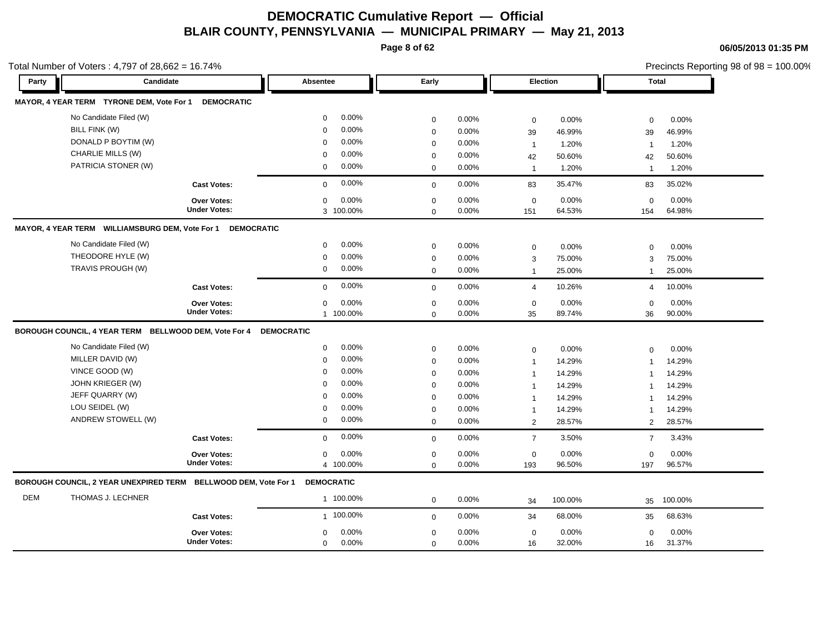**Page 8 of 62**

Total Number of Voters : 4,797 of 28,662 = 16.74%

**06/05/2013 01:35 PM**

Precincts Reporting 98 of 98 = 100.00%

| Party      | Candidate                                                       |                     | Absentee                | Early       |          | Election            |         |                | Total   |
|------------|-----------------------------------------------------------------|---------------------|-------------------------|-------------|----------|---------------------|---------|----------------|---------|
|            | MAYOR, 4 YEAR TERM TYRONE DEM, Vote For 1                       | <b>DEMOCRATIC</b>   |                         |             |          |                     |         |                |         |
|            | No Candidate Filed (W)                                          |                     | 0.00%<br>$\mathbf 0$    | $\mathbf 0$ | 0.00%    | $\mathbf 0$         | 0.00%   | $\Omega$       | 0.00%   |
|            | BILL FINK (W)                                                   |                     | 0.00%<br>$\mathbf 0$    | $\mathbf 0$ | 0.00%    | 39                  | 46.99%  | 39             | 46.99%  |
|            | DONALD P BOYTIM (W)                                             |                     | 0.00%<br>$\mathbf 0$    | $\mathbf 0$ | 0.00%    | $\mathbf{1}$        | 1.20%   | $\overline{1}$ | 1.20%   |
|            | CHARLIE MILLS (W)                                               |                     | 0.00%<br>$\Omega$       | $\mathbf 0$ | 0.00%    | 42                  | 50.60%  | 42             | 50.60%  |
|            | PATRICIA STONER (W)                                             |                     | 0.00%<br>$\mathbf 0$    | $\mathbf 0$ | 0.00%    | $\mathbf{1}$        | 1.20%   | $\overline{1}$ | 1.20%   |
|            |                                                                 | <b>Cast Votes:</b>  | 0.00%<br>$\Omega$       | $\mathbf 0$ | 0.00%    | 83                  | 35.47%  | 83             | 35.02%  |
|            |                                                                 | <b>Over Votes:</b>  | 0.00%<br>$\Omega$       | $\mathbf 0$ | 0.00%    | $\mathbf 0$         | 0.00%   | $\mathbf 0$    | 0.00%   |
|            |                                                                 | <b>Under Votes:</b> | 3 100.00%               | $\mathbf 0$ | 0.00%    | 151                 | 64.53%  | 154            | 64.98%  |
|            | MAYOR, 4 YEAR TERM WILLIAMSBURG DEM, Vote For 1                 | <b>DEMOCRATIC</b>   |                         |             |          |                     |         |                |         |
|            | No Candidate Filed (W)                                          |                     | 0.00%<br>$\mathbf 0$    | $\mathbf 0$ | 0.00%    | $\mathsf{O}\xspace$ | 0.00%   | $\mathbf 0$    | 0.00%   |
|            | THEODORE HYLE (W)                                               |                     | 0.00%<br>$\mathbf 0$    | $\mathbf 0$ | 0.00%    | 3                   | 75.00%  | 3              | 75.00%  |
|            | TRAVIS PROUGH (W)                                               |                     | $0.00\%$<br>$\mathbf 0$ | $\mathbf 0$ | 0.00%    | $\mathbf{1}$        | 25.00%  | $\mathbf{1}$   | 25.00%  |
|            |                                                                 | <b>Cast Votes:</b>  | 0.00%<br>$\Omega$       | $\mathbf 0$ | 0.00%    | $\overline{4}$      | 10.26%  | $\overline{4}$ | 10.00%  |
|            |                                                                 | <b>Over Votes:</b>  | 0.00%<br>$\mathbf 0$    | $\mathbf 0$ | 0.00%    | $\mathbf 0$         | 0.00%   | $\mathbf 0$    | 0.00%   |
|            |                                                                 | <b>Under Votes:</b> | 1 100.00%               | $\mathbf 0$ | 0.00%    | 35                  | 89.74%  | 36             | 90.00%  |
|            | BOROUGH COUNCIL, 4 YEAR TERM BELLWOOD DEM, Vote For 4           |                     | <b>DEMOCRATIC</b>       |             |          |                     |         |                |         |
|            | No Candidate Filed (W)                                          |                     | 0.00%<br>$\mathbf 0$    | $\mathbf 0$ | 0.00%    | $\mathbf 0$         | 0.00%   | $\mathbf 0$    | 0.00%   |
|            | MILLER DAVID (W)                                                |                     | 0.00%<br>$\Omega$       | $\mathbf 0$ | 0.00%    | $\mathbf{1}$        | 14.29%  | $\overline{1}$ | 14.29%  |
|            | VINCE GOOD (W)                                                  |                     | 0.00%<br>$\mathbf 0$    | $\mathbf 0$ | 0.00%    | $\mathbf{1}$        | 14.29%  | $\overline{1}$ | 14.29%  |
|            | JOHN KRIEGER (W)                                                |                     | 0.00%<br>$\mathbf 0$    | $\mathbf 0$ | 0.00%    | $\mathbf{1}$        | 14.29%  | $\mathbf{1}$   | 14.29%  |
|            | JEFF QUARRY (W)                                                 |                     | 0.00%<br>$\Omega$       | $\mathbf 0$ | 0.00%    | $\mathbf{1}$        | 14.29%  | $\overline{1}$ | 14.29%  |
|            | LOU SEIDEL (W)                                                  |                     | 0.00%<br>$\mathbf 0$    | $\mathbf 0$ | $0.00\%$ | $\mathbf{1}$        | 14.29%  | -1             | 14.29%  |
|            | ANDREW STOWELL (W)                                              |                     | 0.00%<br>$\mathbf 0$    | $\mathbf 0$ | 0.00%    | $\overline{2}$      | 28.57%  | 2              | 28.57%  |
|            |                                                                 | <b>Cast Votes:</b>  | 0.00%<br>$\mathbf 0$    | $\mathbf 0$ | 0.00%    | $\overline{7}$      | 3.50%   | $\overline{7}$ | 3.43%   |
|            |                                                                 | Over Votes:         | 0.00%<br>$\mathbf 0$    | $\mathbf 0$ | 0.00%    | $\mathbf 0$         | 0.00%   | $\mathbf 0$    | 0.00%   |
|            |                                                                 | <b>Under Votes:</b> | 4 100.00%               | $\Omega$    | 0.00%    | 193                 | 96.50%  | 197            | 96.57%  |
|            | BOROUGH COUNCIL, 2 YEAR UNEXPIRED TERM BELLWOOD DEM, Vote For 1 |                     | <b>DEMOCRATIC</b>       |             |          |                     |         |                |         |
| <b>DEM</b> | THOMAS J. LECHNER                                               |                     | 1 100.00%               | $\mathbf 0$ | 0.00%    | 34                  | 100.00% | 35             | 100.00% |
|            |                                                                 | <b>Cast Votes:</b>  | 1 100.00%               | $\Omega$    | 0.00%    | 34                  | 68.00%  | 35             | 68.63%  |
|            |                                                                 | <b>Over Votes:</b>  | 0.00%<br>$\mathbf 0$    | $\mathbf 0$ | 0.00%    | $\mathbf 0$         | 0.00%   | $\mathbf 0$    | 0.00%   |
|            |                                                                 | <b>Under Votes:</b> | 0.00%<br>$\mathbf 0$    | $\mathbf 0$ | $0.00\%$ | 16                  | 32.00%  | 16             | 31.37%  |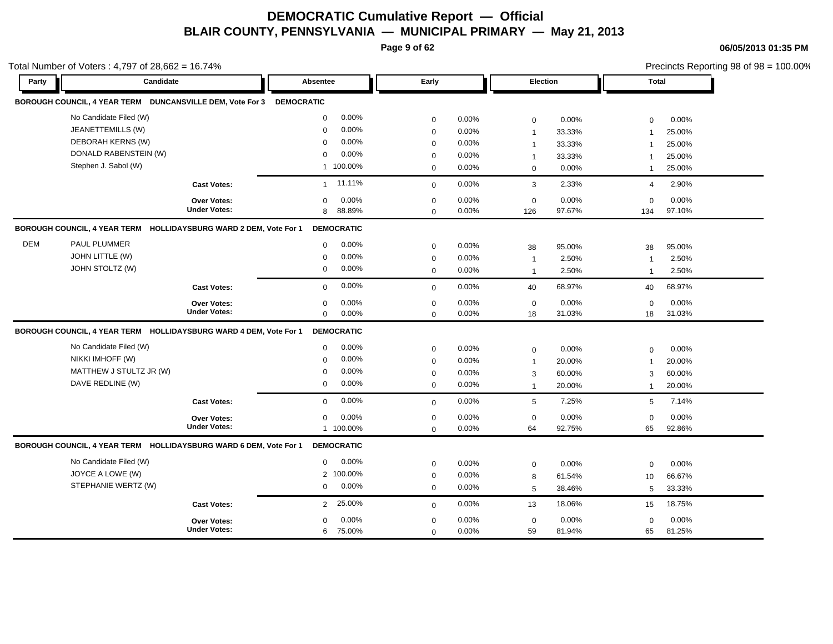**Page 9 of 62**

**06/05/2013 01:35 PM**

|       | otal Number of Voters: $4,797$ of $28,662 = 16.74\%$              |                     |                      |             |          |              |          |                |          | Precincts Reporting 98 of 98 = 100.00% |
|-------|-------------------------------------------------------------------|---------------------|----------------------|-------------|----------|--------------|----------|----------------|----------|----------------------------------------|
| Party | Candidate                                                         |                     | Absentee             | Early       |          | Election     |          | <b>Total</b>   |          |                                        |
|       | BOROUGH COUNCIL, 4 YEAR TERM DUNCANSVILLE DEM, Vote For 3         |                     | <b>DEMOCRATIC</b>    |             |          |              |          |                |          |                                        |
|       | No Candidate Filed (W)                                            |                     | 0.00%<br>$\mathbf 0$ | 0           | 0.00%    | $\mathbf 0$  | 0.00%    | $\mathbf 0$    | 0.00%    |                                        |
|       | JEANETTEMILLS (W)                                                 |                     | 0.00%<br>$\Omega$    | 0           | 0.00%    | $\mathbf{1}$ | 33.33%   | $\overline{1}$ | 25.00%   |                                        |
|       | DEBORAH KERNS (W)                                                 |                     | 0.00%<br>$\Omega$    | 0           | 0.00%    | $\mathbf{1}$ | 33.33%   | $\overline{1}$ | 25.00%   |                                        |
|       | DONALD RABENSTEIN (W)                                             |                     | 0.00%<br>$\Omega$    | $\Omega$    | $0.00\%$ | $\mathbf{1}$ | 33.33%   | $\mathbf{1}$   | 25.00%   |                                        |
|       | Stephen J. Sabol (W)                                              |                     | 1 100.00%            | $\mathbf 0$ | $0.00\%$ | $\mathbf 0$  | 0.00%    | $\overline{1}$ | 25.00%   |                                        |
|       |                                                                   | <b>Cast Votes:</b>  | 11.11%<br>1          | $\mathbf 0$ | $0.00\%$ | 3            | 2.33%    | 4              | 2.90%    |                                        |
|       |                                                                   | Over Votes:         | 0.00%<br>$\Omega$    | 0           | $0.00\%$ | 0            | 0.00%    | 0              | $0.00\%$ |                                        |
|       |                                                                   | <b>Under Votes:</b> | 88.89%<br>8          | 0           | $0.00\%$ | 126          | 97.67%   | 134            | 97.10%   |                                        |
|       | BOROUGH COUNCIL, 4 YEAR TERM HOLLIDAYSBURG WARD 2 DEM, Vote For 1 |                     | <b>DEMOCRATIC</b>    |             |          |              |          |                |          |                                        |
| DEM   | PAUL PLUMMER                                                      |                     | 0.00%<br>$\mathbf 0$ | $\mathbf 0$ | 0.00%    | 38           | 95.00%   | 38             | 95.00%   |                                        |
|       | JOHN LITTLE (W)                                                   |                     | 0.00%<br>$\Omega$    | 0           | $0.00\%$ | $\mathbf{1}$ | 2.50%    | $\overline{1}$ | 2.50%    |                                        |
|       | JOHN STOLTZ (W)                                                   |                     | 0.00%<br>0           | 0           | $0.00\%$ | $\mathbf{1}$ | 2.50%    | $\overline{1}$ | 2.50%    |                                        |
|       |                                                                   | <b>Cast Votes:</b>  | 0.00%<br>$\mathbf 0$ | $\mathbf 0$ | $0.00\%$ | 40           | 68.97%   | 40             | 68.97%   |                                        |
|       |                                                                   | Over Votes:         | 0.00%<br>$\Omega$    | 0           | 0.00%    | 0            | 0.00%    | 0              | $0.00\%$ |                                        |
|       |                                                                   | <b>Under Votes:</b> | 0.00%<br>0           | 0           | $0.00\%$ | 18           | 31.03%   | 18             | 31.03%   |                                        |
|       | BOROUGH COUNCIL, 4 YEAR TERM HOLLIDAYSBURG WARD 4 DEM, Vote For 1 |                     | <b>DEMOCRATIC</b>    |             |          |              |          |                |          |                                        |
|       | No Candidate Filed (W)                                            |                     | 0.00%<br>$\mathbf 0$ | 0           | 0.00%    | $\mathbf 0$  | 0.00%    | $\Omega$       | 0.00%    |                                        |
|       | NIKKI IMHOFF (W)                                                  |                     | 0.00%<br>$\Omega$    | 0           | $0.00\%$ | $\mathbf{1}$ | 20.00%   | $\overline{1}$ | 20.00%   |                                        |
|       | MATTHEW J STULTZ JR (W)                                           |                     | 0.00%<br>$\Omega$    | 0           | $0.00\%$ | 3            | 60.00%   | 3              | 60.00%   |                                        |
|       | DAVE REDLINE (W)                                                  |                     | 0.00%<br>$\mathbf 0$ | 0           | $0.00\%$ | $\mathbf{1}$ | 20.00%   | $\overline{1}$ | 20.00%   |                                        |
|       |                                                                   | <b>Cast Votes:</b>  | 0.00%<br>$\mathbf 0$ | $\mathbf 0$ | 0.00%    | 5            | 7.25%    | 5              | 7.14%    |                                        |
|       |                                                                   | Over Votes:         | 0.00%<br>$\Omega$    | 0           | $0.00\%$ | $\mathbf 0$  | $0.00\%$ | $\mathbf 0$    | $0.00\%$ |                                        |
|       |                                                                   | <b>Under Votes:</b> | 1 100.00%            | 0           | $0.00\%$ | 64           | 92.75%   | 65             | 92.86%   |                                        |
|       | BOROUGH COUNCIL, 4 YEAR TERM HOLLIDAYSBURG WARD 6 DEM, Vote For 1 |                     | <b>DEMOCRATIC</b>    |             |          |              |          |                |          |                                        |
|       | No Candidate Filed (W)                                            |                     | 0.00%<br>$\Omega$    | $\Omega$    | $0.00\%$ | $\mathbf 0$  | 0.00%    | $\mathbf 0$    | 0.00%    |                                        |
|       | JOYCE A LOWE (W)                                                  |                     | 100.00%<br>2         | 0           | $0.00\%$ | 8            | 61.54%   | 10             | 66.67%   |                                        |
|       | STEPHANIE WERTZ (W)                                               |                     | 0.00%<br>$\mathbf 0$ | $\mathbf 0$ | $0.00\%$ | 5            | 38.46%   | 5              | 33.33%   |                                        |
|       |                                                                   | <b>Cast Votes:</b>  | 2 25.00%             | $\mathbf 0$ | 0.00%    | 13           | 18.06%   | 15             | 18.75%   |                                        |
|       |                                                                   | Over Votes:         | 0.00%<br>$\Omega$    | 0           | 0.00%    | $\mathbf 0$  | 0.00%    | $\mathbf 0$    | 0.00%    |                                        |
|       |                                                                   | <b>Under Votes:</b> | 75.00%<br>6          | 0           | $0.00\%$ | 59           | 81.94%   | 65             | 81.25%   |                                        |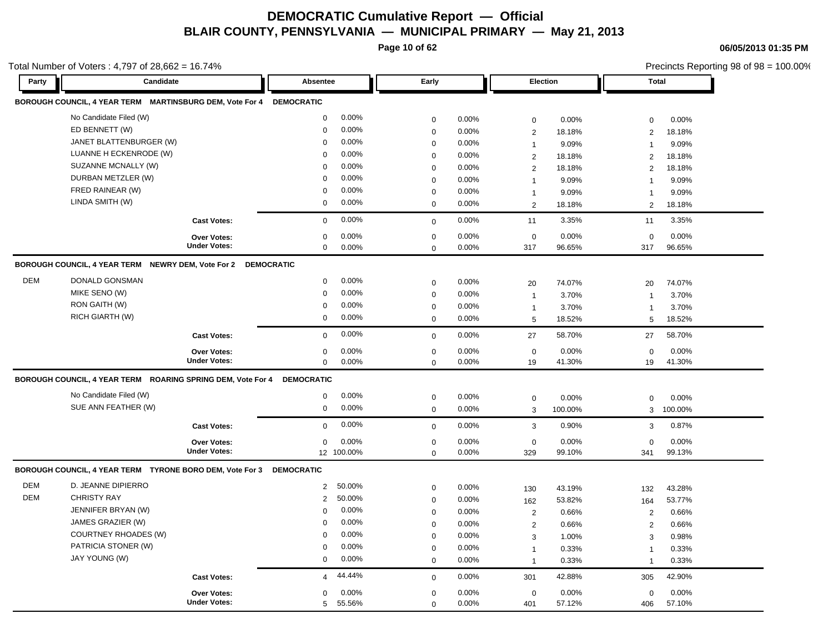**Page 10 of 62**

**06/05/2013 01:35 PM**

|            | Total Number of Voters: 4,797 of 28,662 = 16.74%                    |                     |                   |            |                     |          |                 |         |                | Precincts Reporting 98 of 98 = 100.00% |
|------------|---------------------------------------------------------------------|---------------------|-------------------|------------|---------------------|----------|-----------------|---------|----------------|----------------------------------------|
| Party      | Candidate                                                           |                     | Absentee          |            | Early               |          | <b>Election</b> |         | <b>Total</b>   |                                        |
|            | BOROUGH COUNCIL, 4 YEAR TERM MARTINSBURG DEM, Vote For 4 DEMOCRATIC |                     |                   |            |                     |          |                 |         |                |                                        |
|            | No Candidate Filed (W)                                              |                     | $\mathbf 0$       | 0.00%      | 0                   | 0.00%    | $\mathbf 0$     | 0.00%   | 0              | 0.00%                                  |
|            | ED BENNETT (W)                                                      |                     | $\Omega$          | 0.00%      | $\mathbf 0$         | 0.00%    | 2               | 18.18%  | 2              | 18.18%                                 |
|            | JANET BLATTENBURGER (W)                                             |                     | $\mathbf 0$       | 0.00%      | $\mathbf 0$         | 0.00%    | $\mathbf{1}$    | 9.09%   | $\overline{1}$ | 9.09%                                  |
|            | LUANNE H ECKENRODE (W)                                              |                     | $\Omega$          | 0.00%      | 0                   | 0.00%    | $\overline{2}$  | 18.18%  | 2              | 18.18%                                 |
|            | SUZANNE MCNALLY (W)                                                 |                     | $\Omega$          | 0.00%      | $\mathbf 0$         | 0.00%    | 2               | 18.18%  | 2              | 18.18%                                 |
|            | DURBAN METZLER (W)                                                  |                     | $\Omega$          | 0.00%      | $\mathbf 0$         | 0.00%    | $\overline{1}$  | 9.09%   | $\overline{1}$ | 9.09%                                  |
|            | FRED RAINEAR (W)                                                    |                     | $\mathbf 0$       | 0.00%      | 0                   | 0.00%    | $\mathbf 1$     | 9.09%   | $\overline{1}$ | 9.09%                                  |
|            | LINDA SMITH (W)                                                     |                     | 0                 | 0.00%      | 0                   | 0.00%    | $\overline{2}$  | 18.18%  | 2              | 18.18%                                 |
|            |                                                                     | <b>Cast Votes:</b>  | $\mathbf 0$       | 0.00%      | 0                   | 0.00%    | 11              | 3.35%   | 11             | 3.35%                                  |
|            |                                                                     | Over Votes:         | 0                 | 0.00%      | $\mathbf 0$         | 0.00%    | $\mathbf 0$     | 0.00%   | $\mathbf 0$    | 0.00%                                  |
|            |                                                                     | <b>Under Votes:</b> | $\mathbf 0$       | 0.00%      | $\mathbf 0$         | 0.00%    | 317             | 96.65%  | 317            | 96.65%                                 |
|            | BOROUGH COUNCIL, 4 YEAR TERM NEWRY DEM, Vote For 2 DEMOCRATIC       |                     |                   |            |                     |          |                 |         |                |                                        |
| <b>DEM</b> | DONALD GONSMAN                                                      |                     | $\mathbf 0$       | 0.00%      | $\mathbf 0$         | 0.00%    | 20              | 74.07%  | 20             | 74.07%                                 |
|            | MIKE SENO (W)                                                       |                     | $\mathbf 0$       | 0.00%      | $\pmb{0}$           | 0.00%    | $\overline{1}$  | 3.70%   | $\overline{1}$ | 3.70%                                  |
|            | RON GAITH (W)                                                       |                     | $\Omega$          | 0.00%      | $\mathsf{O}\xspace$ | 0.00%    | $\mathbf{1}$    | 3.70%   | $\overline{1}$ | 3.70%                                  |
|            | RICH GIARTH (W)                                                     |                     | 0                 | 0.00%      | $\mathbf 0$         | $0.00\%$ | 5               | 18.52%  | 5              | 18.52%                                 |
|            |                                                                     | <b>Cast Votes:</b>  | $\mathbf 0$       | 0.00%      | $\mathbf 0$         | 0.00%    | 27              | 58.70%  | 27             | 58.70%                                 |
|            |                                                                     | Over Votes:         | 0                 | 0.00%      | 0                   | 0.00%    | $\mathbf 0$     | 0.00%   | $\mathbf 0$    | 0.00%                                  |
|            |                                                                     | <b>Under Votes:</b> | 0                 | 0.00%      | $\mathbf 0$         | 0.00%    | 19              | 41.30%  | 19             | 41.30%                                 |
|            | BOROUGH COUNCIL, 4 YEAR TERM ROARING SPRING DEM, Vote For 4         |                     | <b>DEMOCRATIC</b> |            |                     |          |                 |         |                |                                        |
|            | No Candidate Filed (W)                                              |                     | $\mathbf 0$       | 0.00%      | 0                   | 0.00%    | $\mathbf 0$     | 0.00%   | $\mathbf 0$    | 0.00%                                  |
|            | SUE ANN FEATHER (W)                                                 |                     | $\mathbf 0$       | 0.00%      | $\mathbf 0$         | 0.00%    | 3               | 100.00% | 3              | 100.00%                                |
|            |                                                                     | <b>Cast Votes:</b>  | $\mathbf{0}$      | 0.00%      | 0                   | 0.00%    | 3               | 0.90%   | 3              | 0.87%                                  |
|            |                                                                     | <b>Over Votes:</b>  | $\mathbf 0$       | 0.00%      | $\mathbf 0$         | 0.00%    | $\mathbf 0$     | 0.00%   | $\mathbf 0$    | 0.00%                                  |
|            |                                                                     | <b>Under Votes:</b> |                   | 12 100.00% | 0                   | 0.00%    | 329             | 99.10%  | 341            | 99.13%                                 |
|            | BOROUGH COUNCIL, 4 YEAR TERM TYRONE BORO DEM, Vote For 3            |                     | <b>DEMOCRATIC</b> |            |                     |          |                 |         |                |                                        |
| <b>DEM</b> | D. JEANNE DIPIERRO                                                  |                     | $\overline{2}$    | 50.00%     | 0                   | 0.00%    | 130             | 43.19%  | 132            | 43.28%                                 |
| <b>DEM</b> | <b>CHRISTY RAY</b>                                                  |                     | $\overline{2}$    | 50.00%     | 0                   | 0.00%    | 162             | 53.82%  | 164            | 53.77%                                 |
|            | JENNIFER BRYAN (W)                                                  |                     | $\Omega$          | 0.00%      | $\mathbf 0$         | 0.00%    | $\overline{2}$  | 0.66%   | $\overline{2}$ | 0.66%                                  |
|            | JAMES GRAZIER (W)                                                   |                     | $\mathbf 0$       | 0.00%      | $\mathbf 0$         | 0.00%    | $\sqrt{2}$      | 0.66%   | $\overline{2}$ | 0.66%                                  |
|            | <b>COURTNEY RHOADES (W)</b>                                         |                     | $\mathbf 0$       | 0.00%      | $\mathbf 0$         | 0.00%    | 3               | 1.00%   | 3              | 0.98%                                  |
|            | PATRICIA STONER (W)                                                 |                     | $\Omega$          | 0.00%      | $\mathbf 0$         | 0.00%    | $\mathbf{1}$    | 0.33%   | $\overline{1}$ | 0.33%                                  |
|            | JAY YOUNG (W)                                                       |                     | 0                 | 0.00%      | 0                   | 0.00%    | $\mathbf{1}$    | 0.33%   | $\overline{1}$ | 0.33%                                  |
|            |                                                                     | <b>Cast Votes:</b>  | 4                 | 44.44%     | $\mathbf 0$         | 0.00%    | 301             | 42.88%  | 305            | 42.90%                                 |
|            |                                                                     | <b>Over Votes:</b>  | 0                 | 0.00%      | $\mathbf 0$         | 0.00%    | $\mathbf 0$     | 0.00%   | 0              | 0.00%                                  |
|            |                                                                     | <b>Under Votes:</b> | 5                 | 55.56%     | $\mathbf 0$         | 0.00%    | 401             | 57.12%  | 406            | 57.10%                                 |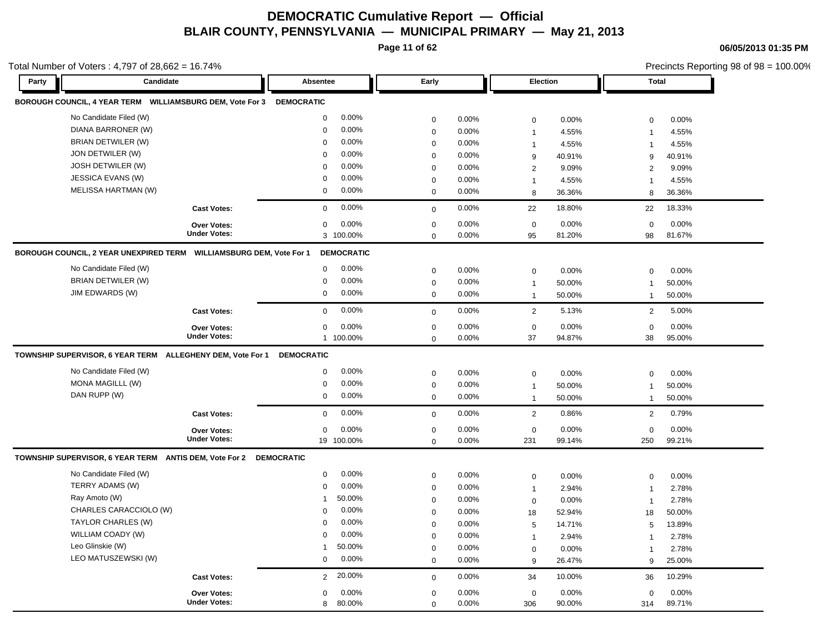**Page 11 of 62**

**06/05/2013 01:35 PM**

|       | Total Number of Voters: 4,797 of 28,662 = 16.74%                           |                     |                   |                   |             |       |                  |        |                |        | Precincts Reporting 98 of 98 = 100.00% |
|-------|----------------------------------------------------------------------------|---------------------|-------------------|-------------------|-------------|-------|------------------|--------|----------------|--------|----------------------------------------|
| Party | Candidate                                                                  |                     | Absentee          |                   | Early       |       | Election         |        | <b>Total</b>   |        |                                        |
|       | BOROUGH COUNCIL, 4 YEAR TERM    WILLIAMSBURG DEM, Vote For 3    DEMOCRATIC |                     |                   |                   |             |       |                  |        |                |        |                                        |
|       | No Candidate Filed (W)                                                     |                     | 0                 | 0.00%             | $\mathbf 0$ | 0.00% | $\mathbf 0$      | 0.00%  | $\mathsf 0$    | 0.00%  |                                        |
|       | DIANA BARRONER (W)                                                         |                     | 0                 | 0.00%             | $\mathbf 0$ | 0.00% | $\mathbf{1}$     | 4.55%  | 1              | 4.55%  |                                        |
|       | <b>BRIAN DETWILER (W)</b>                                                  |                     | 0                 | 0.00%             | 0           | 0.00% | $\mathbf{1}$     | 4.55%  | $\overline{1}$ | 4.55%  |                                        |
|       | JON DETWILER (W)                                                           |                     | $\Omega$          | 0.00%             | $\mathsf 0$ | 0.00% | $\boldsymbol{9}$ | 40.91% | 9              | 40.91% |                                        |
|       | JOSH DETWILER (W)                                                          |                     | $\Omega$          | 0.00%             | 0           | 0.00% | $\overline{2}$   | 9.09%  | 2              | 9.09%  |                                        |
|       | JESSICA EVANS (W)                                                          |                     | 0                 | 0.00%             | $\mathbf 0$ | 0.00% | $\mathbf{1}$     | 4.55%  | $\overline{1}$ | 4.55%  |                                        |
|       | <b>MELISSA HARTMAN (W)</b>                                                 |                     | 0                 | 0.00%             | 0           | 0.00% | 8                | 36.36% | 8              | 36.36% |                                        |
|       |                                                                            | <b>Cast Votes:</b>  | 0                 | 0.00%             | $\mathbf 0$ | 0.00% | 22               | 18.80% | 22             | 18.33% |                                        |
|       |                                                                            | Over Votes:         | 0                 | 0.00%             | $\mathsf 0$ | 0.00% | $\mathbf 0$      | 0.00%  | $\mathbf 0$    | 0.00%  |                                        |
|       |                                                                            | <b>Under Votes:</b> | 3 100.00%         |                   | 0           | 0.00% | 95               | 81.20% | 98             | 81.67% |                                        |
|       | BOROUGH COUNCIL, 2 YEAR UNEXPIRED TERM    WILLIAMSBURG DEM, Vote For 1     |                     |                   | <b>DEMOCRATIC</b> |             |       |                  |        |                |        |                                        |
|       | No Candidate Filed (W)                                                     |                     | 0                 | 0.00%             | $\mathbf 0$ | 0.00% | $\mathbf 0$      | 0.00%  | 0              | 0.00%  |                                        |
|       | <b>BRIAN DETWILER (W)</b>                                                  |                     | 0                 | 0.00%             | $\mathbf 0$ | 0.00% | $\mathbf{1}$     | 50.00% | $\overline{1}$ | 50.00% |                                        |
|       | JIM EDWARDS (W)                                                            |                     | 0                 | 0.00%             | 0           | 0.00% | $\mathbf{1}$     | 50.00% | $\mathbf{1}$   | 50.00% |                                        |
|       |                                                                            | <b>Cast Votes:</b>  | 0                 | 0.00%             | $\mathbf 0$ | 0.00% | $\overline{2}$   | 5.13%  | $\overline{2}$ | 5.00%  |                                        |
|       |                                                                            | Over Votes:         | 0                 | 0.00%             | $\mathsf 0$ | 0.00% | $\pmb{0}$        | 0.00%  | $\mathbf 0$    | 0.00%  |                                        |
|       |                                                                            | <b>Under Votes:</b> | 1 100.00%         |                   | $\mathbf 0$ | 0.00% | 37               | 94.87% | 38             | 95.00% |                                        |
|       | TOWNSHIP SUPERVISOR, 6 YEAR TERM ALLEGHENY DEM, Vote For 1                 |                     | <b>DEMOCRATIC</b> |                   |             |       |                  |        |                |        |                                        |
|       | No Candidate Filed (W)                                                     |                     | 0                 | 0.00%             | $\mathbf 0$ | 0.00% | $\mathbf 0$      | 0.00%  | 0              | 0.00%  |                                        |
|       | MONA MAGILLL (W)                                                           |                     | 0                 | 0.00%             | $\mathbf 0$ | 0.00% | $\mathbf{1}$     | 50.00% | $\mathbf{1}$   | 50.00% |                                        |
|       | DAN RUPP (W)                                                               |                     | 0                 | 0.00%             | 0           | 0.00% | $\mathbf{1}$     | 50.00% | $\mathbf{1}$   | 50.00% |                                        |
|       |                                                                            | <b>Cast Votes:</b>  | 0                 | 0.00%             | $\mathbf 0$ | 0.00% | $\overline{2}$   | 0.86%  | $\mathbf{2}$   | 0.79%  |                                        |
|       |                                                                            | <b>Over Votes:</b>  | 0                 | 0.00%             | $\mathbf 0$ | 0.00% | $\mathbf 0$      | 0.00%  | $\mathbf 0$    | 0.00%  |                                        |
|       |                                                                            | <b>Under Votes:</b> | 19 100.00%        |                   | $\mathbf 0$ | 0.00% | 231              | 99.14% | 250            | 99.21% |                                        |
|       | TOWNSHIP SUPERVISOR, 6 YEAR TERM ANTIS DEM, Vote For 2                     |                     | <b>DEMOCRATIC</b> |                   |             |       |                  |        |                |        |                                        |
|       | No Candidate Filed (W)                                                     |                     | 0                 | 0.00%             | $\mathbf 0$ | 0.00% | $\mathbf 0$      | 0.00%  | $\mathbf 0$    | 0.00%  |                                        |
|       | TERRY ADAMS (W)                                                            |                     | 0                 | 0.00%             | $\mathbf 0$ | 0.00% | $\mathbf 1$      | 2.94%  | $\overline{1}$ | 2.78%  |                                        |
|       | Ray Amoto (W)                                                              |                     | 1                 | 50.00%            | $\mathbf 0$ | 0.00% | $\mathbf 0$      | 0.00%  | $\overline{1}$ | 2.78%  |                                        |
|       | CHARLES CARACCIOLO (W)                                                     |                     | $\Omega$          | 0.00%             | $\mathbf 0$ | 0.00% | 18               | 52.94% | 18             | 50.00% |                                        |
|       | TAYLOR CHARLES (W)                                                         |                     | 0                 | 0.00%             | $\mathbf 0$ | 0.00% | $\sqrt{5}$       | 14.71% | 5              | 13.89% |                                        |
|       | WILLIAM COADY (W)                                                          |                     | $\Omega$          | 0.00%             | $\mathbf 0$ | 0.00% | $\mathbf{1}$     | 2.94%  | 1              | 2.78%  |                                        |
|       | Leo Glinskie (W)                                                           |                     | 1                 | 50.00%            | 0           | 0.00% | $\mathbf 0$      | 0.00%  | $\overline{1}$ | 2.78%  |                                        |
|       | LEO MATUSZEWSKI (W)                                                        |                     | 0                 | 0.00%             | $\mathbf 0$ | 0.00% | $9\,$            | 26.47% | 9              | 25.00% |                                        |
|       |                                                                            | <b>Cast Votes:</b>  | $\overline{2}$    | 20.00%            | $\mathbf 0$ | 0.00% | 34               | 10.00% | 36             | 10.29% |                                        |
|       |                                                                            | Over Votes:         | 0                 | 0.00%             | $\mathbf 0$ | 0.00% | $\mathbf 0$      | 0.00%  | $\mathbf 0$    | 0.00%  |                                        |
|       |                                                                            | <b>Under Votes:</b> | 8                 | 80.00%            | $\mathbf 0$ | 0.00% | 306              | 90.00% | 314            | 89.71% |                                        |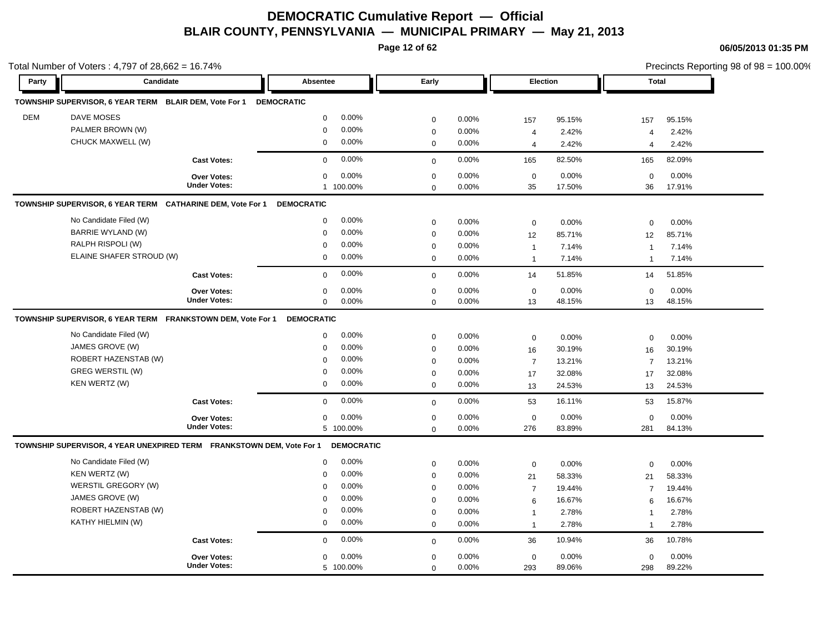**Page 12 of 62**

| Party      | Candidate                                                             |                     | <b>Absentee</b>   |                   | Early                      |       | <b>Election</b>                |                | <b>Total</b>                              |                |
|------------|-----------------------------------------------------------------------|---------------------|-------------------|-------------------|----------------------------|-------|--------------------------------|----------------|-------------------------------------------|----------------|
|            |                                                                       |                     |                   |                   |                            |       |                                |                |                                           |                |
|            | TOWNSHIP SUPERVISOR, 6 YEAR TERM BLAIR DEM, Vote For 1                |                     | <b>DEMOCRATIC</b> |                   |                            |       |                                |                |                                           |                |
| <b>DEM</b> | <b>DAVE MOSES</b>                                                     |                     | $\mathbf 0$       | 0.00%             | $\mathbf 0$                | 0.00% | 157                            | 95.15%         | 157                                       | 95.15%         |
|            | PALMER BROWN (W)                                                      |                     | $\mathbf 0$       | 0.00%             | $\mathbf 0$                | 0.00% | $\overline{4}$                 | 2.42%          | $\overline{4}$                            | 2.42%          |
|            | CHUCK MAXWELL (W)                                                     |                     | 0                 | 0.00%             | $\mathbf 0$                | 0.00% | $\overline{4}$                 | 2.42%          | $\overline{4}$                            | 2.42%          |
|            |                                                                       | <b>Cast Votes:</b>  | $\Omega$          | 0.00%             | $\mathbf 0$                | 0.00% | 165                            | 82.50%         | 165                                       | 82.09%         |
|            |                                                                       | Over Votes:         | $\mathbf 0$       | 0.00%             | $\mathbf 0$                | 0.00% | $\mathbf 0$                    | 0.00%          | $\mathbf 0$                               | 0.00%          |
|            |                                                                       | <b>Under Votes:</b> |                   | 1 100.00%         | $\mathbf 0$                | 0.00% | 35                             | 17.50%         | 36                                        | 17.91%         |
|            | TOWNSHIP SUPERVISOR, 6 YEAR TERM CATHARINE DEM, Vote For 1            |                     | <b>DEMOCRATIC</b> |                   |                            |       |                                |                |                                           |                |
|            | No Candidate Filed (W)                                                |                     | $\mathbf 0$       | 0.00%             | $\mathbf 0$                | 0.00% | $\mathbf 0$                    | 0.00%          | $\mathbf 0$                               | 0.00%          |
|            | <b>BARRIE WYLAND (W)</b>                                              |                     | $\mathbf 0$       | 0.00%             | $\mathbf 0$                | 0.00% | 12                             | 85.71%         | 12                                        | 85.71%         |
|            | RALPH RISPOLI (W)                                                     |                     | $\Omega$          | 0.00%             | $\mathbf 0$                | 0.00% | $\overline{1}$                 | 7.14%          | 1                                         | 7.14%          |
|            | ELAINE SHAFER STROUD (W)                                              |                     | $\mathbf 0$       | 0.00%             | $\mathbf 0$                | 0.00% | $\overline{1}$                 | 7.14%          | $\overline{1}$                            | 7.14%          |
|            |                                                                       | <b>Cast Votes:</b>  | $\mathbf 0$       | 0.00%             | $\mathbf 0$                | 0.00% | 14                             | 51.85%         | 14                                        | 51.85%         |
|            |                                                                       | <b>Over Votes:</b>  | $\mathbf 0$       | 0.00%             | $\mathbf 0$                | 0.00% | $\mathbf 0$                    | 0.00%          | $\mathbf 0$                               | 0.00%          |
|            |                                                                       | <b>Under Votes:</b> | $\mathbf 0$       | 0.00%             | $\mathbf 0$                | 0.00% | 13                             | 48.15%         | 13                                        | 48.15%         |
|            | TOWNSHIP SUPERVISOR, 6 YEAR TERM FRANKSTOWN DEM, Vote For 1           |                     | <b>DEMOCRATIC</b> |                   |                            |       |                                |                |                                           |                |
|            | No Candidate Filed (W)                                                |                     | $\mathbf 0$       | 0.00%             | $\mathbf 0$                | 0.00% | $\mathbf 0$                    | 0.00%          | 0                                         | 0.00%          |
|            | JAMES GROVE (W)                                                       |                     | $\Omega$          | 0.00%             | $\mathbf 0$                | 0.00% | 16                             | 30.19%         | 16                                        | 30.19%         |
|            | ROBERT HAZENSTAB (W)                                                  |                     | $\mathbf 0$       | 0.00%             | $\mathsf 0$                | 0.00% | $\overline{7}$                 | 13.21%         | $\overline{7}$                            | 13.21%         |
|            | GREG WERSTIL (W)                                                      |                     | $\mathbf 0$       | 0.00%             | $\mathbf 0$                | 0.00% | 17                             | 32.08%         | 17                                        | 32.08%         |
|            | KEN WERTZ (W)                                                         |                     | $\mathbf 0$       | 0.00%             | $\mathbf 0$                | 0.00% | 13                             | 24.53%         | 13                                        | 24.53%         |
|            |                                                                       | <b>Cast Votes:</b>  | $\mathbf 0$       | 0.00%             | $\mathbf 0$                | 0.00% | 53                             | 16.11%         | 53                                        | 15.87%         |
|            |                                                                       | Over Votes:         | $\mathbf 0$       | 0.00%             | $\pmb{0}$                  | 0.00% | $\mathbf 0$                    | 0.00%          | $\mathbf 0$                               | 0.00%          |
|            |                                                                       | <b>Under Votes:</b> |                   | 5 100.00%         | $\mathbf 0$                | 0.00% | 276                            | 83.89%         | 281                                       | 84.13%         |
|            | TOWNSHIP SUPERVISOR, 4 YEAR UNEXPIRED TERM FRANKSTOWN DEM, Vote For 1 |                     |                   | <b>DEMOCRATIC</b> |                            |       |                                |                |                                           |                |
|            |                                                                       |                     | $\mathbf 0$       | 0.00%             | $\mathbf 0$                | 0.00% | $\mathbf 0$                    | 0.00%          | $\mathbf 0$                               | 0.00%          |
|            | No Candidate Filed (W)                                                |                     |                   |                   |                            | 0.00% | 21                             | 58.33%         | 21                                        | 58.33%         |
|            | KEN WERTZ (W)                                                         |                     | $\mathbf 0$       | 0.00%             | $\mathbf 0$                |       |                                |                |                                           |                |
|            | WERSTIL GREGORY (W)                                                   |                     | $\mathbf 0$       | 0.00%             | $\mathbf 0$                | 0.00% |                                | 19.44%         | $\overline{7}$                            | 19.44%         |
|            | JAMES GROVE (W)                                                       |                     | $\mathbf 0$       | 0.00%             |                            | 0.00% | $\overline{7}$                 |                |                                           |                |
|            | ROBERT HAZENSTAB (W)                                                  |                     | $\mathbf 0$       | 0.00%             | $\mathbf 0$                | 0.00% | 6                              | 16.67%         | 6                                         | 16.67%         |
|            | KATHY HIELMIN (W)                                                     |                     | $\mathbf 0$       | 0.00%             | $\mathbf 0$<br>$\mathbf 0$ | 0.00% | $\mathbf{1}$<br>$\overline{1}$ | 2.78%<br>2.78% | $\overline{1}$<br>$\overline{\mathbf{1}}$ | 2.78%<br>2.78% |
|            |                                                                       | <b>Cast Votes:</b>  | $\mathbf 0$       | 0.00%             | $\mathbf 0$                | 0.00% | 36                             | 10.94%         | 36                                        | 10.78%         |
|            |                                                                       | <b>Over Votes:</b>  | $\mathbf 0$       | 0.00%             | $\mathbf 0$                | 0.00% | $\mathbf 0$                    | 0.00%          | $\mathbf 0$                               | 0.00%          |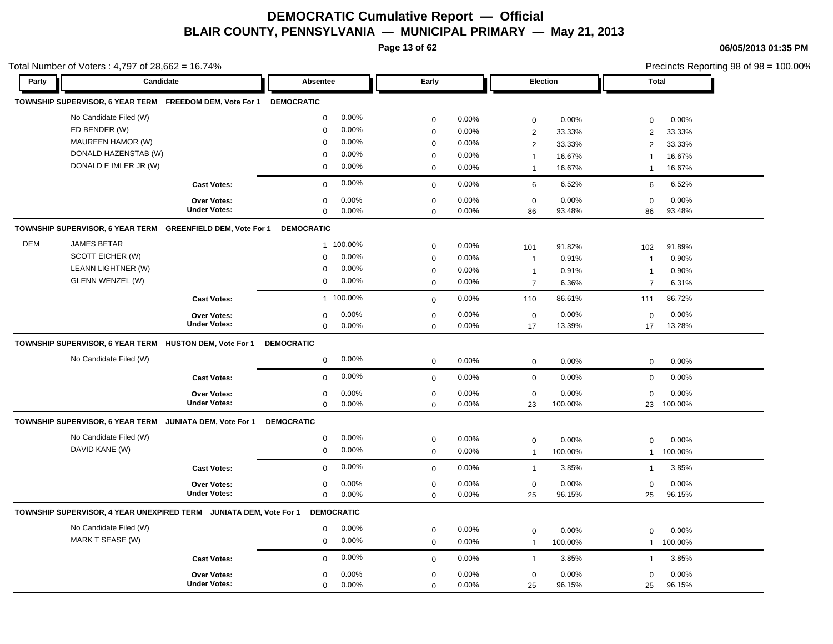**Page 13 of 62**

**06/05/2013 01:35 PM**

|            | Total Number of Voters: 4,797 of 28,662 = 16.74%                   |                     |                   |           |             |       |                |         |                | Precincts Reporting 98 of 98 = 100.00% |  |  |
|------------|--------------------------------------------------------------------|---------------------|-------------------|-----------|-------------|-------|----------------|---------|----------------|----------------------------------------|--|--|
| Party      | Candidate                                                          |                     | Absentee          |           | Early       |       | Election       |         | <b>Total</b>   |                                        |  |  |
|            | TOWNSHIP SUPERVISOR, 6 YEAR TERM FREEDOM DEM, Vote For 1           |                     | <b>DEMOCRATIC</b> |           |             |       |                |         |                |                                        |  |  |
|            | No Candidate Filed (W)                                             |                     | 0                 | 0.00%     | $\mathbf 0$ | 0.00% | $\mathbf 0$    | 0.00%   | $\mathbf 0$    | 0.00%                                  |  |  |
|            | ED BENDER (W)                                                      |                     | $\Omega$          | 0.00%     | $\mathbf 0$ | 0.00% | $\overline{2}$ | 33.33%  | 2              | 33.33%                                 |  |  |
|            | MAUREEN HAMOR (W)                                                  |                     | $\Omega$          | 0.00%     | $\mathbf 0$ | 0.00% | $\overline{2}$ | 33.33%  | $\overline{2}$ | 33.33%                                 |  |  |
|            | DONALD HAZENSTAB (W)                                               |                     | $\mathbf 0$       | 0.00%     | $\mathbf 0$ | 0.00% | $\mathbf{1}$   | 16.67%  | $\mathbf{1}$   | 16.67%                                 |  |  |
|            | DONALD E IMLER JR (W)                                              |                     | 0                 | 0.00%     | $\mathbf 0$ | 0.00% | $\mathbf{1}$   | 16.67%  | $\overline{1}$ | 16.67%                                 |  |  |
|            |                                                                    | <b>Cast Votes:</b>  | $\mathbf 0$       | 0.00%     | $\mathbf 0$ | 0.00% | 6              | 6.52%   | 6              | 6.52%                                  |  |  |
|            |                                                                    | <b>Over Votes:</b>  | $\mathbf 0$       | 0.00%     | $\mathbf 0$ | 0.00% | $\mathbf 0$    | 0.00%   | $\mathbf 0$    | 0.00%                                  |  |  |
|            |                                                                    | <b>Under Votes:</b> | 0                 | 0.00%     | $\mathbf 0$ | 0.00% | 86             | 93.48%  | 86             | 93.48%                                 |  |  |
|            | TOWNSHIP SUPERVISOR, 6 YEAR TERM GREENFIELD DEM, Vote For 1        |                     | <b>DEMOCRATIC</b> |           |             |       |                |         |                |                                        |  |  |
| <b>DEM</b> | <b>JAMES BETAR</b>                                                 |                     |                   | 1 100.00% | $\mathbf 0$ | 0.00% | 101            | 91.82%  | 102            | 91.89%                                 |  |  |
|            | SCOTT EICHER (W)                                                   |                     | $\Omega$          | 0.00%     | $\mathbf 0$ | 0.00% | $\mathbf{1}$   | 0.91%   | $\overline{1}$ | 0.90%                                  |  |  |
|            | LEANN LIGHTNER (W)                                                 |                     | $\mathbf 0$       | 0.00%     | $\mathbf 0$ | 0.00% | $\mathbf{1}$   | 0.91%   | $\overline{1}$ | 0.90%                                  |  |  |
|            | <b>GLENN WENZEL (W)</b>                                            |                     | $\mathbf 0$       | 0.00%     | $\mathbf 0$ | 0.00% | $\overline{7}$ | 6.36%   | $\overline{7}$ | 6.31%                                  |  |  |
|            |                                                                    | <b>Cast Votes:</b>  |                   | 1 100.00% | $\mathbf 0$ | 0.00% | 110            | 86.61%  | 111            | 86.72%                                 |  |  |
|            |                                                                    | Over Votes:         | $\Omega$          | 0.00%     | $\mathbf 0$ | 0.00% | $\mathbf 0$    | 0.00%   | $\mathbf 0$    | 0.00%                                  |  |  |
|            |                                                                    | <b>Under Votes:</b> | $\mathbf 0$       | 0.00%     | $\Omega$    | 0.00% | 17             | 13.39%  | 17             | 13.28%                                 |  |  |
|            | TOWNSHIP SUPERVISOR, 6 YEAR TERM HUSTON DEM, Vote For 1            |                     | <b>DEMOCRATIC</b> |           |             |       |                |         |                |                                        |  |  |
|            | No Candidate Filed (W)                                             |                     | $\mathbf 0$       | 0.00%     | $\mathbf 0$ | 0.00% | $\mathsf 0$    | 0.00%   | $\mathbf 0$    | 0.00%                                  |  |  |
|            |                                                                    | <b>Cast Votes:</b>  | $\mathbf 0$       | 0.00%     | $\mathbf 0$ | 0.00% | $\mathbf 0$    | 0.00%   | $\mathbf 0$    | 0.00%                                  |  |  |
|            |                                                                    | <b>Over Votes:</b>  | $\Omega$          | 0.00%     | $\mathbf 0$ | 0.00% | $\mathbf 0$    | 0.00%   | $\mathbf 0$    | 0.00%                                  |  |  |
|            |                                                                    | <b>Under Votes:</b> | $\mathbf 0$       | 0.00%     | $\mathbf 0$ | 0.00% | 23             | 100.00% | 23             | 100.00%                                |  |  |
|            | TOWNSHIP SUPERVISOR, 6 YEAR TERM JUNIATA DEM, Vote For 1           |                     | <b>DEMOCRATIC</b> |           |             |       |                |         |                |                                        |  |  |
|            | No Candidate Filed (W)                                             |                     | $\mathbf 0$       | 0.00%     | $\mathbf 0$ | 0.00% | $\pmb{0}$      | 0.00%   | $\mathbf 0$    | 0.00%                                  |  |  |
|            | DAVID KANE (W)                                                     |                     | 0                 | 0.00%     | $\mathbf 0$ | 0.00% | $\mathbf{1}$   | 100.00% | $\mathbf{1}$   | 100.00%                                |  |  |
|            |                                                                    | <b>Cast Votes:</b>  | $\mathbf 0$       | 0.00%     | $\mathbf 0$ | 0.00% | $\mathbf{1}$   | 3.85%   | $\mathbf{1}$   | 3.85%                                  |  |  |
|            |                                                                    | <b>Over Votes:</b>  | $\mathbf 0$       | 0.00%     | $\mathbf 0$ | 0.00% | $\mathbf 0$    | 0.00%   | $\mathbf 0$    | 0.00%                                  |  |  |
|            |                                                                    | <b>Under Votes:</b> | 0                 | 0.00%     | $\mathbf 0$ | 0.00% | 25             | 96.15%  | 25             | 96.15%                                 |  |  |
|            | TOWNSHIP SUPERVISOR, 4 YEAR UNEXPIRED TERM JUNIATA DEM, Vote For 1 |                     | <b>DEMOCRATIC</b> |           |             |       |                |         |                |                                        |  |  |
|            | No Candidate Filed (W)                                             |                     | $\mathbf 0$       | $0.00\%$  | $\mathbf 0$ | 0.00% | $\mathbf 0$    | 0.00%   | $\mathbf 0$    | 0.00%                                  |  |  |
|            | MARK T SEASE (W)                                                   |                     | $\mathbf 0$       | 0.00%     | $\mathbf 0$ | 0.00% | $\mathbf{1}$   | 100.00% | $\mathbf{1}$   | 100.00%                                |  |  |
|            |                                                                    | <b>Cast Votes:</b>  | $\mathbf 0$       | 0.00%     | $\mathbf 0$ | 0.00% | $\mathbf{1}$   | 3.85%   | $\mathbf{1}$   | 3.85%                                  |  |  |
|            |                                                                    | <b>Over Votes:</b>  | 0                 | 0.00%     | $\mathbf 0$ | 0.00% | $\mathsf 0$    | 0.00%   | $\mathbf 0$    | 0.00%                                  |  |  |
|            |                                                                    | <b>Under Votes:</b> | 0                 | 0.00%     | $\mathbf 0$ | 0.00% | 25             | 96.15%  | 25             | 96.15%                                 |  |  |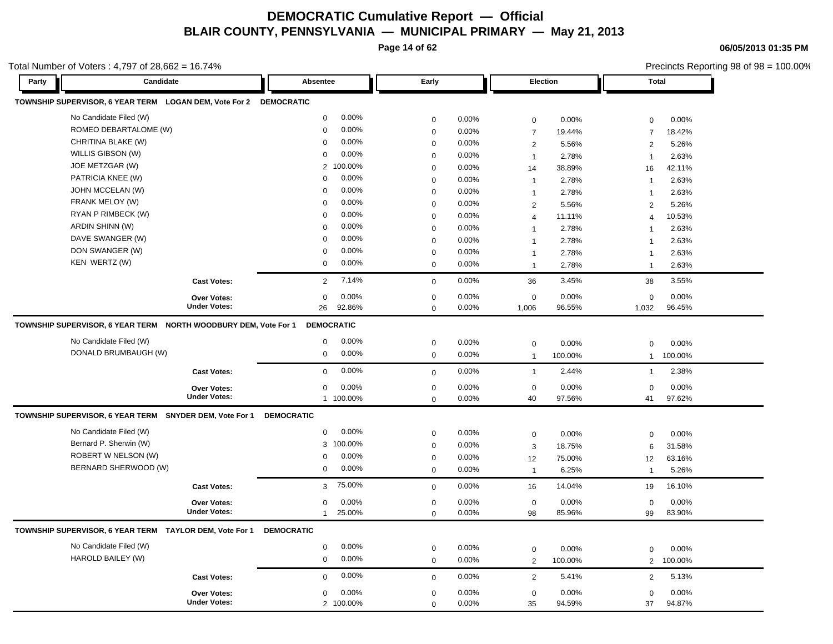**Page 14 of 62**

**06/05/2013 01:35 PM**

|       | Total Number of Voters: 4,797 of 28,662 = 16.74%                  |                           |                            |                |                               |                  |                      | Precincts Reporting 98 of 98 = 100.00% |  |  |
|-------|-------------------------------------------------------------------|---------------------------|----------------------------|----------------|-------------------------------|------------------|----------------------|----------------------------------------|--|--|
| Party | Candidate                                                         | Absentee                  | Early                      |                | <b>Election</b>               |                  | <b>Total</b>         |                                        |  |  |
|       | TOWNSHIP SUPERVISOR, 6 YEAR TERM LOGAN DEM, Vote For 2 DEMOCRATIC |                           |                            |                |                               |                  |                      |                                        |  |  |
|       | No Candidate Filed (W)                                            | 0.00%<br>$\mathbf 0$      | $\mathbf 0$                | 0.00%          | $\mathbf 0$                   | 0.00%            | 0                    | 0.00%                                  |  |  |
|       | ROMEO DEBARTALOME (W)                                             | 0.00%<br>$\mathbf 0$      | $\mathbf 0$                | 0.00%          | $\overline{7}$                | 19.44%           | $\overline{7}$       | 18.42%                                 |  |  |
|       | CHRITINA BLAKE (W)                                                | 0.00%<br>$\mathbf 0$      | $\mathbf 0$                | 0.00%          | $\overline{2}$                | 5.56%            | 2                    | 5.26%                                  |  |  |
|       | WILLIS GIBSON (W)                                                 | 0.00%<br>$\mathbf 0$      | 0                          | 0.00%          | $\mathbf{1}$                  | 2.78%            | $\overline{1}$       | 2.63%                                  |  |  |
|       | JOE METZGAR (W)                                                   | 100.00%<br>$\overline{2}$ | 0                          | 0.00%          | 14                            | 38.89%           | 16                   | 42.11%                                 |  |  |
|       | PATRICIA KNEE (W)                                                 | 0.00%<br>0                | 0                          | 0.00%          | $\mathbf{1}$                  | 2.78%            | $\overline{1}$       | 2.63%                                  |  |  |
|       | JOHN MCCELAN (W)                                                  | 0.00%<br>$\mathbf 0$      | $\mathbf 0$                | 0.00%          | $\mathbf{1}$                  | 2.78%            | $\overline{1}$       | 2.63%                                  |  |  |
|       | FRANK MELOY (W)                                                   | 0.00%<br>$\Omega$         | $\mathbf 0$                | 0.00%          | 2                             | 5.56%            | 2                    | 5.26%                                  |  |  |
|       | RYAN P RIMBECK (W)                                                | 0.00%<br>$\mathbf 0$      | 0                          | 0.00%          | $\overline{4}$                | 11.11%           | $\overline{4}$       | 10.53%                                 |  |  |
|       | ARDIN SHINN (W)                                                   | 0.00%<br>$\mathbf 0$      | $\Omega$                   | 0.00%          | $\mathbf 1$                   | 2.78%            | 1                    | 2.63%                                  |  |  |
|       | DAVE SWANGER (W)                                                  | 0.00%<br>$\Omega$         | $\mathbf 0$                | $0.00\%$       | $\overline{1}$                | 2.78%            | $\overline{1}$       | 2.63%                                  |  |  |
|       | DON SWANGER (W)                                                   | 0.00%<br>$\mathbf 0$      | $\mathbf 0$                | 0.00%          | $\mathbf{1}$                  | 2.78%            | $\overline{1}$       | 2.63%                                  |  |  |
|       | KEN WERTZ (W)                                                     | 0.00%<br>0                | $\mathbf 0$                | 0.00%          | $\mathbf{1}$                  | 2.78%            | $\overline{1}$       | 2.63%                                  |  |  |
|       | <b>Cast Votes:</b>                                                | 7.14%<br>2                | $\mathbf 0$                | 0.00%          | 36                            | 3.45%            | 38                   | 3.55%                                  |  |  |
|       | <b>Over Votes:</b>                                                | 0.00%<br>0                | $\mathbf 0$                | 0.00%          | $\mathbf 0$                   | 0.00%            | $\mathbf 0$          | 0.00%                                  |  |  |
|       | <b>Under Votes:</b>                                               | 92.86%<br>26              | $\mathbf 0$                | 0.00%          | 1,006                         | 96.55%           | 1,032                | 96.45%                                 |  |  |
|       | TOWNSHIP SUPERVISOR, 6 YEAR TERM NORTH WOODBURY DEM, Vote For 1   | <b>DEMOCRATIC</b>         |                            |                |                               |                  |                      |                                        |  |  |
|       | No Candidate Filed (W)                                            | 0.00%<br>$\mathbf 0$      | $\mathbf 0$                | 0.00%          | $\mathbf 0$                   | 0.00%            | 0                    | 0.00%                                  |  |  |
|       | DONALD BRUMBAUGH (W)                                              | 0.00%<br>0                | $\mathbf 0$                | 0.00%          | $\mathbf{1}$                  | 100.00%          | $\mathbf{1}$         | 100.00%                                |  |  |
|       | <b>Cast Votes:</b>                                                | 0.00%<br>$\mathbf 0$      | $\mathbf 0$                | 0.00%          | $\mathbf{1}$                  | 2.44%            | $\mathbf{1}$         | 2.38%                                  |  |  |
|       | <b>Over Votes:</b>                                                | 0.00%<br>$\mathbf 0$      | $\mathbf 0$                | 0.00%          | $\mathbf 0$                   | 0.00%            | $\mathbf 0$          | 0.00%                                  |  |  |
|       | <b>Under Votes:</b>                                               | 1 100.00%                 | $\mathbf 0$                | 0.00%          | 40                            | 97.56%           | 41                   | 97.62%                                 |  |  |
|       |                                                                   |                           |                            |                |                               |                  |                      |                                        |  |  |
|       | TOWNSHIP SUPERVISOR, 6 YEAR TERM SNYDER DEM, Vote For 1           | <b>DEMOCRATIC</b>         |                            |                |                               |                  |                      |                                        |  |  |
|       | No Candidate Filed (W)                                            | 0.00%<br>$\mathbf 0$      |                            |                |                               |                  |                      |                                        |  |  |
|       | Bernard P. Sherwin (W)                                            | 100.00%<br>3              | $\mathbf 0$<br>$\mathbf 0$ | 0.00%          | $\mathbf 0$                   | 0.00%            | $\mathbf 0$          | 0.00%                                  |  |  |
|       | ROBERT W NELSON (W)                                               | 0.00%<br>0                |                            | 0.00%<br>0.00% | 3                             | 18.75%           | 6                    | 31.58%                                 |  |  |
|       | BERNARD SHERWOOD (W)                                              | 0.00%<br>0                | $\mathbf 0$<br>$\mathbf 0$ | 0.00%          | 12<br>$\overline{1}$          | 75.00%<br>6.25%  | 12<br>$\overline{1}$ | 63.16%<br>5.26%                        |  |  |
|       | <b>Cast Votes:</b>                                                | 75.00%<br>3               | $\mathbf 0$                | 0.00%          | 16                            | 14.04%           | 19                   | 16.10%                                 |  |  |
|       | <b>Over Votes:</b>                                                | 0.00%<br>0                | $\mathbf 0$                | $0.00\%$       | $\mathbf 0$                   | 0.00%            | $\mathbf 0$          | 0.00%                                  |  |  |
|       | <b>Under Votes:</b>                                               | 25.00%<br>$\mathbf{1}$    | 0                          | 0.00%          | 98                            | 85.96%           | 99                   | 83.90%                                 |  |  |
|       | TOWNSHIP SUPERVISOR, 6 YEAR TERM TAYLOR DEM, Vote For 1           | <b>DEMOCRATIC</b>         |                            |                |                               |                  |                      |                                        |  |  |
|       | No Candidate Filed (W)                                            | 0.00%<br>$\mathbf 0$      |                            |                |                               |                  |                      |                                        |  |  |
|       | HAROLD BAILEY (W)                                                 | 0.00%<br>$\mathbf 0$      | 0<br>$\mathbf 0$           | 0.00%<br>0.00% | $\mathbf 0$<br>$\overline{2}$ | 0.00%<br>100.00% | 0<br>$\overline{2}$  | 0.00%<br>100.00%                       |  |  |
|       | <b>Cast Votes:</b>                                                | 0.00%<br>$\mathbf 0$      | $\mathbf 0$                | 0.00%          | $\overline{2}$                | 5.41%            | 2                    | 5.13%                                  |  |  |
|       | <b>Over Votes:</b>                                                | 0.00%<br>$\mathbf 0$      | $\mathbf 0$                | 0.00%          | $\mathbf 0$                   | 0.00%            | $\mathbf 0$          | 0.00%                                  |  |  |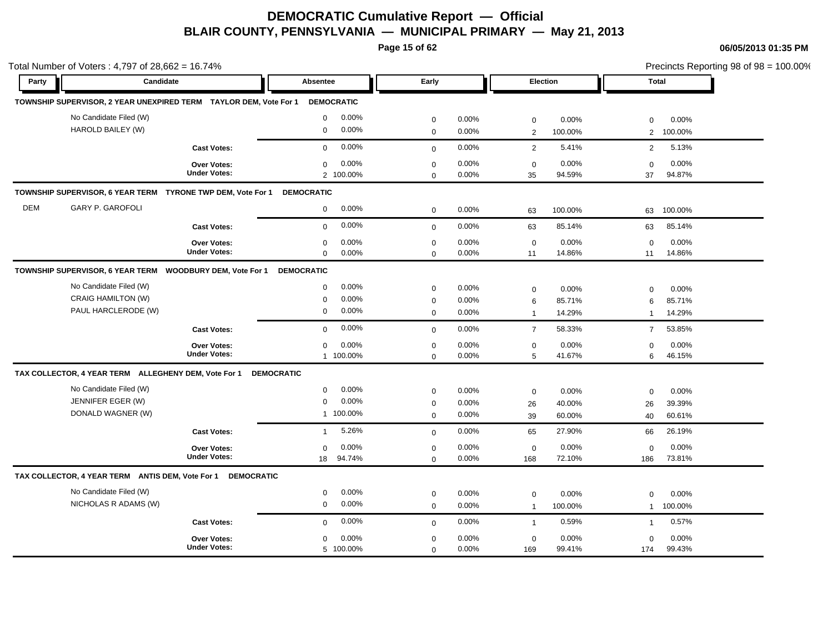**Page 15 of 62**

|            | Total Number of Voters: 4,797 of 28,662 = 16.74%                  |                     |                       |             |       |                |         |                | Precincts Reporting 98 of 98 = 100.00% |  |  |
|------------|-------------------------------------------------------------------|---------------------|-----------------------|-------------|-------|----------------|---------|----------------|----------------------------------------|--|--|
| Party      | Candidate                                                         |                     | Absentee              | Early       |       | Election       |         | Total          |                                        |  |  |
|            | TOWNSHIP SUPERVISOR, 2 YEAR UNEXPIRED TERM TAYLOR DEM, Vote For 1 |                     | <b>DEMOCRATIC</b>     |             |       |                |         |                |                                        |  |  |
|            | No Candidate Filed (W)                                            |                     | 0.00%<br>$\mathbf 0$  | $\mathbf 0$ | 0.00% | $\mathbf 0$    | 0.00%   | $\mathbf 0$    | 0.00%                                  |  |  |
|            | HAROLD BAILEY (W)                                                 |                     | 0.00%<br>$\mathbf 0$  | $\mathbf 0$ | 0.00% | $\overline{2}$ | 100.00% | 2              | 100.00%                                |  |  |
|            |                                                                   | <b>Cast Votes:</b>  | 0.00%<br>$\Omega$     | $\mathbf 0$ | 0.00% | 2              | 5.41%   | 2              | 5.13%                                  |  |  |
|            |                                                                   | <b>Over Votes:</b>  | 0.00%<br>$\mathbf 0$  | $\mathbf 0$ | 0.00% | $\mathbf 0$    | 0.00%   | $\mathbf 0$    | 0.00%                                  |  |  |
|            |                                                                   | <b>Under Votes:</b> | 2 100.00%             | $\mathbf 0$ | 0.00% | 35             | 94.59%  | 37             | 94.87%                                 |  |  |
|            | TOWNSHIP SUPERVISOR, 6 YEAR TERM TYRONE TWP DEM, Vote For 1       |                     | <b>DEMOCRATIC</b>     |             |       |                |         |                |                                        |  |  |
| <b>DEM</b> | <b>GARY P. GAROFOLI</b>                                           |                     | 0.00%<br>$\mathbf 0$  | $\mathbf 0$ | 0.00% | 63             | 100.00% | 63             | 100.00%                                |  |  |
|            |                                                                   | <b>Cast Votes:</b>  | 0.00%<br>$\Omega$     | $\mathbf 0$ | 0.00% | 63             | 85.14%  | 63             | 85.14%                                 |  |  |
|            |                                                                   | Over Votes:         | 0.00%<br>$\mathbf 0$  | $\pmb{0}$   | 0.00% | $\mathbf 0$    | 0.00%   | $\mathbf 0$    | 0.00%                                  |  |  |
|            |                                                                   | <b>Under Votes:</b> | 0.00%<br>$\mathbf 0$  | $\mathbf 0$ | 0.00% | 11             | 14.86%  | 11             | 14.86%                                 |  |  |
|            | TOWNSHIP SUPERVISOR, 6 YEAR TERM WOODBURY DEM, Vote For 1         |                     | <b>DEMOCRATIC</b>     |             |       |                |         |                |                                        |  |  |
|            | No Candidate Filed (W)                                            |                     | 0.00%<br>$\mathbf 0$  | $\mathbf 0$ | 0.00% | $\mathbf 0$    | 0.00%   | $\Omega$       | 0.00%                                  |  |  |
|            | <b>CRAIG HAMILTON (W)</b>                                         |                     | 0.00%<br>$\mathbf 0$  | $\mathbf 0$ | 0.00% | 6              | 85.71%  | 6              | 85.71%                                 |  |  |
|            | PAUL HARCLERODE (W)                                               |                     | 0.00%<br>$\mathbf 0$  | $\mathbf 0$ | 0.00% | $\overline{1}$ | 14.29%  | $\mathbf{1}$   | 14.29%                                 |  |  |
|            |                                                                   | <b>Cast Votes:</b>  | 0.00%<br>$\mathbf 0$  | $\mathbf 0$ | 0.00% | $\overline{7}$ | 58.33%  | $\overline{7}$ | 53.85%                                 |  |  |
|            |                                                                   | Over Votes:         | 0.00%<br>$\mathbf 0$  | $\pmb{0}$   | 0.00% | $\mathbf 0$    | 0.00%   | 0              | 0.00%                                  |  |  |
|            |                                                                   | <b>Under Votes:</b> | 1 100.00%             | $\mathbf 0$ | 0.00% | 5              | 41.67%  | 6              | 46.15%                                 |  |  |
|            | TAX COLLECTOR, 4 YEAR TERM ALLEGHENY DEM, Vote For 1              |                     | <b>DEMOCRATIC</b>     |             |       |                |         |                |                                        |  |  |
|            | No Candidate Filed (W)                                            |                     | 0.00%<br>$\mathbf 0$  | $\mathbf 0$ | 0.00% | $\mathbf 0$    | 0.00%   | $\mathbf 0$    | 0.00%                                  |  |  |
|            | JENNIFER EGER (W)                                                 |                     | $\mathbf 0$<br>0.00%  | $\mathbf 0$ | 0.00% | 26             | 40.00%  | 26             | 39.39%                                 |  |  |
|            | DONALD WAGNER (W)                                                 |                     | 1 100.00%             | $\mathbf 0$ | 0.00% | 39             | 60.00%  | 40             | 60.61%                                 |  |  |
|            |                                                                   | <b>Cast Votes:</b>  | 5.26%<br>$\mathbf{1}$ | $\mathbf 0$ | 0.00% | 65             | 27.90%  | 66             | 26.19%                                 |  |  |
|            |                                                                   | <b>Over Votes:</b>  | 0.00%<br>$\mathbf 0$  | $\mathbf 0$ | 0.00% | $\mathbf 0$    | 0.00%   | $\mathbf 0$    | 0.00%                                  |  |  |
|            |                                                                   | <b>Under Votes:</b> | 94.74%<br>18          | $\mathbf 0$ | 0.00% | 168            | 72.10%  | 186            | 73.81%                                 |  |  |
|            | TAX COLLECTOR, 4 YEAR TERM ANTIS DEM, Vote For 1 DEMOCRATIC       |                     |                       |             |       |                |         |                |                                        |  |  |
|            | No Candidate Filed (W)                                            |                     | 0.00%<br>0            | $\mathbf 0$ | 0.00% | $\mathbf 0$    | 0.00%   | 0              | 0.00%                                  |  |  |
|            | NICHOLAS R ADAMS (W)                                              |                     | 0.00%<br>$\mathbf 0$  | $\mathbf 0$ | 0.00% | $\overline{1}$ | 100.00% | $\mathbf{1}$   | 100.00%                                |  |  |
|            |                                                                   | <b>Cast Votes:</b>  | 0.00%<br>$\mathbf 0$  | $\mathbf 0$ | 0.00% | $\mathbf{1}$   | 0.59%   | $\mathbf{1}$   | 0.57%                                  |  |  |
|            |                                                                   | <b>Over Votes:</b>  | 0.00%<br>$\mathbf 0$  | $\mathbf 0$ | 0.00% | $\mathbf 0$    | 0.00%   | $\mathbf 0$    | 0.00%                                  |  |  |
|            |                                                                   | <b>Under Votes:</b> | 5 100.00%             | $\mathbf 0$ | 0.00% | 169            | 99.41%  | 174            | 99.43%                                 |  |  |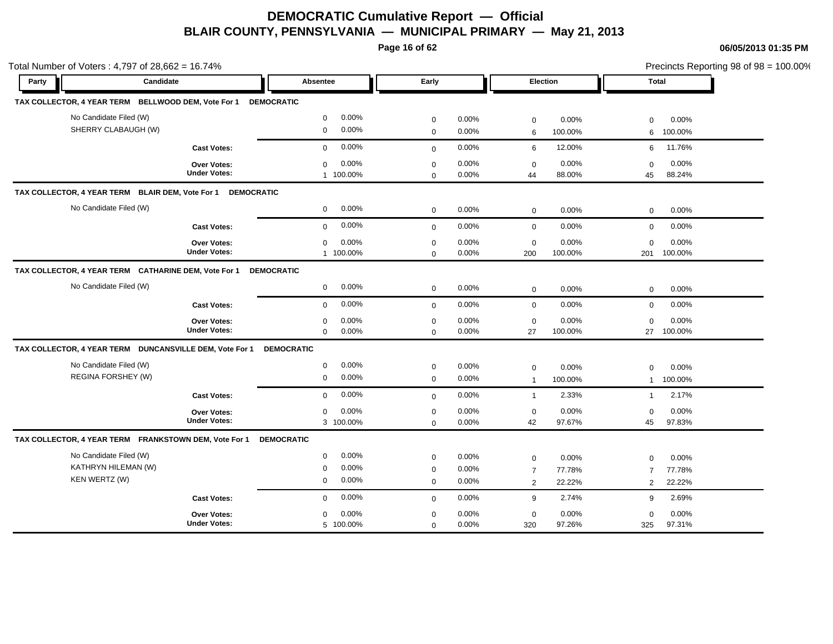**Page 16 of 62**

| Total Number of Voters: 4,797 of 28,662 = 16.74%               |                                                         |                                                                      |                                            |                         |                                    |                           |                                    | Precincts Reporting 98 of 98 = 100.00% |
|----------------------------------------------------------------|---------------------------------------------------------|----------------------------------------------------------------------|--------------------------------------------|-------------------------|------------------------------------|---------------------------|------------------------------------|----------------------------------------|
| Party                                                          | Candidate                                               | Absentee                                                             | Early                                      |                         |                                    | Election                  | <b>Total</b>                       |                                        |
|                                                                | TAX COLLECTOR, 4 YEAR TERM BELLWOOD DEM, Vote For 1     | <b>DEMOCRATIC</b>                                                    |                                            |                         |                                    |                           |                                    |                                        |
| No Candidate Filed (W)<br>SHERRY CLABAUGH (W)                  |                                                         | 0.00%<br>$\mathbf 0$<br>0.00%<br>$\mathbf 0$                         | $\mathbf 0$                                | 0.00%<br>0.00%          | $\mathbf 0$                        | 0.00%                     | 0                                  | 0.00%                                  |
|                                                                |                                                         |                                                                      | $\mathbf 0$                                |                         | 6                                  | 100.00%                   | 6                                  | 100.00%                                |
|                                                                | <b>Cast Votes:</b>                                      | 0.00%<br>$\mathbf 0$                                                 | $\mathbf 0$                                | 0.00%                   | 6                                  | 12.00%                    | 6                                  | 11.76%                                 |
|                                                                | Over Votes:<br><b>Under Votes:</b>                      | 0.00%<br>$\mathbf 0$<br>1 100.00%                                    | $\mathbf 0$<br>$\mathbf 0$                 | 0.00%<br>0.00%          | $\mathbf 0$<br>44                  | 0.00%<br>88.00%           | $\mathbf 0$<br>45                  | 0.00%<br>88.24%                        |
| TAX COLLECTOR, 4 YEAR TERM BLAIR DEM, Vote For 1               | <b>DEMOCRATIC</b>                                       |                                                                      |                                            |                         |                                    |                           |                                    |                                        |
| No Candidate Filed (W)                                         |                                                         | 0.00%<br>$\mathbf 0$                                                 | $\mathbf 0$                                | 0.00%                   | $\mathbf 0$                        | 0.00%                     | $\mathbf 0$                        | 0.00%                                  |
|                                                                | <b>Cast Votes:</b>                                      | 0.00%<br>$\mathbf 0$                                                 | $\mathbf{0}$                               | 0.00%                   | $\mathbf 0$                        | 0.00%                     | $\mathbf 0$                        | 0.00%                                  |
|                                                                | Over Votes:<br><b>Under Votes:</b>                      | 0.00%<br>$\mathbf 0$<br>1 100.00%                                    | $\mathbf 0$<br>$\mathbf 0$                 | 0.00%<br>0.00%          | $\mathbf 0$<br>200                 | 0.00%<br>100.00%          | $\Omega$<br>201                    | 0.00%<br>100.00%                       |
|                                                                | TAX COLLECTOR, 4 YEAR TERM CATHARINE DEM, Vote For 1    | <b>DEMOCRATIC</b>                                                    |                                            |                         |                                    |                           |                                    |                                        |
| No Candidate Filed (W)                                         |                                                         | 0.00%<br>$\mathbf 0$                                                 | $\mathbf 0$                                | 0.00%                   | $\mathbf 0$                        | 0.00%                     | $\mathbf 0$                        | 0.00%                                  |
|                                                                | <b>Cast Votes:</b>                                      | 0.00%<br>$\mathbf 0$                                                 | $\mathbf 0$                                | 0.00%                   | $\mathbf 0$                        | 0.00%                     | $\mathbf 0$                        | 0.00%                                  |
|                                                                | Over Votes:<br><b>Under Votes:</b>                      | 0.00%<br>$\mathbf 0$<br>$\mathbf 0$<br>0.00%                         | $\pmb{0}$<br>$\mathbf 0$                   | 0.00%<br>0.00%          | $\mathbf 0$<br>27                  | 0.00%<br>100.00%          | $\mathbf 0$<br>27                  | 0.00%<br>100.00%                       |
|                                                                | TAX COLLECTOR, 4 YEAR TERM DUNCANSVILLE DEM, Vote For 1 | <b>DEMOCRATIC</b>                                                    |                                            |                         |                                    |                           |                                    |                                        |
| No Candidate Filed (W)<br>REGINA FORSHEY (W)                   |                                                         | 0.00%<br>$\mathbf 0$<br>0.00%<br>$\mathbf 0$                         | $\pmb{0}$<br>$\mathbf 0$                   | 0.00%<br>0.00%          | $\mathbf 0$<br>$\overline{1}$      | 0.00%<br>100.00%          | 0<br>$\mathbf{1}$                  | 0.00%<br>100.00%                       |
|                                                                | <b>Cast Votes:</b>                                      | 0.00%<br>$\mathbf 0$                                                 | $\mathbf 0$                                | 0.00%                   | $\mathbf{1}$                       | 2.33%                     | $\mathbf{1}$                       | 2.17%                                  |
|                                                                | Over Votes:<br><b>Under Votes:</b>                      | 0.00%<br>$\mathbf 0$<br>3 100.00%                                    | $\mathbf 0$<br>$\mathbf 0$                 | 0.00%<br>0.00%          | $\mathbf 0$<br>42                  | 0.00%<br>97.67%           | $\mathbf 0$<br>45                  | 0.00%<br>97.83%                        |
|                                                                | TAX COLLECTOR, 4 YEAR TERM FRANKSTOWN DEM, Vote For 1   | <b>DEMOCRATIC</b>                                                    |                                            |                         |                                    |                           |                                    |                                        |
| No Candidate Filed (W)<br>KATHRYN HILEMAN (W)<br>KEN WERTZ (W) |                                                         | 0.00%<br>$\mathbf 0$<br>0.00%<br>$\mathbf 0$<br>0.00%<br>$\mathbf 0$ | $\mathbf 0$<br>$\mathbf 0$<br>$\mathbf{0}$ | 0.00%<br>0.00%<br>0.00% | $\mathbf 0$<br>$\overline{7}$<br>2 | 0.00%<br>77.78%<br>22.22% | $\mathbf 0$<br>$\overline{7}$<br>2 | 0.00%<br>77.78%<br>22.22%              |
|                                                                | <b>Cast Votes:</b>                                      | 0.00%<br>$\mathbf 0$                                                 | $\mathbf 0$                                | 0.00%                   | 9                                  | 2.74%                     | 9                                  | 2.69%                                  |
|                                                                | Over Votes:<br><b>Under Votes:</b>                      | 0.00%<br>$\mathbf 0$<br>5 100.00%                                    | $\mathbf 0$<br>$\mathbf 0$                 | 0.00%<br>0.00%          | $\mathbf 0$<br>320                 | 0.00%<br>97.26%           | 0<br>325                           | 0.00%<br>97.31%                        |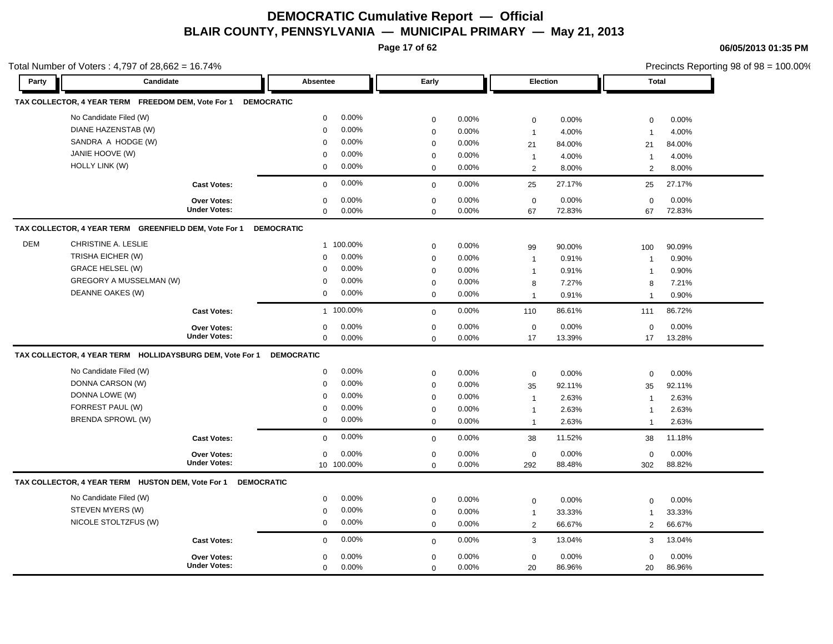**Page 17 of 62**

**06/05/2013 01:35 PM**

|            | Total Number of Voters: $4,797$ of $28,662 = 16.74\%$    |                     |                   |            |             |          |                         |        |                | Precincts Reporting 98 of $98 = 100.00\%$ |
|------------|----------------------------------------------------------|---------------------|-------------------|------------|-------------|----------|-------------------------|--------|----------------|-------------------------------------------|
| Party      | Candidate                                                |                     | Absentee          |            | Early       |          | Election                |        | <b>Total</b>   |                                           |
|            | TAX COLLECTOR, 4 YEAR TERM FREEDOM DEM, Vote For 1       |                     | <b>DEMOCRATIC</b> |            |             |          |                         |        |                |                                           |
|            | No Candidate Filed (W)                                   |                     | $\mathbf 0$       | 0.00%      | $\mathbf 0$ | $0.00\%$ | 0                       | 0.00%  | $\mathbf 0$    | 0.00%                                     |
|            | DIANE HAZENSTAB (W)                                      |                     | $\mathbf 0$       | 0.00%      | $\mathbf 0$ | $0.00\%$ | $\overline{1}$          | 4.00%  | $\overline{1}$ | 4.00%                                     |
|            | SANDRA A HODGE (W)                                       |                     | $\mathbf 0$       | 0.00%      | $\mathbf 0$ | $0.00\%$ | 21                      | 84.00% | 21             | 84.00%                                    |
|            | JANIE HOOVE (W)                                          |                     | $\mathbf{0}$      | 0.00%      | 0           | 0.00%    | $\overline{1}$          | 4.00%  | $\overline{1}$ | 4.00%                                     |
|            | <b>HOLLY LINK (W)</b>                                    |                     | 0                 | 0.00%      | $\mathbf 0$ | $0.00\%$ | 2                       | 8.00%  | 2              | 8.00%                                     |
|            |                                                          | <b>Cast Votes:</b>  | $\mathbf{0}$      | 0.00%      | $\Omega$    | 0.00%    | 25                      | 27.17% | 25             | 27.17%                                    |
|            |                                                          | <b>Over Votes:</b>  | $\Omega$          | 0.00%      | $\mathbf 0$ | 0.00%    | $\mathbf 0$             | 0.00%  | $\mathbf 0$    | 0.00%                                     |
|            |                                                          | <b>Under Votes:</b> | $\mathbf 0$       | $0.00\%$   | $\mathbf 0$ | 0.00%    | 67                      | 72.83% | 67             | 72.83%                                    |
|            | TAX COLLECTOR, 4 YEAR TERM GREENFIELD DEM, Vote For 1    |                     | <b>DEMOCRATIC</b> |            |             |          |                         |        |                |                                           |
| <b>DEM</b> | CHRISTINE A. LESLIE                                      |                     |                   | 1 100.00%  | $\mathbf 0$ | 0.00%    | 99                      | 90.00% | 100            | 90.09%                                    |
|            | TRISHA EICHER (W)                                        |                     | 0                 | 0.00%      | $\mathbf 0$ | 0.00%    | $\overline{1}$          | 0.91%  | $\mathbf 1$    | 0.90%                                     |
|            | <b>GRACE HELSEL (W)</b>                                  |                     | $\mathbf{0}$      | $0.00\%$   | $\mathbf 0$ | 0.00%    | $\overline{1}$          | 0.91%  | $\mathbf 1$    | 0.90%                                     |
|            | <b>GREGORY A MUSSELMAN (W)</b>                           |                     | $\mathbf{0}$      | 0.00%      | $\mathbf 0$ | 0.00%    | 8                       | 7.27%  | 8              | 7.21%                                     |
|            | DEANNE OAKES (W)                                         |                     | 0                 | 0.00%      | $\mathbf 0$ | $0.00\%$ | $\overline{\mathbf{1}}$ | 0.91%  | $\overline{1}$ | 0.90%                                     |
|            |                                                          | <b>Cast Votes:</b>  |                   | 1 100.00%  | $\mathbf 0$ | 0.00%    | 110                     | 86.61% | 111            | 86.72%                                    |
|            |                                                          | <b>Over Votes:</b>  | $\mathbf 0$       | 0.00%      | $\mathbf 0$ | 0.00%    | $\mathbf 0$             | 0.00%  | $\mathbf 0$    | 0.00%                                     |
|            |                                                          | <b>Under Votes:</b> | $\mathbf 0$       | 0.00%      | $\mathbf 0$ | 0.00%    | 17                      | 13.39% | 17             | 13.28%                                    |
|            | TAX COLLECTOR, 4 YEAR TERM HOLLIDAYSBURG DEM, Vote For 1 |                     | <b>DEMOCRATIC</b> |            |             |          |                         |        |                |                                           |
|            | No Candidate Filed (W)                                   |                     | 0                 | 0.00%      | $\mathbf 0$ | $0.00\%$ | $\mathbf 0$             | 0.00%  | $\mathbf 0$    | 0.00%                                     |
|            | DONNA CARSON (W)                                         |                     | $\mathbf 0$       | 0.00%      | $\mathbf 0$ | 0.00%    | 35                      | 92.11% | 35             | 92.11%                                    |
|            | DONNA LOWE (W)                                           |                     | $\mathbf 0$       | 0.00%      | 0           | 0.00%    | $\overline{1}$          | 2.63%  | $\overline{1}$ | 2.63%                                     |
|            | FORREST PAUL (W)                                         |                     | $\mathbf 0$       | 0.00%      | 0           | 0.00%    | $\overline{1}$          | 2.63%  | $\mathbf 1$    | 2.63%                                     |
|            | <b>BRENDA SPROWL (W)</b>                                 |                     | 0                 | 0.00%      | $\mathbf 0$ | $0.00\%$ | $\overline{1}$          | 2.63%  | $\overline{1}$ | 2.63%                                     |
|            |                                                          | <b>Cast Votes:</b>  | $\mathbf{0}$      | 0.00%      | $\mathbf 0$ | 0.00%    | 38                      | 11.52% | 38             | 11.18%                                    |
|            |                                                          | <b>Over Votes:</b>  | 0                 | 0.00%      | 0           | 0.00%    | 0                       | 0.00%  | $\mathbf 0$    | 0.00%                                     |
|            |                                                          | <b>Under Votes:</b> |                   | 10 100.00% | $\mathbf 0$ | 0.00%    | 292                     | 88.48% | 302            | 88.82%                                    |

**TAX COLLECTOR, 4 YEAR TERM HUSTON DEM, Vote For 1 DEMOCRATIC**

| No Candidate Filed (W)<br>STEVEN MYERS (W)<br>NICOLE STOLTZFUS (W) | $0.00\%$<br>$0.00\%$<br>$0.00\%$ | $0.00\%$<br>$0.00\%$<br>$0.00\%$ | 0.00%<br>33.33%<br>66.67% | $0.00\%$<br>0<br>33.33%<br>66.67% |  |
|--------------------------------------------------------------------|----------------------------------|----------------------------------|---------------------------|-----------------------------------|--|
| <b>Cast Votes:</b>                                                 | $0.00\%$<br>$\Omega$             | $0.00\%$                         | 13.04%                    | 13.04%<br>3                       |  |
| Over Votes:<br><b>Under Votes:</b>                                 | $0.00\%$<br>O.<br>$0.00\%$       | $0.00\%$<br>0.00%                | 0.00%<br>86.96%<br>20     | $0.00\%$<br>0<br>86.96%<br>20     |  |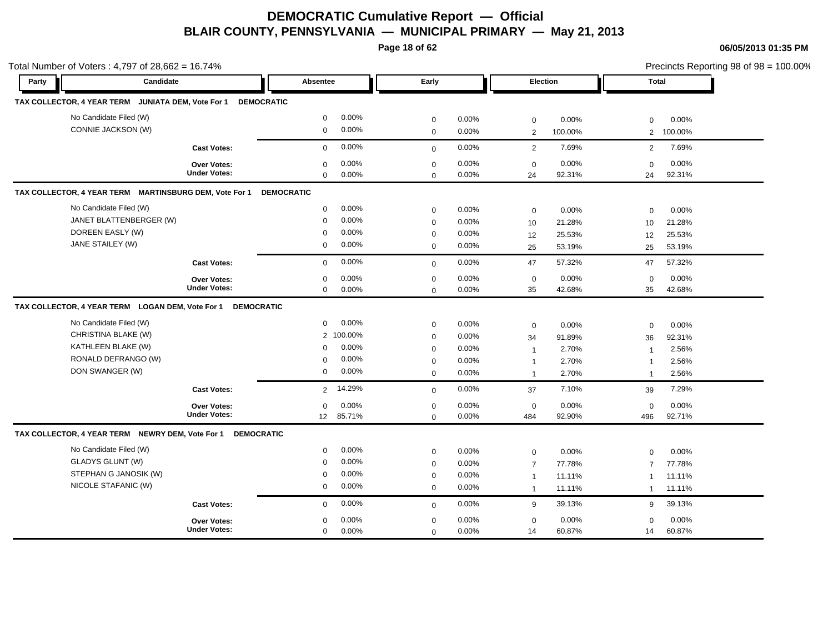**Page 18 of 62**

**06/05/2013 01:35 PM**

|       | Total Number of Voters: 4,797 of 28,662 = 16.74%              |                     |                   |           |             |       |                |         |                | Precincts Reporting 98 of 98 = 100.00% |
|-------|---------------------------------------------------------------|---------------------|-------------------|-----------|-------------|-------|----------------|---------|----------------|----------------------------------------|
| Party | Candidate                                                     |                     | Absentee          |           | Early       |       | Election       |         | Total          |                                        |
|       | TAX COLLECTOR, 4 YEAR TERM JUNIATA DEM, Vote For 1 DEMOCRATIC |                     |                   |           |             |       |                |         |                |                                        |
|       | No Candidate Filed (W)                                        |                     | $\mathbf 0$       | 0.00%     | $\mathbf 0$ | 0.00% | $\mathbf 0$    | 0.00%   | $\Omega$       | 0.00%                                  |
|       | CONNIE JACKSON (W)                                            |                     | $\mathbf 0$       | 0.00%     | $\mathbf 0$ | 0.00% | 2              | 100.00% | $\overline{2}$ | 100.00%                                |
|       |                                                               | <b>Cast Votes:</b>  | $\mathbf 0$       | 0.00%     | $\mathbf 0$ | 0.00% | 2              | 7.69%   | $\overline{2}$ | 7.69%                                  |
|       |                                                               | <b>Over Votes:</b>  | $\mathbf 0$       | 0.00%     | $\mathbf 0$ | 0.00% | $\mathbf 0$    | 0.00%   | $\mathbf 0$    | 0.00%                                  |
|       |                                                               | <b>Under Votes:</b> | $\mathbf 0$       | 0.00%     | $\mathbf 0$ | 0.00% | 24             | 92.31%  | 24             | 92.31%                                 |
|       | TAX COLLECTOR, 4 YEAR TERM MARTINSBURG DEM, Vote For 1        |                     | <b>DEMOCRATIC</b> |           |             |       |                |         |                |                                        |
|       | No Candidate Filed (W)                                        |                     | $\mathbf 0$       | 0.00%     | $\mathbf 0$ | 0.00% | $\mathbf 0$    | 0.00%   | $\mathbf 0$    | 0.00%                                  |
|       | JANET BLATTENBERGER (W)                                       |                     | $\mathbf 0$       | 0.00%     | $\mathbf 0$ | 0.00% | 10             | 21.28%  | 10             | 21.28%                                 |
|       | DOREEN EASLY (W)                                              |                     | $\mathbf 0$       | 0.00%     | $\mathbf 0$ | 0.00% | 12             | 25.53%  | 12             | 25.53%                                 |
|       | JANE STAILEY (W)                                              |                     | $\mathbf 0$       | 0.00%     | $\mathbf 0$ | 0.00% | 25             | 53.19%  | 25             | 53.19%                                 |
|       |                                                               | <b>Cast Votes:</b>  | $\mathbf 0$       | 0.00%     | $\mathbf 0$ | 0.00% | 47             | 57.32%  | 47             | 57.32%                                 |
|       |                                                               | <b>Over Votes:</b>  | $\Omega$          | 0.00%     | $\mathbf 0$ | 0.00% | $\mathbf 0$    | 0.00%   | $\Omega$       | 0.00%                                  |
|       |                                                               | <b>Under Votes:</b> | $\mathbf 0$       | 0.00%     | $\mathbf 0$ | 0.00% | 35             | 42.68%  | 35             | 42.68%                                 |
|       | TAX COLLECTOR, 4 YEAR TERM LOGAN DEM, Vote For 1              | <b>DEMOCRATIC</b>   |                   |           |             |       |                |         |                |                                        |
|       | No Candidate Filed (W)                                        |                     | $\mathbf 0$       | 0.00%     | $\mathbf 0$ | 0.00% | $\mathbf 0$    | 0.00%   | $\mathbf 0$    | 0.00%                                  |
|       | CHRISTINA BLAKE (W)                                           |                     |                   | 2 100.00% | $\mathbf 0$ | 0.00% | 34             | 91.89%  | 36             | 92.31%                                 |
|       | KATHLEEN BLAKE (W)                                            |                     | $\mathbf 0$       | 0.00%     | $\mathbf 0$ | 0.00% | $\overline{1}$ | 2.70%   | $\overline{1}$ | 2.56%                                  |
|       | RONALD DEFRANGO (W)                                           |                     | $\mathbf 0$       | 0.00%     | $\mathbf 0$ | 0.00% | $\overline{1}$ | 2.70%   | $\overline{1}$ | 2.56%                                  |
|       | DON SWANGER (W)                                               |                     | $\mathbf 0$       | 0.00%     | $\mathbf 0$ | 0.00% | $\overline{1}$ | 2.70%   | $\mathbf{1}$   | 2.56%                                  |
|       |                                                               | <b>Cast Votes:</b>  | $\overline{2}$    | 14.29%    | $\mathbf 0$ | 0.00% | 37             | 7.10%   | 39             | 7.29%                                  |
|       |                                                               | <b>Over Votes:</b>  | $\mathbf 0$       | 0.00%     | $\mathbf 0$ | 0.00% | $\mathbf 0$    | 0.00%   | $\mathbf 0$    | 0.00%                                  |
|       |                                                               | <b>Under Votes:</b> | 12                | 85.71%    | $\mathbf 0$ | 0.00% | 484            | 92.90%  | 496            | 92.71%                                 |
|       | TAX COLLECTOR, 4 YEAR TERM NEWRY DEM, Vote For 1              | <b>DEMOCRATIC</b>   |                   |           |             |       |                |         |                |                                        |
|       | No Candidate Filed (W)                                        |                     | $\mathbf 0$       | 0.00%     | $\mathbf 0$ | 0.00% | $\mathbf 0$    | 0.00%   | $\mathbf 0$    | 0.00%                                  |
|       | <b>GLADYS GLUNT (W)</b>                                       |                     | $\mathbf 0$       | 0.00%     | $\mathbf 0$ | 0.00% | $\overline{7}$ | 77.78%  | $\overline{7}$ | 77.78%                                 |
|       | STEPHAN G JANOSIK (W)                                         |                     | 0                 | 0.00%     | $\mathbf 0$ | 0.00% | $\mathbf{1}$   | 11.11%  | $\mathbf{1}$   | 11.11%                                 |
|       | NICOLE STAFANIC (W)                                           |                     | $\mathbf 0$       | 0.00%     | $\mathbf 0$ | 0.00% | $\overline{1}$ | 11.11%  | $\mathbf{1}$   | 11.11%                                 |
|       |                                                               | <b>Cast Votes:</b>  | $\Omega$          | 0.00%     | $\mathbf 0$ | 0.00% | 9              | 39.13%  | 9              | 39.13%                                 |
|       |                                                               | <b>Over Votes:</b>  | $\mathbf 0$       | 0.00%     | $\mathbf 0$ | 0.00% | $\mathbf 0$    | 0.00%   | $\mathbf 0$    | 0.00%                                  |
|       |                                                               | <b>Under Votes:</b> | $\mathbf 0$       | 0.00%     | $\mathbf 0$ | 0.00% | 14             | 60.87%  | 14             | 60.87%                                 |

Precincts Reporting 98 of 98 = 100.00%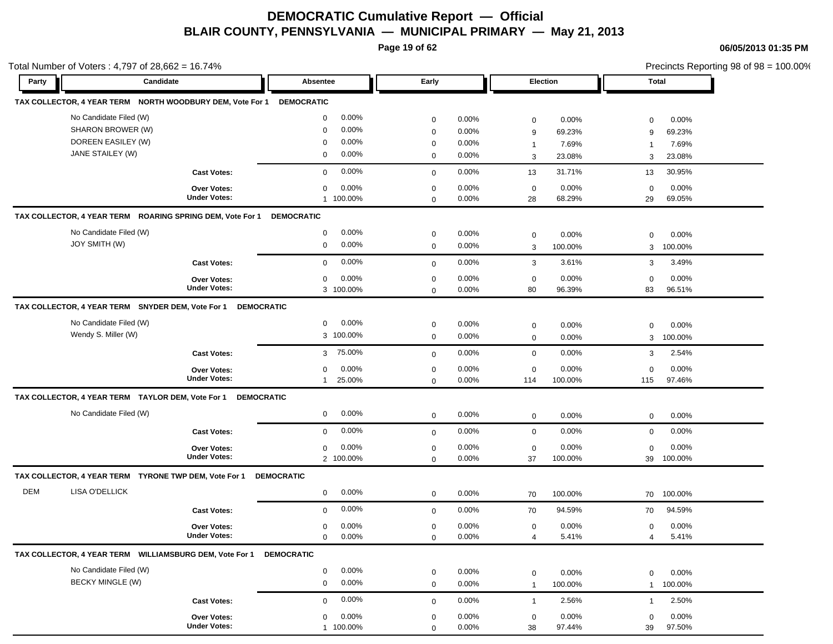**Page 19 of 62**

|            | Total Number of Voters: 4,797 of 28,662 = 16.74%                                      |                                           |                                                                                |                                                          |                                  |                                                                             | Precincts Reporting 98 of 98 = 100.00%                            |  |
|------------|---------------------------------------------------------------------------------------|-------------------------------------------|--------------------------------------------------------------------------------|----------------------------------------------------------|----------------------------------|-----------------------------------------------------------------------------|-------------------------------------------------------------------|--|
| Party      | Candidate                                                                             |                                           | Absentee                                                                       | Early                                                    |                                  | <b>Election</b>                                                             | Total                                                             |  |
|            | TAX COLLECTOR, 4 YEAR TERM NORTH WOODBURY DEM, Vote For 1                             |                                           | <b>DEMOCRATIC</b>                                                              |                                                          |                                  |                                                                             |                                                                   |  |
|            | No Candidate Filed (W)<br>SHARON BROWER (W)<br>DOREEN EASILEY (W)<br>JANE STAILEY (W) |                                           | $0.00\%$<br>0<br>0.00%<br>$\mathbf 0$<br>0.00%<br>$\mathbf 0$<br>$0.00\%$<br>0 | $\mathbf 0$<br>$\mathbf 0$<br>$\mathbf 0$<br>$\mathbf 0$ | 0.00%<br>0.00%<br>0.00%<br>0.00% | 0.00%<br>$\mathbf 0$<br>69.23%<br>9<br>7.69%<br>$\mathbf{1}$<br>3<br>23.08% | 0.00%<br>$\mathbf 0$<br>69.23%<br>9<br>7.69%<br>-1<br>23.08%<br>3 |  |
|            |                                                                                       | <b>Cast Votes:</b>                        | 0.00%<br>$\mathbf 0$                                                           | $\mathbf 0$                                              | 0.00%                            | 31.71%<br>13                                                                | 30.95%<br>13                                                      |  |
|            |                                                                                       | <b>Over Votes:</b><br><b>Under Votes:</b> | $\mathbf 0$<br>$0.00\%$<br>1 100.00%                                           | $\mathbf 0$<br>$\mathbf 0$                               | 0.00%<br>0.00%                   | 0.00%<br>$\mathbf 0$<br>68.29%<br>28                                        | 0.00%<br>$\mathbf 0$<br>69.05%<br>29                              |  |
|            | TAX COLLECTOR, 4 YEAR TERM ROARING SPRING DEM, Vote For 1                             |                                           | <b>DEMOCRATIC</b>                                                              |                                                          |                                  |                                                                             |                                                                   |  |
|            | No Candidate Filed (W)<br>JOY SMITH (W)                                               |                                           | 0.00%<br>0<br>0.00%<br>0                                                       | $\mathbf 0$<br>$\mathbf 0$                               | $0.00\%$<br>0.00%                | 0.00%<br>$\mathbf 0$<br>100.00%<br>3                                        | 0.00%<br>$\mathbf 0$<br>100.00%<br>3                              |  |
|            |                                                                                       | <b>Cast Votes:</b>                        | 0.00%<br>$\mathbf 0$                                                           | $\mathbf 0$                                              | 0.00%                            | 3.61%<br>3                                                                  | 3.49%<br>3                                                        |  |
|            |                                                                                       | Over Votes:<br><b>Under Votes:</b>        | 0.00%<br>$\mathbf 0$<br>3 100.00%                                              | $\mathbf 0$<br>$\mathbf 0$                               | 0.00%<br>0.00%                   | 0.00%<br>0<br>96.39%<br>80                                                  | 0.00%<br>$\mathbf 0$<br>96.51%<br>83                              |  |
|            | TAX COLLECTOR, 4 YEAR TERM SNYDER DEM, Vote For 1                                     | <b>DEMOCRATIC</b>                         |                                                                                |                                                          |                                  |                                                                             |                                                                   |  |
|            | No Candidate Filed (W)<br>Wendy S. Miller (W)                                         |                                           | 0.00%<br>0<br>3 100.00%                                                        | $\mathbf 0$<br>$\mathbf 0$                               | 0.00%<br>$0.00\%$                | 0.00%<br>$\mathbf 0$<br>$\mathbf 0$<br>0.00%                                | 0.00%<br>$\mathbf 0$<br>100.00%<br>3                              |  |
|            |                                                                                       | <b>Cast Votes:</b>                        | 75.00%<br>3                                                                    | $\mathbf 0$                                              | 0.00%                            | $\mathbf 0$<br>0.00%                                                        | 2.54%<br>3                                                        |  |
|            |                                                                                       | <b>Over Votes:</b><br><b>Under Votes:</b> | 0.00%<br>0<br>25.00%<br>$\mathbf{1}$                                           | $\mathbf 0$<br>$\mathbf 0$                               | 0.00%<br>0.00%                   | 0<br>0.00%<br>100.00%<br>114                                                | 0.00%<br>$\mathbf 0$<br>97.46%<br>115                             |  |
|            | TAX COLLECTOR, 4 YEAR TERM TAYLOR DEM, Vote For 1 DEMOCRATIC                          |                                           |                                                                                |                                                          |                                  |                                                                             |                                                                   |  |
|            | No Candidate Filed (W)                                                                |                                           | 0.00%<br>$\mathbf 0$                                                           | $\mathbf 0$                                              | 0.00%                            | $\mathbf 0$<br>0.00%                                                        | $\mathbf 0$<br>0.00%                                              |  |
|            |                                                                                       | <b>Cast Votes:</b>                        | $0.00\%$<br>$\mathbf 0$                                                        | $\mathbf 0$                                              | 0.00%                            | 0.00%<br>$\mathbf 0$                                                        | 0.00%<br>$\mathbf 0$                                              |  |
|            |                                                                                       | <b>Over Votes:</b><br><b>Under Votes:</b> | 0<br>$0.00\%$<br>2 100.00%                                                     | $\mathbf 0$<br>$\mathbf 0$                               | 0.00%<br>0.00%                   | 0.00%<br>$\mathbf 0$<br>37<br>100.00%                                       | 0.00%<br>$\mathbf 0$<br>39 100.00%                                |  |
|            | TAX COLLECTOR, 4 YEAR TERM TYRONE TWP DEM, Vote For 1                                 |                                           | <b>DEMOCRATIC</b>                                                              |                                                          |                                  |                                                                             |                                                                   |  |
| <b>DEM</b> | <b>LISA O'DELLICK</b>                                                                 |                                           | 0.00%<br>0                                                                     | $\mathbf 0$                                              | 0.00%                            | 100.00%<br>70                                                               | 70 100.00%                                                        |  |
|            |                                                                                       | <b>Cast Votes:</b>                        | 0.00%<br>$\mathbf 0$                                                           | $\mathbf 0$                                              | 0.00%                            | 94.59%<br>70                                                                | 94.59%<br>70                                                      |  |
|            |                                                                                       | Over Votes:<br><b>Under Votes:</b>        | 0.00%<br>$\mathbf 0$<br>0.00%<br>0                                             | $\mathbf 0$<br>$\mathbf 0$                               | 0.00%<br>0.00%                   | 0.00%<br>$\mathbf 0$<br>5.41%<br>$\overline{4}$                             | 0.00%<br>0<br>$\overline{4}$<br>5.41%                             |  |
|            | TAX COLLECTOR, 4 YEAR TERM WILLIAMSBURG DEM, Vote For 1                               |                                           | <b>DEMOCRATIC</b>                                                              |                                                          |                                  |                                                                             |                                                                   |  |
|            | No Candidate Filed (W)<br><b>BECKY MINGLE (W)</b>                                     |                                           | 0.00%<br>0<br>0.00%<br>0                                                       | $\mathbf 0$<br>$\mathbf 0$                               | 0.00%<br>0.00%                   | $\mathbf 0$<br>0.00%<br>100.00%<br>$\mathbf{1}$                             | 0.00%<br>$\mathbf 0$<br>100.00%<br>$\mathbf{1}$                   |  |
|            |                                                                                       | <b>Cast Votes:</b>                        | 0.00%<br>$\mathbf 0$                                                           | $\mathbf 0$                                              | 0.00%                            | 2.56%<br>$\mathbf{1}$                                                       | 2.50%<br>$\mathbf 1$                                              |  |
|            |                                                                                       | Over Votes:<br><b>Under Votes:</b>        | 0.00%<br>$\mathbf 0$<br>1 100.00%                                              | $\mathbf 0$<br>$\Omega$                                  | 0.00%<br>0.00%                   | 0.00%<br>$\mathbf 0$<br>38<br>97.44%                                        | 0.00%<br>$\mathbf 0$<br>97.50%<br>39                              |  |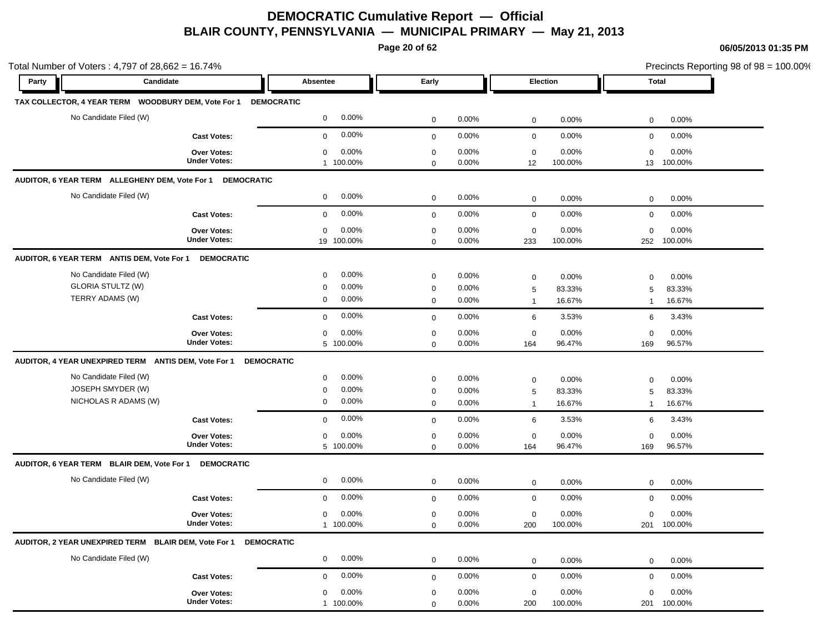**Page 20 of 62**

| Total Number of Voters: 4,797 of 28,662 = 16.74% |                                                                 |                          |             |          |              |          |              |             |  |
|--------------------------------------------------|-----------------------------------------------------------------|--------------------------|-------------|----------|--------------|----------|--------------|-------------|--|
| Party                                            | Candidate                                                       | Absentee                 | Early       |          |              | Election |              | Total       |  |
|                                                  | TAX COLLECTOR, 4 YEAR TERM WOODBURY DEM, Vote For 1             | <b>DEMOCRATIC</b>        |             |          |              |          |              |             |  |
| No Candidate Filed (W)                           |                                                                 | $0.00\%$<br>$\mathbf 0$  | 0           | 0.00%    | $\mathbf 0$  | 0.00%    | 0            | 0.00%       |  |
|                                                  | <b>Cast Votes:</b>                                              | $0.00\%$<br>$\mathbf{0}$ | $\mathbf 0$ | 0.00%    | $\mathbf 0$  | 0.00%    | $\mathbf 0$  | 0.00%       |  |
|                                                  | <b>Over Votes:</b>                                              | 0.00%<br>0               | $\mathbf 0$ | 0.00%    | $\mathbf 0$  | 0.00%    | $\mathbf 0$  | 0.00%       |  |
|                                                  | <b>Under Votes:</b>                                             | 1 100.00%                | $\mathbf 0$ | 0.00%    | 12           | 100.00%  |              | 13 100.00%  |  |
|                                                  | AUDITOR, 6 YEAR TERM ALLEGHENY DEM, Vote For 1 DEMOCRATIC       |                          |             |          |              |          |              |             |  |
| No Candidate Filed (W)                           |                                                                 | $0.00\%$<br>0            | $\mathbf 0$ | 0.00%    | $\mathbf 0$  | 0.00%    | $\mathbf 0$  | 0.00%       |  |
|                                                  | <b>Cast Votes:</b>                                              | 0.00%<br>$\mathbf{0}$    | $\mathbf 0$ | $0.00\%$ | $\mathbf 0$  | 0.00%    | $\mathbf 0$  | 0.00%       |  |
|                                                  | <b>Over Votes:</b>                                              | $\mathbf 0$<br>0.00%     | 0           | $0.00\%$ | $\mathbf 0$  | 0.00%    | $\mathbf 0$  | 0.00%       |  |
|                                                  | <b>Under Votes:</b>                                             | 19 100.00%               | 0           | $0.00\%$ | 233          | 100.00%  | 252          | 100.00%     |  |
| AUDITOR, 6 YEAR TERM ANTIS DEM, Vote For 1       | <b>DEMOCRATIC</b>                                               |                          |             |          |              |          |              |             |  |
| No Candidate Filed (W)                           |                                                                 | 0.00%<br>$\mathbf 0$     | $\mathbf 0$ | 0.00%    | 0            | 0.00%    | $\mathbf 0$  | 0.00%       |  |
| <b>GLORIA STULTZ (W)</b>                         |                                                                 | $0.00\%$<br>0            | $\mathbf 0$ | 0.00%    | 5            | 83.33%   | 5            | 83.33%      |  |
| TERRY ADAMS (W)                                  |                                                                 | $0.00\%$<br>0            | 0           | 0.00%    | $\mathbf{1}$ | 16.67%   | $\mathbf 1$  | 16.67%      |  |
|                                                  | <b>Cast Votes:</b>                                              | 0.00%<br>$\mathbf{0}$    | $\mathbf 0$ | 0.00%    | 6            | 3.53%    | 6            | 3.43%       |  |
|                                                  | Over Votes:                                                     | 0.00%<br>0               | $\mathbf 0$ | 0.00%    | 0            | 0.00%    | $\mathbf 0$  | 0.00%       |  |
|                                                  | <b>Under Votes:</b>                                             | 5 100.00%                | $\mathbf 0$ | $0.00\%$ | 164          | 96.47%   | 169          | 96.57%      |  |
|                                                  | AUDITOR, 4 YEAR UNEXPIRED TERM ANTIS DEM, Vote For 1            | <b>DEMOCRATIC</b>        |             |          |              |          |              |             |  |
| No Candidate Filed (W)                           |                                                                 | 0.00%<br>0               | $\mathbf 0$ | 0.00%    | 0            | 0.00%    | $\mathbf 0$  | 0.00%       |  |
| JOSEPH SMYDER (W)                                |                                                                 | 0.00%<br>0               | $\mathbf 0$ | 0.00%    | 5            | 83.33%   | 5            | 83.33%      |  |
| NICHOLAS R ADAMS (W)                             |                                                                 | 0.00%<br>0               | 0           | 0.00%    | $\mathbf{1}$ | 16.67%   | $\mathbf{1}$ | 16.67%      |  |
|                                                  | <b>Cast Votes:</b>                                              | 0.00%<br>$\mathbf 0$     | $\mathbf 0$ | 0.00%    | 6            | 3.53%    | 6            | 3.43%       |  |
|                                                  | Over Votes:                                                     | 0.00%<br>$\mathbf 0$     | $\mathbf 0$ | 0.00%    | 0            | 0.00%    | $\mathbf 0$  | 0.00%       |  |
|                                                  | <b>Under Votes:</b>                                             | 5 100.00%                | 0           | 0.00%    | 164          | 96.47%   | 169          | 96.57%      |  |
| AUDITOR, 6 YEAR TERM BLAIR DEM, Vote For 1       | <b>DEMOCRATIC</b>                                               |                          |             |          |              |          |              |             |  |
| No Candidate Filed (W)                           |                                                                 | $0.00\%$<br>0            | $\mathbf 0$ | 0.00%    | $\mathbf 0$  | 0.00%    | $\mathbf 0$  | 0.00%       |  |
|                                                  | <b>Cast Votes:</b>                                              | 0.00%<br>$\mathbf 0$     | $\mathbf 0$ | 0.00%    | $\mathbf 0$  | 0.00%    | $\mathbf 0$  | 0.00%       |  |
|                                                  | <b>Over Votes:</b>                                              | 0.00%<br>0               | 0           | 0.00%    | 0            | 0.00%    | $\mathbf 0$  | 0.00%       |  |
|                                                  | <b>Under Votes:</b>                                             | 100.00%<br>$\mathbf{1}$  | 0           | 0.00%    | 200          | 100.00%  | 201          | 100.00%     |  |
|                                                  | AUDITOR, 2 YEAR UNEXPIRED TERM BLAIR DEM, Vote For 1 DEMOCRATIC |                          |             |          |              |          |              |             |  |
| No Candidate Filed (W)                           |                                                                 | $0.00\%$<br>$\mathbf 0$  | $\mathbf 0$ | 0.00%    | $\mathbf 0$  | 0.00%    | $\mathbf 0$  | 0.00%       |  |
|                                                  | <b>Cast Votes:</b>                                              | 0.00%<br>$\mathbf{0}$    | $\mathbf 0$ | 0.00%    | $\mathbf 0$  | 0.00%    | $\mathbf 0$  | 0.00%       |  |
|                                                  | Over Votes:                                                     | 0.00%<br>$\mathbf 0$     | $\mathbf 0$ | 0.00%    | $\mathbf 0$  | $0.00\%$ | $\mathbf 0$  | 0.00%       |  |
|                                                  | <b>Under Votes:</b>                                             | 1 100.00%                | 0           | 0.00%    | 200          | 100.00%  |              | 201 100.00% |  |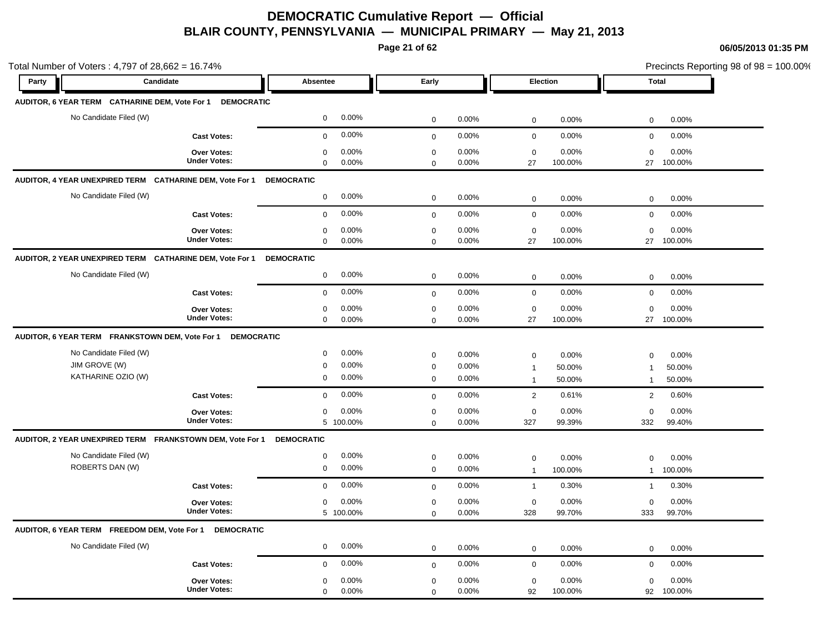**Page 21 of 62**

| Total Number of Voters: 4,797 of 28,662 = 16.74%           |                                           |                                               |                                              |                                       | Precincts Reporting 98 of 98 = 100.00% |
|------------------------------------------------------------|-------------------------------------------|-----------------------------------------------|----------------------------------------------|---------------------------------------|----------------------------------------|
| Party                                                      | Candidate                                 | Absentee                                      | Early                                        | Election                              | <b>Total</b>                           |
| AUDITOR, 6 YEAR TERM CATHARINE DEM, Vote For 1             | <b>DEMOCRATIC</b>                         |                                               |                                              |                                       |                                        |
| No Candidate Filed (W)                                     |                                           | 0.00%<br>$\mathbf 0$                          | $\mathbf 0$<br>0.00%                         | $\mathsf 0$<br>0.00%                  | $\mathbf 0$<br>0.00%                   |
|                                                            | <b>Cast Votes:</b>                        | 0.00%<br>$\mathbf 0$                          | 0.00%<br>$\mathbf 0$                         | $\mathsf 0$<br>0.00%                  | $\mathbf 0$<br>0.00%                   |
|                                                            | Over Votes:<br><b>Under Votes:</b>        | 0.00%<br>0                                    | 0.00%<br>0                                   | 0.00%<br>0                            | 0.00%<br>$\Omega$                      |
| AUDITOR, 4 YEAR UNEXPIRED TERM CATHARINE DEM, Vote For 1   |                                           | $\mathbf 0$<br>0.00%<br><b>DEMOCRATIC</b>     | 0.00%<br>0                                   | 27<br>100.00%                         | 27<br>100.00%                          |
| No Candidate Filed (W)                                     |                                           | 0.00%                                         |                                              |                                       |                                        |
|                                                            |                                           | $\mathbf 0$                                   | 0.00%<br>$\mathbf 0$                         | $\mathsf 0$<br>0.00%                  | 0.00%<br>0                             |
|                                                            | <b>Cast Votes:</b>                        | 0.00%<br>$\mathbf 0$                          | 0.00%<br>$\mathbf 0$                         | $\mathbf 0$<br>0.00%                  | 0.00%<br>$\mathbf 0$                   |
|                                                            | Over Votes:<br><b>Under Votes:</b>        | 0.00%<br>$\mathbf 0$<br>$\mathbf{0}$<br>0.00% | 0<br>0.00%<br>0.00%<br>0                     | $\mathbf 0$<br>0.00%<br>27<br>100.00% | $\mathbf 0$<br>0.00%<br>27<br>100.00%  |
| AUDITOR, 2 YEAR UNEXPIRED TERM CATHARINE DEM, Vote For 1   |                                           | <b>DEMOCRATIC</b>                             |                                              |                                       |                                        |
| No Candidate Filed (W)                                     |                                           | 0.00%<br>$\mathbf 0$                          | $\mathbf 0$<br>0.00%                         | $\mathbf 0$<br>0.00%                  | 0.00%<br>$\mathbf 0$                   |
|                                                            | <b>Cast Votes:</b>                        | 0.00%<br>$\mathbf 0$                          | 0.00%<br>$\mathbf 0$                         | 0.00%<br>$\mathbf 0$                  | 0.00%<br>$\mathbf 0$                   |
|                                                            | <b>Over Votes:</b><br><b>Under Votes:</b> | 0.00%<br>$\mathbf 0$<br>0.00%<br>$\mathbf 0$  | 0<br>0.00%<br>0.00%<br>$\mathbf 0$           | $\mathsf 0$<br>0.00%<br>27<br>100.00% | $\mathbf 0$<br>0.00%<br>100.00%<br>27  |
| AUDITOR, 6 YEAR TERM FRANKSTOWN DEM, Vote For 1 DEMOCRATIC |                                           |                                               |                                              |                                       |                                        |
| No Candidate Filed (W)                                     |                                           | 0.00%<br>$\mathbf 0$                          | 0.00%<br>$\mathbf 0$                         | 0.00%<br>0                            | $\mathbf 0$<br>0.00%                   |
| JIM GROVE (W)                                              |                                           | 0.00%<br>$\mathbf 0$                          | 0.00%<br>0                                   | 50.00%<br>$\overline{1}$              | 50.00%<br>$\mathbf{1}$                 |
| KATHARINE OZIO (W)                                         |                                           | 0.00%<br>$\mathbf 0$                          | $\mathbf 0$<br>0.00%                         | 50.00%<br>$\overline{1}$              | 50.00%<br>$\mathbf{1}$                 |
|                                                            | <b>Cast Votes:</b>                        | $0.00\%$<br>$\mathbf 0$                       | 0.00%<br>$\mathbf 0$                         | $\overline{2}$<br>0.61%               | 0.60%<br>2                             |
|                                                            | <b>Over Votes:</b><br><b>Under Votes:</b> | 0.00%<br>0<br>5 100.00%                       | 0.00%<br>$\mathbf 0$<br>0.00%<br>$\mathbf 0$ | 0.00%<br>0<br>327<br>99.39%           | 0.00%<br>$\mathbf 0$<br>332<br>99.40%  |
| AUDITOR, 2 YEAR UNEXPIRED TERM FRANKSTOWN DEM, Vote For 1  |                                           | <b>DEMOCRATIC</b>                             |                                              |                                       |                                        |
| No Candidate Filed (W)                                     |                                           | 0.00%<br>$\mathbf 0$                          | 0.00%<br>$\mathbf 0$                         | $\pmb{0}$<br>0.00%                    | 0.00%<br>$\mathbf 0$                   |
| ROBERTS DAN (W)                                            |                                           | 0.00%<br>$\mathbf 0$                          | 0.00%<br>$\mathbf 0$                         | 100.00%<br>$\overline{1}$             | 100.00%<br>$\mathbf{1}$                |
|                                                            | <b>Cast Votes:</b>                        | 0.00%<br>$\mathbf 0$                          | 0.00%<br>$\mathbf 0$                         | 0.30%<br>$\overline{1}$               | 0.30%<br>$\mathbf{1}$                  |
|                                                            | Over Votes:                               | 0.00%<br>$\mathbf 0$                          | 0.00%<br>0                                   | 0.00%<br>$\mathbf 0$                  | 0.00%<br>$\mathbf 0$                   |
|                                                            | <b>Under Votes:</b>                       | 5 100.00%                                     | 0.00%<br>$\Omega$                            | 99.70%<br>328                         | 99.70%<br>333                          |
| AUDITOR, 6 YEAR TERM FREEDOM DEM, Vote For 1               | <b>DEMOCRATIC</b>                         |                                               |                                              |                                       |                                        |
| No Candidate Filed (W)                                     |                                           | 0.00%<br>$\mathbf 0$                          | 0.00%<br>$\mathbf 0$                         | $\mathbf 0$<br>0.00%                  | 0.00%<br>$\mathbf 0$                   |
|                                                            | <b>Cast Votes:</b>                        | 0.00%<br>$\mathbf 0$                          | 0.00%<br>$\mathbf 0$                         | 0.00%<br>$\mathbf 0$                  | 0.00%<br>$\mathbf 0$                   |
|                                                            | <b>Over Votes:</b>                        | 0.00%<br>$\mathbf 0$                          | 0.00%<br>0                                   | 0.00%<br>0                            | 0.00%<br>$\mathbf 0$                   |
|                                                            | <b>Under Votes:</b>                       | $\mathbf 0$<br>0.00%                          | 0.00%<br>$\Omega$                            | 92<br>100.00%                         | 92<br>100.00%                          |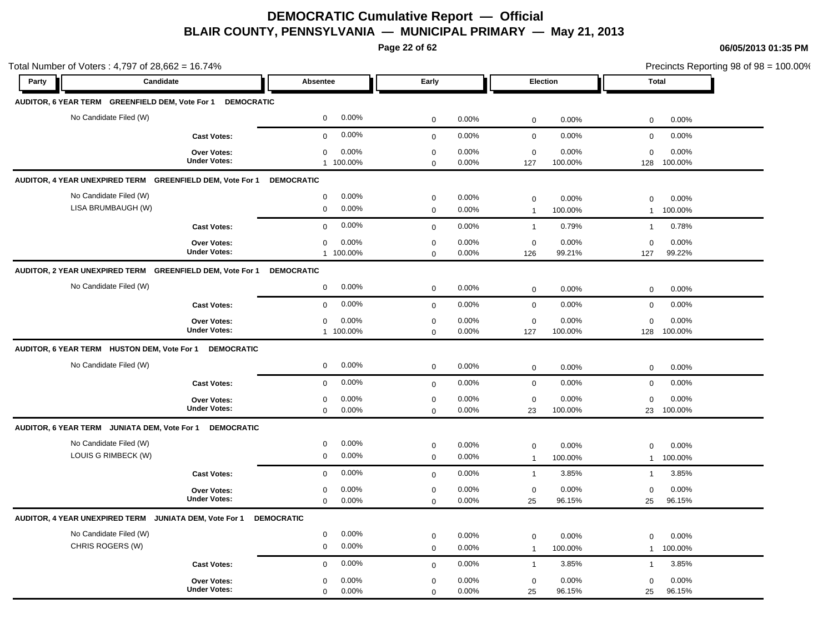**Page 22 of 62**

| Total Number of Voters: 4,797 of 28,662 = 16.74%                     |                                           |                                              |                            |                |                                     |                  |                             | Precincts Reporting 98 of 98 = 100.00% |  |
|----------------------------------------------------------------------|-------------------------------------------|----------------------------------------------|----------------------------|----------------|-------------------------------------|------------------|-----------------------------|----------------------------------------|--|
| Party<br>Candidate                                                   |                                           | Absentee                                     | Early                      |                | Election                            |                  | <b>Total</b>                |                                        |  |
| AUDITOR, 6 YEAR TERM GREENFIELD DEM, Vote For 1 DEMOCRATIC           |                                           |                                              |                            |                |                                     |                  |                             |                                        |  |
| No Candidate Filed (W)                                               |                                           | 0.00%<br>$\mathbf 0$                         | $\mathbf 0$                | 0.00%          | $\mathbf 0$                         | 0.00%            | $\mathbf 0$                 | 0.00%                                  |  |
|                                                                      | <b>Cast Votes:</b>                        | 0.00%<br>$\mathbf 0$                         | $\mathbf 0$                | 0.00%          | $\mathbf 0$                         | 0.00%            | $\mathbf 0$                 | 0.00%                                  |  |
|                                                                      | Over Votes:<br><b>Under Votes:</b>        | 0.00%<br>0<br>1 100.00%                      | $\mathbf 0$<br>$\mathbf 0$ | 0.00%<br>0.00% | $\mathbf 0$<br>127                  | 0.00%<br>100.00% | $\mathbf 0$<br>128          | 0.00%<br>100.00%                       |  |
| AUDITOR, 4 YEAR UNEXPIRED TERM GREENFIELD DEM, Vote For 1 DEMOCRATIC |                                           |                                              |                            |                |                                     |                  |                             |                                        |  |
| No Candidate Filed (W)                                               |                                           | 0.00%<br>$\mathbf 0$                         | $\mathbf 0$                | 0.00%          | $\mathbf 0$                         | 0.00%            | $\Omega$                    | 0.00%                                  |  |
| LISA BRUMBAUGH (W)                                                   |                                           | 0.00%<br>$\mathbf 0$                         | $\mathbf 0$                | 0.00%          | $\overline{1}$                      | 100.00%          | $\mathbf{1}$                | 100.00%                                |  |
|                                                                      | <b>Cast Votes:</b>                        | 0.00%<br>$\mathbf 0$                         | $\mathbf 0$                | 0.00%          | $\overline{1}$                      | 0.79%            | $\mathbf{1}$                | 0.78%                                  |  |
|                                                                      | Over Votes:<br><b>Under Votes:</b>        | 0.00%<br>$\mathbf 0$<br>1 100.00%            | $\mathbf 0$<br>$\mathbf 0$ | 0.00%<br>0.00% | $\mathbf 0$<br>126                  | 0.00%<br>99.21%  | $\mathbf 0$<br>127          | 0.00%<br>99.22%                        |  |
| AUDITOR, 2 YEAR UNEXPIRED TERM GREENFIELD DEM, Vote For 1            |                                           | <b>DEMOCRATIC</b>                            |                            |                |                                     |                  |                             |                                        |  |
| No Candidate Filed (W)                                               |                                           | 0.00%<br>$\mathbf 0$                         | $\mathbf 0$                | 0.00%          | $\mathbf 0$                         | 0.00%            | $\mathbf 0$                 | 0.00%                                  |  |
|                                                                      | <b>Cast Votes:</b>                        | 0.00%<br>$\mathbf 0$                         | $\mathbf 0$                | 0.00%          | $\mathbf 0$                         | 0.00%            | $\mathbf 0$                 | 0.00%                                  |  |
|                                                                      | Over Votes:<br><b>Under Votes:</b>        | 0.00%<br>$\mathbf 0$<br>1 100.00%            | $\mathbf 0$<br>$\mathbf 0$ | 0.00%<br>0.00% | $\mathbf 0$<br>127                  | 0.00%<br>100.00% | $\mathbf 0$<br>128          | 0.00%<br>100.00%                       |  |
| AUDITOR, 6 YEAR TERM HUSTON DEM, Vote For 1 DEMOCRATIC               |                                           |                                              |                            |                |                                     |                  |                             |                                        |  |
| No Candidate Filed (W)                                               |                                           | 0.00%<br>$\mathbf 0$                         | $\mathbf 0$                | 0.00%          | $\mathbf 0$                         | 0.00%            | $\mathbf 0$                 | 0.00%                                  |  |
|                                                                      | <b>Cast Votes:</b>                        | 0.00%<br>$\mathbf 0$                         | $\mathbf 0$                | 0.00%          | $\mathbf 0$                         | 0.00%            | $\mathbf 0$                 | 0.00%                                  |  |
|                                                                      | Over Votes:<br><b>Under Votes:</b>        | 0.00%<br>$\mathbf 0$<br>0.00%<br>$\mathbf 0$ | $\mathbf 0$<br>$\mathbf 0$ | 0.00%<br>0.00% | $\mathbf 0$<br>23                   | 0.00%<br>100.00% | $\mathbf 0$<br>23           | 0.00%<br>100.00%                       |  |
| AUDITOR, 6 YEAR TERM JUNIATA DEM, Vote For 1                         | <b>DEMOCRATIC</b>                         |                                              |                            |                |                                     |                  |                             |                                        |  |
| No Candidate Filed (W)<br>LOUIS G RIMBECK (W)                        |                                           | 0.00%<br>0<br>$\mathbf 0$<br>0.00%           | $\mathbf 0$<br>$\mathbf 0$ | 0.00%<br>0.00% | $\mathbf 0$<br>$\mathbf{1}$         | 0.00%<br>100.00% | $\mathbf 0$<br>$\mathbf{1}$ | 0.00%<br>100.00%                       |  |
|                                                                      | <b>Cast Votes:</b>                        | 0.00%<br>$\mathbf 0$                         | $\mathbf 0$                | 0.00%          | $\overline{1}$                      | 3.85%            | $\mathbf{1}$                | 3.85%                                  |  |
|                                                                      | <b>Over Votes:</b><br><b>Under Votes:</b> | 0.00%<br>0<br>$\mathbf 0$<br>0.00%           | $\mathbf 0$<br>$\mathbf 0$ | 0.00%<br>0.00% | $\mathbf 0$<br>25                   | 0.00%<br>96.15%  | $\mathbf 0$<br>25           | 0.00%<br>96.15%                        |  |
| AUDITOR, 4 YEAR UNEXPIRED TERM JUNIATA DEM, Vote For 1               |                                           | <b>DEMOCRATIC</b>                            |                            |                |                                     |                  |                             |                                        |  |
| No Candidate Filed (W)<br>CHRIS ROGERS (W)                           |                                           | 0.00%<br>$\mathbf 0$<br>0.00%<br>$\mathbf 0$ | $\mathbf 0$<br>$\mathbf 0$ | 0.00%<br>0.00% | $\mathsf{O}\xspace$<br>$\mathbf{1}$ | 0.00%<br>100.00% | $\Omega$<br>$\mathbf{1}$    | 0.00%<br>100.00%                       |  |
|                                                                      | <b>Cast Votes:</b>                        | 0.00%<br>$\mathbf 0$                         | $\mathbf 0$                | 0.00%          | $\overline{1}$                      | 3.85%            | $\mathbf{1}$                | 3.85%                                  |  |
|                                                                      | Over Votes:<br><b>Under Votes:</b>        | 0.00%<br>$\mathbf 0$<br>$\mathbf 0$<br>0.00% | $\mathbf 0$<br>$\Omega$    | 0.00%<br>0.00% | $\mathbf 0$<br>25                   | 0.00%<br>96.15%  | $\mathbf 0$<br>25           | 0.00%<br>96.15%                        |  |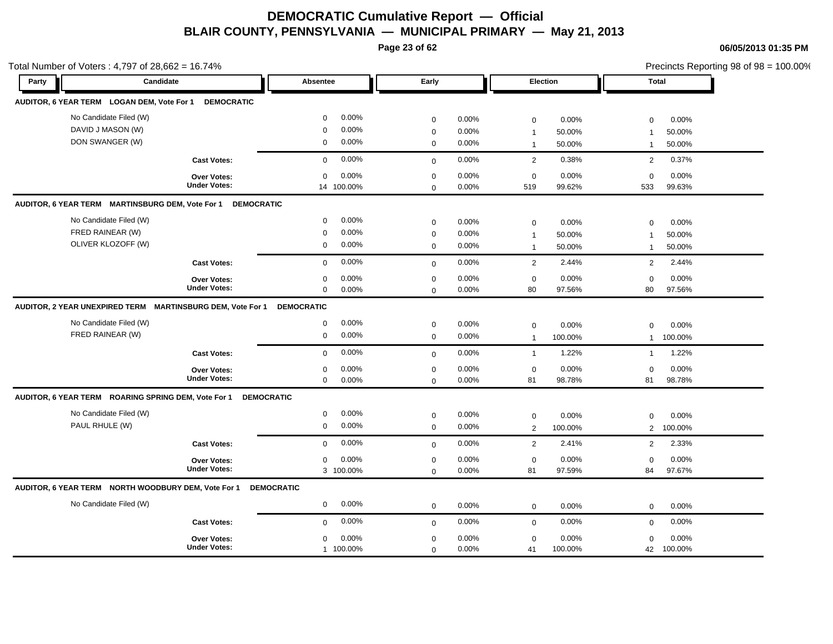**Page 23 of 62**

| Total Number of Voters: 4,797 of 28,662 = 16.74%           |                     |                         |             |       |                |          |                | Precincts Reporting 98 of 98 = 100.00% |  |
|------------------------------------------------------------|---------------------|-------------------------|-------------|-------|----------------|----------|----------------|----------------------------------------|--|
| Party                                                      | Candidate           | Absentee                | Early       |       |                | Election |                | Total                                  |  |
| AUDITOR, 6 YEAR TERM LOGAN DEM, Vote For 1                 | <b>DEMOCRATIC</b>   |                         |             |       |                |          |                |                                        |  |
| No Candidate Filed (W)                                     |                     | 0.00%<br>$\mathbf 0$    | $\mathbf 0$ | 0.00% | 0              | 0.00%    | $\mathbf 0$    | 0.00%                                  |  |
| DAVID J MASON (W)                                          |                     | 0.00%<br>$\mathbf 0$    | $\mathbf 0$ | 0.00% | $\overline{1}$ | 50.00%   | $\overline{1}$ | 50.00%                                 |  |
| DON SWANGER (W)                                            |                     | 0.00%<br>0              | 0           | 0.00% | $\overline{1}$ | 50.00%   | $\mathbf{1}$   | 50.00%                                 |  |
|                                                            | <b>Cast Votes:</b>  | 0.00%<br>$\Omega$       | $\Omega$    | 0.00% | 2              | 0.38%    | 2              | 0.37%                                  |  |
|                                                            | <b>Over Votes:</b>  | 0.00%<br>$\mathbf 0$    | $\mathbf 0$ | 0.00% | 0              | 0.00%    | $\mathbf 0$    | 0.00%                                  |  |
|                                                            | <b>Under Votes:</b> | 14 100.00%              | 0           | 0.00% | 519            | 99.62%   | 533            | 99.63%                                 |  |
| AUDITOR, 6 YEAR TERM MARTINSBURG DEM, Vote For 1           | <b>DEMOCRATIC</b>   |                         |             |       |                |          |                |                                        |  |
| No Candidate Filed (W)                                     |                     | 0.00%<br>0              | 0           | 0.00% | 0              | 0.00%    | $\mathbf 0$    | 0.00%                                  |  |
| FRED RAINEAR (W)                                           |                     | 0.00%<br>$\Omega$       | 0           | 0.00% | $\overline{1}$ | 50.00%   | $\overline{1}$ | 50.00%                                 |  |
| OLIVER KLOZOFF (W)                                         |                     | 0.00%<br>$\mathbf 0$    | $\mathbf 0$ | 0.00% | $\overline{1}$ | 50.00%   | $\mathbf{1}$   | 50.00%                                 |  |
|                                                            | <b>Cast Votes:</b>  | $0.00\%$<br>$\Omega$    | $\Omega$    | 0.00% | 2              | 2.44%    | 2              | 2.44%                                  |  |
|                                                            | <b>Over Votes:</b>  | 0.00%<br>$\mathbf 0$    | $\mathbf 0$ | 0.00% | $\mathsf 0$    | 0.00%    | $\mathbf 0$    | 0.00%                                  |  |
|                                                            | <b>Under Votes:</b> | 0.00%<br>$\mathbf 0$    | $\Omega$    | 0.00% | 80             | 97.56%   | 80             | 97.56%                                 |  |
| AUDITOR, 2 YEAR UNEXPIRED TERM MARTINSBURG DEM, Vote For 1 |                     | <b>DEMOCRATIC</b>       |             |       |                |          |                |                                        |  |
| No Candidate Filed (W)                                     |                     | 0.00%<br>0              | 0           | 0.00% | 0              | 0.00%    | $\mathbf 0$    | 0.00%                                  |  |
| FRED RAINEAR (W)                                           |                     | $\mathbf 0$<br>0.00%    | 0           | 0.00% | $\overline{1}$ | 100.00%  | $\mathbf{1}$   | 100.00%                                |  |
|                                                            | <b>Cast Votes:</b>  | $0.00\%$<br>$\mathbf 0$ | $\mathbf 0$ | 0.00% | $\overline{1}$ | 1.22%    | $\mathbf{1}$   | 1.22%                                  |  |
|                                                            | <b>Over Votes:</b>  | 0.00%<br>$\mathbf 0$    | $\mathbf 0$ | 0.00% | $\mathbf 0$    | 0.00%    | $\mathbf 0$    | 0.00%                                  |  |
|                                                            | <b>Under Votes:</b> | 0.00%<br>$\mathbf 0$    | 0           | 0.00% | 81             | 98.78%   | 81             | 98.78%                                 |  |
| AUDITOR, 6 YEAR TERM ROARING SPRING DEM, Vote For 1        | <b>DEMOCRATIC</b>   |                         |             |       |                |          |                |                                        |  |
| No Candidate Filed (W)                                     |                     | 0.00%<br>0              | $\mathbf 0$ | 0.00% | 0              | 0.00%    | $\mathbf 0$    | 0.00%                                  |  |
| PAUL RHULE (W)                                             |                     | 0.00%<br>$\mathbf 0$    | $\mathbf 0$ | 0.00% | 2              | 100.00%  | $\overline{2}$ | 100.00%                                |  |
|                                                            | <b>Cast Votes:</b>  | $0.00\%$<br>$\mathbf 0$ | $\mathbf 0$ | 0.00% | $\overline{2}$ | 2.41%    | 2              | 2.33%                                  |  |
|                                                            | <b>Over Votes:</b>  | 0.00%<br>$\mathbf 0$    | $\mathbf 0$ | 0.00% | $\mathbf 0$    | 0.00%    | $\mathbf 0$    | 0.00%                                  |  |
|                                                            | <b>Under Votes:</b> | 3 100.00%               | 0           | 0.00% | 81             | 97.59%   | 84             | 97.67%                                 |  |
| AUDITOR, 6 YEAR TERM NORTH WOODBURY DEM, Vote For 1        |                     | <b>DEMOCRATIC</b>       |             |       |                |          |                |                                        |  |
| No Candidate Filed (W)                                     |                     | 0.00%<br>$\mathbf 0$    | $\mathbf 0$ | 0.00% | $\mathbf 0$    | 0.00%    | $\mathbf 0$    | 0.00%                                  |  |
|                                                            | <b>Cast Votes:</b>  | 0.00%<br>$\mathbf 0$    | $\mathbf 0$ | 0.00% | $\mathbf 0$    | 0.00%    | $\mathbf 0$    | 0.00%                                  |  |
|                                                            | <b>Over Votes:</b>  | 0.00%<br>0              | 0           | 0.00% | 0              | 0.00%    | $\Omega$       | 0.00%                                  |  |
|                                                            | <b>Under Votes:</b> | 1 100.00%               | $\mathbf 0$ | 0.00% | 41             | 100.00%  |                | 42 100.00%                             |  |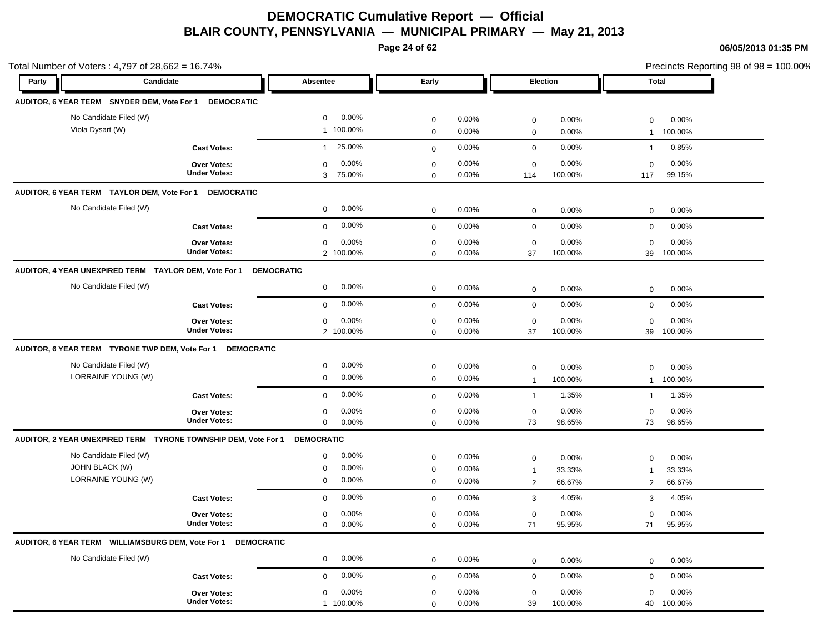**Page 24 of 62**

| Total Number of Voters: 4,797 of 28,662 = 16.74%               |                                           |                                                 |                            |                |                                |                  | Precincts Reporting 98 of 98 = 100.00%          |
|----------------------------------------------------------------|-------------------------------------------|-------------------------------------------------|----------------------------|----------------|--------------------------------|------------------|-------------------------------------------------|
| Candidate<br>Party                                             |                                           | Absentee<br>Early                               |                            |                | Election                       |                  | <b>Total</b>                                    |
| AUDITOR, 6 YEAR TERM SNYDER DEM, Vote For 1                    | <b>DEMOCRATIC</b>                         |                                                 |                            |                |                                |                  |                                                 |
| No Candidate Filed (W)                                         |                                           | $0.00\%$<br>$\mathbf 0$                         | $\mathbf 0$                | 0.00%          | $\mathbf 0$                    | 0.00%            | 0.00%<br>$\mathbf 0$                            |
| Viola Dysart (W)                                               |                                           | 1 100.00%                                       | $\mathbf 0$                | 0.00%          | $\mathbf 0$                    | 0.00%            | 100.00%<br>$\mathbf{1}$                         |
|                                                                | <b>Cast Votes:</b>                        | 25.00%<br>$\mathbf{1}$                          | $\mathbf 0$                | 0.00%          | $\mathbf 0$                    | 0.00%            | 0.85%<br>$\mathbf{1}$                           |
|                                                                | Over Votes:                               | 0.00%<br>0                                      | $\mathbf 0$                | 0.00%          | $\boldsymbol{0}$               | 0.00%            | 0.00%<br>$\mathbf 0$                            |
|                                                                | <b>Under Votes:</b>                       | 3<br>75.00%                                     | $\Omega$                   | 0.00%          | 114                            | 100.00%<br>117   | 99.15%                                          |
| AUDITOR, 6 YEAR TERM TAYLOR DEM, Vote For 1                    | <b>DEMOCRATIC</b>                         |                                                 |                            |                |                                |                  |                                                 |
| No Candidate Filed (W)                                         |                                           | 0.00%<br>$\mathbf 0$                            | $\mathbf 0$                | 0.00%          | $\mathbf 0$                    | 0.00%            | 0.00%<br>$\mathbf 0$                            |
|                                                                | <b>Cast Votes:</b>                        | 0.00%<br>$\mathbf 0$                            | $\mathbf 0$                | 0.00%          | $\mathsf{O}\xspace$            | 0.00%            | 0.00%<br>$\mathbf 0$                            |
|                                                                | <b>Over Votes:</b>                        | 0.00%<br>$\mathbf 0$                            | $\mathbf 0$                | 0.00%          | $\mathbf 0$                    | 0.00%            | 0.00%<br>$\mathbf 0$                            |
|                                                                | <b>Under Votes:</b>                       | 2 100.00%                                       | $\mathbf 0$                | 0.00%          | 37                             | 100.00%          | 100.00%<br>39                                   |
| AUDITOR, 4 YEAR UNEXPIRED TERM TAYLOR DEM, Vote For 1          |                                           | <b>DEMOCRATIC</b>                               |                            |                |                                |                  |                                                 |
| No Candidate Filed (W)                                         |                                           | 0.00%<br>$\mathbf 0$                            | $\mathbf 0$                | 0.00%          | $\mathbf 0$                    | 0.00%            | 0.00%<br>$\mathbf 0$                            |
|                                                                | <b>Cast Votes:</b>                        | 0.00%<br>$\mathbf 0$                            | $\mathbf 0$                | 0.00%          | $\mathbf 0$                    | 0.00%            | 0.00%<br>$\mathbf 0$                            |
|                                                                |                                           | 0.00%                                           |                            | 0.00%          |                                | 0.00%            | 0.00%<br>$\mathbf 0$                            |
|                                                                | Over Votes:<br><b>Under Votes:</b>        | 0<br>2 100.00%                                  | $\mathbf 0$<br>$\Omega$    | 0.00%          | $\mathbf 0$<br>37              | 100.00%          | 39<br>100.00%                                   |
| AUDITOR, 6 YEAR TERM TYRONE TWP DEM, Vote For 1 DEMOCRATIC     |                                           |                                                 |                            |                |                                |                  |                                                 |
| No Candidate Filed (W)                                         |                                           | $0.00\%$<br>0                                   |                            |                |                                |                  |                                                 |
| LORRAINE YOUNG (W)                                             |                                           | 0.00%<br>0                                      | $\mathbf 0$<br>$\mathbf 0$ | 0.00%<br>0.00% | $\mathbf 0$<br>$\mathbf{1}$    | 0.00%<br>100.00% | 0.00%<br>$\mathbf 0$<br>100.00%<br>$\mathbf{1}$ |
|                                                                | <b>Cast Votes:</b>                        | 0.00%<br>$\mathbf 0$                            | $\mathbf 0$                | 0.00%          | $\mathbf{1}$                   | 1.35%            | 1.35%<br>$\mathbf{1}$                           |
|                                                                |                                           |                                                 |                            |                |                                |                  |                                                 |
|                                                                | Over Votes:<br><b>Under Votes:</b>        | 0.00%<br>$\mathbf 0$<br>$\mathbf 0$<br>$0.00\%$ | $\mathbf 0$<br>$\Omega$    | 0.00%<br>0.00% | $\mathbf 0$<br>73              | 0.00%<br>98.65%  | 0.00%<br>$\mathbf 0$<br>73<br>98.65%            |
| AUDITOR, 2 YEAR UNEXPIRED TERM TYRONE TOWNSHIP DEM, Vote For 1 |                                           | <b>DEMOCRATIC</b>                               |                            |                |                                |                  |                                                 |
| No Candidate Filed (W)                                         |                                           | 0.00%                                           |                            |                |                                |                  |                                                 |
| <b>JOHN BLACK (W)</b>                                          |                                           | 0<br>$0.00\%$<br>$\mathbf 0$                    | $\mathbf 0$<br>$\mathbf 0$ | 0.00%<br>0.00% | $\pmb{0}$                      | 0.00%<br>33.33%  | 0.00%<br>$\mathbf 0$<br>33.33%<br>$\mathbf 1$   |
| LORRAINE YOUNG (W)                                             |                                           | 0<br>$0.00\%$                                   | $\mathbf 0$                | 0.00%          | $\mathbf{1}$<br>$\overline{2}$ | 66.67%           | 66.67%<br>2                                     |
|                                                                | <b>Cast Votes:</b>                        | 0.00%<br>$\mathbf 0$                            | $\mathbf 0$                | 0.00%          | 3                              | 4.05%            | 4.05%<br>3                                      |
|                                                                | Over Votes:                               | 0.00%                                           | $\mathbf 0$                | 0.00%          | $\mathbf 0$                    | 0.00%            | 0.00%                                           |
|                                                                | <b>Under Votes:</b>                       | 0<br>0.00%<br>$\mathbf 0$                       | $\Omega$                   | 0.00%          | 71                             | 95.95%           | 0<br>95.95%<br>71                               |
| AUDITOR, 6 YEAR TERM WILLIAMSBURG DEM, Vote For 1              | <b>DEMOCRATIC</b>                         |                                                 |                            |                |                                |                  |                                                 |
| No Candidate Filed (W)                                         |                                           | 0.00%<br>0                                      | $\mathbf 0$                | 0.00%          | $\mathbf 0$                    | 0.00%            | 0.00%<br>$\mathbf 0$                            |
|                                                                | <b>Cast Votes:</b>                        | $0.00\%$                                        |                            | 0.00%          | $\mathbf 0$                    | 0.00%            | 0.00%                                           |
|                                                                |                                           | 0                                               | $\mathbf 0$                |                |                                |                  | $\mathbf 0$                                     |
|                                                                | <b>Over Votes:</b><br><b>Under Votes:</b> | 0.00%<br>$\mathbf 0$<br>1 100.00%               | $\mathbf 0$<br>$\mathbf 0$ | 0.00%<br>0.00% | $\mathbf 0$<br>39              | 0.00%<br>100.00% | 0.00%<br>$\mathbf 0$<br>100.00%<br>40           |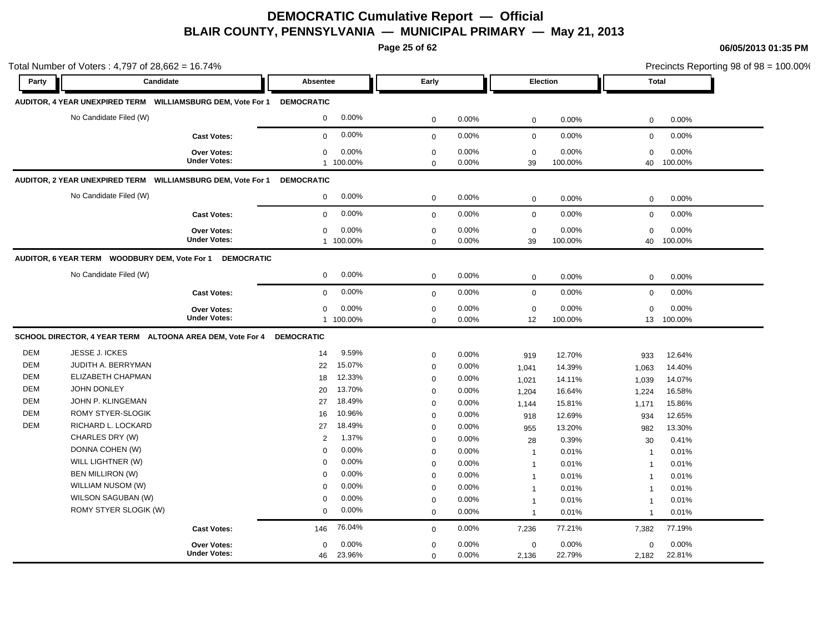**Page 25 of 62**

|            | Total Number of Voters: 4,797 of 28,662 = 16.74%               |                     |                      |              |       |                |          | Precincts Reporting 98 of 98 = 100.00% |         |  |
|------------|----------------------------------------------------------------|---------------------|----------------------|--------------|-------|----------------|----------|----------------------------------------|---------|--|
| Party      | Candidate                                                      |                     | Absentee             | Early        |       |                | Election | <b>Total</b>                           |         |  |
|            | AUDITOR, 4 YEAR UNEXPIRED TERM    WILLIAMSBURG DEM, Vote For 1 |                     | <b>DEMOCRATIC</b>    |              |       |                |          |                                        |         |  |
|            | No Candidate Filed (W)                                         |                     | 0.00%<br>$\mathbf 0$ | $\mathbf 0$  | 0.00% | $\mathbf 0$    | 0.00%    | $\mathbf 0$                            | 0.00%   |  |
|            |                                                                | <b>Cast Votes:</b>  | 0.00%<br>$\mathbf 0$ | $\mathbf 0$  | 0.00% | $\mathbf 0$    | 0.00%    | $\mathbf 0$                            | 0.00%   |  |
|            |                                                                | Over Votes:         | 0.00%<br>$\mathbf 0$ | $\mathbf 0$  | 0.00% | $\mathbf 0$    | 0.00%    | $\mathbf 0$                            | 0.00%   |  |
|            |                                                                | <b>Under Votes:</b> | 1 100.00%            | $\mathbf 0$  | 0.00% | 39             | 100.00%  | 40                                     | 100.00% |  |
|            | AUDITOR, 2 YEAR UNEXPIRED TERM    WILLIAMSBURG DEM, Vote For 1 |                     | <b>DEMOCRATIC</b>    |              |       |                |          |                                        |         |  |
|            | No Candidate Filed (W)                                         |                     | 0.00%<br>$\mathbf 0$ | $\mathbf 0$  | 0.00% | $\mathbf 0$    | 0.00%    | 0                                      | 0.00%   |  |
|            |                                                                | <b>Cast Votes:</b>  | 0.00%<br>$\mathbf 0$ | $\mathbf 0$  | 0.00% | $\mathbf 0$    | 0.00%    | $\mathbf 0$                            | 0.00%   |  |
|            |                                                                | Over Votes:         | 0.00%<br>$\mathbf 0$ | $\pmb{0}$    | 0.00% | $\mathbf 0$    | 0.00%    | 0                                      | 0.00%   |  |
|            |                                                                | <b>Under Votes:</b> | 1 100.00%            | $\mathbf 0$  | 0.00% | 39             | 100.00%  | 40                                     | 100.00% |  |
|            | AUDITOR, 6 YEAR TERM WOODBURY DEM, Vote For 1                  | <b>DEMOCRATIC</b>   |                      |              |       |                |          |                                        |         |  |
|            | No Candidate Filed (W)                                         |                     | 0.00%<br>0           | $\mathbf 0$  | 0.00% | $\mathbf 0$    | 0.00%    | 0                                      | 0.00%   |  |
|            |                                                                | <b>Cast Votes:</b>  | 0.00%<br>$\mathbf 0$ | $\mathbf{0}$ | 0.00% | $\mathbf 0$    | 0.00%    | $\mathbf 0$                            | 0.00%   |  |
|            |                                                                | <b>Over Votes:</b>  | 0.00%<br>0           | $\mathbf 0$  | 0.00% | $\mathbf 0$    | 0.00%    | $\mathbf 0$                            | 0.00%   |  |
|            |                                                                | <b>Under Votes:</b> | 1 100.00%            | $\Omega$     | 0.00% | 12             | 100.00%  | 13                                     | 100.00% |  |
|            | SCHOOL DIRECTOR, 4 YEAR TERM ALTOONA AREA DEM, Vote For 4      |                     | <b>DEMOCRATIC</b>    |              |       |                |          |                                        |         |  |
| <b>DEM</b> | JESSE J. ICKES                                                 |                     | 9.59%<br>14          | $\mathbf 0$  | 0.00% | 919            | 12.70%   | 933                                    | 12.64%  |  |
| <b>DEM</b> | JUDITH A. BERRYMAN                                             |                     | 15.07%<br>22         | $\mathbf 0$  | 0.00% | 1,041          | 14.39%   | 1,063                                  | 14.40%  |  |
| DEM        | ELIZABETH CHAPMAN                                              |                     | 12.33%<br>18         | $\mathbf 0$  | 0.00% | 1,021          | 14.11%   | 1,039                                  | 14.07%  |  |
| <b>DEM</b> | JOHN DONLEY                                                    |                     | 13.70%<br>20         | $\mathbf 0$  | 0.00% | 1,204          | 16.64%   | 1,224                                  | 16.58%  |  |
| DEM        | JOHN P. KLINGEMAN                                              |                     | 18.49%<br>27         | $\mathbf 0$  | 0.00% | 1,144          | 15.81%   | 1,171                                  | 15.86%  |  |
| <b>DEM</b> | ROMY STYER-SLOGIK                                              |                     | 10.96%<br>16         | $\mathbf 0$  | 0.00% | 918            | 12.69%   | 934                                    | 12.65%  |  |
| <b>DEM</b> | RICHARD L. LOCKARD                                             |                     | 18.49%<br>27         | $\mathbf 0$  | 0.00% | 955            | 13.20%   | 982                                    | 13.30%  |  |
|            | CHARLES DRY (W)                                                |                     | 1.37%<br>2           | $\pmb{0}$    | 0.00% | 28             | 0.39%    | 30                                     | 0.41%   |  |
|            | DONNA COHEN (W)                                                |                     | 0.00%<br>$\mathbf 0$ | $\mathsf 0$  | 0.00% | $\overline{1}$ | 0.01%    | $\overline{1}$                         | 0.01%   |  |
|            | WILL LIGHTNER (W)                                              |                     | 0.00%<br>$\mathbf 0$ | $\mathbf 0$  | 0.00% | $\mathbf{1}$   | 0.01%    | $\overline{1}$                         | 0.01%   |  |
|            | <b>BEN MILLIRON (W)</b>                                        |                     | 0.00%<br>$\mathbf 0$ | $\mathbf 0$  | 0.00% | $\overline{1}$ | 0.01%    | $\overline{1}$                         | 0.01%   |  |
|            | WILLIAM NUSOM (W)                                              |                     | 0.00%<br>$\Omega$    | $\mathbf 0$  | 0.00% | $\mathbf 1$    | 0.01%    | 1                                      | 0.01%   |  |
|            | WILSON SAGUBAN (W)                                             |                     | 0.00%<br>$\Omega$    | $\mathbf 0$  | 0.00% | $\mathbf{1}$   | 0.01%    | $\overline{1}$                         | 0.01%   |  |
|            | ROMY STYER SLOGIK (W)                                          |                     | 0.00%<br>$\mathbf 0$ | $\mathbf 0$  | 0.00% | $\overline{1}$ | 0.01%    | $\overline{1}$                         | 0.01%   |  |
|            |                                                                | <b>Cast Votes:</b>  | 76.04%<br>146        | $\mathbf 0$  | 0.00% | 7,236          | 77.21%   | 7,382                                  | 77.19%  |  |
|            |                                                                | Over Votes:         | 0.00%<br>$\mathbf 0$ | $\mathbf 0$  | 0.00% | $\mathbf 0$    | 0.00%    | $\Omega$                               | 0.00%   |  |
|            |                                                                | <b>Under Votes:</b> | 23.96%<br>46         | $\mathbf 0$  | 0.00% | 2,136          | 22.79%   | 2,182                                  | 22.81%  |  |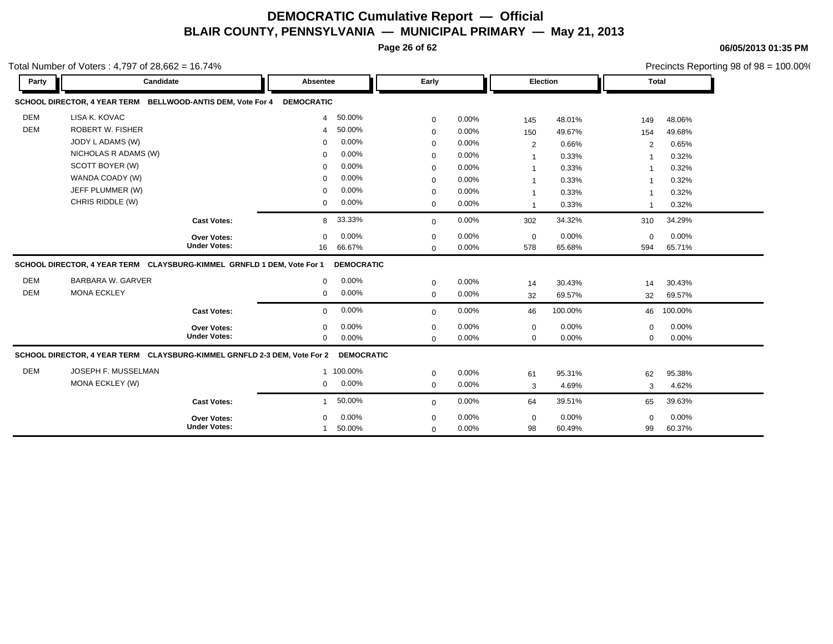**Page 26 of 62**

**06/05/2013 01:35 PM**

|            | otal Number of Voters: $4,797$ of $28,662 = 16.74\%$                     |                     |                          |             |          |                |         |                |         | Precincts Reporting 98 of 98 = 100.00% |
|------------|--------------------------------------------------------------------------|---------------------|--------------------------|-------------|----------|----------------|---------|----------------|---------|----------------------------------------|
| Party      | Candidate                                                                |                     | Absentee                 | Early       |          | Election       |         | <b>Total</b>   |         |                                        |
|            | SCHOOL DIRECTOR, 4 YEAR TERM BELLWOOD-ANTIS DEM, Vote For 4              |                     | <b>DEMOCRATIC</b>        |             |          |                |         |                |         |                                        |
| <b>DEM</b> | LISA K. KOVAC                                                            |                     | 50.00%<br>$\overline{4}$ | 0           | 0.00%    | 145            | 48.01%  | 149            | 48.06%  |                                        |
| <b>DEM</b> | <b>ROBERT W. FISHER</b>                                                  |                     | 50.00%                   | 0           | 0.00%    | 150            | 49.67%  | 154            | 49.68%  |                                        |
|            | JODY L ADAMS (W)                                                         |                     | 0.00%<br>$\Omega$        | $\mathbf 0$ | $0.00\%$ | $\overline{2}$ | 0.66%   | 2              | 0.65%   |                                        |
|            | NICHOLAS R ADAMS (W)                                                     |                     | 0.00%<br>$\Omega$        | 0           | 0.00%    |                | 0.33%   |                | 0.32%   |                                        |
|            | SCOTT BOYER (W)                                                          |                     | 0.00%                    | $\mathbf 0$ | 0.00%    | -1             | 0.33%   | -1             | 0.32%   |                                        |
|            | WANDA COADY (W)                                                          |                     | 0.00%<br>$\Omega$        | $\Omega$    | 0.00%    | 1              | 0.33%   | -1             | 0.32%   |                                        |
|            | JEFF PLUMMER (W)                                                         |                     | 0.00%                    | $\mathbf 0$ | 0.00%    | -1             | 0.33%   |                | 0.32%   |                                        |
|            | CHRIS RIDDLE (W)                                                         |                     | 0.00%<br>$\mathbf 0$     | 0           | 0.00%    | $\overline{1}$ | 0.33%   | $\overline{1}$ | 0.32%   |                                        |
|            |                                                                          | <b>Cast Votes:</b>  | 33.33%<br>8              | $\mathbf 0$ | 0.00%    | 302            | 34.32%  | 310            | 34.29%  |                                        |
|            |                                                                          | Over Votes:         | 0.00%<br>$\mathbf 0$     | 0           | 0.00%    | $\mathbf 0$    | 0.00%   | 0              | 0.00%   |                                        |
|            |                                                                          | <b>Under Votes:</b> | 66.67%<br>16             | $\Omega$    | 0.00%    | 578            | 65.68%  | 594            | 65.71%  |                                        |
|            | SCHOOL DIRECTOR, 4 YEAR TERM CLAYSBURG-KIMMEL GRNFLD 1 DEM, Vote For 1   |                     | <b>DEMOCRATIC</b>        |             |          |                |         |                |         |                                        |
| <b>DEM</b> | BARBARA W. GARVER                                                        |                     | 0.00%<br>$\mathbf 0$     | 0           | 0.00%    | 14             | 30.43%  | 14             | 30.43%  |                                        |
| <b>DEM</b> | <b>MONA ECKLEY</b>                                                       |                     | 0.00%<br>$\mathbf 0$     | 0           | 0.00%    | 32             | 69.57%  | 32             | 69.57%  |                                        |
|            |                                                                          | <b>Cast Votes:</b>  | 0.00%<br>$\mathbf{0}$    | $\mathbf 0$ | 0.00%    | 46             | 100.00% | 46             | 100.00% |                                        |
|            |                                                                          | Over Votes:         | 0.00%<br>$\Omega$        | 0           | 0.00%    | 0              | 0.00%   | $\Omega$       | 0.00%   |                                        |
|            |                                                                          | <b>Under Votes:</b> | 0.00%<br>$\mathbf{0}$    | $\mathbf 0$ | 0.00%    | 0              | 0.00%   | 0              | 0.00%   |                                        |
|            | SCHOOL DIRECTOR, 4 YEAR TERM CLAYSBURG-KIMMEL GRNFLD 2-3 DEM, Vote For 2 |                     | <b>DEMOCRATIC</b>        |             |          |                |         |                |         |                                        |
| <b>DEM</b> | JOSEPH F. MUSSELMAN                                                      |                     | 1 100.00%                | 0           | $0.00\%$ | 61             | 95.31%  | 62             | 95.38%  |                                        |
|            | MONA ECKLEY (W)                                                          |                     | 0.00%<br>$\mathbf 0$     | 0           | 0.00%    | 3              | 4.69%   | 3              | 4.62%   |                                        |
|            |                                                                          | <b>Cast Votes:</b>  | 50.00%                   | $\mathbf 0$ | 0.00%    | 64             | 39.51%  | 65             | 39.63%  |                                        |
|            |                                                                          | Over Votes:         | 0.00%                    | 0           | 0.00%    | $\mathbf 0$    | 0.00%   | $\Omega$       | 0.00%   |                                        |
|            |                                                                          | <b>Under Votes:</b> | 50.00%                   | $\mathbf 0$ | 0.00%    | 98             | 60.49%  | 99             | 60.37%  |                                        |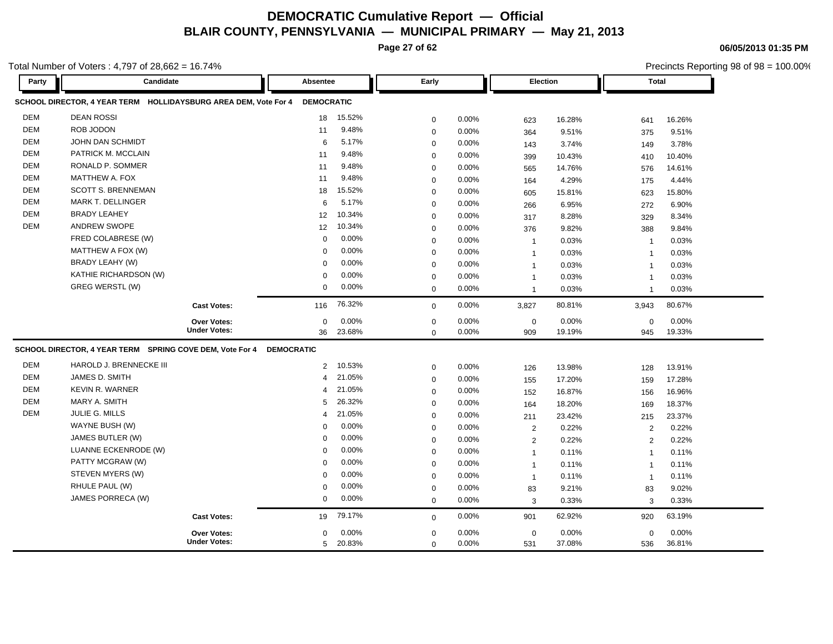**Page 27 of 62**

**06/05/2013 01:35 PM**

Precincts Reporting 98 of 98 = 100.00%

| Party      | Candidate                                                       |                     | Absentee          |        | Early       |          |              | <b>Election</b> |                | <b>Total</b> |  |
|------------|-----------------------------------------------------------------|---------------------|-------------------|--------|-------------|----------|--------------|-----------------|----------------|--------------|--|
|            | SCHOOL DIRECTOR, 4 YEAR TERM HOLLIDAYSBURG AREA DEM, Vote For 4 |                     | <b>DEMOCRATIC</b> |        |             |          |              |                 |                |              |  |
| <b>DEM</b> | <b>DEAN ROSSI</b>                                               |                     | 18                | 15.52% | $\mathbf 0$ | 0.00%    | 623          | 16.28%          | 641            | 16.26%       |  |
| <b>DEM</b> | ROB JODON                                                       |                     | 11                | 9.48%  | $\mathbf 0$ | 0.00%    | 364          | 9.51%           | 375            | 9.51%        |  |
| <b>DEM</b> | JOHN DAN SCHMIDT                                                |                     | 6                 | 5.17%  | $\mathbf 0$ | 0.00%    | 143          | 3.74%           | 149            | 3.78%        |  |
| <b>DEM</b> | PATRICK M. MCCLAIN                                              |                     | 11                | 9.48%  | $\mathbf 0$ | 0.00%    | 399          | 10.43%          | 410            | 10.40%       |  |
| <b>DEM</b> | RONALD P. SOMMER                                                |                     | 11                | 9.48%  | $\mathbf 0$ | 0.00%    | 565          | 14.76%          | 576            | 14.61%       |  |
| <b>DEM</b> | MATTHEW A. FOX                                                  |                     | 11                | 9.48%  | $\mathbf 0$ | 0.00%    | 164          | 4.29%           | 175            | 4.44%        |  |
| <b>DEM</b> | <b>SCOTT S. BRENNEMAN</b>                                       |                     | 18                | 15.52% | $\mathbf 0$ | 0.00%    | 605          | 15.81%          | 623            | 15.80%       |  |
| <b>DEM</b> | <b>MARK T. DELLINGER</b>                                        |                     | 6                 | 5.17%  | $\mathbf 0$ | 0.00%    | 266          | 6.95%           | 272            | 6.90%        |  |
| <b>DEM</b> | <b>BRADY LEAHEY</b>                                             |                     | 12                | 10.34% | $\mathbf 0$ | 0.00%    | 317          | 8.28%           | 329            | 8.34%        |  |
| <b>DEM</b> | <b>ANDREW SWOPE</b>                                             |                     | 12                | 10.34% | $\mathbf 0$ | 0.00%    | 376          | 9.82%           | 388            | 9.84%        |  |
|            | FRED COLABRESE (W)                                              |                     | $\mathbf 0$       | 0.00%  | $\mathbf 0$ | 0.00%    | $\mathbf{1}$ | 0.03%           | $\overline{1}$ | 0.03%        |  |
|            | MATTHEW A FOX (W)                                               |                     | $\Omega$          | 0.00%  | $\mathbf 0$ | 0.00%    | $\mathbf{1}$ | 0.03%           | $\overline{1}$ | 0.03%        |  |
|            | BRADY LEAHY (W)                                                 |                     | $\Omega$          | 0.00%  | $\mathbf 0$ | 0.00%    | $\mathbf{1}$ | 0.03%           | $\mathbf{1}$   | 0.03%        |  |
|            | KATHIE RICHARDSON (W)                                           |                     | $\mathbf 0$       | 0.00%  | $\mathbf 0$ | 0.00%    | $\mathbf{1}$ | 0.03%           | $\overline{1}$ | 0.03%        |  |
|            | GREG WERSTL (W)                                                 |                     | $\mathbf 0$       | 0.00%  | $\mathbf 0$ | 0.00%    | $\mathbf{1}$ | 0.03%           | $\overline{1}$ | 0.03%        |  |
|            |                                                                 | <b>Cast Votes:</b>  | 116               | 76.32% | $\mathbf 0$ | 0.00%    | 3,827        | 80.81%          | 3,943          | 80.67%       |  |
|            |                                                                 | Over Votes:         | $\mathbf 0$       | 0.00%  | $\mathbf 0$ | 0.00%    | $\mathbf 0$  | 0.00%           | $\mathbf 0$    | 0.00%        |  |
|            |                                                                 | <b>Under Votes:</b> | 36                | 23.68% | $\mathbf 0$ | 0.00%    | 909          | 19.19%          | 945            | 19.33%       |  |
|            | SCHOOL DIRECTOR, 4 YEAR TERM SPRING COVE DEM, Vote For 4        |                     | <b>DEMOCRATIC</b> |        |             |          |              |                 |                |              |  |
| <b>DEM</b> | HAROLD J. BRENNECKE III                                         |                     | $\overline{2}$    | 10.53% | $\mathbf 0$ | 0.00%    | 126          | 13.98%          | 128            | 13.91%       |  |
| <b>DEM</b> | JAMES D. SMITH                                                  |                     | $\overline{4}$    | 21.05% | $\mathbf 0$ | 0.00%    | 155          | 17.20%          | 159            | 17.28%       |  |
| <b>DEM</b> | <b>KEVIN R. WARNER</b>                                          |                     | 4                 | 21.05% | $\mathbf 0$ | 0.00%    | 152          | 16.87%          | 156            | 16.96%       |  |
| <b>DEM</b> | MARY A. SMITH                                                   |                     | 5                 | 26.32% | $\mathbf 0$ | 0.00%    | 164          | 18.20%          | 169            | 18.37%       |  |
| <b>DEM</b> | JULIE G. MILLS                                                  |                     | 4                 | 21.05% | $\mathbf 0$ | 0.00%    | 211          | 23.42%          | 215            | 23.37%       |  |
|            | WAYNE BUSH (W)                                                  |                     | $\Omega$          | 0.00%  | $\mathbf 0$ | 0.00%    | 2            | 0.22%           | 2              | 0.22%        |  |
|            | JAMES BUTLER (W)                                                |                     | 0                 | 0.00%  | $\mathbf 0$ | 0.00%    | 2            | 0.22%           | 2              | 0.22%        |  |
|            | LUANNE ECKENRODE (W)                                            |                     | 0                 | 0.00%  | $\mathbf 0$ | $0.00\%$ | $\mathbf{1}$ | 0.11%           | $\overline{1}$ | 0.11%        |  |
|            | PATTY MCGRAW (W)                                                |                     | $\Omega$          | 0.00%  | $\mathbf 0$ | 0.00%    | $\mathbf{1}$ | 0.11%           | $\overline{1}$ | 0.11%        |  |
|            | STEVEN MYERS (W)                                                |                     | $\Omega$          | 0.00%  | $\mathbf 0$ | 0.00%    | $\mathbf{1}$ | 0.11%           | $\overline{1}$ | 0.11%        |  |
|            | RHULE PAUL (W)                                                  |                     | $\Omega$          | 0.00%  | $\mathbf 0$ | 0.00%    | 83           | 9.21%           | 83             | 9.02%        |  |
|            | JAMES PORRECA (W)                                               |                     | $\mathbf 0$       | 0.00%  | $\mathbf 0$ | 0.00%    | 3            | 0.33%           | 3              | 0.33%        |  |
|            |                                                                 | <b>Cast Votes:</b>  | 19                | 79.17% | $\mathbf 0$ | 0.00%    | 901          | 62.92%          | 920            | 63.19%       |  |
|            |                                                                 | Over Votes:         | $\Omega$          | 0.00%  | $\mathbf 0$ | 0.00%    | $\mathbf 0$  | 0.00%           | $\mathbf 0$    | 0.00%        |  |
|            |                                                                 | <b>Under Votes:</b> | 5                 | 20.83% | $\mathbf 0$ | 0.00%    | 531          | 37.08%          | 536            | 36.81%       |  |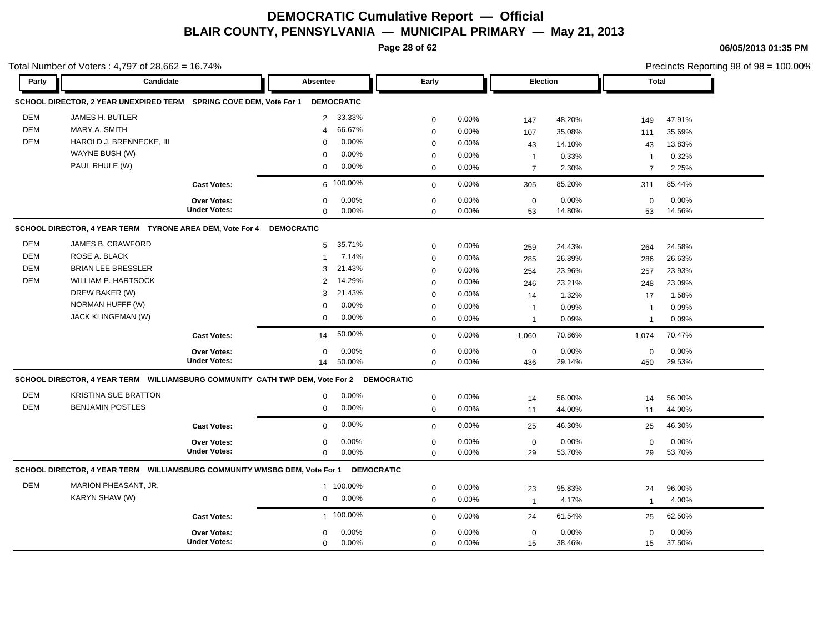**Page 28 of 62**

Total Number of Voters : 4,797 of 28,662 = 16.74%

**06/05/2013 01:35 PM**

Precincts Reporting 98 of 98 = 100.00%

| Party      | Candidate                                                                               |                     | Absentee          |                   | Early        |       | Election       |        | <b>Total</b>   |        |
|------------|-----------------------------------------------------------------------------------------|---------------------|-------------------|-------------------|--------------|-------|----------------|--------|----------------|--------|
|            | SCHOOL DIRECTOR, 2 YEAR UNEXPIRED TERM SPRING COVE DEM, Vote For 1                      |                     | <b>DEMOCRATIC</b> |                   |              |       |                |        |                |        |
| <b>DEM</b> | JAMES H. BUTLER                                                                         |                     | $\overline{2}$    | 33.33%            | $\mathbf 0$  | 0.00% | 147            | 48.20% | 149            | 47.91% |
| <b>DEM</b> | MARY A. SMITH                                                                           |                     | $\overline{4}$    | 66.67%            | $\mathbf 0$  | 0.00% | 107            | 35.08% | 111            | 35.69% |
| <b>DEM</b> | HAROLD J. BRENNECKE, III                                                                |                     | $\Omega$          | 0.00%             | $\mathbf 0$  | 0.00% | 43             | 14.10% | 43             | 13.83% |
|            | WAYNE BUSH (W)                                                                          |                     | $\Omega$          | 0.00%             | $\mathbf 0$  | 0.00% | $\mathbf{1}$   | 0.33%  | $\mathbf 1$    | 0.32%  |
|            | PAUL RHULE (W)                                                                          |                     | $\mathbf 0$       | 0.00%             | $\mathbf 0$  | 0.00% | $\overline{7}$ | 2.30%  | $\overline{7}$ | 2.25%  |
|            |                                                                                         | <b>Cast Votes:</b>  |                   | 6 100.00%         | $\mathbf 0$  | 0.00% | 305            | 85.20% | 311            | 85.44% |
|            |                                                                                         | Over Votes:         | 0                 | 0.00%             | $\mathbf 0$  | 0.00% | $\mathbf 0$    | 0.00%  | $\mathbf 0$    | 0.00%  |
|            |                                                                                         | <b>Under Votes:</b> | $\mathbf 0$       | 0.00%             | $\Omega$     | 0.00% | 53             | 14.80% | 53             | 14.56% |
|            | SCHOOL DIRECTOR, 4 YEAR TERM TYRONE AREA DEM, Vote For 4                                |                     | <b>DEMOCRATIC</b> |                   |              |       |                |        |                |        |
| DEM        | JAMES B. CRAWFORD                                                                       |                     | 5                 | 35.71%            | $\mathbf 0$  | 0.00% | 259            | 24.43% | 264            | 24.58% |
| <b>DEM</b> | ROSE A. BLACK                                                                           |                     | $\mathbf{1}$      | 7.14%             | $\mathbf 0$  | 0.00% | 285            | 26.89% | 286            | 26.63% |
| <b>DEM</b> | <b>BRIAN LEE BRESSLER</b>                                                               |                     | 3                 | 21.43%            | $\mathbf 0$  | 0.00% | 254            | 23.96% | 257            | 23.93% |
| DEM        | <b>WILLIAM P. HARTSOCK</b>                                                              |                     | $\overline{2}$    | 14.29%            | $\mathbf 0$  | 0.00% | 246            | 23.21% | 248            | 23.09% |
|            | DREW BAKER (W)                                                                          |                     | 3                 | 21.43%            | $\mathbf 0$  | 0.00% | 14             | 1.32%  | 17             | 1.58%  |
|            | NORMAN HUFFF (W)                                                                        |                     | $\mathbf 0$       | 0.00%             | $\mathbf 0$  | 0.00% | $\overline{1}$ | 0.09%  | $\overline{1}$ | 0.09%  |
|            | <b>JACK KLINGEMAN (W)</b>                                                               |                     | 0                 | 0.00%             | $\mathbf 0$  | 0.00% | $\overline{1}$ | 0.09%  | $\overline{1}$ | 0.09%  |
|            |                                                                                         | <b>Cast Votes:</b>  | 14                | 50.00%            | $\mathbf{0}$ | 0.00% | 1,060          | 70.86% | 1,074          | 70.47% |
|            |                                                                                         | <b>Over Votes:</b>  | $\Omega$          | 0.00%             | $\mathbf 0$  | 0.00% | $\mathbf 0$    | 0.00%  | $\mathbf 0$    | 0.00%  |
|            |                                                                                         | <b>Under Votes:</b> | 14                | 50.00%            | $\Omega$     | 0.00% | 436            | 29.14% | 450            | 29.53% |
|            | SCHOOL DIRECTOR, 4 YEAR TERM WILLIAMSBURG COMMUNITY CATH TWP DEM, Vote For 2 DEMOCRATIC |                     |                   |                   |              |       |                |        |                |        |
| <b>DEM</b> | <b>KRISTINA SUE BRATTON</b>                                                             |                     | 0                 | 0.00%             | $\mathbf 0$  | 0.00% | 14             | 56.00% | 14             | 56.00% |
| DEM        | <b>BENJAMIN POSTLES</b>                                                                 |                     | 0                 | 0.00%             | $\mathbf 0$  | 0.00% | 11             | 44.00% | 11             | 44.00% |
|            |                                                                                         | <b>Cast Votes:</b>  | $\mathbf 0$       | 0.00%             | $\mathbf{0}$ | 0.00% | 25             | 46.30% | 25             | 46.30% |
|            |                                                                                         | Over Votes:         | $\mathbf 0$       | 0.00%             | $\mathbf 0$  | 0.00% | $\pmb{0}$      | 0.00%  | $\mathbf 0$    | 0.00%  |
|            |                                                                                         | <b>Under Votes:</b> | $\Omega$          | 0.00%             | $\Omega$     | 0.00% | 29             | 53.70% | 29             | 53.70% |
|            | SCHOOL DIRECTOR, 4 YEAR TERM  WILLIAMSBURG COMMUNITY WMSBG DEM, Vote For 1              |                     |                   | <b>DEMOCRATIC</b> |              |       |                |        |                |        |
| <b>DEM</b> | MARION PHEASANT, JR.                                                                    |                     |                   | 1 100.00%         | $\mathbf 0$  | 0.00% | 23             | 95.83% | 24             | 96.00% |
|            | KARYN SHAW (W)                                                                          |                     | 0                 | 0.00%             | $\mathbf 0$  | 0.00% | $\mathbf{1}$   | 4.17%  | $\mathbf{1}$   | 4.00%  |
|            |                                                                                         | <b>Cast Votes:</b>  |                   | 1 100.00%         | $\Omega$     | 0.00% | 24             | 61.54% | 25             | 62.50% |
|            |                                                                                         |                     |                   |                   |              |       |                |        |                |        |
|            |                                                                                         | Over Votes:         | $\mathbf 0$       | 0.00%             | $\mathbf 0$  | 0.00% | $\mathbf 0$    | 0.00%  | $\mathbf 0$    | 0.00%  |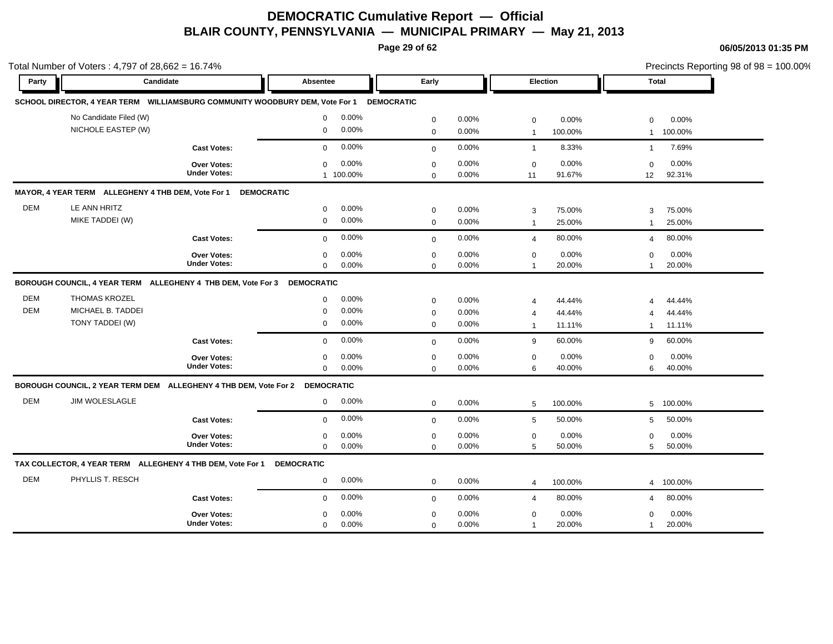**Page 29 of 62**

|            | Total Number of Voters: 4,797 of 28,662 = 16.74%                             |                                    |                                   |                                              |                                      | Precincts Reporting 98 of 98 = 100.00% |  |  |
|------------|------------------------------------------------------------------------------|------------------------------------|-----------------------------------|----------------------------------------------|--------------------------------------|----------------------------------------|--|--|
| Party      | Candidate                                                                    |                                    | Absentee                          | Early                                        | Election                             | <b>Total</b>                           |  |  |
|            | SCHOOL DIRECTOR, 4 YEAR TERM WILLIAMSBURG COMMUNITY WOODBURY DEM, Vote For 1 |                                    | <b>DEMOCRATIC</b>                 |                                              |                                      |                                        |  |  |
|            | No Candidate Filed (W)                                                       |                                    | 0.00%<br>$\mathbf 0$              | 0.00%<br>$\mathbf 0$                         | 0.00%<br>$\mathbf 0$                 | 0.00%<br>0                             |  |  |
|            | NICHOLE EASTEP (W)                                                           |                                    | 0.00%<br>$\mathbf 0$              | 0.00%<br>$\mathbf 0$                         | 100.00%<br>$\overline{1}$            | 100.00%<br>$\mathbf{1}$                |  |  |
|            |                                                                              | <b>Cast Votes:</b>                 | 0.00%<br>$\mathbf 0$              | 0.00%<br>$\mathbf 0$                         | 8.33%<br>$\overline{1}$              | 7.69%<br>$\mathbf{1}$                  |  |  |
|            |                                                                              | Over Votes:<br><b>Under Votes:</b> | 0.00%<br>$\mathbf 0$<br>1 100.00% | 0.00%<br>$\mathbf 0$<br>0.00%<br>$\mathbf 0$ | 0.00%<br>$\mathbf 0$<br>91.67%<br>11 | 0.00%<br>$\Omega$<br>92.31%<br>12      |  |  |
|            | MAYOR, 4 YEAR TERM ALLEGHENY 4 THB DEM, Vote For 1 DEMOCRATIC                |                                    |                                   |                                              |                                      |                                        |  |  |
| <b>DEM</b> | LE ANN HRITZ                                                                 |                                    | 0.00%<br>$\mathbf 0$              | 0.00%<br>$\mathbf 0$                         | 75.00%<br>3                          | 75.00%<br>3                            |  |  |
|            | MIKE TADDEI (W)                                                              |                                    | 0.00%<br>$\mathbf 0$              | $\mathbf 0$<br>0.00%                         | 25.00%<br>$\overline{1}$             | 25.00%<br>$\mathbf{1}$                 |  |  |
|            |                                                                              | <b>Cast Votes:</b>                 | 0.00%<br>$\mathbf 0$              | 0.00%<br>$\mathbf 0$                         | 80.00%<br>$\overline{4}$             | 80.00%<br>$\overline{4}$               |  |  |
|            |                                                                              | Over Votes:                        | 0.00%<br>$\mathbf 0$              | $\mathbf 0$<br>0.00%                         | 0.00%<br>$\mathbf 0$                 | 0.00%<br>$\mathbf 0$                   |  |  |
|            |                                                                              | <b>Under Votes:</b>                | $\mathbf 0$<br>0.00%              | 0.00%<br>$\mathbf 0$                         | 20.00%<br>1                          | 20.00%<br>$\overline{1}$               |  |  |
|            | BOROUGH COUNCIL, 4 YEAR TERM ALLEGHENY 4 THB DEM, Vote For 3                 |                                    | <b>DEMOCRATIC</b>                 |                                              |                                      |                                        |  |  |
| <b>DEM</b> | <b>THOMAS KROZEL</b>                                                         |                                    | 0.00%<br>$\mathbf 0$              | 0.00%<br>$\mathbf 0$                         | 44.44%<br>$\overline{4}$             | 44.44%<br>$\boldsymbol{\varDelta}$     |  |  |
| <b>DEM</b> | MICHAEL B. TADDEI                                                            |                                    | 0.00%<br>$\mathbf 0$              | 0.00%<br>$\mathbf 0$                         | 44.44%<br>4                          | 44.44%<br>4                            |  |  |
|            | TONY TADDEI (W)                                                              |                                    | 0.00%<br>$\mathbf 0$              | 0.00%<br>$\pmb{0}$                           | 11.11%<br>$\mathbf{1}$               | 11.11%<br>$\mathbf{1}$                 |  |  |
|            |                                                                              | <b>Cast Votes:</b>                 | 0.00%<br>$\mathbf 0$              | 0.00%<br>$\mathbf 0$                         | 60.00%<br>9                          | 60.00%<br>9                            |  |  |
|            |                                                                              | Over Votes:                        | 0.00%<br>$\mathbf 0$              | $0.00\%$<br>$\mathbf 0$                      | 0.00%<br>$\mathbf 0$                 | $0.00\%$<br>$\mathbf 0$                |  |  |
|            |                                                                              | <b>Under Votes:</b>                | 0.00%<br>$\mathbf 0$              | $\mathbf 0$<br>0.00%                         | 40.00%<br>6                          | 40.00%<br>6                            |  |  |
|            | BOROUGH COUNCIL, 2 YEAR TERM DEM ALLEGHENY 4 THB DEM, Vote For 2 DEMOCRATIC  |                                    |                                   |                                              |                                      |                                        |  |  |
| <b>DEM</b> | <b>JIM WOLESLAGLE</b>                                                        |                                    | 0.00%<br>$\mathbf 0$              | $\mathbf 0$<br>0.00%                         | 100.00%<br>$5\phantom{.0}$           | 100.00%<br>5                           |  |  |
|            |                                                                              | <b>Cast Votes:</b>                 | 0.00%<br>$\mathbf 0$              | 0.00%<br>$\mathbf 0$                         | 50.00%<br>$5\phantom{.0}$            | 50.00%<br>5                            |  |  |
|            |                                                                              | Over Votes:                        | 0.00%<br>$\mathbf 0$              | 0.00%<br>$\mathbf 0$                         | 0.00%<br>$\mathbf 0$                 | 0.00%<br>$\mathbf 0$                   |  |  |
|            |                                                                              | <b>Under Votes:</b>                | $\Omega$<br>0.00%                 | 0.00%<br>$\mathbf 0$                         | 5<br>50.00%                          | 5<br>50.00%                            |  |  |
|            | TAX COLLECTOR, 4 YEAR TERM ALLEGHENY 4 THB DEM, Vote For 1                   |                                    | <b>DEMOCRATIC</b>                 |                                              |                                      |                                        |  |  |
| <b>DEM</b> | PHYLLIS T. RESCH                                                             |                                    | 0.00%<br>$\mathbf 0$              | 0.00%<br>$\mathbf 0$                         | 100.00%<br>4                         | 100.00%<br>4                           |  |  |
|            |                                                                              | <b>Cast Votes:</b>                 | 0.00%<br>$\mathbf 0$              | 0.00%<br>$\mathbf 0$                         | 80.00%<br>$\overline{4}$             | 80.00%<br>4                            |  |  |
|            |                                                                              | Over Votes:                        | 0.00%<br>$\mathbf 0$              | 0.00%<br>$\pmb{0}$                           | 0.00%<br>$\mathbf 0$                 | 0.00%<br>0                             |  |  |
|            |                                                                              | <b>Under Votes:</b>                | 0.00%<br>$\mathbf 0$              | 0.00%<br>$\mathbf 0$                         | 20.00%<br>$\mathbf{1}$               | 20.00%<br>$\mathbf{1}$                 |  |  |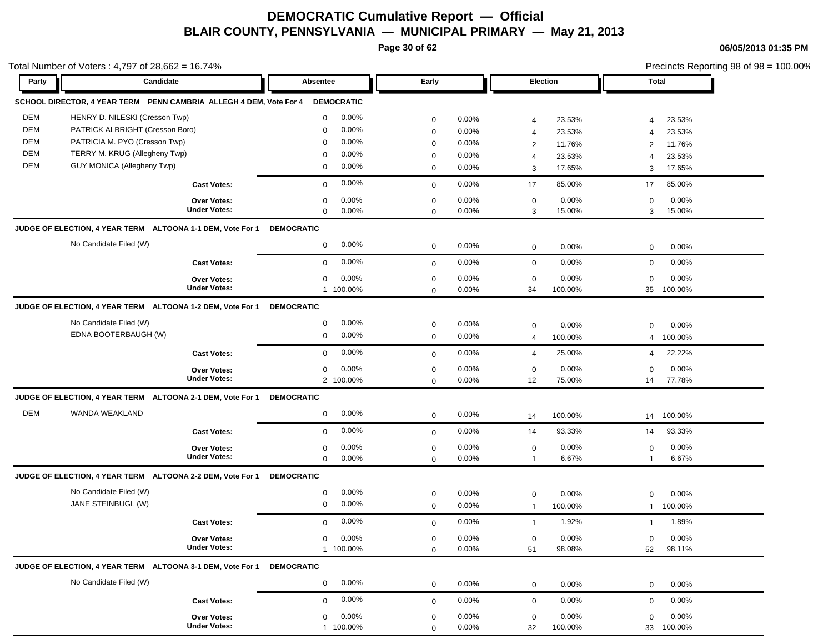**Page 30 of 62**

Total Number of Voters : 4,797 of 28,662 = 16.74%

**06/05/2013 01:35 PM**

Precincts Reporting 98 of 98 = 100.00%

| Party      | Candidate                                                          |                                    | Absentee          |                    | Early       |                   |                         | Election        |                   | <b>Total</b>    |
|------------|--------------------------------------------------------------------|------------------------------------|-------------------|--------------------|-------------|-------------------|-------------------------|-----------------|-------------------|-----------------|
|            | SCHOOL DIRECTOR, 4 YEAR TERM PENN CAMBRIA ALLEGH 4 DEM. Vote For 4 |                                    |                   | <b>DEMOCRATIC</b>  |             |                   |                         |                 |                   |                 |
| <b>DEM</b> | HENRY D. NILESKI (Cresson Twp)                                     |                                    | $\mathbf 0$       | $0.00\%$           | $\mathbf 0$ | 0.00%             | 4                       | 23.53%          | $\overline{4}$    | 23.53%          |
| <b>DEM</b> | PATRICK ALBRIGHT (Cresson Boro)                                    |                                    | $\mathbf 0$       | $0.00\%$           | $\mathbf 0$ | 0.00%             | $\overline{4}$          | 23.53%          | $\overline{4}$    | 23.53%          |
| <b>DEM</b> | PATRICIA M. PYO (Cresson Twp)                                      |                                    | 0                 | $0.00\%$           | $\mathbf 0$ | $0.00\%$          | 2                       | 11.76%          | 2                 | 11.76%          |
| <b>DEM</b> | TERRY M. KRUG (Allegheny Twp)                                      |                                    | 0                 | $0.00\%$           | 0           | $0.00\%$          | $\overline{4}$          | 23.53%          | $\overline{4}$    | 23.53%          |
| <b>DEM</b> | <b>GUY MONICA (Allegheny Twp)</b>                                  |                                    | 0                 | $0.00\%$           | $\mathbf 0$ | $0.00\%$          | 3                       | 17.65%          | 3                 | 17.65%          |
|            |                                                                    | <b>Cast Votes:</b>                 | $\mathbf 0$       | $0.00\%$           | $\mathbf 0$ | $0.00\%$          | 17                      | 85.00%          | 17                | 85.00%          |
|            |                                                                    | <b>Over Votes:</b>                 | $\mathbf 0$       | 0.00%              | $\mathbf 0$ | 0.00%             | $\mathbf 0$             | 0.00%           | $\mathbf 0$       | 0.00%           |
|            |                                                                    | <b>Under Votes:</b>                | $\mathbf 0$       | $0.00\%$           | $\mathbf 0$ | $0.00\%$          | 3                       | 15.00%          | 3                 | 15.00%          |
|            | JUDGE OF ELECTION, 4 YEAR TERM ALTOONA 1-1 DEM, Vote For 1         |                                    | <b>DEMOCRATIC</b> |                    |             |                   |                         |                 |                   |                 |
|            | No Candidate Filed (W)                                             |                                    | $\mathbf 0$       | $0.00\%$           | $\mathbf 0$ | $0.00\%$          | $\mathbf 0$             | 0.00%           | $\mathbf 0$       | 0.00%           |
|            |                                                                    | <b>Cast Votes:</b>                 | $\mathbf 0$       | 0.00%              | $\mathbf 0$ | $0.00\%$          | $\mathbf 0$             | 0.00%           | $\mathbf 0$       | 0.00%           |
|            |                                                                    | <b>Over Votes:</b>                 | $\mathbf 0$       | 0.00%              | $\mathbf 0$ | 0.00%             | $\mathbf 0$             | 0.00%           | $\mathbf 0$       | 0.00%           |
|            |                                                                    | <b>Under Votes:</b>                |                   | 1 100.00%          | $\mathbf 0$ | $0.00\%$          | 34                      | 100.00%         | 35                | 100.00%         |
|            | JUDGE OF ELECTION, 4 YEAR TERM ALTOONA 1-2 DEM, Vote For 1         |                                    | <b>DEMOCRATIC</b> |                    |             |                   |                         |                 |                   |                 |
|            | No Candidate Filed (W)                                             |                                    | $\mathbf 0$       | $0.00\%$           | $\mathbf 0$ | $0.00\%$          | 0                       | 0.00%           | $\Omega$          | 0.00%           |
|            | EDNA BOOTERBAUGH (W)                                               |                                    | $\mathbf 0$       | $0.00\%$           | $\mathbf 0$ | 0.00%             | 4                       | 100.00%         | $\overline{4}$    | 100.00%         |
|            |                                                                    |                                    | $\mathbf 0$       | $0.00\%$           |             |                   |                         |                 |                   |                 |
|            |                                                                    | <b>Cast Votes:</b>                 |                   |                    | $\mathbf 0$ | 0.00%             | 4                       | 25.00%          | $\overline{4}$    | 22.22%          |
|            |                                                                    | Over Votes:<br><b>Under Votes:</b> | $\mathbf 0$       | 0.00%<br>2 100.00% | 0           | $0.00\%$<br>0.00% | 0<br>12                 | 0.00%<br>75.00% | $\mathbf 0$<br>14 | 0.00%<br>77.78% |
|            |                                                                    |                                    |                   |                    | $\mathbf 0$ |                   |                         |                 |                   |                 |
|            | JUDGE OF ELECTION, 4 YEAR TERM ALTOONA 2-1 DEM, Vote For 1         |                                    | <b>DEMOCRATIC</b> |                    |             |                   |                         |                 |                   |                 |
| <b>DEM</b> | WANDA WEAKLAND                                                     |                                    | $\mathbf 0$       | $0.00\%$           | $\mathbf 0$ | 0.00%             | 14                      | 100.00%         | 14                | 100.00%         |
|            |                                                                    | <b>Cast Votes:</b>                 | $\mathbf{0}$      | $0.00\%$           | $\mathbf 0$ | 0.00%             | 14                      | 93.33%          | 14                | 93.33%          |
|            |                                                                    | Over Votes:                        | 0                 | 0.00%              | $\mathbf 0$ | 0.00%             | $\mathbf 0$             | 0.00%           | 0                 | 0.00%           |
|            |                                                                    | <b>Under Votes:</b>                | $\mathbf 0$       | $0.00\%$           | $\mathbf 0$ | 0.00%             | $\overline{1}$          | 6.67%           | $\mathbf{1}$      | 6.67%           |
|            | JUDGE OF ELECTION, 4 YEAR TERM ALTOONA 2-2 DEM, Vote For 1         |                                    | <b>DEMOCRATIC</b> |                    |             |                   |                         |                 |                   |                 |
|            | No Candidate Filed (W)                                             |                                    | 0                 | $0.00\%$           | 0           | $0.00\%$          | 0                       | 0.00%           | $\mathbf 0$       | 0.00%           |
|            | JANE STEINBUGL (W)                                                 |                                    | $\mathbf 0$       | 0.00%              | $\mathbf 0$ | $0.00\%$          | $\overline{\mathbf{1}}$ | 100.00%         | -1                | 100.00%         |
|            |                                                                    | <b>Cast Votes:</b>                 | $\mathbf 0$       | $0.00\%$           | $\mathbf 0$ | 0.00%             | $\overline{1}$          | 1.92%           | -1                | 1.89%           |
|            |                                                                    | <b>Over Votes:</b>                 | $\mathbf{0}$      | 0.00%              | $\mathbf 0$ | $0.00\%$          | 0                       | 0.00%           | $\mathbf 0$       | 0.00%           |
|            |                                                                    | <b>Under Votes:</b>                |                   | 1 100.00%          | 0           | 0.00%             | 51                      | 98.08%          | 52                | 98.11%          |
|            | JUDGE OF ELECTION, 4 YEAR TERM ALTOONA 3-1 DEM, Vote For 1         |                                    | <b>DEMOCRATIC</b> |                    |             |                   |                         |                 |                   |                 |
|            | No Candidate Filed (W)                                             |                                    | $\mathbf{0}$      | $0.00\%$           | $\mathbf 0$ | 0.00%             | $\mathbf 0$             | 0.00%           | $\mathbf 0$       | 0.00%           |
|            |                                                                    | <b>Cast Votes:</b>                 | $\mathbf 0$       | $0.00\%$           |             | $0.00\%$          | $\mathbf 0$             | 0.00%           | $\mathbf 0$       | 0.00%           |
|            |                                                                    |                                    |                   |                    | $\mathbf 0$ |                   |                         |                 |                   |                 |
|            |                                                                    | Over Votes:<br><b>Under Votes:</b> | $\mathbf 0$       | 0.00%              | $\mathbf 0$ | 0.00%             | $\mathbf 0$             | 0.00%           | $\mathbf 0$       | 0.00%           |
|            |                                                                    |                                    |                   | 1 100.00%          | $\mathbf 0$ | 0.00%             | 32                      | 100.00%         |                   | 33 100.00%      |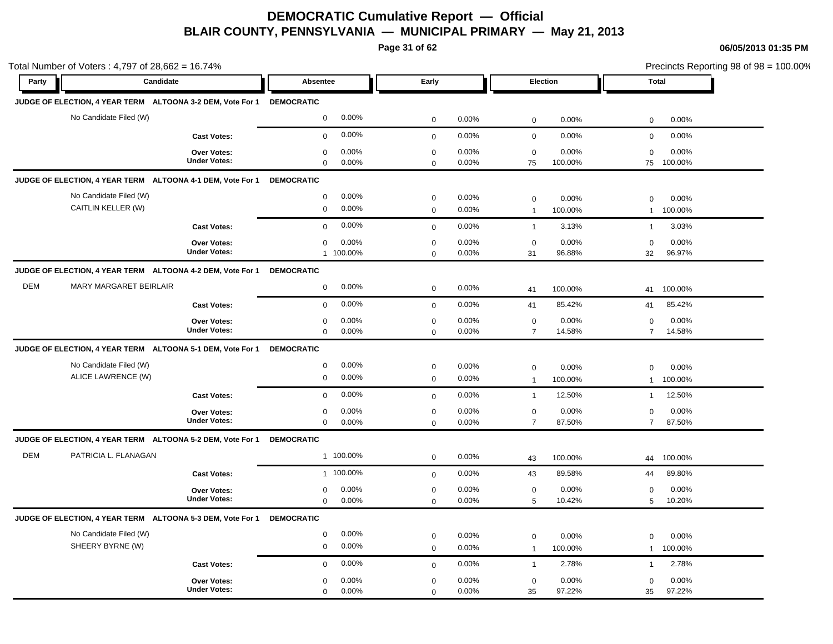**Page 31 of 62**

|            | Total Number of Voters: 4,797 of 28,662 = 16.74%<br>Candidate         |                                           |                                              |              |                |                               |                  |                          | Precincts Reporting 98 of 98 = 100.00% |
|------------|-----------------------------------------------------------------------|-------------------------------------------|----------------------------------------------|--------------|----------------|-------------------------------|------------------|--------------------------|----------------------------------------|
| Party      |                                                                       |                                           | Absentee                                     | Early        |                | Election                      |                  | <b>Total</b>             |                                        |
|            | JUDGE OF ELECTION, 4 YEAR TERM ALTOONA 3-2 DEM, Vote For 1 DEMOCRATIC |                                           |                                              |              |                |                               |                  |                          |                                        |
|            | No Candidate Filed (W)                                                |                                           | 0.00%<br>$\mathbf 0$                         | $\mathbf 0$  | 0.00%          | $\mathsf 0$                   | 0.00%            | $\mathbf 0$              | 0.00%                                  |
|            |                                                                       | <b>Cast Votes:</b>                        | 0.00%<br>$\mathbf 0$                         | $\mathbf 0$  | 0.00%          | $\mathbf 0$                   | 0.00%            | $\mathbf 0$              | 0.00%                                  |
|            |                                                                       | <b>Over Votes:</b><br><b>Under Votes:</b> | 0.00%<br>$\mathbf 0$<br>0.00%<br>$\mathbf 0$ | $\mathbf 0$  | 0.00%<br>0.00% | $\mathbf 0$<br>75             | 0.00%<br>100.00% | $\mathbf 0$<br>75        | 0.00%<br>100.00%                       |
|            | JUDGE OF ELECTION, 4 YEAR TERM ALTOONA 4-1 DEM, Vote For 1            |                                           | <b>DEMOCRATIC</b>                            | $\mathbf 0$  |                |                               |                  |                          |                                        |
|            | No Candidate Filed (W)                                                |                                           | 0.00%<br>$\mathbf 0$                         | $\mathbf 0$  | 0.00%          |                               | 0.00%            |                          |                                        |
|            | CAITLIN KELLER (W)                                                    |                                           | 0.00%<br>$\mathbf 0$                         | $\mathbf 0$  | 0.00%          | $\mathbf 0$<br>$\overline{1}$ | 100.00%          | $\Omega$<br>$\mathbf{1}$ | 0.00%<br>100.00%                       |
|            |                                                                       | <b>Cast Votes:</b>                        | 0.00%<br>$\mathbf 0$                         | $\Omega$     | 0.00%          | $\mathbf{1}$                  | 3.13%            | $\mathbf{1}$             | 3.03%                                  |
|            |                                                                       | Over Votes:                               | 0.00%<br>$\mathbf 0$                         | $\mathbf 0$  | 0.00%          | $\mathbf 0$                   | 0.00%            | $\mathbf 0$              | 0.00%                                  |
|            |                                                                       | <b>Under Votes:</b>                       | 1 100.00%                                    | $\mathbf 0$  | 0.00%          | 31                            | 96.88%           | 32                       | 96.97%                                 |
|            | JUDGE OF ELECTION, 4 YEAR TERM ALTOONA 4-2 DEM, Vote For 1            |                                           | <b>DEMOCRATIC</b>                            |              |                |                               |                  |                          |                                        |
| <b>DEM</b> | <b>MARY MARGARET BEIRLAIR</b>                                         |                                           | 0.00%<br>$\mathsf 0$                         | $\mathbf 0$  | 0.00%          | 41                            | 100.00%          | 41                       | 100.00%                                |
|            |                                                                       | <b>Cast Votes:</b>                        | 0.00%<br>$\mathbf 0$                         | $\mathbf{0}$ | 0.00%          | 41                            | 85.42%           | 41                       | 85.42%                                 |
|            |                                                                       | <b>Over Votes:</b>                        | 0.00%<br>$\mathbf 0$                         | $\mathbf 0$  | 0.00%          | $\mathbf 0$                   | 0.00%            | $\Omega$                 | 0.00%                                  |
|            |                                                                       | <b>Under Votes:</b>                       | $\mathbf 0$<br>0.00%                         | $\mathbf 0$  | 0.00%          | $\overline{7}$                | 14.58%           | $\overline{7}$           | 14.58%                                 |
|            | JUDGE OF ELECTION, 4 YEAR TERM ALTOONA 5-1 DEM, Vote For 1            |                                           | <b>DEMOCRATIC</b>                            |              |                |                               |                  |                          |                                        |
|            | No Candidate Filed (W)                                                |                                           | 0.00%<br>$\mathsf 0$                         | $\mathbf 0$  | 0.00%          | $\mathbf 0$                   | 0.00%            | $\Omega$                 | 0.00%                                  |
|            | ALICE LAWRENCE (W)                                                    |                                           | $\mathbf 0$<br>0.00%                         | $\mathbf 0$  | 0.00%          | $\mathbf{1}$                  | 100.00%          | $\mathbf{1}$             | 100.00%                                |
|            |                                                                       | <b>Cast Votes:</b>                        | 0.00%<br>$\mathbf 0$                         | $\mathbf 0$  | 0.00%          | $\overline{1}$                | 12.50%           | $\mathbf{1}$             | 12.50%                                 |
|            |                                                                       | <b>Over Votes:</b><br><b>Under Votes:</b> | 0.00%<br>$\mathbf 0$<br>0.00%<br>$\mathbf 0$ | $\mathbf 0$  | 0.00%<br>0.00% | $\mathbf 0$<br>$\overline{7}$ | 0.00%<br>87.50%  | 0<br>$\overline{7}$      | 0.00%<br>87.50%                        |
|            |                                                                       |                                           |                                              | $\mathbf 0$  |                |                               |                  |                          |                                        |
|            | JUDGE OF ELECTION, 4 YEAR TERM ALTOONA 5-2 DEM, Vote For 1            |                                           | <b>DEMOCRATIC</b>                            |              |                |                               |                  |                          |                                        |
| <b>DEM</b> | PATRICIA L. FLANAGAN                                                  |                                           | 1 100.00%                                    | $\mathbf 0$  | 0.00%          | 43                            | 100.00%          | 44                       | 100.00%                                |
|            |                                                                       | <b>Cast Votes:</b>                        | 1 100.00%                                    | $\mathbf 0$  | 0.00%          | 43                            | 89.58%           | 44                       | 89.80%                                 |
|            |                                                                       | <b>Over Votes:</b><br><b>Under Votes:</b> | 0.00%<br>$\mathbf 0$<br>$\mathbf{0}$         | $\mathbf 0$  | 0.00%          | $\mathbf 0$                   | 0.00%<br>10.42%  | $\mathbf 0$              | 0.00%<br>10.20%                        |
|            |                                                                       |                                           | 0.00%                                        | $\mathbf 0$  | 0.00%          | 5                             |                  | 5                        |                                        |
|            | JUDGE OF ELECTION, 4 YEAR TERM ALTOONA 5-3 DEM, Vote For 1            |                                           | <b>DEMOCRATIC</b>                            |              |                |                               |                  |                          |                                        |
|            | No Candidate Filed (W)                                                |                                           | 0.00%<br>$\mathbf 0$                         | $\mathbf 0$  | 0.00%          | $\mathbf 0$                   | 0.00%            | 0                        | 0.00%                                  |
|            | SHEERY BYRNE (W)                                                      |                                           | 0.00%<br>$\mathsf 0$                         | $\mathbf{0}$ | 0.00%          | $\overline{1}$                | 100.00%          | $\mathbf{1}$             | 100.00%                                |
|            |                                                                       | <b>Cast Votes:</b>                        | 0.00%<br>$\mathbf 0$                         | $\mathbf 0$  | 0.00%          | $\mathbf{1}$                  | 2.78%            | $\mathbf{1}$             | 2.78%                                  |
|            |                                                                       | <b>Over Votes:</b>                        | 0.00%<br>$\mathbf 0$                         | $\mathbf 0$  | 0.00%          | $\mathbf 0$                   | 0.00%            | $\mathbf 0$              | 0.00%                                  |
|            |                                                                       | <b>Under Votes:</b>                       | 0.00%<br>$\mathbf 0$                         | $\Omega$     | 0.00%          | 35                            | 97.22%           | 35                       | 97.22%                                 |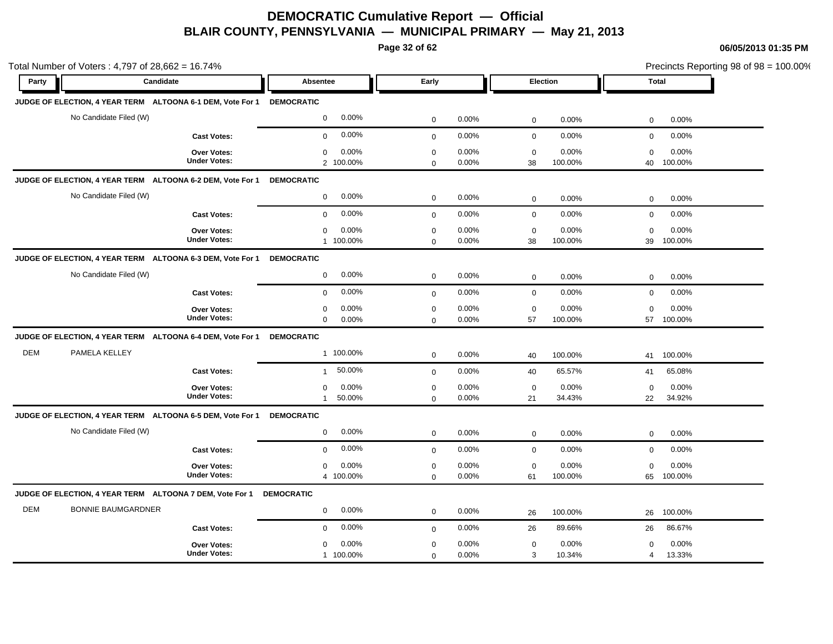**Page 32 of 62**

| Total Number of Voters: 4,797 of 28,662 = 16.74% |                                                                       |                                           |                                     |                            | Precincts Reporting 98 of 98 = 100.00% |                   |                  |                   |                  |  |
|--------------------------------------------------|-----------------------------------------------------------------------|-------------------------------------------|-------------------------------------|----------------------------|----------------------------------------|-------------------|------------------|-------------------|------------------|--|
| Party                                            | Candidate                                                             |                                           | Absentee                            | Early                      |                                        | Election          |                  | Total             |                  |  |
|                                                  | JUDGE OF ELECTION, 4 YEAR TERM ALTOONA 6-1 DEM, Vote For 1 DEMOCRATIC |                                           |                                     |                            |                                        |                   |                  |                   |                  |  |
|                                                  | No Candidate Filed (W)                                                |                                           | 0.00%<br>$\mathbf 0$                | $\mathbf 0$                | 0.00%                                  | $\mathbf 0$       | 0.00%            | 0                 | 0.00%            |  |
|                                                  |                                                                       | <b>Cast Votes:</b>                        | 0.00%<br>$\mathbf 0$                | $\mathbf{0}$               | 0.00%                                  | $\mathbf 0$       | 0.00%            | $\mathbf 0$       | 0.00%            |  |
|                                                  |                                                                       | Over Votes:<br><b>Under Votes:</b>        | 0.00%<br>0<br>2 100.00%             | $\mathbf 0$<br>$\mathbf 0$ | 0.00%<br>0.00%                         | $\mathbf 0$<br>38 | 0.00%<br>100.00% | $\mathbf 0$<br>40 | 0.00%<br>100.00% |  |
|                                                  | JUDGE OF ELECTION, 4 YEAR TERM ALTOONA 6-2 DEM, Vote For 1            |                                           | <b>DEMOCRATIC</b>                   |                            |                                        |                   |                  |                   |                  |  |
|                                                  | No Candidate Filed (W)                                                |                                           | 0.00%<br>$\mathbf 0$                | $\mathbf 0$                | 0.00%                                  | $\mathsf 0$       | 0.00%            | 0                 | 0.00%            |  |
|                                                  |                                                                       | <b>Cast Votes:</b>                        | 0.00%<br>$\mathbf 0$                | $\mathbf 0$                | 0.00%                                  | $\mathbf 0$       | 0.00%            | $\mathbf 0$       | 0.00%            |  |
|                                                  |                                                                       | Over Votes:<br><b>Under Votes:</b>        | 0.00%<br>$\mathbf 0$<br>1 100.00%   | $\mathbf 0$<br>$\mathbf 0$ | 0.00%<br>0.00%                         | $\mathbf 0$<br>38 | 0.00%<br>100.00% | $\mathbf 0$<br>39 | 0.00%<br>100.00% |  |
|                                                  | JUDGE OF ELECTION, 4 YEAR TERM ALTOONA 6-3 DEM, Vote For 1            |                                           | <b>DEMOCRATIC</b>                   |                            |                                        |                   |                  |                   |                  |  |
|                                                  | No Candidate Filed (W)                                                |                                           | 0.00%<br>$\mathbf 0$                | $\pmb{0}$                  | 0.00%                                  | $\mathbf 0$       | 0.00%            | $\mathbf 0$       | 0.00%            |  |
|                                                  |                                                                       | <b>Cast Votes:</b>                        | 0.00%<br>$\mathbf 0$                | $\mathbf 0$                | 0.00%                                  | $\mathbf 0$       | 0.00%            | 0                 | 0.00%            |  |
|                                                  |                                                                       | <b>Over Votes:</b><br><b>Under Votes:</b> | 0.00%<br>0<br>0.00%<br>$\mathbf 0$  | $\mathbf 0$<br>$\Omega$    | 0.00%<br>0.00%                         | $\mathbf 0$<br>57 | 0.00%<br>100.00% | $\mathbf 0$<br>57 | 0.00%<br>100.00% |  |
|                                                  | JUDGE OF ELECTION, 4 YEAR TERM ALTOONA 6-4 DEM, Vote For 1            |                                           | <b>DEMOCRATIC</b>                   |                            |                                        |                   |                  |                   |                  |  |
| DEM                                              | PAMELA KELLEY                                                         |                                           | 1 100.00%                           | $\mathbf 0$                | 0.00%                                  | 40                | 100.00%          | 41                | 100.00%          |  |
|                                                  |                                                                       | <b>Cast Votes:</b>                        | 50.00%<br>$\mathbf{1}$              | $\mathbf 0$                | 0.00%                                  | 40                | 65.57%           | 41                | 65.08%           |  |
|                                                  |                                                                       | Over Votes:<br><b>Under Votes:</b>        | 0.00%<br>$\mathbf 0$<br>50.00%<br>1 | $\mathbf 0$<br>$\mathbf 0$ | 0.00%<br>0.00%                         | $\mathbf 0$<br>21 | 0.00%<br>34.43%  | $\mathbf 0$<br>22 | 0.00%<br>34.92%  |  |
|                                                  | JUDGE OF ELECTION, 4 YEAR TERM ALTOONA 6-5 DEM, Vote For 1 DEMOCRATIC |                                           |                                     |                            |                                        |                   |                  |                   |                  |  |
|                                                  | No Candidate Filed (W)                                                |                                           | 0.00%<br>$\mathbf{0}$               | $\mathbf 0$                | 0.00%                                  | $\mathsf 0$       | 0.00%            | $\mathbf 0$       | 0.00%            |  |
|                                                  |                                                                       | <b>Cast Votes:</b>                        | 0.00%<br>$\mathbf 0$                | $\mathbf{0}$               | 0.00%                                  | $\mathbf 0$       | 0.00%            | $\mathbf 0$       | 0.00%            |  |
|                                                  |                                                                       | Over Votes:<br><b>Under Votes:</b>        | 0.00%<br>$\mathbf 0$<br>4 100.00%   | $\mathbf 0$<br>$\mathbf 0$ | 0.00%<br>0.00%                         | $\mathbf 0$<br>61 | 0.00%<br>100.00% | $\mathbf 0$<br>65 | 0.00%<br>100.00% |  |
|                                                  | JUDGE OF ELECTION, 4 YEAR TERM ALTOONA 7 DEM, Vote For 1              |                                           | <b>DEMOCRATIC</b>                   |                            |                                        |                   |                  |                   |                  |  |
| <b>DEM</b>                                       | <b>BONNIE BAUMGARDNER</b>                                             |                                           | 0.00%<br>$\mathbf 0$                | $\mathbf 0$                | 0.00%                                  | 26                | 100.00%          | 26                | 100.00%          |  |
|                                                  |                                                                       | <b>Cast Votes:</b>                        | 0.00%<br>$\mathbf 0$                | $\mathbf 0$                | 0.00%                                  | 26                | 89.66%           | 26                | 86.67%           |  |
|                                                  |                                                                       | <b>Over Votes:</b><br><b>Under Votes:</b> | 0.00%<br>$\mathbf 0$<br>1 100.00%   | $\mathbf 0$<br>$\mathbf 0$ | 0.00%<br>0.00%                         | $\mathbf 0$<br>3  | 0.00%<br>10.34%  | $\mathbf 0$<br>4  | 0.00%<br>13.33%  |  |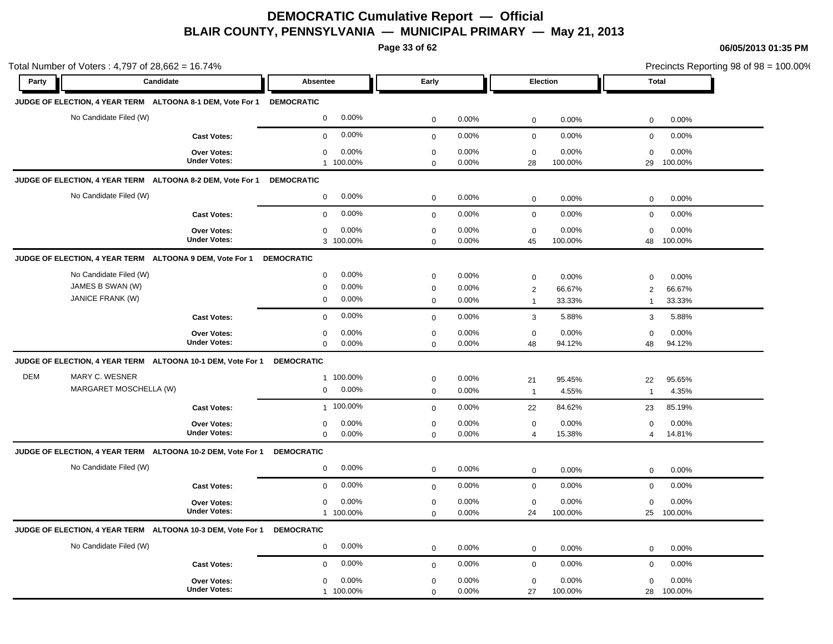**Page 33 of 62**

| Total Number of Voters: 4,797 of 28,662 = 16.74% |                                                                |                                                             |                                                                    |                                           |                         |                                                                            | Precincts Reporting 98 of 98 = 100.00%                                     |
|--------------------------------------------------|----------------------------------------------------------------|-------------------------------------------------------------|--------------------------------------------------------------------|-------------------------------------------|-------------------------|----------------------------------------------------------------------------|----------------------------------------------------------------------------|
| Party                                            | Candidate                                                      |                                                             | Absentee                                                           | Early                                     |                         | Election                                                                   | <b>Total</b>                                                               |
|                                                  |                                                                | JUDGE OF ELECTION, 4 YEAR TERM ALTOONA 8-1 DEM, Vote For 1  | <b>DEMOCRATIC</b>                                                  |                                           |                         |                                                                            |                                                                            |
|                                                  | No Candidate Filed (W)                                         |                                                             | 0.00%<br>$\mathbf 0$                                               | $\mathbf 0$                               | 0.00%                   | $\mathsf 0$<br>0.00%                                                       | 0.00%<br>$\mathsf 0$                                                       |
|                                                  |                                                                | <b>Cast Votes:</b>                                          | 0.00%<br>$\mathbf 0$                                               | $\mathsf 0$                               | 0.00%                   | $\mathbf 0$<br>0.00%                                                       | 0.00%<br>$\mathbf 0$                                                       |
|                                                  |                                                                | <b>Over Votes:</b><br><b>Under Votes:</b>                   | 0.00%<br>$\mathbf 0$<br>1 100.00%                                  | $\mathbf 0$<br>$\mathbf 0$                | 0.00%<br>0.00%          | 0.00%<br>$\mathbf 0$<br>28<br>100.00%                                      | 0.00%<br>$\mathbf 0$<br>29<br>100.00%                                      |
|                                                  | JUDGE OF ELECTION, 4 YEAR TERM ALTOONA 8-2 DEM, Vote For 1     |                                                             | <b>DEMOCRATIC</b>                                                  |                                           |                         |                                                                            |                                                                            |
|                                                  | No Candidate Filed (W)                                         |                                                             | 0.00%<br>$\mathbf 0$                                               | $\mathbf 0$                               | 0.00%                   | $\mathbf 0$<br>0.00%                                                       | 0.00%<br>$\mathbf 0$                                                       |
|                                                  |                                                                | <b>Cast Votes:</b>                                          | 0.00%<br>$\mathbf 0$                                               | $\mathbf 0$                               | 0.00%                   | $\mathbf 0$<br>0.00%                                                       | 0.00%<br>$\mathbf 0$                                                       |
|                                                  |                                                                | Over Votes:<br><b>Under Votes:</b>                          | 0.00%<br>$\mathbf 0$<br>3 100.00%                                  | $\mathbf 0$<br>$\mathbf 0$                | 0.00%<br>0.00%          | 0.00%<br>$\mathbf 0$<br>45<br>100.00%                                      | 0.00%<br>$\mathbf 0$<br>48<br>100.00%                                      |
|                                                  | JUDGE OF ELECTION, 4 YEAR TERM ALTOONA 9 DEM, Vote For 1       |                                                             | <b>DEMOCRATIC</b>                                                  |                                           |                         |                                                                            |                                                                            |
|                                                  | No Candidate Filed (W)<br>JAMES B SWAN (W)<br>JANICE FRANK (W) |                                                             | 0.00%<br>$\mathsf 0$<br>0.00%<br>$\pmb{0}$<br>$\mathbf 0$<br>0.00% | $\mathbf 0$<br>$\mathbf 0$<br>$\mathbf 0$ | 0.00%<br>0.00%<br>0.00% | $\mathbf 0$<br>0.00%<br>$\overline{2}$<br>66.67%<br>33.33%<br>$\mathbf{1}$ | 0.00%<br>$\mathbf 0$<br>66.67%<br>$\overline{2}$<br>33.33%<br>$\mathbf{1}$ |
|                                                  |                                                                | <b>Cast Votes:</b>                                          | 0.00%<br>$\mathbf 0$                                               | $\mathbf 0$                               | 0.00%                   | 3<br>5.88%                                                                 | 3<br>5.88%                                                                 |
|                                                  |                                                                | <b>Over Votes:</b><br><b>Under Votes:</b>                   | 0.00%<br>0<br>$\mathbf 0$<br>0.00%                                 | $\mathbf 0$<br>$\mathbf 0$                | 0.00%<br>0.00%          | $\mathbf 0$<br>0.00%<br>48<br>94.12%                                       | $\mathbf 0$<br>0.00%<br>94.12%<br>48                                       |
|                                                  |                                                                | JUDGE OF ELECTION, 4 YEAR TERM ALTOONA 10-1 DEM, Vote For 1 | <b>DEMOCRATIC</b>                                                  |                                           |                         |                                                                            |                                                                            |
| <b>DEM</b>                                       | MARY C. WESNER<br>MARGARET MOSCHELLA (W)                       |                                                             | 1 100.00%<br>0.00%<br>$\mathbf 0$                                  | $\mathbf 0$<br>$\mathbf 0$                | 0.00%<br>0.00%          | 21<br>95.45%<br>4.55%<br>$\overline{1}$                                    | 22<br>95.65%<br>$\mathbf{1}$<br>4.35%                                      |
|                                                  |                                                                | <b>Cast Votes:</b>                                          | 1 100.00%                                                          | $\mathbf 0$                               | 0.00%                   | 84.62%<br>22                                                               | 85.19%<br>23                                                               |
|                                                  |                                                                | Over Votes:<br><b>Under Votes:</b>                          | 0.00%<br>0<br>$\mathsf 0$<br>0.00%                                 | $\mathbf 0$<br>$\mathbf 0$                | 0.00%<br>0.00%          | $\mathsf 0$<br>0.00%<br>15.38%<br>$\overline{4}$                           | 0.00%<br>$\mathbf 0$<br>14.81%<br>4                                        |
|                                                  |                                                                | JUDGE OF ELECTION, 4 YEAR TERM ALTOONA 10-2 DEM, Vote For 1 | <b>DEMOCRATIC</b>                                                  |                                           |                         |                                                                            |                                                                            |
|                                                  | No Candidate Filed (W)                                         |                                                             | 0.00%<br>$\mathbf 0$                                               | $\mathbf 0$                               | 0.00%                   | 0.00%<br>$\mathbf 0$                                                       | 0.00%<br>$\mathbf 0$                                                       |
|                                                  |                                                                | <b>Cast Votes:</b>                                          | 0.00%<br>$\mathbf 0$                                               | $\mathbf 0$                               | 0.00%                   | $\mathbf 0$<br>0.00%                                                       | $\mathbf 0$<br>0.00%                                                       |
|                                                  |                                                                | Over Votes:<br><b>Under Votes:</b>                          | 0.00%<br>$\mathbf 0$<br>1 100.00%                                  | $\mathbf 0$<br>$\mathbf 0$                | 0.00%<br>0.00%          | 0.00%<br>$\mathbf 0$<br>24<br>100.00%                                      | 0.00%<br>$\mathbf 0$<br>25<br>100.00%                                      |
|                                                  |                                                                | JUDGE OF ELECTION, 4 YEAR TERM ALTOONA 10-3 DEM, Vote For 1 | <b>DEMOCRATIC</b>                                                  |                                           |                         |                                                                            |                                                                            |
|                                                  | No Candidate Filed (W)                                         |                                                             | 0.00%<br>$\mathbf 0$                                               | $\mathbf 0$                               | 0.00%                   | 0.00%<br>$\mathbf 0$                                                       | 0.00%<br>$\mathbf 0$                                                       |
|                                                  |                                                                | <b>Cast Votes:</b>                                          | 0.00%<br>$\mathbf 0$                                               | $\mathbf{0}$                              | 0.00%                   | $\mathbf 0$<br>0.00%                                                       | 0.00%<br>$\mathbf 0$                                                       |
|                                                  |                                                                | Over Votes:<br><b>Under Votes:</b>                          | 0.00%<br>$\mathbf 0$<br>1 100.00%                                  | $\mathbf 0$<br>$\mathbf 0$                | 0.00%<br>0.00%          | 0.00%<br>$\mathbf 0$<br>27<br>100.00%                                      | 0.00%<br>$\mathbf 0$<br>28<br>100.00%                                      |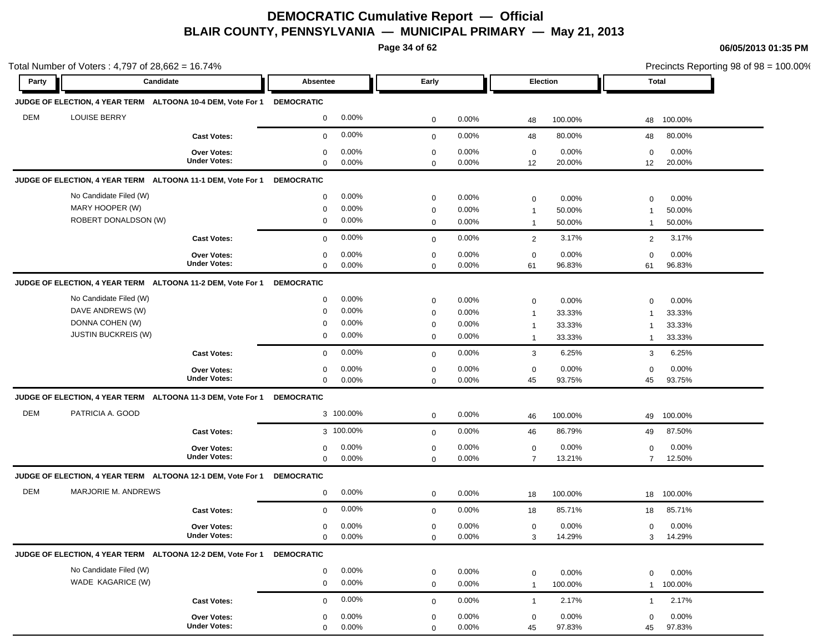**Page 34 of 62**

|            | Total Number of Voters: $4,797$ of $28,662 = 16.74\%$       |                     |                         |              |          |                           |                          | Precincts Reporting 98 of $98 = 100.00\%$ |
|------------|-------------------------------------------------------------|---------------------|-------------------------|--------------|----------|---------------------------|--------------------------|-------------------------------------------|
| Party      | Candidate                                                   |                     | <b>Absentee</b>         | Early        |          | <b>Election</b>           | Total                    |                                           |
|            | JUDGE OF ELECTION, 4 YEAR TERM ALTOONA 10-4 DEM, Vote For 1 |                     | <b>DEMOCRATIC</b>       |              |          |                           |                          |                                           |
| <b>DEM</b> | <b>LOUISE BERRY</b>                                         |                     | 0.00%<br>$\mathbf 0$    | $\mathbf 0$  | 0.00%    | 100.00%<br>48             | 100.00%<br>48            |                                           |
|            |                                                             | <b>Cast Votes:</b>  | 0.00%<br>$\mathbf 0$    | $\mathbf 0$  | $0.00\%$ | 80.00%<br>48              | 80.00%<br>48             |                                           |
|            |                                                             | Over Votes:         | 0.00%<br>0              | $\mathbf 0$  | $0.00\%$ | 0.00%<br>$\mathbf 0$      | $\mathbf 0$<br>0.00%     |                                           |
|            |                                                             | <b>Under Votes:</b> | 0.00%<br>$\mathbf 0$    | $\mathbf 0$  | $0.00\%$ | 12<br>20.00%              | 12<br>20.00%             |                                           |
|            | JUDGE OF ELECTION, 4 YEAR TERM ALTOONA 11-1 DEM, Vote For 1 |                     | <b>DEMOCRATIC</b>       |              |          |                           |                          |                                           |
|            | No Candidate Filed (W)                                      |                     | 0.00%<br>$\mathbf 0$    | $\mathbf 0$  | $0.00\%$ | 0.00%<br>$\mathbf 0$      | 0.00%<br>$\mathbf 0$     |                                           |
|            | MARY HOOPER (W)                                             |                     | 0.00%<br>0              | 0            | 0.00%    | 50.00%<br>$\mathbf{1}$    | 50.00%<br>-1             |                                           |
|            | ROBERT DONALDSON (W)                                        |                     | 0.00%<br>$\mathbf 0$    | $\mathbf 0$  | 0.00%    | 50.00%<br>$\mathbf{1}$    | 50.00%<br>$\mathbf{1}$   |                                           |
|            |                                                             | <b>Cast Votes:</b>  | 0.00%<br>$\mathbf 0$    | $\mathbf 0$  | $0.00\%$ | 3.17%<br>$\overline{2}$   | 3.17%<br>$\overline{2}$  |                                           |
|            |                                                             | Over Votes:         | 0.00%<br>$\mathbf 0$    | $\mathbf 0$  | $0.00\%$ | 0.00%<br>$\mathbf 0$      | 0.00%<br>0               |                                           |
|            |                                                             | <b>Under Votes:</b> | 0.00%<br>$\mathbf 0$    | 0            | $0.00\%$ | 96.83%<br>61              | 61<br>96.83%             |                                           |
|            | JUDGE OF ELECTION, 4 YEAR TERM ALTOONA 11-2 DEM, Vote For 1 |                     | <b>DEMOCRATIC</b>       |              |          |                           |                          |                                           |
|            | No Candidate Filed (W)                                      |                     | 0.00%<br>$\mathbf 0$    | $\mathbf 0$  | $0.00\%$ | $\mathbf 0$<br>0.00%      | 0.00%<br>$\mathbf 0$     |                                           |
|            | DAVE ANDREWS (W)                                            |                     | 0.00%<br>$\mathbf 0$    | $\mathbf 0$  | 0.00%    | 33.33%<br>$\mathbf{1}$    | 33.33%<br>$\mathbf{1}$   |                                           |
|            | DONNA COHEN (W)                                             |                     | 0.00%<br>0              | $\mathbf 0$  | $0.00\%$ | 33.33%<br>$\mathbf{1}$    | 33.33%<br>$\mathbf{1}$   |                                           |
|            | <b>JUSTIN BUCKREIS (W)</b>                                  |                     | 0.00%<br>$\mathbf 0$    | $\mathbf 0$  | $0.00\%$ | 33.33%<br>$\overline{1}$  | 33.33%<br>$\mathbf{1}$   |                                           |
|            |                                                             | <b>Cast Votes:</b>  | 0.00%<br>$\mathbf 0$    | $\mathbf{0}$ | 0.00%    | 3<br>6.25%                | 6.25%<br>3               |                                           |
|            |                                                             | Over Votes:         | 0.00%<br>0              | $\mathbf 0$  | $0.00\%$ | 0.00%<br>$\mathbf 0$      | 0.00%<br>$\mathbf 0$     |                                           |
|            |                                                             | <b>Under Votes:</b> | $\mathbf 0$<br>0.00%    | $\mathbf 0$  | 0.00%    | 93.75%<br>45              | 93.75%<br>45             |                                           |
|            | JUDGE OF ELECTION, 4 YEAR TERM ALTOONA 11-3 DEM, Vote For 1 |                     | <b>DEMOCRATIC</b>       |              |          |                           |                          |                                           |
| <b>DEM</b> | PATRICIA A. GOOD                                            |                     | 3 100.00%               | $\mathbf 0$  | 0.00%    | 100.00%<br>46             | 100.00%<br>49            |                                           |
|            |                                                             | <b>Cast Votes:</b>  | 3 100.00%               | $\mathbf 0$  | $0.00\%$ | 86.79%<br>46              | 49<br>87.50%             |                                           |
|            |                                                             | Over Votes:         | 0.00%<br>0              | $\mathbf 0$  | 0.00%    | 0.00%<br>$\mathbf 0$      | $\mathbf 0$<br>0.00%     |                                           |
|            |                                                             | <b>Under Votes:</b> | $\mathbf{0}$<br>0.00%   | $\mathbf 0$  | $0.00\%$ | $\overline{7}$<br>13.21%  | $\overline{7}$<br>12.50% |                                           |
|            | JUDGE OF ELECTION, 4 YEAR TERM ALTOONA 12-1 DEM, Vote For 1 |                     | <b>DEMOCRATIC</b>       |              |          |                           |                          |                                           |
| <b>DEM</b> | <b>MARJORIE M. ANDREWS</b>                                  |                     | 0.00%<br>$\overline{0}$ | 0            | 0.00%    | 100.00%<br>18             | 100.00%<br>18            |                                           |
|            |                                                             | <b>Cast Votes:</b>  | 0.00%<br>$\mathbf 0$    | $\mathbf 0$  | 0.00%    | 85.71%<br>18              | 85.71%<br>18             |                                           |
|            |                                                             | <b>Over Votes:</b>  | 0.00%<br>0              | 0            | 0.00%    | 0.00%<br>0                | 0.00%<br>$\mathbf 0$     |                                           |
|            |                                                             | <b>Under Votes:</b> | $\mathbf 0$<br>0.00%    | 0            | $0.00\%$ | 3<br>14.29%               | 14.29%<br>3              |                                           |
|            | JUDGE OF ELECTION, 4 YEAR TERM ALTOONA 12-2 DEM, Vote For 1 |                     | <b>DEMOCRATIC</b>       |              |          |                           |                          |                                           |
|            | No Candidate Filed (W)                                      |                     | 0.00%<br>$\mathbf 0$    | $\mathbf 0$  | 0.00%    | 0.00%<br>$\mathbf 0$      | 0.00%<br>$\mathbf 0$     |                                           |
|            | WADE KAGARICE (W)                                           |                     | 0.00%<br>$\mathbf 0$    | $\mathbf 0$  | 0.00%    | 100.00%<br>$\overline{1}$ | 100.00%<br>$\mathbf{1}$  |                                           |
|            |                                                             | <b>Cast Votes:</b>  | 0.00%<br>$\mathbf 0$    | $\mathbf 0$  | 0.00%    | 2.17%<br>$\overline{1}$   | 2.17%<br>$\mathbf{1}$    |                                           |
|            |                                                             | Over Votes:         | 0.00%<br>$\mathbf 0$    | 0            | $0.00\%$ | 0.00%<br>$\mathbf 0$      | 0.00%<br>$\mathbf 0$     |                                           |
|            |                                                             | <b>Under Votes:</b> | $0.00\%$<br>$\mathbf 0$ | $\Omega$     | 0.00%    | 45<br>97.83%              | 97.83%<br>45             |                                           |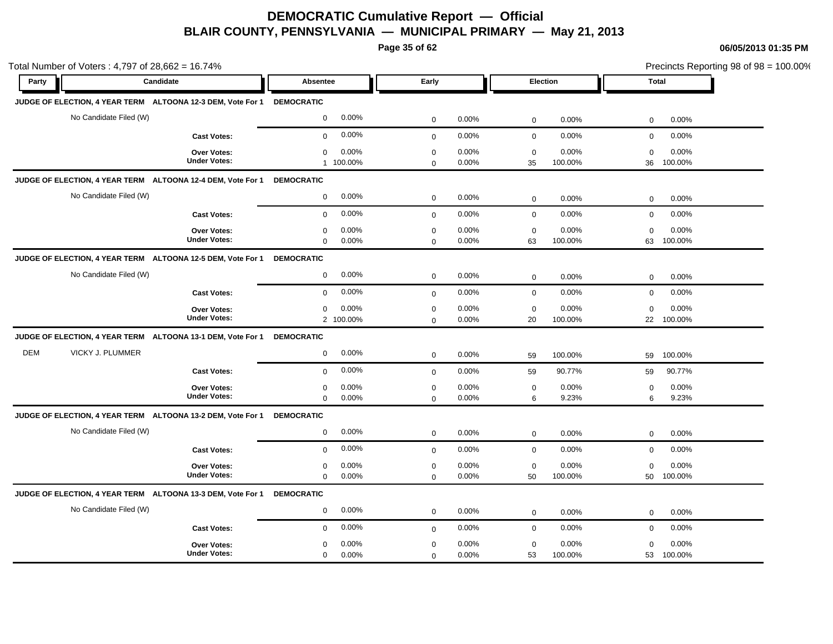**Page 35 of 62**

| Total Number of Voters: 4,797 of 28,662 = 16.74% |                                                                        |                                              |                                              |                                       | Precincts Reporting 98 of 98 = 100.00% |
|--------------------------------------------------|------------------------------------------------------------------------|----------------------------------------------|----------------------------------------------|---------------------------------------|----------------------------------------|
| Party                                            | Candidate                                                              | <b>Absentee</b>                              | Early                                        | Election                              | Total                                  |
|                                                  | JUDGE OF ELECTION, 4 YEAR TERM ALTOONA 12-3 DEM, Vote For 1 DEMOCRATIC |                                              |                                              |                                       |                                        |
|                                                  | No Candidate Filed (W)                                                 | 0.00%<br>$\mathbf 0$                         | $\mathbf 0$<br>0.00%                         | $\mathbf 0$<br>0.00%                  | 0.00%<br>$\mathbf 0$                   |
|                                                  | <b>Cast Votes:</b>                                                     | 0.00%<br>$\mathbf 0$                         | 0.00%<br>$\mathbf 0$                         | $\mathbf 0$<br>0.00%                  | $\mathbf 0$<br>0.00%                   |
|                                                  | Over Votes:<br><b>Under Votes:</b>                                     | 0.00%<br>0<br>1 100.00%                      | $\mathbf 0$<br>0.00%<br>0.00%<br>$\mathbf 0$ | $\mathbf 0$<br>0.00%<br>35<br>100.00% | $\mathbf 0$<br>0.00%<br>36<br>100.00%  |
|                                                  | JUDGE OF ELECTION, 4 YEAR TERM ALTOONA 12-4 DEM, Vote For 1            | <b>DEMOCRATIC</b>                            |                                              |                                       |                                        |
|                                                  | No Candidate Filed (W)                                                 | 0.00%<br>$\mathbf 0$                         | $\mathbf 0$<br>0.00%                         | 0.00%<br>$\mathbf 0$                  | 0.00%<br>0                             |
|                                                  | <b>Cast Votes:</b>                                                     | 0.00%<br>$\mathbf 0$                         | 0.00%<br>$\mathbf{0}$                        | 0.00%<br>$\mathbf 0$                  | $\mathbf 0$<br>0.00%                   |
|                                                  | <b>Over Votes:</b><br><b>Under Votes:</b>                              | 0.00%<br>0<br>0.00%<br>$\mathbf 0$           | $\mathbf 0$<br>0.00%<br>0.00%<br>$\mathbf 0$ | 0.00%<br>$\mathbf 0$<br>63<br>100.00% | 0.00%<br>0<br>100.00%<br>63            |
|                                                  | JUDGE OF ELECTION, 4 YEAR TERM ALTOONA 12-5 DEM, Vote For 1            | <b>DEMOCRATIC</b>                            |                                              |                                       |                                        |
|                                                  | No Candidate Filed (W)                                                 | 0.00%<br>$\mathbf 0$                         | $\pmb{0}$<br>0.00%                           | 0.00%<br>$\mathbf 0$                  | $\mathbf 0$<br>0.00%                   |
|                                                  | <b>Cast Votes:</b>                                                     | 0.00%<br>$\mathbf 0$                         | 0.00%<br>$\mathbf 0$                         | 0.00%<br>$\mathbf 0$                  | 0.00%<br>$\mathbf 0$                   |
|                                                  | <b>Over Votes:</b><br><b>Under Votes:</b>                              | 0.00%<br>$\mathbf 0$<br>2 100.00%            | $\mathbf 0$<br>0.00%<br>0.00%<br>$\mathbf 0$ | $\mathbf 0$<br>0.00%<br>100.00%<br>20 | $\mathbf 0$<br>0.00%<br>100.00%<br>22  |
|                                                  | JUDGE OF ELECTION, 4 YEAR TERM ALTOONA 13-1 DEM, Vote For 1            | <b>DEMOCRATIC</b>                            |                                              |                                       |                                        |
| <b>DEM</b>                                       | VICKY J. PLUMMER                                                       | 0.00%<br>$\mathbf 0$                         | $\mathsf 0$<br>0.00%                         | 100.00%<br>59                         | 100.00%<br>59                          |
|                                                  | <b>Cast Votes:</b>                                                     | 0.00%<br>$\mathbf 0$                         | 0.00%<br>$\mathbf 0$                         | 90.77%<br>59                          | 90.77%<br>59                           |
|                                                  | Over Votes:<br><b>Under Votes:</b>                                     | 0.00%<br>$\mathbf 0$<br>$\mathbf 0$<br>0.00% | $\pmb{0}$<br>0.00%<br>0.00%<br>$\mathbf 0$   | $\mathbf 0$<br>0.00%<br>9.23%<br>6    | $\mathsf 0$<br>0.00%<br>9.23%<br>6     |
|                                                  | JUDGE OF ELECTION, 4 YEAR TERM ALTOONA 13-2 DEM, Vote For 1            | <b>DEMOCRATIC</b>                            |                                              |                                       |                                        |
|                                                  | No Candidate Filed (W)                                                 | 0.00%<br>$\mathbf 0$                         | $\mathbf 0$<br>0.00%                         | 0.00%<br>$\mathbf 0$                  | 0.00%<br>0                             |
|                                                  | <b>Cast Votes:</b>                                                     | 0.00%<br>$\mathbf 0$                         | 0.00%<br>$\mathbf 0$                         | $\mathbf 0$<br>0.00%                  | $\mathbf 0$<br>0.00%                   |
|                                                  | Over Votes:<br><b>Under Votes:</b>                                     | 0.00%<br>0<br>$\mathbf 0$<br>0.00%           | 0.00%<br>$\mathbf 0$<br>0.00%<br>$\mathsf 0$ | 0.00%<br>$\mathbf 0$<br>100.00%<br>50 | 0.00%<br>0<br>50<br>100.00%            |
|                                                  | JUDGE OF ELECTION, 4 YEAR TERM ALTOONA 13-3 DEM, Vote For 1            | <b>DEMOCRATIC</b>                            |                                              |                                       |                                        |
|                                                  | No Candidate Filed (W)                                                 | 0.00%<br>$\mathbf 0$                         | 0.00%<br>$\mathbf 0$                         | 0.00%<br>$\mathbf 0$                  | 0.00%<br>$\mathbf 0$                   |
|                                                  | <b>Cast Votes:</b>                                                     | 0.00%<br>$\mathbf 0$                         | 0.00%<br>$\mathbf 0$                         | 0.00%<br>$\mathbf 0$                  | 0.00%<br>$\mathbf 0$                   |
|                                                  | Over Votes:<br><b>Under Votes:</b>                                     | 0.00%<br>$\mathbf 0$<br>0.00%<br>$\mathbf 0$ | 0.00%<br>$\mathbf 0$<br>0.00%<br>$\mathbf 0$ | 0.00%<br>$\mathbf 0$<br>100.00%<br>53 | 0.00%<br>$\mathbf 0$<br>100.00%<br>53  |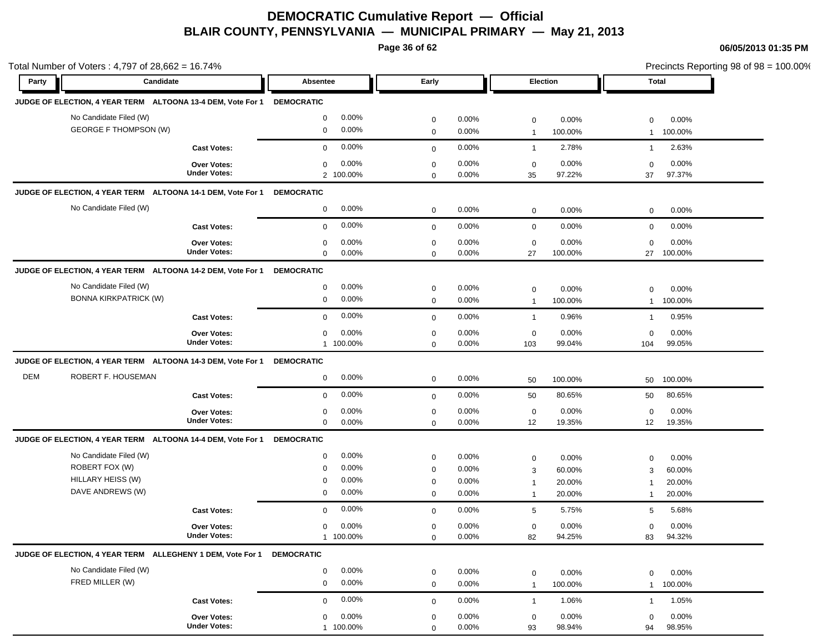**Page 36 of 62**

|       | Total Number of Voters: 4,797 of 28,662 = 16.74%            |                     |                         |             |          |                  |         | Precincts Reporting 98 of 98 = 100.00% |         |  |
|-------|-------------------------------------------------------------|---------------------|-------------------------|-------------|----------|------------------|---------|----------------------------------------|---------|--|
| Party | Candidate                                                   |                     | Absentee                | Early       |          | Election         |         |                                        | Total   |  |
|       | JUDGE OF ELECTION, 4 YEAR TERM ALTOONA 13-4 DEM, Vote For 1 |                     | <b>DEMOCRATIC</b>       |             |          |                  |         |                                        |         |  |
|       | No Candidate Filed (W)                                      |                     | 0.00%<br>$\mathbf 0$    | $\mathbf 0$ | 0.00%    | $\boldsymbol{0}$ | 0.00%   | $\mathbf 0$                            | 0.00%   |  |
|       | <b>GEORGE F THOMPSON (W)</b>                                |                     | 0.00%<br>0              | $\mathbf 0$ | 0.00%    | $\mathbf{1}$     | 100.00% | $\mathbf{1}$                           | 100.00% |  |
|       |                                                             | <b>Cast Votes:</b>  | 0.00%<br>$\mathbf{0}$   | $\mathbf 0$ | 0.00%    | $\overline{1}$   | 2.78%   | $\mathbf{1}$                           | 2.63%   |  |
|       |                                                             | <b>Over Votes:</b>  | 0.00%<br>0              | $\mathbf 0$ | 0.00%    | $\mathbf 0$      | 0.00%   | $\mathbf 0$                            | 0.00%   |  |
|       |                                                             | <b>Under Votes:</b> | 2 100.00%               | $\mathbf 0$ | 0.00%    | 35               | 97.22%  | 37                                     | 97.37%  |  |
|       | JUDGE OF ELECTION, 4 YEAR TERM ALTOONA 14-1 DEM, Vote For 1 |                     | <b>DEMOCRATIC</b>       |             |          |                  |         |                                        |         |  |
|       | No Candidate Filed (W)                                      |                     | 0.00%<br>0              | $\mathbf 0$ | $0.00\%$ | $\mathbf 0$      | 0.00%   | $\mathbf 0$                            | 0.00%   |  |
|       |                                                             | <b>Cast Votes:</b>  | 0.00%<br>0              | $\mathbf 0$ | 0.00%    | $\mathbf 0$      | 0.00%   | $\mathbf 0$                            | 0.00%   |  |
|       |                                                             | <b>Over Votes:</b>  | 0.00%<br>0              | $\mathbf 0$ | 0.00%    | $\mathbf 0$      | 0.00%   | $\mathbf 0$                            | 0.00%   |  |
|       |                                                             | <b>Under Votes:</b> | $0.00\%$<br>$\mathbf 0$ | $\mathbf 0$ | 0.00%    | 27               | 100.00% | 27                                     | 100.00% |  |
|       | JUDGE OF ELECTION, 4 YEAR TERM ALTOONA 14-2 DEM, Vote For 1 |                     | <b>DEMOCRATIC</b>       |             |          |                  |         |                                        |         |  |
|       | No Candidate Filed (W)                                      |                     | 0.00%<br>0              | 0           | 0.00%    | $\mathbf 0$      | 0.00%   | $\mathbf 0$                            | 0.00%   |  |
|       | <b>BONNA KIRKPATRICK (W)</b>                                |                     | $0.00\%$<br>0           | $\mathbf 0$ | 0.00%    | $\mathbf{1}$     | 100.00% | $\mathbf{1}$                           | 100.00% |  |
|       |                                                             | <b>Cast Votes:</b>  | 0.00%<br>$\mathbf{0}$   | $\mathbf 0$ | 0.00%    | $\overline{1}$   | 0.96%   | $\mathbf{1}$                           | 0.95%   |  |
|       |                                                             | Over Votes:         | 0.00%<br>0              | 0           | 0.00%    | 0                | 0.00%   | $\mathbf 0$                            | 0.00%   |  |
|       |                                                             | <b>Under Votes:</b> | 1 100.00%               | $\mathbf 0$ | 0.00%    | 103              | 99.04%  | 104                                    | 99.05%  |  |
|       | JUDGE OF ELECTION, 4 YEAR TERM ALTOONA 14-3 DEM, Vote For 1 |                     | <b>DEMOCRATIC</b>       |             |          |                  |         |                                        |         |  |
| DEM   | ROBERT F. HOUSEMAN                                          |                     | 0.00%<br>0              | $\mathbf 0$ | 0.00%    | 50               | 100.00% | 50                                     | 100.00% |  |
|       |                                                             | <b>Cast Votes:</b>  | 0.00%<br>0              | $\mathbf 0$ | 0.00%    | 50               | 80.65%  | 50                                     | 80.65%  |  |
|       |                                                             | <b>Over Votes:</b>  | $0.00\%$<br>0           | $\mathbf 0$ | 0.00%    | $\mathbf 0$      | 0.00%   | $\mathbf 0$                            | 0.00%   |  |
|       |                                                             | <b>Under Votes:</b> | 0.00%<br>0              | $\mathbf 0$ | 0.00%    | 12               | 19.35%  | 12 <sup>2</sup>                        | 19.35%  |  |
|       | JUDGE OF ELECTION, 4 YEAR TERM ALTOONA 14-4 DEM, Vote For 1 |                     | <b>DEMOCRATIC</b>       |             |          |                  |         |                                        |         |  |
|       | No Candidate Filed (W)                                      |                     | 0.00%<br>0              | $\mathbf 0$ | 0.00%    | $\mathbf 0$      | 0.00%   | 0                                      | 0.00%   |  |
|       | ROBERT FOX (W)                                              |                     | 0.00%<br>$\mathbf 0$    | $\mathbf 0$ | 0.00%    | 3                | 60.00%  | 3                                      | 60.00%  |  |
|       | HILLARY HEISS (W)                                           |                     | 0.00%<br>0              | $\mathbf 0$ | 0.00%    | $\mathbf{1}$     | 20.00%  | $\mathbf 1$                            | 20.00%  |  |
|       | DAVE ANDREWS (W)                                            |                     | 0.00%<br>0              | $\mathbf 0$ | $0.00\%$ | $\overline{1}$   | 20.00%  | $\mathbf 1$                            | 20.00%  |  |
|       |                                                             | <b>Cast Votes:</b>  | $0.00\%$<br>0           | $\mathbf 0$ | 0.00%    | 5                | 5.75%   | 5                                      | 5.68%   |  |
|       |                                                             | <b>Over Votes:</b>  | $0.00\%$<br>0           | $\mathbf 0$ | 0.00%    | $\mathbf 0$      | 0.00%   | $\mathbf 0$                            | 0.00%   |  |
|       |                                                             | <b>Under Votes:</b> | 1 100.00%               | $\mathbf 0$ | 0.00%    | 82               | 94.25%  | 83                                     | 94.32%  |  |
|       | JUDGE OF ELECTION, 4 YEAR TERM ALLEGHENY 1 DEM, Vote For 1  |                     | <b>DEMOCRATIC</b>       |             |          |                  |         |                                        |         |  |
|       | No Candidate Filed (W)                                      |                     | 0.00%<br>$\mathbf 0$    | $\mathbf 0$ | 0.00%    | $\mathbf 0$      | 0.00%   | $\mathbf 0$                            | 0.00%   |  |
|       | FRED MILLER (W)                                             |                     | 0.00%<br>0              | $\mathbf 0$ | 0.00%    | $\mathbf{1}$     | 100.00% | $\mathbf{1}$                           | 100.00% |  |
|       |                                                             | <b>Cast Votes:</b>  | 0.00%<br>0              | $\mathbf 0$ | $0.00\%$ | $\overline{1}$   | 1.06%   | $\mathbf{1}$                           | 1.05%   |  |
|       |                                                             | Over Votes:         | 0.00%<br>0              | 0           | 0.00%    | $\mathbf 0$      | 0.00%   | $\mathbf 0$                            | 0.00%   |  |
|       |                                                             | <b>Under Votes:</b> | 1 100.00%               | $\Omega$    | 0.00%    | 93               | 98.94%  | 94                                     | 98.95%  |  |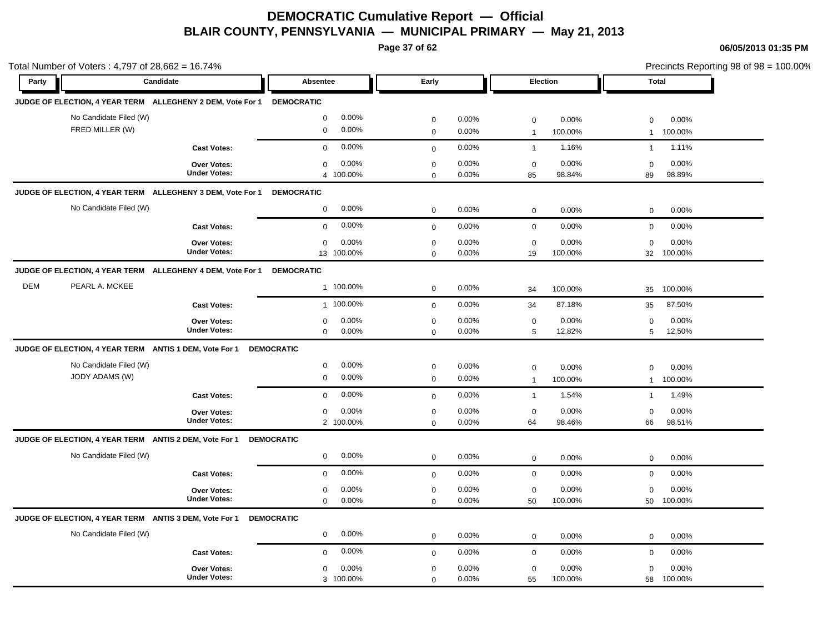**Page 37 of 62**

|            | Total Number of Voters: 4,797 of 28,662 = 16.74%           |                                           |                                              |                            |                |                   |                  | Precincts Reporting 98 of 98 = 100.00% |                  |  |  |
|------------|------------------------------------------------------------|-------------------------------------------|----------------------------------------------|----------------------------|----------------|-------------------|------------------|----------------------------------------|------------------|--|--|
| Party      | Candidate                                                  |                                           | <b>Absentee</b>                              | Early                      |                | Election          |                  |                                        | <b>Total</b>     |  |  |
|            | JUDGE OF ELECTION, 4 YEAR TERM ALLEGHENY 2 DEM, Vote For 1 |                                           | <b>DEMOCRATIC</b>                            |                            |                |                   |                  |                                        |                  |  |  |
|            | No Candidate Filed (W)                                     |                                           | 0.00%<br>$\boldsymbol{0}$                    | $\mathbf 0$                | 0.00%          | $\mathsf 0$       | 0.00%            | $\mathbf 0$                            | 0.00%            |  |  |
|            | FRED MILLER (W)                                            |                                           | 0.00%<br>$\mathbf 0$                         | $\mathbf 0$                | 0.00%          | $\overline{1}$    | 100.00%          | $\mathbf{1}$                           | 100.00%          |  |  |
|            |                                                            | <b>Cast Votes:</b>                        | 0.00%<br>$\mathbf 0$                         | $\mathbf 0$                | 0.00%          | $\mathbf{1}$      | 1.16%            | $\mathbf{1}$                           | 1.11%            |  |  |
|            |                                                            | Over Votes:<br><b>Under Votes:</b>        | 0.00%<br>$\mathbf 0$<br>4 100.00%            | $\mathbf 0$<br>$\mathbf 0$ | 0.00%<br>0.00% | $\mathbf 0$<br>85 | 0.00%<br>98.84%  | $\mathbf 0$<br>89                      | 0.00%<br>98.89%  |  |  |
|            | JUDGE OF ELECTION, 4 YEAR TERM ALLEGHENY 3 DEM, Vote For 1 |                                           | <b>DEMOCRATIC</b>                            |                            |                |                   |                  |                                        |                  |  |  |
|            | No Candidate Filed (W)                                     |                                           | 0.00%<br>$\mathbf 0$                         | $\mathbf 0$                | 0.00%          | $\mathbf 0$       | 0.00%            | $\mathbf 0$                            | 0.00%            |  |  |
|            |                                                            | <b>Cast Votes:</b>                        | 0.00%<br>$\mathbf 0$                         | $\mathbf 0$                | 0.00%          | $\mathbf 0$       | 0.00%            | $\mathbf 0$                            | 0.00%            |  |  |
|            |                                                            | <b>Over Votes:</b><br><b>Under Votes:</b> | 0.00%<br>$\mathbf 0$<br>13 100.00%           | $\mathbf 0$<br>$\mathbf 0$ | 0.00%<br>0.00% | $\mathbf 0$<br>19 | 0.00%<br>100.00% | $\Omega$<br>32                         | 0.00%<br>100.00% |  |  |
|            | JUDGE OF ELECTION, 4 YEAR TERM ALLEGHENY 4 DEM, Vote For 1 |                                           | <b>DEMOCRATIC</b>                            |                            |                |                   |                  |                                        |                  |  |  |
| <b>DEM</b> | PEARL A. MCKEE                                             |                                           | 1 100.00%                                    | $\pmb{0}$                  | 0.00%          | 34                | 100.00%          | 35                                     | 100.00%          |  |  |
|            |                                                            | <b>Cast Votes:</b>                        | 1 100.00%                                    | $\mathbf 0$                | 0.00%          | 34                | 87.18%           | 35                                     | 87.50%           |  |  |
|            |                                                            | Over Votes:                               | 0.00%<br>$\mathbf 0$                         | $\mathbf 0$                | 0.00%          | $\mathbf 0$       | 0.00%            | $\mathbf 0$                            | 0.00%            |  |  |
|            |                                                            | <b>Under Votes:</b>                       | 0.00%<br>$\mathbf 0$                         | $\mathbf 0$                | 0.00%          | 5                 | 12.82%           | 5                                      | 12.50%           |  |  |
|            | JUDGE OF ELECTION, 4 YEAR TERM ANTIS 1 DEM, Vote For 1     |                                           | <b>DEMOCRATIC</b>                            |                            |                |                   |                  |                                        |                  |  |  |
|            | No Candidate Filed (W)                                     |                                           | 0.00%<br>$\mathbf 0$                         | $\pmb{0}$                  | 0.00%          | $\mathbf 0$       | 0.00%            | $\mathbf 0$                            | 0.00%            |  |  |
|            | JODY ADAMS (W)                                             |                                           | $\mathbf 0$<br>0.00%                         | $\mathbf 0$                | 0.00%          | $\overline{1}$    | 100.00%          | $\mathbf{1}$                           | 100.00%          |  |  |
|            |                                                            | <b>Cast Votes:</b>                        | 0.00%<br>$\mathbf 0$                         | $\mathbf{0}$               | 0.00%          | $\overline{1}$    | 1.54%            | $\mathbf{1}$                           | 1.49%            |  |  |
|            |                                                            | Over Votes:<br><b>Under Votes:</b>        | 0.00%<br>$\mathbf 0$                         | $\mathbf 0$                | 0.00%          | $\mathbf 0$       | 0.00%            | $\mathbf 0$                            | 0.00%            |  |  |
|            |                                                            |                                           | 2 100.00%                                    | $\mathbf 0$                | 0.00%          | 64                | 98.46%           | 66                                     | 98.51%           |  |  |
|            | JUDGE OF ELECTION, 4 YEAR TERM ANTIS 2 DEM, Vote For 1     |                                           | <b>DEMOCRATIC</b>                            |                            |                |                   |                  |                                        |                  |  |  |
|            | No Candidate Filed (W)                                     |                                           | 0.00%<br>0                                   | $\mathbf 0$                | 0.00%          | $\mathbf 0$       | 0.00%            | 0                                      | 0.00%            |  |  |
|            |                                                            | <b>Cast Votes:</b>                        | 0.00%<br>$\mathbf 0$                         | $\mathbf 0$                | 0.00%          | $\mathbf 0$       | 0.00%            | 0                                      | 0.00%            |  |  |
|            |                                                            | Over Votes:<br><b>Under Votes:</b>        | 0.00%<br>$\mathbf 0$<br>$\mathbf 0$<br>0.00% | $\mathbf 0$<br>$\Omega$    | 0.00%<br>0.00% | $\mathbf 0$<br>50 | 0.00%<br>100.00% | $\mathbf 0$<br>50                      | 0.00%<br>100.00% |  |  |
|            | JUDGE OF ELECTION, 4 YEAR TERM ANTIS 3 DEM, Vote For 1     |                                           | <b>DEMOCRATIC</b>                            |                            |                |                   |                  |                                        |                  |  |  |
|            | No Candidate Filed (W)                                     |                                           | 0.00%<br>$\mathbf 0$                         | $\mathbf 0$                | 0.00%          | $\mathbf 0$       | 0.00%            | $\mathbf 0$                            | 0.00%            |  |  |
|            |                                                            | <b>Cast Votes:</b>                        | 0.00%<br>$\mathbf 0$                         | $\mathbf 0$                | 0.00%          | $\mathbf 0$       | 0.00%            | $\mathbf 0$                            | 0.00%            |  |  |
|            |                                                            | Over Votes:                               | 0.00%<br>0                                   | $\mathbf 0$                | 0.00%          | $\mathbf 0$       | 0.00%            | $\mathbf 0$                            | 0.00%            |  |  |
|            |                                                            | <b>Under Votes:</b>                       | 3 100.00%                                    | $\mathbf 0$                | 0.00%          | 55                | 100.00%          | 58                                     | 100.00%          |  |  |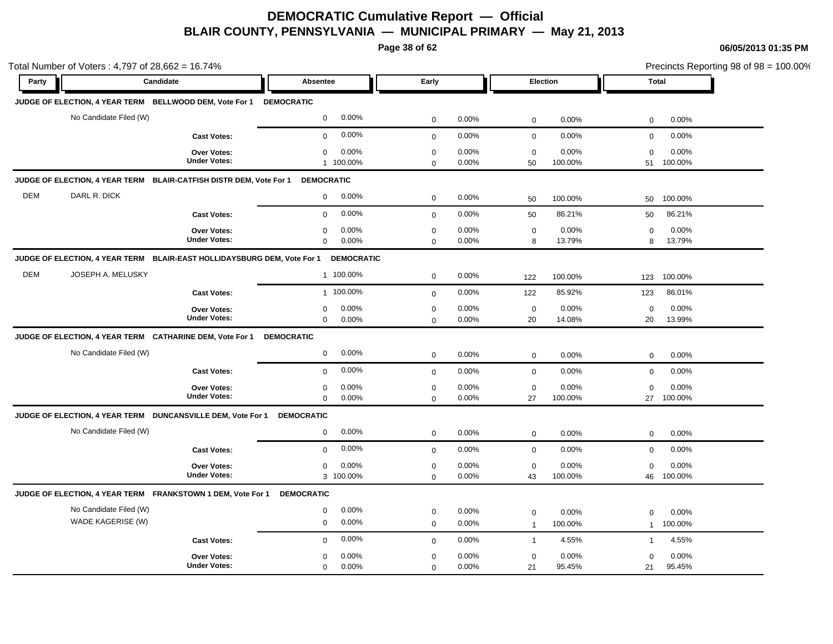**Page 38 of 62**

|            | Total Number of Voters: 4,797 of 28,662 = 16.74%                        |                                           |                                              |                            |                |                               |                  |                          |                     | Precincts Reporting 98 of 98 = 100.00% |
|------------|-------------------------------------------------------------------------|-------------------------------------------|----------------------------------------------|----------------------------|----------------|-------------------------------|------------------|--------------------------|---------------------|----------------------------------------|
| Party      | Candidate                                                               |                                           | Absentee                                     | Early                      |                |                               | Election         | <b>Total</b>             |                     |                                        |
|            | JUDGE OF ELECTION, 4 YEAR TERM BELLWOOD DEM, Vote For 1 DEMOCRATIC      |                                           |                                              |                            |                |                               |                  |                          |                     |                                        |
|            | No Candidate Filed (W)                                                  |                                           | 0.00%<br>$\mathbf 0$                         | $\mathbf 0$                | 0.00%          | $\mathbf 0$                   | 0.00%            | $\mathbf 0$              | 0.00%               |                                        |
|            |                                                                         | <b>Cast Votes:</b>                        | 0.00%<br>$\mathbf 0$                         | $\mathbf 0$                | 0.00%          | $\mathbf 0$                   | 0.00%            | $\mathbf 0$              | 0.00%               |                                        |
|            |                                                                         | Over Votes:<br><b>Under Votes:</b>        | 0.00%<br>$\mathbf 0$<br>1 100.00%            | $\pmb{0}$<br>$\mathbf 0$   | 0.00%<br>0.00% | $\mathbf 0$<br>50             | 0.00%<br>100.00% | $\mathbf 0$<br>51        | 0.00%<br>100.00%    |                                        |
|            | JUDGE OF ELECTION, 4 YEAR TERM BLAIR-CATFISH DISTR DEM, Vote For 1      |                                           | <b>DEMOCRATIC</b>                            |                            |                |                               |                  |                          |                     |                                        |
| <b>DEM</b> | DARL R. DICK                                                            |                                           | 0.00%<br>$\mathbf 0$                         | $\mathbf 0$                | 0.00%          | 50                            | 100.00%          | 50                       | 100.00%             |                                        |
|            |                                                                         | <b>Cast Votes:</b>                        | 0.00%<br>$\mathbf 0$                         | $\mathbf 0$                | 0.00%          | 50                            | 86.21%           | 50                       | 86.21%              |                                        |
|            |                                                                         | <b>Over Votes:</b><br><b>Under Votes:</b> | 0.00%<br>0<br>0.00%<br>$\mathbf 0$           | $\mathbf 0$<br>$\mathbf 0$ | 0.00%<br>0.00% | $\mathbf 0$<br>8              | 0.00%<br>13.79%  | 0<br>8                   | 0.00%<br>13.79%     |                                        |
|            | JUDGE OF ELECTION, 4 YEAR TERM BLAIR-EAST HOLLIDAYSBURG DEM, Vote For 1 |                                           | <b>DEMOCRATIC</b>                            |                            |                |                               |                  |                          |                     |                                        |
| <b>DEM</b> | JOSEPH A. MELUSKY                                                       |                                           | 1 100.00%                                    | $\mathbf 0$                | 0.00%          | 122                           | 100.00%          | 123                      | 100.00%             |                                        |
|            |                                                                         | <b>Cast Votes:</b>                        | 1 100.00%                                    | $\mathbf 0$                | 0.00%          | 122                           | 85.92%           | 123                      | 86.01%              |                                        |
|            |                                                                         | <b>Over Votes:</b><br><b>Under Votes:</b> | 0.00%<br>$\mathbf 0$<br>0.00%<br>$\mathbf 0$ | $\mathbf 0$<br>$\mathsf 0$ | 0.00%<br>0.00% | $\mathbf 0$<br>20             | 0.00%<br>14.08%  | $\mathbf 0$<br>20        | 0.00%<br>13.99%     |                                        |
|            | JUDGE OF ELECTION, 4 YEAR TERM CATHARINE DEM, Vote For 1                |                                           | <b>DEMOCRATIC</b>                            |                            |                |                               |                  |                          |                     |                                        |
|            | No Candidate Filed (W)                                                  |                                           | 0.00%<br>$\mathbf 0$                         | $\mathbf 0$                | 0.00%          | $\mathbf 0$                   | 0.00%            | $\mathbf 0$              | 0.00%               |                                        |
|            |                                                                         | <b>Cast Votes:</b>                        | 0.00%<br>$\mathbf 0$                         | $\mathsf 0$                | 0.00%          | $\mathbf 0$                   | 0.00%            | $\mathbf 0$              | 0.00%               |                                        |
|            |                                                                         | <b>Over Votes:</b><br><b>Under Votes:</b> | 0.00%<br>0<br>0.00%<br>$\mathbf 0$           | $\mathbf 0$<br>$\mathbf 0$ | 0.00%<br>0.00% | $\mathbf 0$<br>27             | 0.00%<br>100.00% | $\mathbf 0$              | 0.00%<br>27 100.00% |                                        |
|            | JUDGE OF ELECTION, 4 YEAR TERM DUNCANSVILLE DEM, Vote For 1             |                                           | <b>DEMOCRATIC</b>                            |                            |                |                               |                  |                          |                     |                                        |
|            | No Candidate Filed (W)                                                  |                                           | 0.00%<br>$\mathbf 0$                         | $\mathsf{O}\xspace$        | 0.00%          | $\mathbf 0$                   | 0.00%            | $\mathbf 0$              | 0.00%               |                                        |
|            |                                                                         | <b>Cast Votes:</b>                        | 0.00%<br>$\mathbf 0$                         | $\mathbf 0$                | 0.00%          | $\mathbf 0$                   | 0.00%            | $\mathbf 0$              | 0.00%               |                                        |
|            |                                                                         | Over Votes:<br><b>Under Votes:</b>        | 0.00%<br>$\mathbf 0$<br>3 100.00%            | $\mathbf 0$<br>$\Omega$    | 0.00%<br>0.00% | $\mathbf 0$<br>43             | 0.00%<br>100.00% | $\mathbf 0$<br>46        | 0.00%<br>100.00%    |                                        |
|            | JUDGE OF ELECTION, 4 YEAR TERM FRANKSTOWN 1 DEM, Vote For 1             |                                           | <b>DEMOCRATIC</b>                            |                            |                |                               |                  |                          |                     |                                        |
|            | No Candidate Filed (W)<br>WADE KAGERISE (W)                             |                                           | 0.00%<br>$\mathbf 0$<br>0.00%<br>$\mathbf 0$ | $\mathbf 0$<br>$\mathbf 0$ | 0.00%<br>0.00% | $\mathbf 0$<br>$\overline{1}$ | 0.00%<br>100.00% | $\Omega$<br>$\mathbf{1}$ | 0.00%<br>100.00%    |                                        |
|            |                                                                         | <b>Cast Votes:</b>                        | 0.00%<br>$\mathbf 0$                         | $\mathbf 0$                | 0.00%          | $\mathbf{1}$                  | 4.55%            | $\mathbf{1}$             | 4.55%               |                                        |
|            |                                                                         | <b>Over Votes:</b><br><b>Under Votes:</b> | 0.00%<br>$\mathbf 0$<br>0.00%<br>$\mathbf 0$ | $\mathbf 0$<br>$\mathbf 0$ | 0.00%<br>0.00% | $\mathbf 0$<br>21             | 0.00%<br>95.45%  | $\mathbf 0$<br>21        | 0.00%<br>95.45%     |                                        |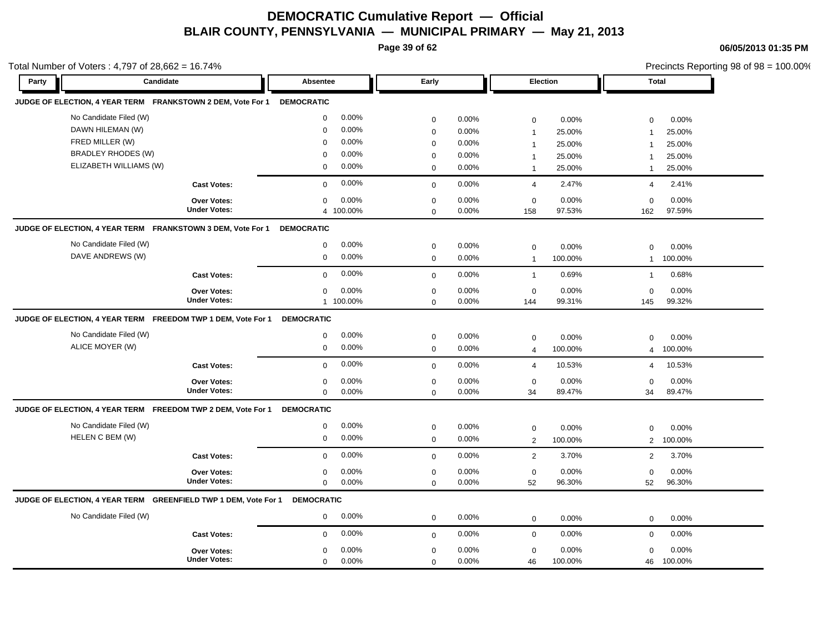**Page 39 of 62**

| Total Number of Voters: $4,797$ of $28,662 = 16.74\%$ |  |
|-------------------------------------------------------|--|
|-------------------------------------------------------|--|

| otal Number of Voters: 4,797 of 28,662 = 16.74% |                                                                        |                                           |                   |                |                            |                |                   |                 |                   | Precincts Reporting 98 of 98 = 100.00% |  |
|-------------------------------------------------|------------------------------------------------------------------------|-------------------------------------------|-------------------|----------------|----------------------------|----------------|-------------------|-----------------|-------------------|----------------------------------------|--|
| Party                                           | Candidate                                                              |                                           | Absentee          |                | Early                      |                |                   | Election        | <b>Total</b>      |                                        |  |
|                                                 | JUDGE OF ELECTION, 4 YEAR TERM FRANKSTOWN 2 DEM, Vote For 1 DEMOCRATIC |                                           |                   |                |                            |                |                   |                 |                   |                                        |  |
|                                                 | No Candidate Filed (W)                                                 |                                           | $\mathbf 0$       | 0.00%          | $\mathbf 0$                | 0.00%          | 0                 | 0.00%           | $\mathbf 0$       | 0.00%                                  |  |
|                                                 | DAWN HILEMAN (W)                                                       |                                           | $\Omega$          | 0.00%          | $\mathbf 0$                | 0.00%          | $\overline{1}$    | 25.00%          | $\overline{1}$    | 25.00%                                 |  |
|                                                 | FRED MILLER (W)                                                        |                                           | $\Omega$          | 0.00%          | $\mathbf 0$                | 0.00%          | $\overline{1}$    | 25.00%          | $\overline{1}$    | 25.00%                                 |  |
|                                                 | <b>BRADLEY RHODES (W)</b>                                              |                                           | $\Omega$          | 0.00%          | 0                          | 0.00%          | $\overline{1}$    | 25.00%          | $\mathbf 1$       | 25.00%                                 |  |
|                                                 | ELIZABETH WILLIAMS (W)                                                 |                                           | $\Omega$          | 0.00%          | $\mathbf 0$                | 0.00%          | $\mathbf{1}$      | 25.00%          | $\mathbf{1}$      | 25.00%                                 |  |
|                                                 |                                                                        | <b>Cast Votes:</b>                        | $\mathbf 0$       | 0.00%          | $\mathbf 0$                | 0.00%          | $\overline{4}$    | 2.47%           | $\overline{4}$    | 2.41%                                  |  |
|                                                 |                                                                        | <b>Over Votes:</b>                        | $\mathbf 0$       | 0.00%          | $\mathbf 0$                | 0.00%          | $\mathbf 0$       | $0.00\%$        | $\mathbf 0$       | 0.00%                                  |  |
|                                                 |                                                                        | <b>Under Votes:</b>                       |                   | 4 100.00%      | $\mathbf 0$                | 0.00%          | 158               | 97.53%          | 162               | 97.59%                                 |  |
|                                                 | JUDGE OF ELECTION, 4 YEAR TERM FRANKSTOWN 3 DEM, Vote For 1            |                                           | <b>DEMOCRATIC</b> |                |                            |                |                   |                 |                   |                                        |  |
|                                                 | No Candidate Filed (W)                                                 |                                           | 0                 | 0.00%          | $\mathbf 0$                | 0.00%          | $\mathbf 0$       | 0.00%           | $\mathbf 0$       | 0.00%                                  |  |
|                                                 | DAVE ANDREWS (W)                                                       |                                           | 0                 | 0.00%          | $\mathbf 0$                | 0.00%          | $\overline{1}$    | 100.00%         | $\mathbf{1}$      | 100.00%                                |  |
|                                                 |                                                                        | <b>Cast Votes:</b>                        | $\mathbf 0$       | 0.00%          | $\mathbf{0}$               | 0.00%          | $\overline{1}$    | 0.69%           | $\overline{1}$    | 0.68%                                  |  |
|                                                 |                                                                        | Over Votes:                               | 0                 | 0.00%          | 0                          | 0.00%          | 0                 | 0.00%           | 0                 | 0.00%                                  |  |
|                                                 |                                                                        | <b>Under Votes:</b>                       |                   | 1 100.00%      | $\mathbf 0$                | 0.00%          | 144               | 99.31%          | 145               | 99.32%                                 |  |
|                                                 | JUDGE OF ELECTION, 4 YEAR TERM FREEDOM TWP 1 DEM, Vote For 1           |                                           | <b>DEMOCRATIC</b> |                |                            |                |                   |                 |                   |                                        |  |
|                                                 | No Candidate Filed (W)                                                 |                                           | 0                 | 0.00%          | $\mathbf 0$                | 0.00%          | $\mathbf 0$       | 0.00%           | $\mathbf 0$       | 0.00%                                  |  |
|                                                 | ALICE MOYER (W)                                                        |                                           | 0                 | 0.00%          | $\mathbf 0$                | $0.00\%$       | 4                 | 100.00%         | 4                 | 100.00%                                |  |
|                                                 |                                                                        | <b>Cast Votes:</b>                        | 0                 | 0.00%          | $\mathbf 0$                | 0.00%          | 4                 | 10.53%          | 4                 | 10.53%                                 |  |
|                                                 |                                                                        | <b>Over Votes:</b>                        | $\mathbf 0$       | 0.00%          | $\mathbf 0$                | 0.00%          | $\mathbf 0$       | 0.00%           | $\mathbf 0$       | 0.00%                                  |  |
|                                                 |                                                                        | <b>Under Votes:</b>                       | 0                 | 0.00%          | $\mathbf 0$                | 0.00%          | 34                | 89.47%          | 34                | 89.47%                                 |  |
|                                                 | JUDGE OF ELECTION, 4 YEAR TERM FREEDOM TWP 2 DEM, Vote For 1           |                                           | <b>DEMOCRATIC</b> |                |                            |                |                   |                 |                   |                                        |  |
|                                                 | No Candidate Filed (W)                                                 |                                           | 0                 | 0.00%          | $\mathbf 0$                | 0.00%          | 0                 | 0.00%           | $\mathbf 0$       | 0.00%                                  |  |
|                                                 | HELEN C BEM (W)                                                        |                                           | 0                 | 0.00%          | $\mathbf 0$                | 0.00%          | $\overline{2}$    | 100.00%         | $\overline{2}$    | 100.00%                                |  |
|                                                 |                                                                        | <b>Cast Votes:</b>                        | $\mathbf 0$       | 0.00%          | $\mathbf 0$                | 0.00%          | $\overline{2}$    | 3.70%           | 2                 | 3.70%                                  |  |
|                                                 |                                                                        |                                           |                   |                |                            |                |                   |                 |                   |                                        |  |
|                                                 |                                                                        | <b>Over Votes:</b><br><b>Under Votes:</b> | 0<br>$\mathbf 0$  | 0.00%<br>0.00% | $\mathbf 0$<br>$\mathbf 0$ | 0.00%<br>0.00% | $\mathbf 0$<br>52 | 0.00%<br>96.30% | $\mathbf 0$<br>52 | 0.00%<br>96.30%                        |  |
|                                                 |                                                                        |                                           |                   |                |                            |                |                   |                 |                   |                                        |  |
|                                                 | JUDGE OF ELECTION, 4 YEAR TERM    GREENFIELD TWP 1 DEM, Vote For 1     |                                           | <b>DEMOCRATIC</b> |                |                            |                |                   |                 |                   |                                        |  |
|                                                 | No Candidate Filed (W)                                                 |                                           | 0                 | 0.00%          | $\mathbf 0$                | 0.00%          | $\mathbf 0$       | 0.00%           | $\mathbf 0$       | 0.00%                                  |  |
|                                                 |                                                                        | <b>Cast Votes:</b>                        | $\Omega$          | 0.00%          | $\mathbf 0$                | 0.00%          | $\mathbf 0$       | 0.00%           | $\mathsf 0$       | 0.00%                                  |  |
|                                                 |                                                                        | <b>Over Votes:</b>                        | $\Omega$          | 0.00%          | $\mathbf 0$                | 0.00%          | $\mathbf 0$       | 0.00%           | $\mathbf 0$       | 0.00%                                  |  |
|                                                 |                                                                        | <b>Under Votes:</b>                       | $\mathbf 0$       | 0.00%          | $\Omega$                   | 0.00%          | 46                | 100.00%         | 46                | 100.00%                                |  |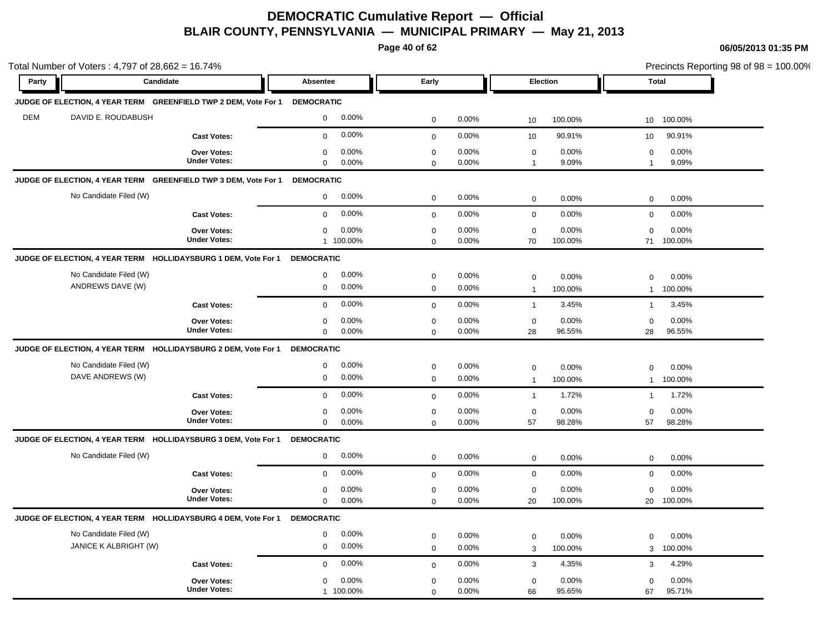**Page 40 of 62**

| <b>Total</b><br>100.00%<br>10 <sup>°</sup><br>90.91%<br>10<br>0.00%<br>0<br>9.09%<br>0.00%<br>$\mathbf 0$ |
|-----------------------------------------------------------------------------------------------------------|
|                                                                                                           |
|                                                                                                           |
|                                                                                                           |
|                                                                                                           |
|                                                                                                           |
|                                                                                                           |
|                                                                                                           |
| $\mathbf 0$<br>0.00%                                                                                      |
| 0.00%<br>0<br>71<br>100.00%                                                                               |
|                                                                                                           |
| 0.00%<br>$\mathbf 0$                                                                                      |
| 100.00%<br>$\mathbf{1}$                                                                                   |
| 3.45%<br>$\mathbf{1}$                                                                                     |
| 0.00%<br>$\mathbf 0$<br>28<br>96.55%                                                                      |
|                                                                                                           |
| 0.00%<br>$\mathbf 0$                                                                                      |
| 100.00%<br>$\mathbf{1}$                                                                                   |
| 1.72%<br>$\mathbf{1}$                                                                                     |
| 0.00%<br>$\mathbf 0$                                                                                      |
| 98.28%<br>57                                                                                              |
|                                                                                                           |
| 0.00%<br>$\mathbf 0$                                                                                      |
| 0.00%<br>$\mathbf 0$                                                                                      |
| 0.00%<br>$\mathbf 0$<br>20<br>100.00%                                                                     |
|                                                                                                           |
| 0.00%<br>$\mathbf 0$                                                                                      |
| 100.00%<br>3                                                                                              |
| 4.29%<br>3                                                                                                |
|                                                                                                           |
|                                                                                                           |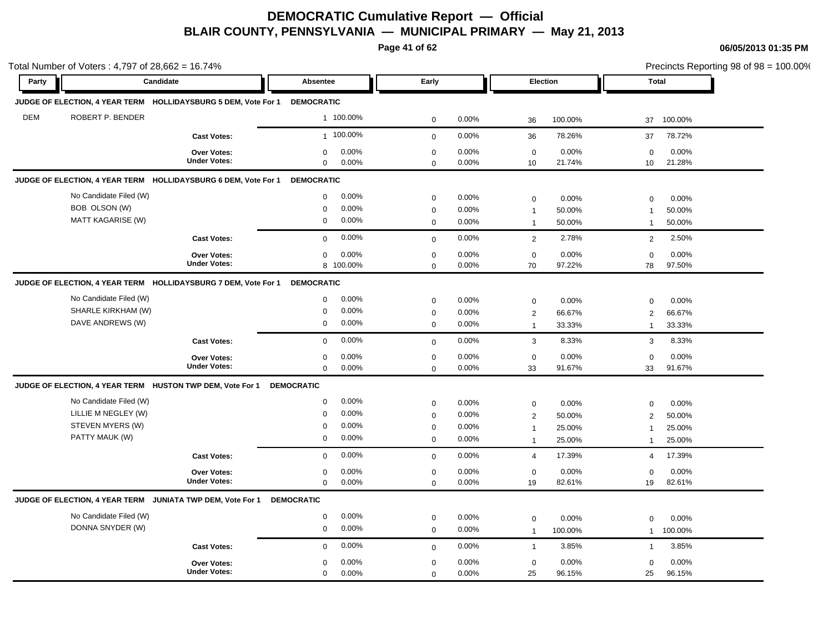**Page 41 of 62**

|            | Candidate                                                      |                     |                      |              |          |                 |         |                 |         |
|------------|----------------------------------------------------------------|---------------------|----------------------|--------------|----------|-----------------|---------|-----------------|---------|
| Party      |                                                                |                     | Absentee             | Early        |          | <b>Election</b> |         | <b>Total</b>    |         |
|            | JUDGE OF ELECTION, 4 YEAR TERM HOLLIDAYSBURG 5 DEM, Vote For 1 |                     | <b>DEMOCRATIC</b>    |              |          |                 |         |                 |         |
| <b>DEM</b> | ROBERT P. BENDER                                               |                     | 1 100.00%            | $\mathbf 0$  | 0.00%    | 36              | 100.00% | 37              | 100.00% |
|            |                                                                | <b>Cast Votes:</b>  | 1 100.00%            | $\mathsf 0$  | 0.00%    | 36              | 78.26%  | 37              | 78.72%  |
|            |                                                                | <b>Over Votes:</b>  | 0.00%<br>$\mathbf 0$ | $\mathbf 0$  | 0.00%    | $\mathbf 0$     | 0.00%   | $\mathbf 0$     | 0.00%   |
|            |                                                                | <b>Under Votes:</b> | $\mathbf 0$<br>0.00% | $\Omega$     | 0.00%    | 10              | 21.74%  | 10 <sup>°</sup> | 21.28%  |
|            | JUDGE OF ELECTION, 4 YEAR TERM HOLLIDAYSBURG 6 DEM, Vote For 1 |                     | <b>DEMOCRATIC</b>    |              |          |                 |         |                 |         |
|            | No Candidate Filed (W)                                         |                     | 0.00%<br>$\mathbf 0$ | $\mathbf 0$  | 0.00%    | $\mathbf 0$     | 0.00%   | $\mathbf 0$     | 0.00%   |
|            | BOB OLSON (W)                                                  |                     | 0.00%<br>$\mathbf 0$ | $\mathbf 0$  | 0.00%    | $\overline{1}$  | 50.00%  | $\overline{1}$  | 50.00%  |
|            | <b>MATT KAGARISE (W)</b>                                       |                     | 0.00%<br>$\mathbf 0$ | $\mathbf 0$  | 0.00%    | $\overline{1}$  | 50.00%  | $\mathbf{1}$    | 50.00%  |
|            |                                                                | <b>Cast Votes:</b>  | 0.00%<br>$\Omega$    | $\mathbf 0$  | 0.00%    | 2               | 2.78%   | 2               | 2.50%   |
|            |                                                                | <b>Over Votes:</b>  | 0.00%<br>$\mathbf 0$ | $\mathbf 0$  | 0.00%    | $\mathbf 0$     | 0.00%   | $\mathbf 0$     | 0.00%   |
|            |                                                                | <b>Under Votes:</b> | 8 100.00%            | $\mathbf 0$  | 0.00%    | 70              | 97.22%  | 78              | 97.50%  |
|            | JUDGE OF ELECTION, 4 YEAR TERM HOLLIDAYSBURG 7 DEM, Vote For 1 |                     | <b>DEMOCRATIC</b>    |              |          |                 |         |                 |         |
|            | No Candidate Filed (W)                                         |                     | 0.00%<br>0           | $\mathbf 0$  | 0.00%    | $\mathsf 0$     | 0.00%   | $\mathbf 0$     | 0.00%   |
|            | SHARLE KIRKHAM (W)                                             |                     | 0.00%<br>$\Omega$    | $\mathbf 0$  | 0.00%    | $\overline{2}$  | 66.67%  | $\overline{2}$  | 66.67%  |
|            | DAVE ANDREWS (W)                                               |                     | $\mathbf 0$<br>0.00% | $\mathsf 0$  | 0.00%    | $\overline{1}$  | 33.33%  | $\mathbf{1}$    | 33.33%  |
|            |                                                                | <b>Cast Votes:</b>  | 0.00%<br>$\mathbf 0$ | $\mathbf{0}$ | 0.00%    | $\mathbf{3}$    | 8.33%   | 3               | 8.33%   |
|            |                                                                | Over Votes:         | 0.00%<br>$\mathbf 0$ | $\mathbf 0$  | 0.00%    | $\mathbf 0$     | 0.00%   | $\mathbf 0$     | 0.00%   |
|            |                                                                | <b>Under Votes:</b> | $\mathbf 0$<br>0.00% | $\mathbf 0$  | 0.00%    | 33              | 91.67%  | 33              | 91.67%  |
|            | JUDGE OF ELECTION, 4 YEAR TERM HUSTON TWP DEM, Vote For 1      |                     | <b>DEMOCRATIC</b>    |              |          |                 |         |                 |         |
|            | No Candidate Filed (W)                                         |                     | 0.00%<br>$\mathbf 0$ | $\mathbf 0$  | $0.00\%$ | $\mathbf 0$     | 0.00%   | $\Omega$        | 0.00%   |
|            | LILLIE M NEGLEY (W)                                            |                     | 0.00%<br>$\mathbf 0$ | $\mathbf 0$  | 0.00%    | $\overline{2}$  | 50.00%  | $\overline{2}$  | 50.00%  |
|            | STEVEN MYERS (W)                                               |                     | 0.00%<br>$\mathbf 0$ | $\mathbf 0$  | 0.00%    | $\overline{1}$  | 25.00%  | 1               | 25.00%  |
|            | PATTY MAUK (W)                                                 |                     | 0.00%<br>$\mathbf 0$ | $\mathbf 0$  | 0.00%    | $\overline{1}$  | 25.00%  | $\overline{1}$  | 25.00%  |
|            |                                                                | <b>Cast Votes:</b>  | 0.00%<br>$\Omega$    | $\mathbf 0$  | 0.00%    | $\overline{4}$  | 17.39%  | $\overline{4}$  | 17.39%  |
|            |                                                                | <b>Over Votes:</b>  | 0.00%<br>$\mathbf 0$ | $\mathbf 0$  | 0.00%    | $\mathbf 0$     | 0.00%   | $\mathbf 0$     | 0.00%   |
|            |                                                                | <b>Under Votes:</b> | $\mathbf 0$<br>0.00% | $\Omega$     | 0.00%    | 19              | 82.61%  | 19              | 82.61%  |
|            | JUDGE OF ELECTION, 4 YEAR TERM JUNIATA TWP DEM, Vote For 1     |                     | <b>DEMOCRATIC</b>    |              |          |                 |         |                 |         |
|            | No Candidate Filed (W)                                         |                     | 0.00%<br>$\mathbf 0$ | $\mathbf 0$  | 0.00%    | $\mathbf 0$     | 0.00%   | $\Omega$        | 0.00%   |
|            | DONNA SNYDER (W)                                               |                     | 0.00%<br>$\mathbf 0$ | $\mathbf 0$  | 0.00%    | $\overline{1}$  | 100.00% | $\mathbf{1}$    | 100.00% |
|            |                                                                | <b>Cast Votes:</b>  | 0.00%<br>$\mathbf 0$ | $\mathbf 0$  | 0.00%    | $\overline{1}$  | 3.85%   | $\mathbf{1}$    | 3.85%   |
|            |                                                                | <b>Over Votes:</b>  | 0.00%<br>$\mathbf 0$ | $\mathbf 0$  | 0.00%    | $\mathbf 0$     | 0.00%   | $\mathbf 0$     | 0.00%   |
|            |                                                                | <b>Under Votes:</b> | $\mathbf 0$<br>0.00% | $\mathbf 0$  | 0.00%    | 25              | 96.15%  | 25              | 96.15%  |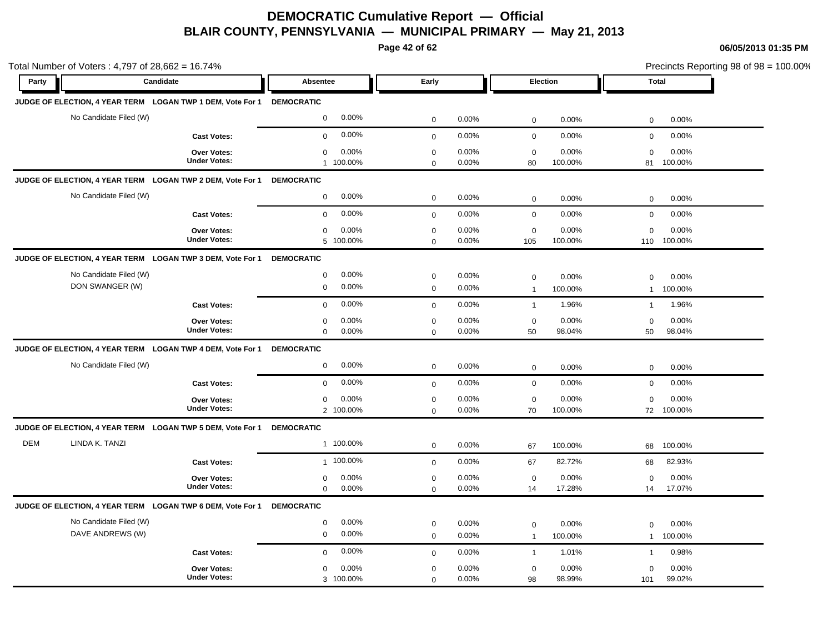**Page 42 of 62**

|            | Total Number of Voters: 4,797 of 28,662 = 16.74%           |                                           |                                              |                            |                   |                               |                  |                             |                     | Precincts Reporting 98 of 98 = 100.00% |
|------------|------------------------------------------------------------|-------------------------------------------|----------------------------------------------|----------------------------|-------------------|-------------------------------|------------------|-----------------------------|---------------------|----------------------------------------|
| Party      | Candidate                                                  |                                           | Absentee                                     | Early                      |                   | Election                      |                  | <b>Total</b>                |                     |                                        |
|            | JUDGE OF ELECTION, 4 YEAR TERM LOGAN TWP 1 DEM, Vote For 1 |                                           | <b>DEMOCRATIC</b>                            |                            |                   |                               |                  |                             |                     |                                        |
|            | No Candidate Filed (W)                                     |                                           | 0.00%<br>$\mathbf 0$                         | $\mathbf 0$                | 0.00%             | $\mathsf 0$                   | 0.00%            | $\mathbf 0$                 | 0.00%               |                                        |
|            |                                                            | <b>Cast Votes:</b>                        | 0.00%<br>$\mathbf 0$                         | $\mathbf 0$                | 0.00%             | $\mathbf 0$                   | 0.00%            | $\mathbf 0$                 | 0.00%               |                                        |
|            |                                                            | Over Votes:<br><b>Under Votes:</b>        | 0.00%<br>$\mathbf 0$<br>1 100.00%            | $\mathbf 0$<br>$\Omega$    | 0.00%<br>$0.00\%$ | $\mathbf 0$<br>80             | 0.00%<br>100.00% | $\mathbf 0$<br>81           | 0.00%<br>100.00%    |                                        |
|            | JUDGE OF ELECTION, 4 YEAR TERM LOGAN TWP 2 DEM, Vote For 1 |                                           | <b>DEMOCRATIC</b>                            |                            |                   |                               |                  |                             |                     |                                        |
|            | No Candidate Filed (W)                                     |                                           | 0.00%<br>$\mathbf 0$                         | $\mathbf 0$                | $0.00\%$          | $\mathbf 0$                   | 0.00%            | $\mathbf 0$                 | 0.00%               |                                        |
|            |                                                            | <b>Cast Votes:</b>                        | 0.00%<br>$\mathbf 0$                         | $\mathbf 0$                | 0.00%             | $\mathbf 0$                   | 0.00%            | $\mathbf 0$                 | 0.00%               |                                        |
|            |                                                            | Over Votes:<br><b>Under Votes:</b>        | 0.00%<br>$\mathbf 0$<br>5 100.00%            | $\mathbf 0$<br>$\mathbf 0$ | 0.00%<br>0.00%    | $\mathbf 0$<br>105            | 0.00%<br>100.00% | $\mathbf 0$<br>110          | 0.00%<br>100.00%    |                                        |
|            | JUDGE OF ELECTION, 4 YEAR TERM LOGAN TWP 3 DEM, Vote For 1 |                                           | <b>DEMOCRATIC</b>                            |                            |                   |                               |                  |                             |                     |                                        |
|            | No Candidate Filed (W)<br>DON SWANGER (W)                  |                                           | 0.00%<br>$\pmb{0}$<br>0.00%<br>$\mathbf 0$   | $\mathbf 0$<br>$\mathbf 0$ | 0.00%<br>0.00%    | $\mathbf 0$<br>$\overline{1}$ | 0.00%<br>100.00% | 0<br>$\mathbf{1}$           | 0.00%<br>100.00%    |                                        |
|            |                                                            | <b>Cast Votes:</b>                        | 0.00%<br>$\mathbf{0}$                        | $\mathbf 0$                | 0.00%             | $\overline{1}$                | 1.96%            | $\mathbf{1}$                | 1.96%               |                                        |
|            |                                                            | <b>Over Votes:</b><br><b>Under Votes:</b> | 0.00%<br>$\mathbf 0$<br>0.00%<br>$\mathbf 0$ | $\mathbf 0$<br>$\mathbf 0$ | 0.00%<br>0.00%    | $\mathbf 0$<br>50             | 0.00%<br>98.04%  | $\mathbf 0$<br>50           | 0.00%<br>98.04%     |                                        |
|            | JUDGE OF ELECTION, 4 YEAR TERM LOGAN TWP 4 DEM, Vote For 1 |                                           | <b>DEMOCRATIC</b>                            |                            |                   |                               |                  |                             |                     |                                        |
|            | No Candidate Filed (W)                                     |                                           | 0.00%<br>$\mathbf 0$                         | $\mathbf 0$                | 0.00%             | $\mathbf 0$                   | 0.00%            | $\mathbf 0$                 | 0.00%               |                                        |
|            |                                                            | <b>Cast Votes:</b>                        | 0.00%<br>$\mathbf 0$                         | $\mathbf 0$                | 0.00%             | $\mathbf 0$                   | 0.00%            | $\mathbf 0$                 | 0.00%               |                                        |
|            |                                                            | Over Votes:<br><b>Under Votes:</b>        | 0.00%<br>$\mathbf 0$<br>2 100.00%            | $\mathbf 0$<br>$\mathbf 0$ | 0.00%<br>0.00%    | $\mathbf 0$<br>70             | 0.00%<br>100.00% | $\mathbf 0$                 | 0.00%<br>72 100.00% |                                        |
|            | JUDGE OF ELECTION, 4 YEAR TERM LOGAN TWP 5 DEM, Vote For 1 |                                           | <b>DEMOCRATIC</b>                            |                            |                   |                               |                  |                             |                     |                                        |
| <b>DEM</b> | LINDA K. TANZI                                             |                                           | 1 100.00%                                    | $\mathbf 0$                | 0.00%             | 67                            | 100.00%          | 68                          | 100.00%             |                                        |
|            |                                                            | <b>Cast Votes:</b>                        | 1 100.00%                                    | $\mathbf 0$                | 0.00%             | 67                            | 82.72%           | 68                          | 82.93%              |                                        |
|            |                                                            | Over Votes:<br><b>Under Votes:</b>        | 0.00%<br>$\mathbf 0$<br>$\mathbf 0$<br>0.00% | $\mathbf 0$<br>$\mathbf 0$ | 0.00%<br>$0.00\%$ | $\mathbf 0$<br>14             | 0.00%<br>17.28%  | $\mathbf 0$<br>14           | 0.00%<br>17.07%     |                                        |
|            | JUDGE OF ELECTION, 4 YEAR TERM LOGAN TWP 6 DEM, Vote For 1 |                                           | <b>DEMOCRATIC</b>                            |                            |                   |                               |                  |                             |                     |                                        |
|            | No Candidate Filed (W)<br>DAVE ANDREWS (W)                 |                                           | 0.00%<br>$\mathbf 0$<br>0.00%<br>$\mathbf 0$ | $\mathbf 0$<br>$\mathbf 0$ | 0.00%<br>0.00%    | $\mathbf 0$<br>$\mathbf{1}$   | 0.00%<br>100.00% | $\mathbf 0$<br>$\mathbf{1}$ | 0.00%<br>100.00%    |                                        |
|            |                                                            | <b>Cast Votes:</b>                        | 0.00%<br>$\mathbf 0$                         | $\mathbf 0$                | 0.00%             | $\overline{1}$                | 1.01%            | $\mathbf{1}$                | 0.98%               |                                        |
|            |                                                            | Over Votes:<br><b>Under Votes:</b>        | 0.00%<br>0<br>3 100.00%                      | $\mathbf 0$<br>$\mathbf 0$ | 0.00%<br>0.00%    | $\mathbf 0$<br>98             | 0.00%<br>98.99%  | $\mathbf 0$<br>101          | 0.00%<br>99.02%     |                                        |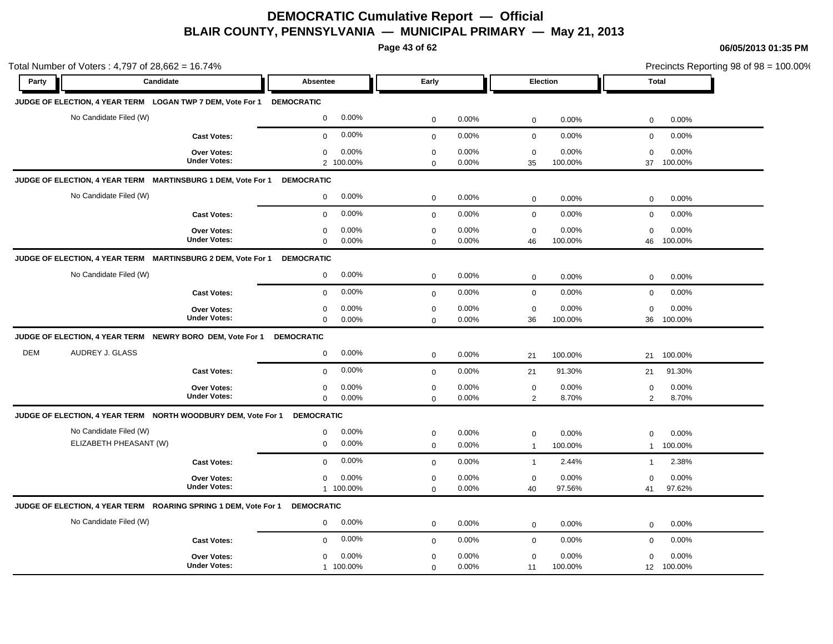**Page 43 of 62**

|            | Total Number of Voters: 4,797 of 28,662 = 16.74%                           |                                           |                                              |                                              |                                                   | Precincts Reporting 98 of 98 = 100.00%             |
|------------|----------------------------------------------------------------------------|-------------------------------------------|----------------------------------------------|----------------------------------------------|---------------------------------------------------|----------------------------------------------------|
| Party      | Candidate                                                                  |                                           | Absentee                                     | Early                                        | Election                                          | <b>Total</b>                                       |
|            | JUDGE OF ELECTION, 4 YEAR TERM LOGAN TWP 7 DEM, Vote For 1                 |                                           | <b>DEMOCRATIC</b>                            |                                              |                                                   |                                                    |
|            | No Candidate Filed (W)                                                     |                                           | 0.00%<br>$\mathbf 0$                         | 0.00%<br>$\mathbf 0$                         | 0.00%<br>$\mathbf 0$                              | 0.00%<br>$\mathbf 0$                               |
|            |                                                                            | <b>Cast Votes:</b>                        | 0.00%<br>$\mathbf 0$                         | 0.00%<br>$\mathbf 0$                         | 0.00%<br>$\mathbf 0$                              | 0.00%<br>$\mathbf 0$                               |
|            |                                                                            | <b>Over Votes:</b><br><b>Under Votes:</b> | 0.00%<br>$\mathbf 0$<br>2 100.00%            | $\mathbf 0$<br>0.00%<br>0.00%<br>$\mathbf 0$ | $\mathbf 0$<br>0.00%<br>35<br>100.00%             | $\mathbf 0$<br>0.00%<br>37<br>100.00%              |
|            | JUDGE OF ELECTION, 4 YEAR TERM MARTINSBURG 1 DEM, Vote For 1               |                                           | <b>DEMOCRATIC</b>                            |                                              |                                                   |                                                    |
|            | No Candidate Filed (W)                                                     |                                           | 0.00%<br>$\mathbf 0$                         | $\mathsf 0$<br>0.00%                         | 0.00%<br>$\mathbf 0$                              | 0.00%<br>$\mathbf 0$                               |
|            |                                                                            | <b>Cast Votes:</b>                        | 0.00%<br>$\mathbf 0$                         | 0.00%<br>$\mathbf 0$                         | 0.00%<br>$\mathbf 0$                              | 0.00%<br>$\mathbf 0$                               |
|            |                                                                            | <b>Over Votes:</b><br><b>Under Votes:</b> | 0.00%<br>$\mathbf 0$<br>0.00%<br>$\mathbf 0$ | $\mathbf 0$<br>0.00%<br>0.00%<br>$\mathbf 0$ | $\mathbf 0$<br>0.00%<br>46<br>100.00%             | $\mathbf 0$<br>0.00%<br>100.00%<br>46              |
|            | JUDGE OF ELECTION, 4 YEAR TERM MARTINSBURG 2 DEM, Vote For 1               |                                           | <b>DEMOCRATIC</b>                            |                                              |                                                   |                                                    |
|            | No Candidate Filed (W)                                                     |                                           | 0.00%<br>$\mathbf 0$                         | 0.00%<br>$\mathbf 0$                         | $\mathbf 0$<br>0.00%                              | 0.00%<br>$\mathbf 0$                               |
|            |                                                                            | <b>Cast Votes:</b>                        | 0.00%<br>$\mathbf 0$                         | 0.00%<br>$\mathbf 0$                         | $\mathbf 0$<br>0.00%                              | $\mathbf 0$<br>0.00%                               |
|            |                                                                            | <b>Over Votes:</b><br><b>Under Votes:</b> | 0.00%<br>$\mathbf 0$<br>$\mathbf 0$<br>0.00% | $\mathbf 0$<br>0.00%<br>0.00%<br>$\mathbf 0$ | $\mathbf 0$<br>0.00%<br>36<br>100.00%             | 0.00%<br>$\mathbf 0$<br>36<br>100.00%              |
|            | JUDGE OF ELECTION, 4 YEAR TERM NEWRY BORO DEM, Vote For 1                  |                                           | <b>DEMOCRATIC</b>                            |                                              |                                                   |                                                    |
| <b>DEM</b> | AUDREY J. GLASS                                                            |                                           | 0.00%<br>$\mathbf 0$                         | 0.00%<br>$\mathbf 0$                         | 21<br>100.00%                                     | 21<br>100.00%                                      |
|            |                                                                            | <b>Cast Votes:</b>                        | 0.00%<br>$\mathbf 0$                         | 0.00%<br>$\mathbf 0$                         | 21<br>91.30%                                      | 91.30%<br>21                                       |
|            |                                                                            | <b>Over Votes:</b><br><b>Under Votes:</b> | 0.00%<br>0<br>$\mathbf 0$<br>0.00%           | 0.00%<br>$\mathbf 0$<br>0.00%<br>$\mathbf 0$ | $\mathbf 0$<br>0.00%<br>$\overline{2}$<br>8.70%   | $\mathbf 0$<br>0.00%<br>2<br>8.70%                 |
|            | JUDGE OF ELECTION, 4 YEAR TERM NORTH WOODBURY DEM, Vote For 1              |                                           | <b>DEMOCRATIC</b>                            |                                              |                                                   |                                                    |
|            | No Candidate Filed (W)<br>ELIZABETH PHEASANT (W)                           |                                           | 0.00%<br>$\mathsf 0$<br>0.00%<br>$\mathbf 0$ | 0.00%<br>$\mathbf 0$<br>0.00%<br>$\mathbf 0$ | $\mathbf 0$<br>0.00%<br>100.00%<br>$\overline{1}$ | 0.00%<br>0<br>100.00%<br>$\mathbf{1}$              |
|            |                                                                            | <b>Cast Votes:</b>                        | 0.00%<br>$\mathbf 0$                         | 0.00%<br>$\mathbf 0$                         | 2.44%<br>$\overline{1}$                           | 2.38%<br>$\mathbf{1}$                              |
|            |                                                                            | Over Votes:<br><b>Under Votes:</b>        | 0.00%<br>$\mathbf 0$<br>1 100.00%            | 0.00%<br>$\mathbf 0$<br>0.00%<br>$\mathbf 0$ | 0.00%<br>$\mathbf 0$<br>97.56%<br>40              | 0.00%<br>$\mathbf 0$<br>97.62%<br>41               |
|            | JUDGE OF ELECTION, 4 YEAR TERM ROARING SPRING 1 DEM, Vote For 1 DEMOCRATIC |                                           |                                              |                                              |                                                   |                                                    |
|            | No Candidate Filed (W)                                                     |                                           | 0.00%<br>$\mathbf 0$                         | 0.00%<br>$\mathbf 0$                         | 0.00%<br>$\mathbf 0$                              | 0.00%<br>0                                         |
|            |                                                                            | <b>Cast Votes:</b>                        | 0.00%<br>$\mathbf 0$                         | 0.00%<br>$\mathbf 0$                         | 0.00%<br>$\mathbf 0$                              | 0.00%<br>$\mathbf 0$                               |
|            |                                                                            | <b>Over Votes:</b><br><b>Under Votes:</b> | 0.00%<br>$\mathbf 0$<br>1 100.00%            | 0.00%<br>$\mathbf 0$<br>0.00%<br>$\mathbf 0$ | 0.00%<br>$\mathbf 0$<br>100.00%<br>11             | 0.00%<br>$\mathbf 0$<br>100.00%<br>12 <sup>2</sup> |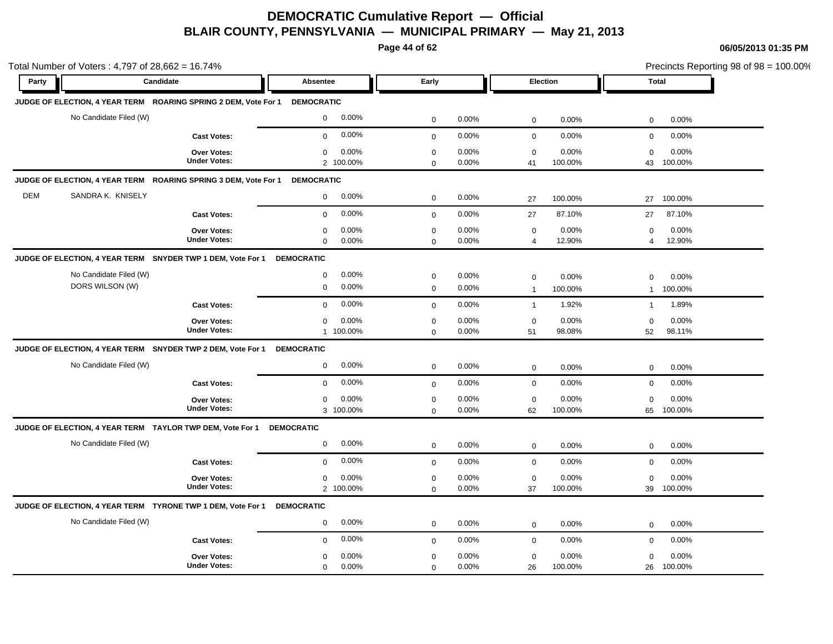**Page 44 of 62**

|            | Total Number of Voters: 4,797 of 28,662 = 16.74%                           |                                           |                                              |                            |                |                               |                  | Precincts Reporting 98 of 98 = 100.00% |                  |  |
|------------|----------------------------------------------------------------------------|-------------------------------------------|----------------------------------------------|----------------------------|----------------|-------------------------------|------------------|----------------------------------------|------------------|--|
| Party      | Candidate                                                                  |                                           | Absentee                                     | Early                      |                | Election                      |                  | <b>Total</b>                           |                  |  |
|            | JUDGE OF ELECTION, 4 YEAR TERM ROARING SPRING 2 DEM, Vote For 1 DEMOCRATIC |                                           |                                              |                            |                |                               |                  |                                        |                  |  |
|            | No Candidate Filed (W)                                                     |                                           | 0.00%<br>$\mathbf 0$                         | $\mathbf 0$                | 0.00%          | $\mathbf 0$                   | 0.00%            | $\mathbf 0$                            | 0.00%            |  |
|            |                                                                            | <b>Cast Votes:</b>                        | 0.00%<br>$\mathbf 0$                         | $\mathbf 0$                | 0.00%          | $\mathbf 0$                   | 0.00%            | 0                                      | 0.00%            |  |
|            |                                                                            | Over Votes:<br><b>Under Votes:</b>        | 0.00%<br>$\mathbf 0$<br>2 100.00%            | $\pmb{0}$<br>$\mathbf 0$   | 0.00%<br>0.00% | $\mathbf 0$<br>41             | 0.00%<br>100.00% | $\mathbf 0$<br>43                      | 0.00%<br>100.00% |  |
|            | JUDGE OF ELECTION, 4 YEAR TERM ROARING SPRING 3 DEM, Vote For 1            |                                           | <b>DEMOCRATIC</b>                            |                            |                |                               |                  |                                        |                  |  |
| <b>DEM</b> | SANDRA K. KNISELY                                                          |                                           | 0.00%<br>$\mathbf{0}$                        | $\mathbf 0$                | 0.00%          | 27                            | 100.00%          | 27                                     | 100.00%          |  |
|            |                                                                            | <b>Cast Votes:</b>                        | 0.00%<br>$\mathbf 0$                         | $\mathbf 0$                | 0.00%          | 27                            | 87.10%           | 27                                     | 87.10%           |  |
|            |                                                                            | <b>Over Votes:</b><br><b>Under Votes:</b> | 0.00%<br>0<br>0.00%<br>$\mathbf 0$           | $\mathbf 0$<br>$\mathbf 0$ | 0.00%<br>0.00% | $\mathbf 0$<br>$\overline{4}$ | 0.00%<br>12.90%  | 0<br>$\overline{4}$                    | 0.00%<br>12.90%  |  |
|            | JUDGE OF ELECTION, 4 YEAR TERM SNYDER TWP 1 DEM, Vote For 1                |                                           | <b>DEMOCRATIC</b>                            |                            |                |                               |                  |                                        |                  |  |
|            | No Candidate Filed (W)<br>DORS WILSON (W)                                  |                                           | 0.00%<br>$\mathbf 0$<br>0.00%<br>$\mathbf 0$ | $\mathbf 0$<br>$\mathbf 0$ | 0.00%<br>0.00% | $\mathbf 0$<br>$\overline{1}$ | 0.00%<br>100.00% | $\mathbf 0$<br>$\mathbf{1}$            | 0.00%<br>100.00% |  |
|            |                                                                            | <b>Cast Votes:</b>                        | 0.00%<br>$\Omega$                            | $\mathbf{0}$               | 0.00%          | $\mathbf{1}$                  | 1.92%            | $\mathbf{1}$                           | 1.89%            |  |
|            |                                                                            | Over Votes:<br><b>Under Votes:</b>        | 0.00%<br>0<br>1 100.00%                      | $\mathbf 0$<br>$\mathbf 0$ | 0.00%<br>0.00% | $\mathbf 0$<br>51             | 0.00%<br>98.08%  | 0<br>52                                | 0.00%<br>98.11%  |  |
|            | JUDGE OF ELECTION, 4 YEAR TERM SNYDER TWP 2 DEM, Vote For 1                |                                           | <b>DEMOCRATIC</b>                            |                            |                |                               |                  |                                        |                  |  |
|            | No Candidate Filed (W)                                                     |                                           | 0.00%<br>$\mathbf 0$                         | $\mathbf 0$                | 0.00%          | $\mathbf 0$                   | 0.00%            | $\mathbf 0$                            | $0.00\%$         |  |
|            |                                                                            | <b>Cast Votes:</b>                        | 0.00%<br>$\mathbf 0$                         | $\mathbf 0$                | 0.00%          | $\mathbf 0$                   | 0.00%            | $\mathbf 0$                            | 0.00%            |  |
|            |                                                                            | <b>Over Votes:</b><br><b>Under Votes:</b> | 0.00%<br>$\mathbf 0$<br>3 100.00%            | $\mathbf 0$<br>$\mathbf 0$ | 0.00%<br>0.00% | $\mathbf 0$<br>62             | 0.00%<br>100.00% | $\mathbf 0$<br>65                      | 0.00%<br>100.00% |  |
|            | JUDGE OF ELECTION, 4 YEAR TERM TAYLOR TWP DEM, Vote For 1                  |                                           | <b>DEMOCRATIC</b>                            |                            |                |                               |                  |                                        |                  |  |
|            | No Candidate Filed (W)                                                     |                                           | 0.00%<br>0                                   | $\mathbf 0$                | 0.00%          | $\mathbf 0$                   | 0.00%            | $\mathbf 0$                            | 0.00%            |  |
|            |                                                                            | <b>Cast Votes:</b>                        | 0.00%<br>$\mathbf 0$                         | $\mathbf 0$                | 0.00%          | $\mathbf 0$                   | 0.00%            | $\mathbf 0$                            | 0.00%            |  |
|            |                                                                            | Over Votes:<br><b>Under Votes:</b>        | 0.00%<br>$\mathbf 0$<br>2 100.00%            | $\mathbf 0$<br>$\mathbf 0$ | 0.00%<br>0.00% | $\mathbf 0$<br>37             | 0.00%<br>100.00% | $\mathbf 0$<br>39                      | 0.00%<br>100.00% |  |
|            | JUDGE OF ELECTION, 4 YEAR TERM TYRONE TWP 1 DEM, Vote For 1                |                                           | <b>DEMOCRATIC</b>                            |                            |                |                               |                  |                                        |                  |  |
|            | No Candidate Filed (W)                                                     |                                           | 0.00%<br>$\mathbf 0$                         | $\mathbf 0$                | 0.00%          | $\mathbf 0$                   | 0.00%            | 0                                      | 0.00%            |  |
|            |                                                                            | <b>Cast Votes:</b>                        | 0.00%<br>$\mathbf 0$                         | $\mathbf 0$                | 0.00%          | $\mathbf 0$                   | 0.00%            | $\mathbf 0$                            | 0.00%            |  |
|            |                                                                            | <b>Over Votes:</b><br><b>Under Votes:</b> | 0.00%<br>$\mathbf 0$<br>0.00%<br>$\mathbf 0$ | $\mathbf 0$<br>$\mathbf 0$ | 0.00%<br>0.00% | $\mathsf 0$<br>26             | 0.00%<br>100.00% | $\mathbf 0$<br>26                      | 0.00%<br>100.00% |  |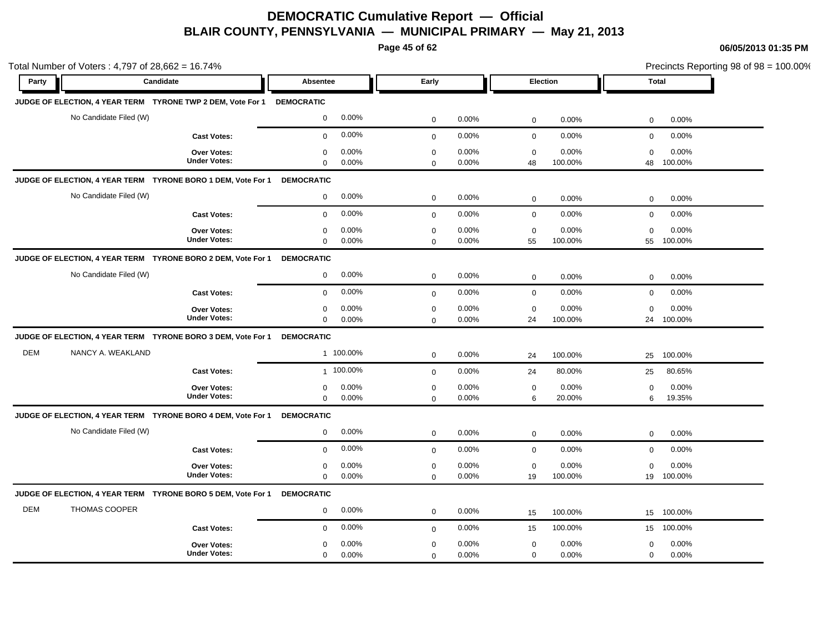**Page 45 of 62**

|            | Total Number of Voters: 4,797 of 28,662 = 16.74%                         |                                           |                                              |                            |                |                              |                            | Precincts Reporting 98 of 98 = 100.00% |
|------------|--------------------------------------------------------------------------|-------------------------------------------|----------------------------------------------|----------------------------|----------------|------------------------------|----------------------------|----------------------------------------|
| Party      | Candidate                                                                |                                           | Absentee                                     | Early                      |                | Election                     | <b>Total</b>               |                                        |
|            | JUDGE OF ELECTION, 4 YEAR TERM  TYRONE TWP 2 DEM, Vote For 1  DEMOCRATIC |                                           |                                              |                            |                |                              |                            |                                        |
|            | No Candidate Filed (W)                                                   |                                           | 0.00%<br>$\mathbf 0$                         | $\mathbf 0$                | 0.00%          | $\mathsf 0$                  | 0.00%<br>$\mathbf 0$       | 0.00%                                  |
|            |                                                                          | <b>Cast Votes:</b>                        | 0.00%<br>$\mathbf 0$                         | $\mathbf 0$                | 0.00%          | $\mathbf 0$                  | 0.00%<br>$\mathbf 0$       | 0.00%                                  |
|            |                                                                          | Over Votes:<br><b>Under Votes:</b>        | 0.00%<br>$\mathbf 0$<br>$\mathbf 0$<br>0.00% | $\mathbf 0$<br>$\mathbf 0$ | 0.00%<br>0.00% | $\mathbf 0$<br>48<br>100.00% | 0.00%<br>$\mathbf 0$<br>48 | 0.00%<br>100.00%                       |
|            | JUDGE OF ELECTION, 4 YEAR TERM TYRONE BORO 1 DEM, Vote For 1             |                                           | <b>DEMOCRATIC</b>                            |                            |                |                              |                            |                                        |
|            | No Candidate Filed (W)                                                   |                                           | 0.00%<br>$\mathbf 0$                         | $\mathbf 0$                | 0.00%          | $\mathbf 0$                  | 0.00%<br>0                 | 0.00%                                  |
|            |                                                                          | <b>Cast Votes:</b>                        | 0.00%<br>$\mathbf 0$                         | $\mathbf{0}$               | 0.00%          | $\mathbf 0$                  | 0.00%<br>$\mathbf 0$       | 0.00%                                  |
|            |                                                                          | Over Votes:<br><b>Under Votes:</b>        | 0.00%<br>0<br>0.00%<br>$\mathbf 0$           | $\mathbf 0$<br>$\Omega$    | 0.00%<br>0.00% | $\mathbf 0$<br>55<br>100.00% | 0.00%<br>0<br>55           | 0.00%<br>100.00%                       |
|            | JUDGE OF ELECTION, 4 YEAR TERM TYRONE BORO 2 DEM, Vote For 1             |                                           | <b>DEMOCRATIC</b>                            |                            |                |                              |                            |                                        |
|            | No Candidate Filed (W)                                                   |                                           | 0.00%<br>$\mathbf 0$                         | $\mathbf 0$                | 0.00%          | $\mathbf 0$                  | 0.00%<br>$\mathbf 0$       | 0.00%                                  |
|            |                                                                          | <b>Cast Votes:</b>                        | 0.00%<br>$\mathbf 0$                         | $\mathbf{0}$               | 0.00%          | $\mathbf 0$                  | 0.00%<br>$\mathbf 0$       | 0.00%                                  |
|            |                                                                          | Over Votes:<br><b>Under Votes:</b>        | 0.00%<br>0<br>0.00%<br>$\mathbf 0$           | $\mathbf 0$<br>$\Omega$    | 0.00%<br>0.00% | $\mathbf 0$<br>24<br>100.00% | 0.00%<br>$\mathbf 0$<br>24 | 0.00%<br>100.00%                       |
|            | JUDGE OF ELECTION, 4 YEAR TERM TYRONE BORO 3 DEM, Vote For 1             |                                           | <b>DEMOCRATIC</b>                            |                            |                |                              |                            |                                        |
| <b>DEM</b> | NANCY A. WEAKLAND                                                        |                                           | 1 100.00%                                    | $\mathbf 0$                | 0.00%          | 100.00%<br>24                | 25                         | 100.00%                                |
|            |                                                                          | <b>Cast Votes:</b>                        | 1 100.00%                                    | $\mathbf{0}$               | 0.00%          | 80.00%<br>24                 | 25                         | 80.65%                                 |
|            |                                                                          | <b>Over Votes:</b><br><b>Under Votes:</b> | 0.00%<br>$\mathbf 0$<br>$\mathbf 0$<br>0.00% | $\mathbf 0$<br>$\mathbf 0$ | 0.00%<br>0.00% | $\mathbf 0$<br>6<br>20.00%   | 0.00%<br>0<br>6            | 0.00%<br>19.35%                        |
|            | JUDGE OF ELECTION, 4 YEAR TERM TYRONE BORO 4 DEM, Vote For 1             |                                           | <b>DEMOCRATIC</b>                            |                            |                |                              |                            |                                        |
|            | No Candidate Filed (W)                                                   |                                           | 0.00%<br>$\mathbf 0$                         | $\mathbf 0$                | 0.00%          | $\mathbf 0$                  | 0.00%<br>$\mathbf 0$       | 0.00%                                  |
|            |                                                                          | <b>Cast Votes:</b>                        | 0.00%<br>$\mathbf{0}$                        | $\mathbf 0$                | 0.00%          | $\mathsf 0$                  | 0.00%<br>$\mathbf 0$       | 0.00%                                  |
|            |                                                                          | <b>Over Votes:</b><br><b>Under Votes:</b> | 0.00%<br>$\mathbf 0$<br>$\mathbf 0$<br>0.00% | $\mathbf 0$<br>$\mathbf 0$ | 0.00%<br>0.00% | $\mathbf 0$<br>19<br>100.00% | 0.00%<br>0                 | 0.00%<br>19 100.00%                    |
|            | JUDGE OF ELECTION, 4 YEAR TERM TYRONE BORO 5 DEM, Vote For 1             |                                           | <b>DEMOCRATIC</b>                            |                            |                |                              |                            |                                        |
| <b>DEM</b> | THOMAS COOPER                                                            |                                           | 0.00%<br>$\mathbf 0$                         | $\mathbf 0$                | 0.00%          | 100.00%<br>15                | 15                         | 100.00%                                |
|            |                                                                          | <b>Cast Votes:</b>                        | 0.00%<br>$\mathbf 0$                         | $\mathbf 0$                | 0.00%          | 100.00%<br>15                | 15                         | 100.00%                                |
|            |                                                                          | <b>Over Votes:</b><br><b>Under Votes:</b> | 0.00%<br>0<br>0.00%<br>$\mathbf 0$           | $\mathbf 0$<br>$\mathbf 0$ | 0.00%<br>0.00% | $\mathsf 0$<br>$\mathbf 0$   | 0.00%<br>0<br>0.00%<br>0   | 0.00%<br>0.00%                         |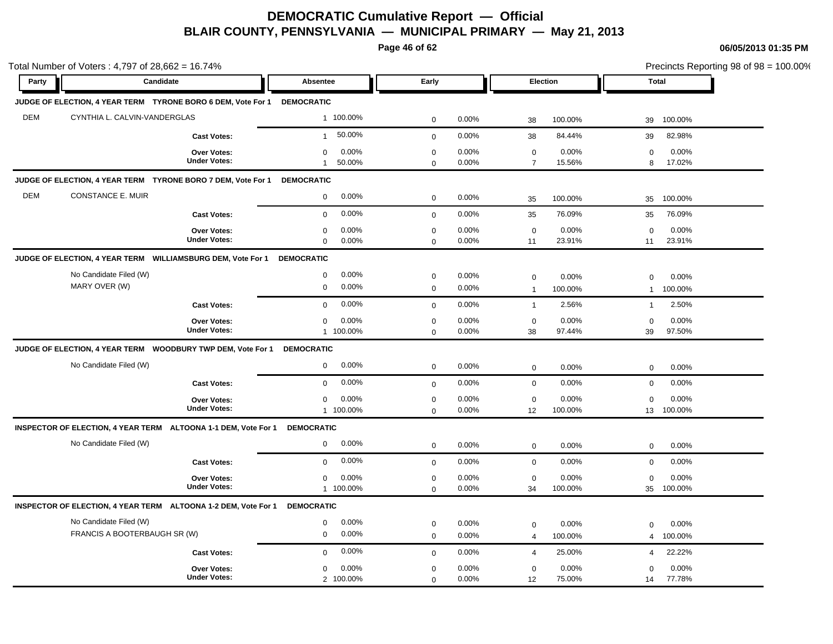**Page 46 of 62**

|            | Total Number of Voters: 4,797 of 28,662 = 16.74%                        |                                           |                                                |                            |                |                               |                  | Precincts Reporting 98 of 98 = 100.00% |                  |  |
|------------|-------------------------------------------------------------------------|-------------------------------------------|------------------------------------------------|----------------------------|----------------|-------------------------------|------------------|----------------------------------------|------------------|--|
| Party      | Candidate                                                               |                                           | <b>Absentee</b>                                | Early                      |                | Election                      |                  | <b>Total</b>                           |                  |  |
|            | JUDGE OF ELECTION, 4 YEAR TERM TYRONE BORO 6 DEM, Vote For 1 DEMOCRATIC |                                           |                                                |                            |                |                               |                  |                                        |                  |  |
| <b>DEM</b> | CYNTHIA L. CALVIN-VANDERGLAS                                            |                                           | 1 100.00%                                      | $\mathbf 0$                | 0.00%          | 38                            | 100.00%          | 39                                     | 100.00%          |  |
|            |                                                                         | <b>Cast Votes:</b>                        | 50.00%<br>$\mathbf{1}$                         | $\mathbf 0$                | 0.00%          | 38                            | 84.44%           | 39                                     | 82.98%           |  |
|            |                                                                         | Over Votes:<br><b>Under Votes:</b>        | 0.00%<br>$\mathbf 0$<br>50.00%<br>$\mathbf{1}$ | $\mathbf 0$<br>$\Omega$    | 0.00%<br>0.00% | $\mathbf 0$<br>$\overline{7}$ | 0.00%<br>15.56%  | 0<br>8                                 | 0.00%<br>17.02%  |  |
|            | JUDGE OF ELECTION, 4 YEAR TERM TYRONE BORO 7 DEM, Vote For 1            |                                           | <b>DEMOCRATIC</b>                              |                            |                |                               |                  |                                        |                  |  |
| <b>DEM</b> | CONSTANCE E. MUIR                                                       |                                           | 0.00%<br>$\mathbf 0$                           | $\mathbf 0$                | 0.00%          | 35                            | 100.00%          | 35                                     | 100.00%          |  |
|            |                                                                         | <b>Cast Votes:</b>                        | 0.00%<br>$\mathbf 0$                           | $\mathbf 0$                | 0.00%          | 35                            | 76.09%           | 35                                     | 76.09%           |  |
|            |                                                                         | Over Votes:<br><b>Under Votes:</b>        | 0.00%<br>0<br>$\boldsymbol{0}$<br>0.00%        | $\mathbf 0$<br>$\mathbf 0$ | 0.00%<br>0.00% | $\mathbf 0$<br>11             | 0.00%<br>23.91%  | $\mathbf 0$<br>11                      | 0.00%<br>23.91%  |  |
|            | JUDGE OF ELECTION, 4 YEAR TERM    WILLIAMSBURG DEM, Vote For 1          |                                           | <b>DEMOCRATIC</b>                              |                            |                |                               |                  |                                        |                  |  |
|            | No Candidate Filed (W)<br>MARY OVER (W)                                 |                                           | 0.00%<br>$\mathbf 0$<br>0.00%<br>0             | $\mathbf 0$<br>$\mathbf 0$ | 0.00%<br>0.00% | $\mathbf 0$<br>$\overline{1}$ | 0.00%<br>100.00% | $\mathbf 0$<br>$\mathbf{1}$            | 0.00%<br>100.00% |  |
|            |                                                                         | <b>Cast Votes:</b>                        | 0.00%<br>$\mathbf 0$                           | $\mathbf 0$                | 0.00%          | $\overline{1}$                | 2.56%            | $\mathbf{1}$                           | 2.50%            |  |
|            |                                                                         | <b>Over Votes:</b><br><b>Under Votes:</b> | 0.00%<br>$\mathbf 0$<br>1 100.00%              | $\mathbf 0$<br>$\mathbf 0$ | 0.00%<br>0.00% | $\mathbf 0$<br>38             | 0.00%<br>97.44%  | $\mathbf 0$<br>39                      | 0.00%<br>97.50%  |  |
|            | JUDGE OF ELECTION, 4 YEAR TERM  WOODBURY TWP DEM, Vote For 1            |                                           | <b>DEMOCRATIC</b>                              |                            |                |                               |                  |                                        |                  |  |
|            | No Candidate Filed (W)                                                  |                                           | 0.00%<br>0                                     | $\mathbf 0$                | 0.00%          | $\mathbf 0$                   | 0.00%            | 0                                      | 0.00%            |  |
|            |                                                                         | <b>Cast Votes:</b>                        | 0.00%<br>$\mathbf 0$                           | $\mathbf 0$                | 0.00%          | $\mathbf 0$                   | 0.00%            | $\mathbf 0$                            | 0.00%            |  |
|            |                                                                         | Over Votes:<br><b>Under Votes:</b>        | 0.00%<br>$\mathbf 0$<br>1 100.00%              | $\pmb{0}$<br>$\mathbf 0$   | 0.00%<br>0.00% | $\mathbf 0$<br>12             | 0.00%<br>100.00% | $\mathbf 0$<br>13                      | 0.00%<br>100.00% |  |
|            | INSPECTOR OF ELECTION, 4 YEAR TERM ALTOONA 1-1 DEM, Vote For 1          |                                           | <b>DEMOCRATIC</b>                              |                            |                |                               |                  |                                        |                  |  |
|            | No Candidate Filed (W)                                                  |                                           | 0.00%<br>$\mathbf 0$                           | $\mathbf 0$                | 0.00%          | $\mathbf 0$                   | 0.00%            | 0                                      | 0.00%            |  |
|            |                                                                         | <b>Cast Votes:</b>                        | 0.00%<br>$\Omega$                              | $\mathbf 0$                | 0.00%          | $\mathsf 0$                   | 0.00%            | 0                                      | 0.00%            |  |
|            |                                                                         | Over Votes:<br><b>Under Votes:</b>        | 0.00%<br>$\mathbf 0$<br>1 100.00%              | $\mathbf 0$<br>$\Omega$    | 0.00%<br>0.00% | $\mathbf 0$<br>34             | 0.00%<br>100.00% | $\mathbf 0$<br>35                      | 0.00%<br>100.00% |  |
|            | INSPECTOR OF ELECTION, 4 YEAR TERM ALTOONA 1-2 DEM, Vote For 1          |                                           | <b>DEMOCRATIC</b>                              |                            |                |                               |                  |                                        |                  |  |
|            | No Candidate Filed (W)<br>FRANCIS A BOOTERBAUGH SR (W)                  |                                           | 0.00%<br>$\mathbf 0$<br>0.00%<br>$\mathbf 0$   | $\mathbf 0$<br>$\mathbf 0$ | 0.00%<br>0.00% | $\mathbf 0$<br>$\overline{4}$ | 0.00%<br>100.00% | $\mathbf 0$<br>4                       | 0.00%<br>100.00% |  |
|            |                                                                         | <b>Cast Votes:</b>                        | 0.00%<br>$\mathbf 0$                           | $\mathbf 0$                | 0.00%          | $\overline{4}$                | 25.00%           | 4                                      | 22.22%           |  |
|            |                                                                         | Over Votes:<br><b>Under Votes:</b>        | 0.00%<br>0<br>2 100.00%                        | $\mathbf 0$<br>$\mathbf 0$ | 0.00%<br>0.00% | $\mathbf 0$<br>12             | 0.00%<br>75.00%  | $\Omega$<br>14                         | 0.00%<br>77.78%  |  |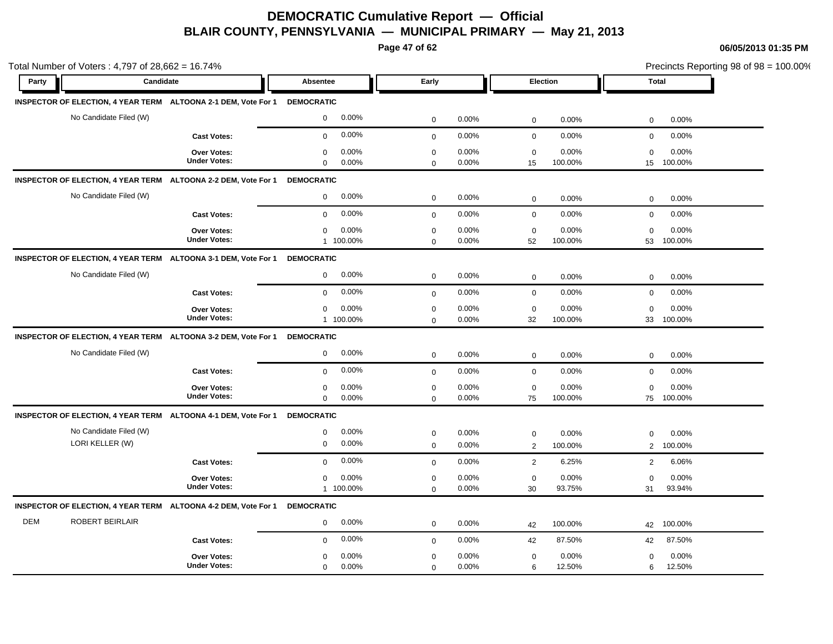**Page 47 of 62**

|            | Total Number of Voters: 4,797 of 28,662 = 16.74%                          |                                           |                                                   |                            |                |                   |                  |                     | Precincts Reporting 98 of 98 = 100.00% |
|------------|---------------------------------------------------------------------------|-------------------------------------------|---------------------------------------------------|----------------------------|----------------|-------------------|------------------|---------------------|----------------------------------------|
| Party      | Candidate                                                                 |                                           | Absentee                                          | Early                      |                | Election          |                  | <b>Total</b>        |                                        |
|            | INSPECTOR OF ELECTION, 4 YEAR TERM ALTOONA 2-1 DEM, Vote For 1 DEMOCRATIC |                                           |                                                   |                            |                |                   |                  |                     |                                        |
|            | No Candidate Filed (W)                                                    |                                           | $0.00\%$<br>$\mathbf 0$                           | $\mathbf 0$                | 0.00%          | $\mathbf 0$       | 0.00%            | $\mathbf 0$         | 0.00%                                  |
|            |                                                                           | <b>Cast Votes:</b>                        | 0.00%<br>$\mathbf 0$                              | $\mathbf 0$                | 0.00%          | $\mathbf 0$       | 0.00%            | $\mathbf 0$         | 0.00%                                  |
|            |                                                                           | Over Votes:<br><b>Under Votes:</b>        | 0.00%<br>$\mathbf 0$<br>0.00%<br>$\mathbf 0$      | $\pmb{0}$<br>$\mathbf 0$   | 0.00%<br>0.00% | $\mathbf 0$<br>15 | 0.00%<br>100.00% | $\mathbf 0$<br>15   | 0.00%<br>100.00%                       |
|            | INSPECTOR OF ELECTION, 4 YEAR TERM ALTOONA 2-2 DEM, Vote For 1            |                                           | <b>DEMOCRATIC</b>                                 |                            |                |                   |                  |                     |                                        |
|            | No Candidate Filed (W)                                                    |                                           | 0.00%<br>$\mathbf 0$                              | $\mathbf 0$                | 0.00%          | $\mathbf 0$       | 0.00%            | $\mathbf 0$         | 0.00%                                  |
|            |                                                                           | <b>Cast Votes:</b>                        | 0.00%<br>$\mathbf 0$                              | $\mathbf 0$                | 0.00%          | $\mathbf 0$       | 0.00%            | $\mathbf 0$         | 0.00%                                  |
|            |                                                                           | <b>Over Votes:</b><br><b>Under Votes:</b> | 0.00%<br>0<br>1 100.00%                           | $\mathbf 0$<br>$\mathbf 0$ | 0.00%<br>0.00% | $\mathbf 0$<br>52 | 0.00%<br>100.00% | $\mathbf 0$<br>53   | 0.00%<br>100.00%                       |
|            | INSPECTOR OF ELECTION, 4 YEAR TERM ALTOONA 3-1 DEM, Vote For 1            |                                           | <b>DEMOCRATIC</b>                                 |                            |                |                   |                  |                     |                                        |
|            | No Candidate Filed (W)                                                    |                                           | 0.00%<br>$\mathbf 0$                              | $\mathbf 0$                | 0.00%          | $\mathbf 0$       | 0.00%            | $\mathbf 0$         | 0.00%                                  |
|            |                                                                           | <b>Cast Votes:</b>                        | 0.00%<br>$\mathbf 0$                              | $\mathbf 0$                | 0.00%          | $\mathbf 0$       | 0.00%            | $\mathbf 0$         | 0.00%                                  |
|            |                                                                           | <b>Over Votes:</b><br><b>Under Votes:</b> | 0.00%<br>$\mathbf 0$<br>1 100.00%                 | $\mathbf 0$<br>$\mathbf 0$ | 0.00%<br>0.00% | $\mathbf 0$<br>32 | 0.00%<br>100.00% | $\mathbf 0$<br>33   | 0.00%<br>100.00%                       |
|            | INSPECTOR OF ELECTION, 4 YEAR TERM ALTOONA 3-2 DEM, Vote For 1            |                                           | <b>DEMOCRATIC</b>                                 |                            |                |                   |                  |                     |                                        |
|            | No Candidate Filed (W)                                                    |                                           | 0.00%<br>$\mathbf 0$                              | $\mathbf 0$                | 0.00%          | $\mathbf 0$       | 0.00%            | $\mathbf 0$         | 0.00%                                  |
|            |                                                                           | <b>Cast Votes:</b>                        | 0.00%<br>$\mathbf 0$                              | $\mathsf 0$                | 0.00%          | $\mathbf 0$       | 0.00%            | $\mathbf 0$         | 0.00%                                  |
|            |                                                                           | <b>Over Votes:</b><br><b>Under Votes:</b> | 0.00%<br>0<br>0.00%<br>$\mathbf 0$                | $\mathbf 0$<br>$\mathbf 0$ | 0.00%<br>0.00% | $\mathbf 0$<br>75 | 0.00%<br>100.00% | $\mathbf 0$         | 0.00%<br>75 100.00%                    |
|            | INSPECTOR OF ELECTION, 4 YEAR TERM ALTOONA 4-1 DEM, Vote For 1            |                                           | <b>DEMOCRATIC</b>                                 |                            |                |                   |                  |                     |                                        |
|            | No Candidate Filed (W)<br>LORI KELLER (W)                                 |                                           | 0.00%<br>$\boldsymbol{0}$<br>0.00%<br>$\mathbf 0$ | $\pmb{0}$<br>$\mathbf 0$   | 0.00%<br>0.00% | $\mathbf 0$<br>2  | 0.00%<br>100.00% | 0<br>$\overline{2}$ | 0.00%<br>100.00%                       |
|            |                                                                           | <b>Cast Votes:</b>                        | 0.00%<br>$\mathbf 0$                              | $\mathbf 0$                | 0.00%          | $\overline{2}$    | 6.25%            | 2                   | 6.06%                                  |
|            |                                                                           | Over Votes:<br><b>Under Votes:</b>        | 0.00%<br>$\mathbf 0$<br>1 100.00%                 | $\mathbf 0$<br>$\mathbf 0$ | 0.00%<br>0.00% | $\mathbf 0$<br>30 | 0.00%<br>93.75%  | $\mathbf 0$<br>31   | 0.00%<br>93.94%                        |
|            | INSPECTOR OF ELECTION, 4 YEAR TERM ALTOONA 4-2 DEM, Vote For 1            |                                           | <b>DEMOCRATIC</b>                                 |                            |                |                   |                  |                     |                                        |
| <b>DEM</b> | <b>ROBERT BEIRLAIR</b>                                                    |                                           | 0.00%<br>$\mathbf 0$                              | $\mathbf 0$                | 0.00%          | 42                | 100.00%          | 42                  | 100.00%                                |
|            |                                                                           | <b>Cast Votes:</b>                        | 0.00%<br>$\mathbf 0$                              | $\mathbf 0$                | 0.00%          | 42                | 87.50%           | 42                  | 87.50%                                 |
|            |                                                                           | <b>Over Votes:</b><br><b>Under Votes:</b> | 0.00%<br>$\mathbf 0$<br>0.00%<br>$\mathbf 0$      | $\mathbf 0$<br>$\mathbf 0$ | 0.00%<br>0.00% | $\mathbf 0$<br>6  | 0.00%<br>12.50%  | $\mathbf 0$<br>6    | 0.00%<br>12.50%                        |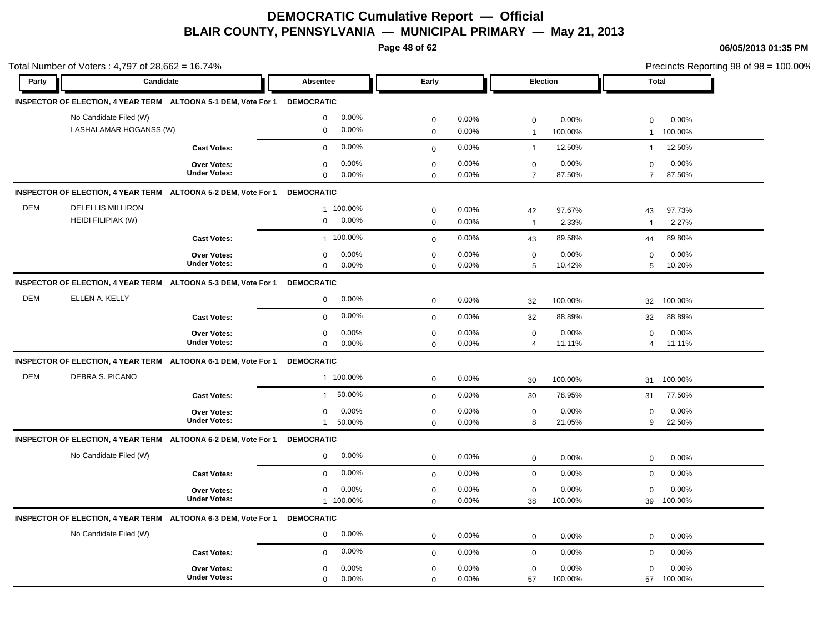**Page 48 of 62**

|            | Total Number of Voters: 4,797 of 28,662 = 16.74%                          |                        |                              |                           | Precincts Reporting 98 of 98 = 100.00% |
|------------|---------------------------------------------------------------------------|------------------------|------------------------------|---------------------------|----------------------------------------|
| Party      | Candidate                                                                 | <b>Absentee</b>        | Early                        | Election                  | <b>Total</b>                           |
|            | INSPECTOR OF ELECTION, 4 YEAR TERM ALTOONA 5-1 DEM, Vote For 1 DEMOCRATIC |                        |                              |                           |                                        |
|            | No Candidate Filed (W)                                                    | 0.00%<br>$\mathbf 0$   | $\mathbf 0$<br>0.00%         | $\mathsf 0$<br>0.00%      | 0.00%<br>$\mathbf 0$                   |
|            | LASHALAMAR HOGANSS (W)                                                    | 0.00%<br>$\mathbf 0$   | $\mathbf 0$<br>0.00%         | 100.00%<br>$\overline{1}$ | 100.00%<br>$\mathbf{1}$                |
|            | <b>Cast Votes:</b>                                                        | 0.00%<br>$\mathbf 0$   | 0.00%<br>$\mathbf 0$         | 12.50%<br>$\overline{1}$  | 12.50%<br>$\mathbf{1}$                 |
|            | Over Votes:                                                               | 0.00%<br>$\mathbf 0$   | 0.00%<br>$\mathbf 0$         | 0.00%<br>$\mathbf 0$      | 0.00%<br>$\mathbf 0$                   |
|            | <b>Under Votes:</b>                                                       | $\Omega$<br>0.00%      | 0.00%<br>$\mathbf 0$         | $\overline{7}$<br>87.50%  | 87.50%<br>$\overline{7}$               |
|            | INSPECTOR OF ELECTION, 4 YEAR TERM ALTOONA 5-2 DEM, Vote For 1            | <b>DEMOCRATIC</b>      |                              |                           |                                        |
| <b>DEM</b> | <b>DELELLIS MILLIRON</b>                                                  | 1 100.00%              | 0.00%<br>$\mathbf 0$         | 97.67%<br>42              | 97.73%<br>43                           |
|            | <b>HEIDI FILIPIAK (W)</b>                                                 | 0.00%<br>0             | $\mathbf 0$<br>0.00%         | 2.33%<br>$\overline{1}$   | 2.27%<br>$\overline{1}$                |
|            | <b>Cast Votes:</b>                                                        | 1 100.00%              | 0.00%<br>$\mathbf 0$         | 89.58%<br>43              | 89.80%<br>44                           |
|            | Over Votes:                                                               | 0.00%<br>$\mathbf 0$   | $\mathbf 0$<br>0.00%         | $\mathsf 0$<br>0.00%      | 0.00%<br>$\Omega$                      |
|            | <b>Under Votes:</b>                                                       | $\mathbf 0$<br>0.00%   | 0.00%<br>$\mathbf 0$         | 5<br>10.42%               | 10.20%<br>5                            |
|            | INSPECTOR OF ELECTION, 4 YEAR TERM ALTOONA 5-3 DEM, Vote For 1            | <b>DEMOCRATIC</b>      |                              |                           |                                        |
| <b>DEM</b> | ELLEN A. KELLY                                                            | 0.00%<br>0             | $\mathsf{O}\xspace$<br>0.00% | 100.00%<br>32             | 100.00%<br>32                          |
|            | <b>Cast Votes:</b>                                                        | 0.00%<br>$\mathbf 0$   | 0.00%<br>$\mathbf 0$         | 32<br>88.89%              | 32<br>88.89%                           |
|            | <b>Over Votes:</b>                                                        | 0.00%<br>0             | 0.00%<br>$\mathbf 0$         | 0.00%<br>$\mathbf 0$      | 0.00%<br>$\mathbf 0$                   |
|            | <b>Under Votes:</b>                                                       | $\mathbf 0$<br>0.00%   | 0.00%<br>$\mathbf 0$         | $\overline{4}$<br>11.11%  | 11.11%<br>$\overline{4}$               |
|            | INSPECTOR OF ELECTION, 4 YEAR TERM ALTOONA 6-1 DEM, Vote For 1            | <b>DEMOCRATIC</b>      |                              |                           |                                        |
| <b>DEM</b> | DEBRA S. PICANO                                                           | 1 100.00%              | $\mathbf 0$<br>0.00%         | 100.00%<br>30             | 100.00%<br>31                          |
|            | <b>Cast Votes:</b>                                                        | 50.00%<br>$\mathbf{1}$ | 0.00%<br>$\mathbf{0}$        | 78.95%<br>30              | 77.50%<br>31                           |
|            | Over Votes:                                                               | 0.00%<br>$\mathbf 0$   | $\mathbf 0$<br>0.00%         | 0.00%<br>$\mathbf 0$      | 0.00%<br>0                             |
|            | <b>Under Votes:</b>                                                       | 50.00%<br>$\mathbf{1}$ | 0.00%<br>$\mathbf 0$         | 8<br>21.05%               | 22.50%<br>9                            |
|            | INSPECTOR OF ELECTION, 4 YEAR TERM ALTOONA 6-2 DEM, Vote For 1            | <b>DEMOCRATIC</b>      |                              |                           |                                        |
|            | No Candidate Filed (W)                                                    | 0.00%<br>0             | $\mathbf 0$<br>0.00%         | 0.00%<br>$\mathbf 0$      | 0.00%<br>0                             |
|            | <b>Cast Votes:</b>                                                        | 0.00%<br>$\mathbf 0$   | 0.00%<br>$\mathbf 0$         | $\mathbf 0$<br>0.00%      | 0.00%<br>0                             |
|            | Over Votes:                                                               | 0.00%<br>0             | $\mathbf 0$<br>0.00%         | 0.00%<br>$\mathbf 0$      | 0.00%<br>$\mathbf 0$                   |
|            | <b>Under Votes:</b>                                                       | 1 100.00%              | 0.00%<br>$\Omega$            | 38<br>100.00%             | 100.00%<br>39                          |
|            | INSPECTOR OF ELECTION, 4 YEAR TERM ALTOONA 6-3 DEM, Vote For 1            | <b>DEMOCRATIC</b>      |                              |                           |                                        |
|            | No Candidate Filed (W)                                                    | 0.00%<br>$\mathbf 0$   | 0.00%<br>$\mathbf 0$         | $\mathbf 0$<br>0.00%      | 0.00%<br>$\mathbf 0$                   |
|            | <b>Cast Votes:</b>                                                        | 0.00%<br>$\mathbf 0$   | 0.00%<br>$\mathbf 0$         | 0.00%<br>$\mathbf 0$      | 0.00%<br>$\mathbf 0$                   |
|            | Over Votes:                                                               | 0.00%<br>0             | $\mathbf 0$<br>0.00%         | 0.00%<br>$\mathbf 0$      | 0.00%<br>$\mathbf 0$                   |
|            | <b>Under Votes:</b>                                                       | $\mathbf 0$<br>0.00%   | 0.00%<br>$\mathbf 0$         | 57<br>100.00%             | 100.00%<br>57                          |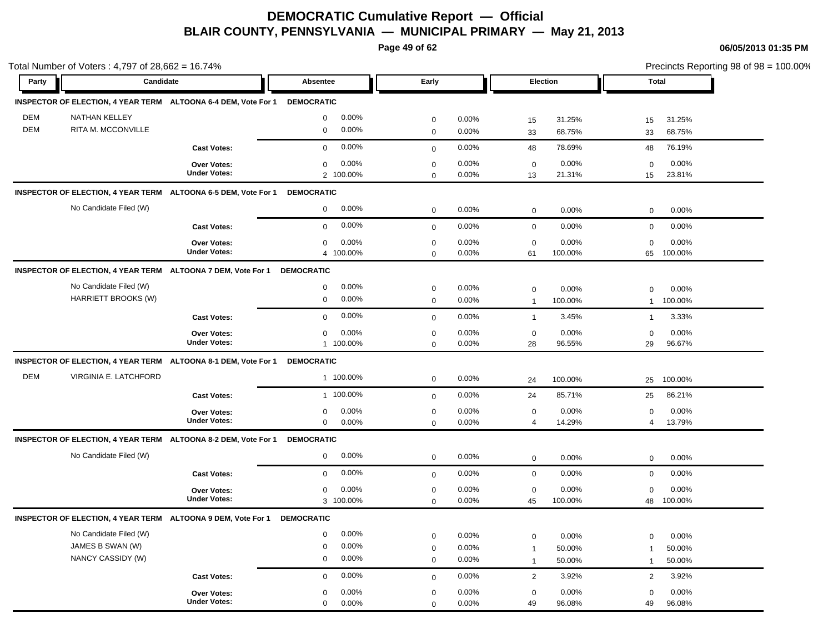**Page 49 of 62**

|            | Total Number of Voters : 4,797 of 28,662 = 16.74%            |                                                                           |                      |              |          |              |         | Precincts Reporting 98 of 98 = 100.00% |         |
|------------|--------------------------------------------------------------|---------------------------------------------------------------------------|----------------------|--------------|----------|--------------|---------|----------------------------------------|---------|
| Party      | Candidate                                                    |                                                                           | Absentee             | Early        |          | Election     |         | <b>Total</b>                           |         |
|            |                                                              | INSPECTOR OF ELECTION, 4 YEAR TERM ALTOONA 6-4 DEM, Vote For 1 DEMOCRATIC |                      |              |          |              |         |                                        |         |
| <b>DEM</b> | <b>NATHAN KELLEY</b>                                         |                                                                           | 0.00%<br>$\mathbf 0$ | $\mathbf 0$  | 0.00%    | 15           | 31.25%  | 15                                     | 31.25%  |
| <b>DEM</b> | RITA M. MCCONVILLE                                           |                                                                           | 0.00%<br>$\mathbf 0$ | $\mathbf 0$  | 0.00%    | 33           | 68.75%  | 33                                     | 68.75%  |
|            |                                                              | <b>Cast Votes:</b>                                                        | 0.00%<br>$\mathbf 0$ | $\mathbf{0}$ | 0.00%    | 48           | 78.69%  | 48                                     | 76.19%  |
|            |                                                              | Over Votes:                                                               | 0.00%<br>$\mathbf 0$ | $\mathbf 0$  | 0.00%    | $\mathbf 0$  | 0.00%   | 0                                      | 0.00%   |
|            |                                                              | <b>Under Votes:</b>                                                       | 2 100.00%            | $\mathbf 0$  | 0.00%    | 13           | 21.31%  | 15                                     | 23.81%  |
|            |                                                              | INSPECTOR OF ELECTION, 4 YEAR TERM ALTOONA 6-5 DEM, Vote For 1            | <b>DEMOCRATIC</b>    |              |          |              |         |                                        |         |
|            | No Candidate Filed (W)                                       |                                                                           | 0.00%<br>$\mathbf 0$ | $\mathbf 0$  | 0.00%    | $\mathbf 0$  | 0.00%   | $\mathbf 0$                            | 0.00%   |
|            |                                                              | <b>Cast Votes:</b>                                                        | 0.00%<br>$\mathbf 0$ | $\mathbf{0}$ | 0.00%    | $\mathbf 0$  | 0.00%   | $\mathbf 0$                            | 0.00%   |
|            |                                                              | Over Votes:                                                               | 0.00%<br>$\mathbf 0$ | $\mathbf 0$  | 0.00%    | $\mathbf 0$  | 0.00%   | $\Omega$                               | 0.00%   |
|            |                                                              | <b>Under Votes:</b>                                                       | 4 100.00%            | $\mathbf 0$  | 0.00%    | 61           | 100.00% | 65                                     | 100.00% |
|            |                                                              | INSPECTOR OF ELECTION, 4 YEAR TERM ALTOONA 7 DEM, Vote For 1              | <b>DEMOCRATIC</b>    |              |          |              |         |                                        |         |
|            | No Candidate Filed (W)                                       |                                                                           | 0.00%<br>$\mathbf 0$ | $\mathbf 0$  | 0.00%    | $\mathbf 0$  | 0.00%   | $\mathbf 0$                            | 0.00%   |
|            | HARRIETT BROOKS (W)                                          |                                                                           | 0.00%<br>$\mathbf 0$ | $\mathbf 0$  | 0.00%    | $\mathbf{1}$ | 100.00% | $\mathbf{1}$                           | 100.00% |
|            |                                                              | <b>Cast Votes:</b>                                                        | 0.00%<br>$\mathbf 0$ | $\mathbf 0$  | 0.00%    | $\mathbf{1}$ | 3.45%   | $\mathbf{1}$                           | 3.33%   |
|            |                                                              | <b>Over Votes:</b>                                                        | 0.00%<br>$\mathbf 0$ | $\mathbf 0$  | 0.00%    | $\mathbf 0$  | 0.00%   | $\mathbf 0$                            | 0.00%   |
|            |                                                              | <b>Under Votes:</b>                                                       | 1 100.00%            | $\mathbf 0$  | 0.00%    | 28           | 96.55%  | 29                                     | 96.67%  |
|            |                                                              | INSPECTOR OF ELECTION, 4 YEAR TERM ALTOONA 8-1 DEM, Vote For 1            | <b>DEMOCRATIC</b>    |              |          |              |         |                                        |         |
| <b>DEM</b> | VIRGINIA E. LATCHFORD                                        |                                                                           | 1 100.00%            | $\mathbf 0$  | 0.00%    | 24           | 100.00% | 25                                     | 100.00% |
|            |                                                              | <b>Cast Votes:</b>                                                        | 1 100.00%            | $\mathbf 0$  | 0.00%    | 24           | 85.71%  | 25                                     | 86.21%  |
|            |                                                              | Over Votes:                                                               | 0.00%<br>$\mathbf 0$ | $\mathbf 0$  | 0.00%    | $\mathbf 0$  | 0.00%   | 0                                      | 0.00%   |
|            |                                                              | <b>Under Votes:</b>                                                       | $\mathbf 0$<br>0.00% | $\mathbf 0$  | $0.00\%$ | 4            | 14.29%  | $\overline{4}$                         | 13.79%  |
|            |                                                              | INSPECTOR OF ELECTION, 4 YEAR TERM ALTOONA 8-2 DEM, Vote For 1            | <b>DEMOCRATIC</b>    |              |          |              |         |                                        |         |
|            | No Candidate Filed (W)                                       |                                                                           | 0.00%<br>$\mathbf 0$ | $\mathbf 0$  | 0.00%    | $\mathsf 0$  | 0.00%   | $\mathbf 0$                            | 0.00%   |
|            |                                                              | <b>Cast Votes:</b>                                                        | 0.00%<br>$\mathbf 0$ | $\mathbf{0}$ | 0.00%    | $\mathbf 0$  | 0.00%   | $\mathbf 0$                            | 0.00%   |
|            |                                                              | Over Votes:                                                               | $\pmb{0}$<br>0.00%   | $\mathbf 0$  | 0.00%    | $\mathbf 0$  | 0.00%   | $\mathbf 0$                            | 0.00%   |
|            |                                                              | <b>Under Votes:</b>                                                       | 3 100.00%            | $\mathbf 0$  | 0.00%    | 45           | 100.00% | 48                                     | 100.00% |
|            | INSPECTOR OF ELECTION, 4 YEAR TERM ALTOONA 9 DEM, Vote For 1 |                                                                           | <b>DEMOCRATIC</b>    |              |          |              |         |                                        |         |
|            | No Candidate Filed (W)                                       |                                                                           | 0.00%<br>$\mathsf 0$ | $\mathbf 0$  | 0.00%    | $\mathbf 0$  | 0.00%   | 0                                      | 0.00%   |
|            | JAMES B SWAN (W)                                             |                                                                           | 0.00%<br>$\mathbf 0$ | $\mathbf 0$  | 0.00%    | $\mathbf{1}$ | 50.00%  | $\overline{1}$                         | 50.00%  |
|            | NANCY CASSIDY (W)                                            |                                                                           | 0.00%<br>$\mathbf 0$ | $\mathbf 0$  | 0.00%    | $\mathbf{1}$ | 50.00%  | $\mathbf{1}$                           | 50.00%  |
|            |                                                              | <b>Cast Votes:</b>                                                        | 0.00%<br>$\mathbf 0$ | $\mathbf 0$  | 0.00%    | 2            | 3.92%   | 2                                      | 3.92%   |
|            |                                                              | <b>Over Votes:</b>                                                        | 0.00%<br>$\mathbf 0$ | $\mathbf 0$  | 0.00%    | $\mathbf 0$  | 0.00%   | $\mathbf 0$                            | 0.00%   |
|            |                                                              | <b>Under Votes:</b>                                                       | 0.00%<br>$\mathbf 0$ | $\mathbf 0$  | 0.00%    | 49           | 96.08%  | 49                                     | 96.08%  |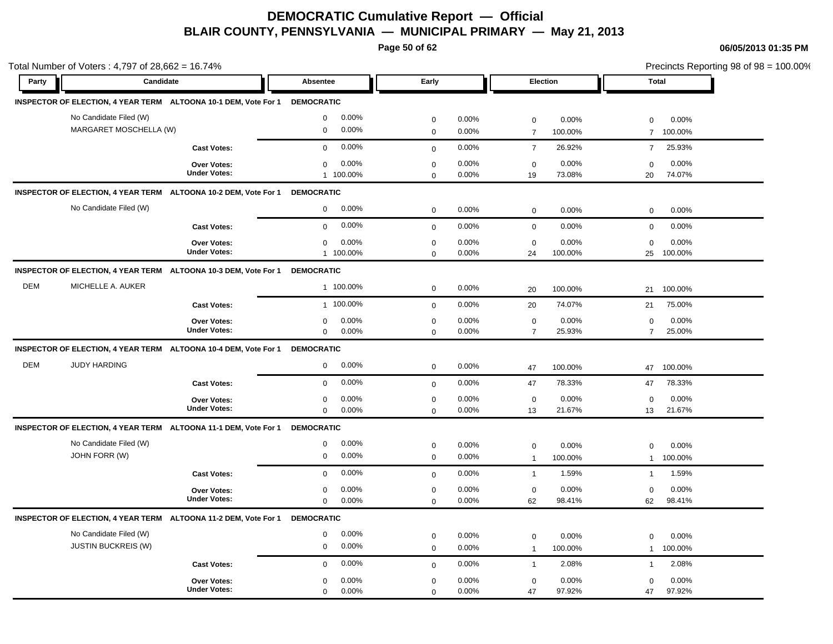**Page 50 of 62**

|            | Total Number of Voters: 4,797 of 28,662 = 16.74%                           |                                              |                                              |                                                   | Precincts Reporting 98 of 98 = 100.00%            |
|------------|----------------------------------------------------------------------------|----------------------------------------------|----------------------------------------------|---------------------------------------------------|---------------------------------------------------|
| Party      | Candidate                                                                  | Absentee                                     | Early                                        | Election                                          | <b>Total</b>                                      |
|            | INSPECTOR OF ELECTION, 4 YEAR TERM ALTOONA 10-1 DEM, Vote For 1            | <b>DEMOCRATIC</b>                            |                                              |                                                   |                                                   |
|            | No Candidate Filed (W)<br>MARGARET MOSCHELLA (W)                           | 0.00%<br>$\mathbf 0$<br>0.00%<br>$\mathbf 0$ | $\mathbf 0$<br>0.00%<br>0.00%<br>$\mathbf 0$ | $\mathbf 0$<br>0.00%<br>$\overline{7}$<br>100.00% | 0.00%<br>$\mathbf 0$<br>100.00%<br>$\overline{7}$ |
|            | <b>Cast Votes:</b>                                                         | 0.00%<br>$\mathbf 0$                         | 0.00%<br>$\mathbf 0$                         | 26.92%<br>$\overline{7}$                          | 25.93%<br>$\overline{7}$                          |
|            | <b>Over Votes:</b><br><b>Under Votes:</b>                                  | 0.00%<br>$\mathbf 0$<br>1 100.00%            | 0.00%<br>$\mathbf 0$<br>0.00%<br>$\mathbf 0$ | 0.00%<br>$\mathbf 0$<br>73.08%<br>19              | 0.00%<br>$\mathbf 0$<br>74.07%<br>20              |
|            | INSPECTOR OF ELECTION, 4 YEAR TERM ALTOONA 10-2 DEM, Vote For 1 DEMOCRATIC |                                              |                                              |                                                   |                                                   |
|            | No Candidate Filed (W)                                                     | 0.00%<br>$\mathbf 0$                         | 0.00%<br>$\mathbf 0$                         | 0.00%<br>$\mathbf 0$                              | 0.00%<br>$\mathbf 0$                              |
|            | <b>Cast Votes:</b>                                                         | 0.00%<br>$\mathbf 0$                         | $0.00\%$<br>$\mathbf{0}$                     | $\mathbf 0$<br>0.00%                              | 0.00%<br>0                                        |
|            | Over Votes:<br><b>Under Votes:</b>                                         | 0.00%<br>$\mathbf 0$<br>1 100.00%            | $\pmb{0}$<br>0.00%<br>0.00%<br>$\mathbf 0$   | $\mathbf 0$<br>0.00%<br>24<br>100.00%             | 0.00%<br>$\mathbf 0$<br>25<br>100.00%             |
|            | INSPECTOR OF ELECTION, 4 YEAR TERM ALTOONA 10-3 DEM, Vote For 1            | <b>DEMOCRATIC</b>                            |                                              |                                                   |                                                   |
| <b>DEM</b> | MICHELLE A. AUKER                                                          | 1 100.00%                                    | 0.00%<br>$\mathbf 0$                         | 100.00%<br>20                                     | 100.00%<br>21                                     |
|            | <b>Cast Votes:</b>                                                         | 1 100.00%                                    | 0.00%<br>$\mathbf 0$                         | 74.07%<br>20                                      | 75.00%<br>21                                      |
|            | Over Votes:<br><b>Under Votes:</b>                                         | 0.00%<br>$\mathbf 0$<br>$\mathbf 0$<br>0.00% | 0.00%<br>$\mathbf 0$<br>0.00%<br>$\mathbf 0$ | 0.00%<br>$\mathbf 0$<br>$\overline{7}$<br>25.93%  | 0.00%<br>0<br>$\overline{7}$<br>25.00%            |
|            | INSPECTOR OF ELECTION, 4 YEAR TERM ALTOONA 10-4 DEM, Vote For 1            | <b>DEMOCRATIC</b>                            |                                              |                                                   |                                                   |
| <b>DEM</b> | <b>JUDY HARDING</b>                                                        | 0.00%<br>$\mathbf 0$                         | 0.00%<br>$\mathbf 0$                         | 100.00%<br>47                                     | 100.00%<br>47                                     |
|            | <b>Cast Votes:</b>                                                         | 0.00%<br>$\mathbf 0$                         | 0.00%<br>$\mathbf 0$                         | 78.33%<br>47                                      | 78.33%<br>47                                      |
|            | <b>Over Votes:</b><br><b>Under Votes:</b>                                  | 0.00%<br>$\mathbf 0$<br>0.00%<br>$\mathbf 0$ | 0.00%<br>$\pmb{0}$<br>0.00%<br>$\mathbf 0$   | 0.00%<br>$\mathbf 0$<br>21.67%<br>13              | 0.00%<br>$\mathbf 0$<br>21.67%<br>13              |
|            | INSPECTOR OF ELECTION, 4 YEAR TERM ALTOONA 11-1 DEM, Vote For 1            | <b>DEMOCRATIC</b>                            |                                              |                                                   |                                                   |
|            | No Candidate Filed (W)<br>JOHN FORR (W)                                    | 0.00%<br>$\mathbf 0$<br>0.00%<br>$\mathbf 0$ | 0.00%<br>$\mathbf 0$<br>$\mathbf 0$<br>0.00% | 0.00%<br>$\mathbf 0$<br>100.00%<br>$\overline{1}$ | 0.00%<br>$\mathbf 0$<br>100.00%<br>$\mathbf{1}$   |
|            | <b>Cast Votes:</b>                                                         | 0.00%<br>$\mathbf 0$                         | 0.00%<br>$\mathbf 0$                         | $\mathbf{1}$<br>1.59%                             | 1.59%<br>$\mathbf{1}$                             |
|            | <b>Over Votes:</b><br><b>Under Votes:</b>                                  | 0.00%<br>0<br>$\mathbf 0$<br>0.00%           | $\pmb{0}$<br>0.00%<br>0.00%<br>$\mathbf 0$   | $\mathbf 0$<br>0.00%<br>62<br>98.41%              | $\Omega$<br>$0.00\%$<br>62<br>98.41%              |
|            | INSPECTOR OF ELECTION, 4 YEAR TERM ALTOONA 11-2 DEM, Vote For 1            | <b>DEMOCRATIC</b>                            |                                              |                                                   |                                                   |
|            | No Candidate Filed (W)<br><b>JUSTIN BUCKREIS (W)</b>                       | 0.00%<br>$\mathbf 0$<br>0.00%<br>$\mathbf 0$ | $\mathbf 0$<br>0.00%<br>0.00%<br>$\mathbf 0$ | $\mathbf 0$<br>0.00%<br>100.00%<br>$\overline{1}$ | 0.00%<br>$\mathbf 0$<br>100.00%<br>$\mathbf{1}$   |
|            | <b>Cast Votes:</b>                                                         | 0.00%<br>$\Omega$                            | 0.00%<br>$\mathbf 0$                         | 2.08%<br>$\overline{1}$                           | 2.08%<br>$\mathbf{1}$                             |
|            | <b>Over Votes:</b><br><b>Under Votes:</b>                                  | 0.00%<br>$\mathbf 0$<br>$\mathbf 0$<br>0.00% | $\mathbf 0$<br>0.00%<br>0.00%<br>$\mathbf 0$ | 0.00%<br>$\mathbf 0$<br>47<br>97.92%              | 0.00%<br>$\mathbf 0$<br>97.92%<br>47              |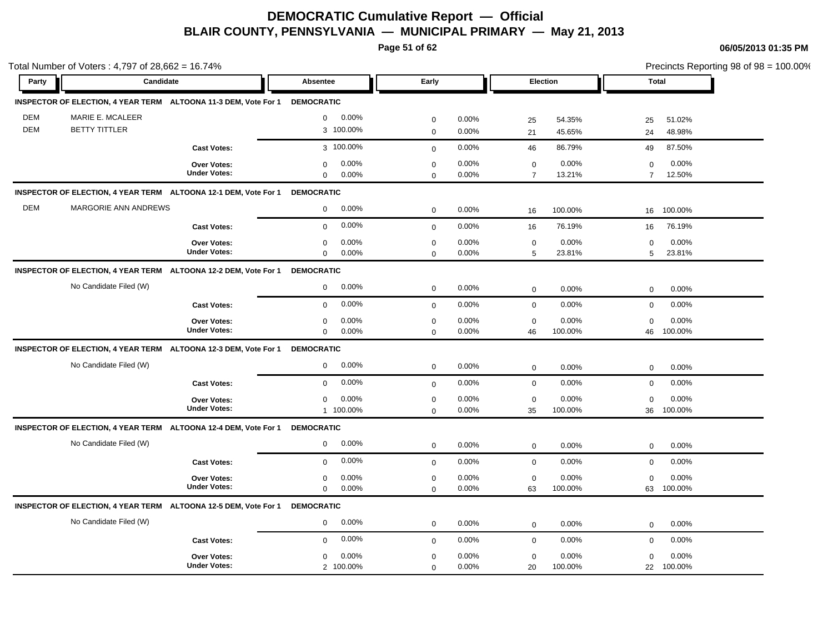**Page 51 of 62**

|            | Total Number of Voters: 4,797 of 28,662 = 16.74%                           |                       |                       |                          | Precincts Reporting 98 of 98 = 100.00% |
|------------|----------------------------------------------------------------------------|-----------------------|-----------------------|--------------------------|----------------------------------------|
| Party      | Candidate                                                                  | Absentee              | Early                 | Election                 | <b>Total</b>                           |
|            | INSPECTOR OF ELECTION, 4 YEAR TERM ALTOONA 11-3 DEM, Vote For 1 DEMOCRATIC |                       |                       |                          |                                        |
| <b>DEM</b> | MARIE E. MCALEER                                                           | 0.00%<br>$\mathbf 0$  | 0.00%<br>$\mathbf 0$  | 25<br>54.35%             | 25<br>51.02%                           |
| <b>DEM</b> | <b>BETTY TITTLER</b>                                                       | 3 100.00%             | $\mathbf 0$<br>0.00%  | 21<br>45.65%             | 48.98%<br>24                           |
|            | <b>Cast Votes:</b>                                                         | 3 100.00%             | 0.00%<br>$\mathbf 0$  | 86.79%<br>46             | 87.50%<br>49                           |
|            | Over Votes:                                                                | 0.00%<br>$\mathbf 0$  | 0.00%<br>$\mathbf 0$  | 0.00%<br>$\mathbf 0$     | 0.00%<br>0                             |
|            | <b>Under Votes:</b>                                                        | 0.00%<br>$\mathbf 0$  | 0.00%<br>$\mathbf 0$  | $\overline{7}$<br>13.21% | 12.50%<br>$\overline{7}$               |
|            | INSPECTOR OF ELECTION, 4 YEAR TERM ALTOONA 12-1 DEM, Vote For 1            | <b>DEMOCRATIC</b>     |                       |                          |                                        |
| <b>DEM</b> | MARGORIE ANN ANDREWS                                                       | 0.00%<br>$\mathbf 0$  | 0.00%<br>$\mathbf 0$  | 100.00%<br>16            | 100.00%<br>16                          |
|            | <b>Cast Votes:</b>                                                         | 0.00%<br>$\mathbf 0$  | 0.00%<br>$\mathbf{0}$ | 76.19%<br>16             | 76.19%<br>16                           |
|            | <b>Over Votes:</b>                                                         | 0.00%<br>$\mathbf 0$  | 0.00%<br>$\mathbf 0$  | 0.00%<br>$\mathbf 0$     | 0.00%<br>$\mathbf 0$                   |
|            | <b>Under Votes:</b>                                                        | $\mathbf 0$<br>0.00%  | $\mathbf 0$<br>0.00%  | 23.81%<br>5              | 23.81%<br>5                            |
|            | INSPECTOR OF ELECTION, 4 YEAR TERM ALTOONA 12-2 DEM, Vote For 1 DEMOCRATIC |                       |                       |                          |                                        |
|            | No Candidate Filed (W)                                                     | 0.00%<br>$\mathbf{0}$ | 0.00%<br>$\mathbf 0$  | 0.00%<br>$\mathbf 0$     | 0.00%<br>$\mathbf 0$                   |
|            | <b>Cast Votes:</b>                                                         | 0.00%<br>$\Omega$     | 0.00%<br>$\mathbf{0}$ | $\mathbf 0$<br>0.00%     | $\mathbf 0$<br>0.00%                   |
|            | Over Votes:                                                                | 0.00%<br>0            | 0.00%<br>$\mathbf 0$  | 0.00%<br>$\mathbf 0$     | 0.00%<br>$\mathbf 0$                   |
|            | <b>Under Votes:</b>                                                        | $\mathbf 0$<br>0.00%  | 0.00%<br>$\mathbf 0$  | 100.00%<br>46            | 100.00%<br>46                          |
|            | INSPECTOR OF ELECTION, 4 YEAR TERM ALTOONA 12-3 DEM, Vote For 1            | <b>DEMOCRATIC</b>     |                       |                          |                                        |
|            | No Candidate Filed (W)                                                     | 0.00%<br>0            | 0.00%<br>$\mathbf 0$  | 0.00%<br>$\mathbf 0$     | $0.00\%$<br>$\mathbf 0$                |
|            | <b>Cast Votes:</b>                                                         | 0.00%<br>$\mathbf 0$  | 0.00%<br>$\mathbf 0$  | 0.00%<br>$\mathbf 0$     | 0.00%<br>$\mathbf 0$                   |
|            | <b>Over Votes:</b>                                                         | 0.00%<br>$\mathbf 0$  | $\mathbf 0$<br>0.00%  | 0.00%<br>$\mathbf 0$     | 0.00%<br>$\mathbf 0$                   |
|            | <b>Under Votes:</b>                                                        | 1 100.00%             | 0.00%<br>$\mathbf 0$  | 35<br>100.00%            | 36<br>100.00%                          |
|            | INSPECTOR OF ELECTION, 4 YEAR TERM ALTOONA 12-4 DEM, Vote For 1            | <b>DEMOCRATIC</b>     |                       |                          |                                        |
|            | No Candidate Filed (W)                                                     | 0.00%<br>0            | 0.00%<br>$\mathbf 0$  | $\mathbf 0$<br>0.00%     | 0.00%<br>$\mathbf 0$                   |
|            | <b>Cast Votes:</b>                                                         | 0.00%<br>$\mathbf 0$  | 0.00%<br>$\mathbf 0$  | 0.00%<br>$\mathbf 0$     | 0.00%<br>$\mathbf 0$                   |
|            | Over Votes:                                                                | 0.00%<br>$\mathbf 0$  | 0.00%<br>$\mathbf 0$  | 0.00%<br>$\mathbf 0$     | 0.00%<br>$\mathbf 0$                   |
|            | <b>Under Votes:</b>                                                        | 0.00%<br>$\mathbf 0$  | 0.00%<br>$\mathbf 0$  | 100.00%<br>63            | 100.00%<br>63                          |
|            | INSPECTOR OF ELECTION, 4 YEAR TERM ALTOONA 12-5 DEM, Vote For 1            | <b>DEMOCRATIC</b>     |                       |                          |                                        |
|            | No Candidate Filed (W)                                                     | 0.00%<br>$\mathbf 0$  | 0.00%<br>$\mathbf 0$  | 0.00%<br>$\mathbf 0$     | 0.00%<br>0                             |
|            | <b>Cast Votes:</b>                                                         | 0.00%<br>$\mathbf 0$  | 0.00%<br>$\mathbf 0$  | 0.00%<br>$\mathbf 0$     | 0.00%<br>$\mathbf 0$                   |
|            | <b>Over Votes:</b>                                                         | 0.00%<br>$\mathbf 0$  | 0.00%<br>$\mathbf 0$  | 0.00%<br>$\mathbf 0$     | 0.00%<br>0                             |
|            | <b>Under Votes:</b>                                                        | 2 100.00%             | 0.00%<br>$\mathbf 0$  | 20<br>100.00%            | 100.00%<br>22                          |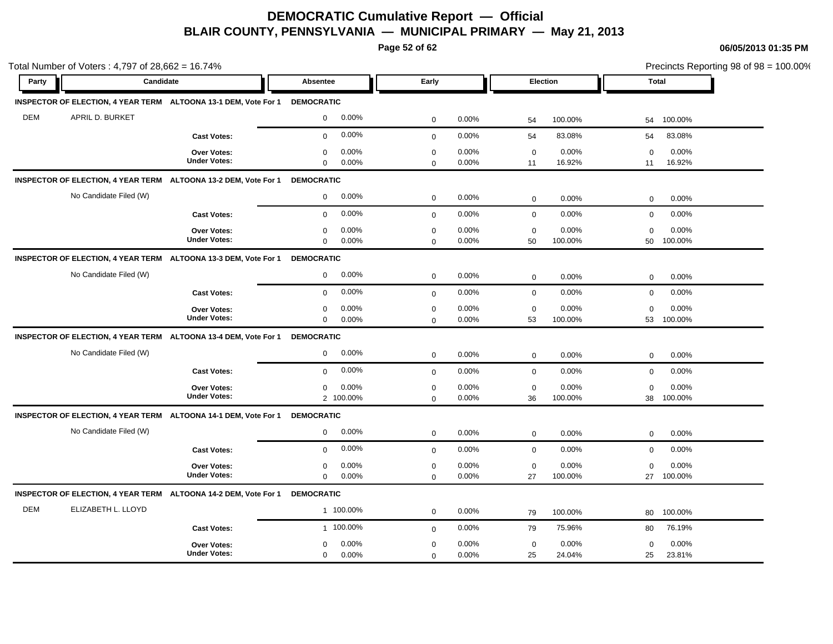**Page 52 of 62**

|            | Total Number of Voters: $4,797$ of $28,662 = 16.74\%$ |                                                                 |                   |           |             |       |                 |         |             | Precincts Reporting 98 of 98 = 100.00% |
|------------|-------------------------------------------------------|-----------------------------------------------------------------|-------------------|-----------|-------------|-------|-----------------|---------|-------------|----------------------------------------|
| Party      | <b>Candidate</b>                                      |                                                                 | <b>Absentee</b>   |           | Early       |       | <b>Election</b> |         |             | <b>Total</b>                           |
|            |                                                       | INSPECTOR OF ELECTION, 4 YEAR TERM ALTOONA 13-1 DEM, Vote For 1 | <b>DEMOCRATIC</b> |           |             |       |                 |         |             |                                        |
| <b>DEM</b> | APRIL D. BURKET                                       |                                                                 | $\mathbf{0}$      | $0.00\%$  | $\mathbf 0$ | 0.00% | 54              | 100.00% | 54          | 100.00%                                |
|            |                                                       | <b>Cast Votes:</b>                                              | $\mathbf 0$       | 0.00%     | $\mathbf 0$ | 0.00% | 54              | 83.08%  | 54          | 83.08%                                 |
|            |                                                       | <b>Over Votes:</b>                                              | 0                 | 0.00%     | 0           | 0.00% | $\mathbf 0$     | 0.00%   | 0           | 0.00%                                  |
|            |                                                       | <b>Under Votes:</b>                                             | $\Omega$          | 0.00%     | $\mathbf 0$ | 0.00% | 11              | 16.92%  | 11          | 16.92%                                 |
|            |                                                       | INSPECTOR OF ELECTION, 4 YEAR TERM ALTOONA 13-2 DEM, Vote For 1 | <b>DEMOCRATIC</b> |           |             |       |                 |         |             |                                        |
|            | No Candidate Filed (W)                                |                                                                 | $\mathbf 0$       | 0.00%     | $\mathbf 0$ | 0.00% | $\mathbf 0$     | 0.00%   | $\mathbf 0$ | 0.00%                                  |
|            |                                                       | <b>Cast Votes:</b>                                              | $\Omega$          | 0.00%     | $\mathbf 0$ | 0.00% | $\mathbf 0$     | 0.00%   | $\mathbf 0$ | 0.00%                                  |
|            |                                                       | Over Votes:                                                     | $\mathbf 0$       | 0.00%     | $\mathbf 0$ | 0.00% | $\mathbf 0$     | 0.00%   | $\mathbf 0$ | 0.00%                                  |
|            |                                                       | <b>Under Votes:</b>                                             | $\mathbf 0$       | 0.00%     | $\Omega$    | 0.00% | 50              | 100.00% | 50          | 100.00%                                |
|            |                                                       | INSPECTOR OF ELECTION, 4 YEAR TERM ALTOONA 13-3 DEM, Vote For 1 | <b>DEMOCRATIC</b> |           |             |       |                 |         |             |                                        |
|            | No Candidate Filed (W)                                |                                                                 | 0                 | 0.00%     | $\mathbf 0$ | 0.00% | $\mathbf 0$     | 0.00%   | $\mathbf 0$ | 0.00%                                  |
|            |                                                       | <b>Cast Votes:</b>                                              | $\mathbf 0$       | 0.00%     | $\mathbf 0$ | 0.00% | $\mathbf 0$     | 0.00%   | $\mathbf 0$ | 0.00%                                  |
|            |                                                       | Over Votes:                                                     | 0                 | 0.00%     | $\mathbf 0$ | 0.00% | $\mathbf 0$     | 0.00%   | $\mathbf 0$ | 0.00%                                  |
|            |                                                       | <b>Under Votes:</b>                                             | $\mathbf 0$       | 0.00%     | $\Omega$    | 0.00% | 53              | 100.00% | 53          | 100.00%                                |
|            |                                                       | INSPECTOR OF ELECTION, 4 YEAR TERM ALTOONA 13-4 DEM, Vote For 1 | <b>DEMOCRATIC</b> |           |             |       |                 |         |             |                                        |
|            | No Candidate Filed (W)                                |                                                                 | $\mathbf 0$       | 0.00%     | $\mathbf 0$ | 0.00% | $\mathbf 0$     | 0.00%   | $\mathbf 0$ | 0.00%                                  |
|            |                                                       | <b>Cast Votes:</b>                                              | $\mathbf{0}$      | 0.00%     | $\mathbf 0$ | 0.00% | $\mathbf 0$     | 0.00%   | $\mathbf 0$ | 0.00%                                  |
|            |                                                       | <b>Over Votes:</b>                                              | 0                 | 0.00%     | $\mathbf 0$ | 0.00% | $\pmb{0}$       | 0.00%   | $\Omega$    | 0.00%                                  |
|            |                                                       | <b>Under Votes:</b>                                             |                   | 2 100.00% | $\Omega$    | 0.00% | 36              | 100.00% | 38          | 100.00%                                |
|            |                                                       | INSPECTOR OF ELECTION, 4 YEAR TERM ALTOONA 14-1 DEM, Vote For 1 | <b>DEMOCRATIC</b> |           |             |       |                 |         |             |                                        |
|            | No Candidate Filed (W)                                |                                                                 | 0                 | 0.00%     | $\mathbf 0$ | 0.00% | $\mathbf 0$     | 0.00%   | $\mathbf 0$ | 0.00%                                  |
|            |                                                       | <b>Cast Votes:</b>                                              | $\mathbf 0$       | 0.00%     | $\mathbf 0$ | 0.00% | $\mathbf 0$     | 0.00%   | $\mathbf 0$ | 0.00%                                  |
|            |                                                       | <b>Over Votes:</b>                                              | 0                 | 0.00%     | $\mathbf 0$ | 0.00% | $\mathbf 0$     | 0.00%   | $\mathbf 0$ | 0.00%                                  |
|            |                                                       | <b>Under Votes:</b>                                             | $\mathbf{0}$      | 0.00%     | $\Omega$    | 0.00% | 27              | 100.00% | 27          | 100.00%                                |
|            |                                                       | INSPECTOR OF ELECTION, 4 YEAR TERM ALTOONA 14-2 DEM, Vote For 1 | <b>DEMOCRATIC</b> |           |             |       |                 |         |             |                                        |
| <b>DEM</b> | ELIZABETH L. LLOYD                                    |                                                                 |                   | 1 100.00% | $\mathbf 0$ | 0.00% | 79              | 100.00% | 80          | 100.00%                                |
|            |                                                       | <b>Cast Votes:</b>                                              |                   | 1 100.00% | $\mathbf 0$ | 0.00% | 79              | 75.96%  | 80          | 76.19%                                 |
|            |                                                       | <b>Over Votes:</b>                                              | 0                 | $0.00\%$  | $\mathbf 0$ | 0.00% | $\mathbf 0$     | 0.00%   | $\mathbf 0$ | 0.00%                                  |
|            |                                                       | <b>Under Votes:</b>                                             | 0                 | 0.00%     | $\mathbf 0$ | 0.00% | 25              | 24.04%  | 25          | 23.81%                                 |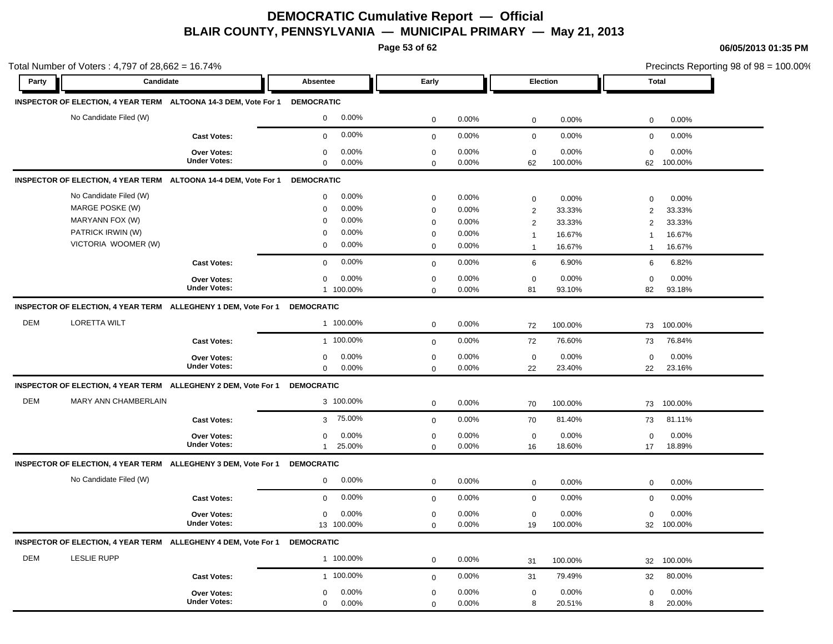**Page 53 of 62**

|            | Total Number of Voters : 4,797 of 28,662 = 16.74% |                                                                            |                          |                            |                |                                       | Precincts Reporting 98 of 98 = 100.00% |  |
|------------|---------------------------------------------------|----------------------------------------------------------------------------|--------------------------|----------------------------|----------------|---------------------------------------|----------------------------------------|--|
| Party      | Candidate                                         |                                                                            | Absentee                 | Early                      |                | Election                              | <b>Total</b>                           |  |
|            |                                                   | INSPECTOR OF ELECTION, 4 YEAR TERM ALTOONA 14-3 DEM, Vote For 1 DEMOCRATIC |                          |                            |                |                                       |                                        |  |
|            | No Candidate Filed (W)                            |                                                                            | 0.00%<br>$\mathbf 0$     | $\mathbf 0$                | 0.00%          | $\mathbf 0$<br>0.00%                  | 0.00%<br>$\mathbf 0$                   |  |
|            |                                                   | <b>Cast Votes:</b>                                                         | 0.00%<br>$\mathbf 0$     | $\mathbf 0$                | 0.00%          | $\mathbf 0$<br>0.00%                  | $\mathbf 0$<br>0.00%                   |  |
|            |                                                   | Over Votes:                                                                | 0.00%<br>$\mathbf 0$     | $\mathbf 0$                | 0.00%          | 0.00%<br>$\mathbf 0$                  | 0.00%<br>$\mathbf 0$                   |  |
|            |                                                   | <b>Under Votes:</b>                                                        | $\mathbf 0$<br>0.00%     | $\mathbf 0$                | 0.00%          | 62<br>100.00%                         | 100.00%<br>62                          |  |
|            |                                                   | INSPECTOR OF ELECTION, 4 YEAR TERM ALTOONA 14-4 DEM, Vote For 1 DEMOCRATIC |                          |                            |                |                                       |                                        |  |
|            | No Candidate Filed (W)                            |                                                                            | 0.00%<br>0               | 0                          | 0.00%          | 0<br>0.00%                            | 0.00%<br>$\mathbf 0$                   |  |
|            | MARGE POSKE (W)                                   |                                                                            | 0.00%<br>$\mathbf 0$     | $\mathbf 0$                | 0.00%          | $\overline{\mathbf{c}}$<br>33.33%     | 33.33%<br>$\overline{2}$               |  |
|            | MARYANN FOX (W)                                   |                                                                            | 0.00%<br>$\mathbf 0$     | 0                          | $0.00\%$       | 33.33%<br>$\overline{c}$              | 33.33%<br>2                            |  |
|            | PATRICK IRWIN (W)                                 |                                                                            | 0.00%<br>$\mathbf 0$     | $\mathbf 0$                | 0.00%          | 16.67%<br>$\mathbf{1}$                | 16.67%<br>$\mathbf{1}$                 |  |
|            | VICTORIA WOOMER (W)                               |                                                                            | 0.00%<br>$\mathbf 0$     | $\mathbf 0$                | $0.00\%$       | 16.67%<br>$\mathbf{1}$                | 16.67%<br>$\mathbf{1}$                 |  |
|            |                                                   | <b>Cast Votes:</b>                                                         | 0.00%<br>$\mathbf 0$     | $\mathbf 0$                | $0.00\%$       | 6.90%<br>6                            | 6.82%<br>6                             |  |
|            |                                                   | Over Votes:                                                                | 0.00%<br>0               | 0                          | 0.00%          | 0.00%<br>0                            | 0.00%<br>0                             |  |
|            |                                                   | <b>Under Votes:</b>                                                        | 1 100.00%                | $\mathbf 0$                | 0.00%          | 81<br>93.10%                          | 82<br>93.18%                           |  |
|            |                                                   | INSPECTOR OF ELECTION, 4 YEAR TERM ALLEGHENY 1 DEM, Vote For 1 DEMOCRATIC  |                          |                            |                |                                       |                                        |  |
| <b>DEM</b> | <b>LORETTA WILT</b>                               |                                                                            | 1 100.00%                | $\mathbf 0$                | 0.00%          | 100.00%<br>72                         | 73<br>100.00%                          |  |
|            |                                                   | <b>Cast Votes:</b>                                                         | 1 100.00%                | $\mathbf 0$                | 0.00%          | 76.60%<br>72                          | 76.84%<br>73                           |  |
|            |                                                   | Over Votes:                                                                | 0.00%<br>0               | $\mathbf 0$                | 0.00%          | 0.00%<br>$\pmb{0}$                    | 0.00%<br>$\mathbf 0$                   |  |
|            |                                                   | <b>Under Votes:</b>                                                        | $\mathsf{O}$<br>0.00%    | $\mathbf 0$                | 0.00%          | 23.40%<br>22                          | 23.16%<br>22                           |  |
|            |                                                   | INSPECTOR OF ELECTION, 4 YEAR TERM ALLEGHENY 2 DEM, Vote For 1 DEMOCRATIC  |                          |                            |                |                                       |                                        |  |
| <b>DEM</b> | MARY ANN CHAMBERLAIN                              |                                                                            | 3 100.00%                | $\mathbf 0$                | 0.00%          | 100.00%<br>70                         | 100.00%<br>73                          |  |
|            |                                                   | <b>Cast Votes:</b>                                                         | 75.00%<br>3              | $\mathbf 0$                | 0.00%          | 81.40%<br>70                          | 81.11%<br>73                           |  |
|            |                                                   | Over Votes:                                                                | 0.00%<br>$\mathbf 0$     | $\mathbf 0$                | 0.00%          | 0.00%<br>$\mathbf 0$                  | 0.00%<br>$\mathbf 0$                   |  |
|            |                                                   | <b>Under Votes:</b>                                                        | 25.00%<br>$\mathbf{1}$   | 0                          | 0.00%          | 18.60%<br>16                          | 18.89%<br>17                           |  |
|            |                                                   | INSPECTOR OF ELECTION, 4 YEAR TERM ALLEGHENY 3 DEM, Vote For 1 DEMOCRATIC  |                          |                            |                |                                       |                                        |  |
|            | No Candidate Filed (W)                            |                                                                            | 0.00%<br>$\mathbf 0$     | $\mathbf 0$                | 0.00%          | 0.00%<br>$\mathbf 0$                  | 0.00%<br>$\mathbf 0$                   |  |
|            |                                                   | <b>Cast Votes:</b>                                                         | 0.00%<br>$\mathbf 0$     | $\mathbf 0$                | 0.00%          | $\mathbf 0$<br>0.00%                  | 0.00%<br>$\mathbf 0$                   |  |
|            |                                                   |                                                                            |                          |                            |                |                                       |                                        |  |
|            |                                                   | <b>Over Votes:</b><br><b>Under Votes:</b>                                  | 0.00%<br>0<br>13 100.00% | $\mathbf 0$<br>$\mathbf 0$ | 0.00%<br>0.00% | 0.00%<br>$\mathbf 0$<br>19<br>100.00% | 0.00%<br>$\Omega$<br>100.00%<br>32     |  |
|            |                                                   |                                                                            |                          |                            |                |                                       |                                        |  |
| <b>DEM</b> | <b>LESLIE RUPP</b>                                | INSPECTOR OF ELECTION, 4 YEAR TERM ALLEGHENY 4 DEM, Vote For 1 DEMOCRATIC  | 1 100.00%                |                            |                |                                       |                                        |  |
|            |                                                   |                                                                            |                          | $\mathbf 0$                | 0.00%          | 100.00%<br>31                         | 100.00%<br>32                          |  |
|            |                                                   | <b>Cast Votes:</b>                                                         | 1 100.00%                | $\mathbf 0$                | 0.00%          | 79.49%<br>31                          | 80.00%<br>32                           |  |
|            |                                                   | <b>Over Votes:</b>                                                         | 0.00%<br>$\mathbf 0$     | $\mathbf 0$                | 0.00%          | 0.00%<br>$\mathbf 0$                  | 0.00%<br>$\Omega$                      |  |
|            |                                                   | <b>Under Votes:</b>                                                        | 0.00%<br>$\mathbf 0$     | $\Omega$                   | 0.00%          | 8<br>20.51%                           | 20.00%<br>8                            |  |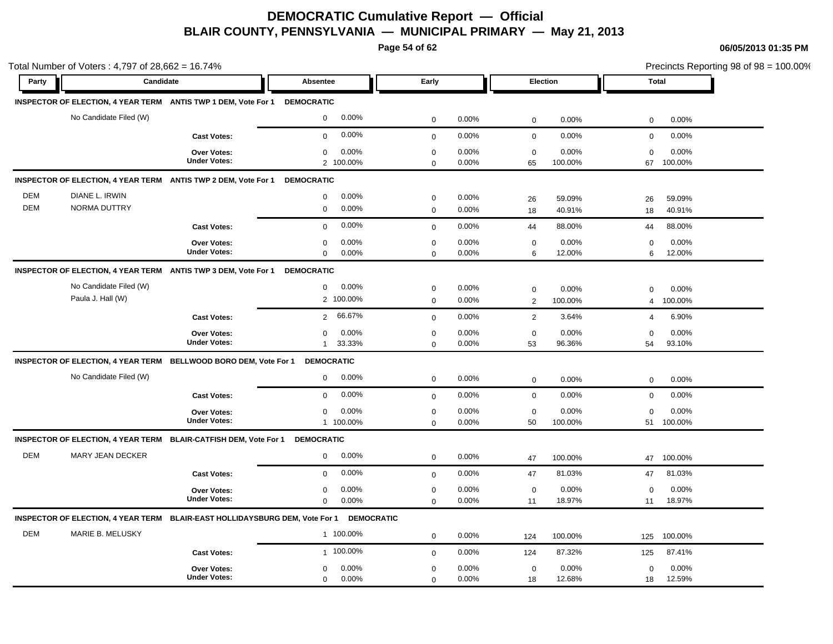**Page 54 of 62**

|                          | Total Number of Voters: 4,797 of 28,662 = 16.74%                            |                                           |                                              |                            |                                                 |                                                   | Precincts Reporting 98 of 98 = 100.00% |
|--------------------------|-----------------------------------------------------------------------------|-------------------------------------------|----------------------------------------------|----------------------------|-------------------------------------------------|---------------------------------------------------|----------------------------------------|
| Party                    | Candidate                                                                   |                                           | <b>Absentee</b>                              | Early                      | Election                                        | <b>Total</b>                                      |                                        |
|                          | INSPECTOR OF ELECTION, 4 YEAR TERM ANTIS TWP 1 DEM, Vote For 1 DEMOCRATIC   |                                           |                                              |                            |                                                 |                                                   |                                        |
|                          | No Candidate Filed (W)                                                      |                                           | 0.00%<br>$\mathbf 0$                         | $\mathbf 0$                | 0.00%<br>$\mathsf 0$                            | 0.00%<br>0                                        | 0.00%                                  |
|                          |                                                                             | <b>Cast Votes:</b>                        | 0.00%<br>$\mathbf 0$                         | $\mathbf 0$                | 0.00%<br>$\mathbf 0$                            | 0.00%<br>$\mathbf 0$                              | 0.00%                                  |
|                          |                                                                             | Over Votes:<br><b>Under Votes:</b>        | 0.00%<br>$\mathbf 0$<br>2 100.00%            | $\mathbf 0$<br>$\Omega$    | 0.00%<br>$\mathbf 0$<br>0.00%<br>65             | 0.00%<br>$\mathbf 0$<br>100.00%<br>67             | 0.00%<br>100.00%                       |
|                          | INSPECTOR OF ELECTION, 4 YEAR TERM ANTIS TWP 2 DEM, Vote For 1              |                                           | <b>DEMOCRATIC</b>                            |                            |                                                 |                                                   |                                        |
| <b>DEM</b><br><b>DEM</b> | DIANE L. IRWIN<br><b>NORMA DUTTRY</b>                                       |                                           | 0.00%<br>$\mathbf 0$<br>$\mathbf 0$<br>0.00% | $\mathbf 0$<br>$\mathbf 0$ | 0.00%<br>26<br>0.00%<br>18                      | 59.09%<br>26<br>40.91%<br>18                      | 59.09%<br>40.91%                       |
|                          |                                                                             | <b>Cast Votes:</b>                        | 0.00%<br>$\mathbf 0$                         | $\mathsf 0$                | 0.00%<br>44                                     | 88.00%<br>44                                      | 88.00%                                 |
|                          |                                                                             | <b>Over Votes:</b><br><b>Under Votes:</b> | 0.00%<br>0<br>0.00%<br>$\mathbf 0$           | $\mathbf 0$<br>$\mathbf 0$ | 0.00%<br>$\mathbf 0$<br>6<br>0.00%              | 0.00%<br>0<br>12.00%<br>6                         | 0.00%<br>12.00%                        |
|                          | INSPECTOR OF ELECTION, 4 YEAR TERM ANTIS TWP 3 DEM, Vote For 1              |                                           | <b>DEMOCRATIC</b>                            |                            |                                                 |                                                   |                                        |
|                          | No Candidate Filed (W)<br>Paula J. Hall (W)                                 |                                           | 0.00%<br>0<br>2 100.00%                      | $\mathbf 0$<br>$\mathbf 0$ | 0.00%<br>$\mathbf 0$<br>0.00%<br>$\overline{2}$ | 0.00%<br>$\mathbf 0$<br>100.00%<br>$\overline{4}$ | 0.00%<br>100.00%                       |
|                          |                                                                             | <b>Cast Votes:</b>                        | 66.67%<br>$\overline{2}$                     | $\mathbf 0$                | 0.00%<br>$\overline{2}$                         | 3.64%<br>4                                        | 6.90%                                  |
|                          |                                                                             | <b>Over Votes:</b><br><b>Under Votes:</b> | 0.00%<br>0<br>33.33%<br>$\mathbf{1}$         | $\mathbf 0$<br>$\mathbf 0$ | 0.00%<br>$\mathbf 0$<br>0.00%<br>53             | 0.00%<br>$\Omega$<br>96.36%<br>54                 | 0.00%<br>93.10%                        |
|                          | INSPECTOR OF ELECTION, 4 YEAR TERM BELLWOOD BORO DEM, Vote For 1 DEMOCRATIC |                                           |                                              |                            |                                                 |                                                   |                                        |
|                          | No Candidate Filed (W)                                                      |                                           | 0.00%<br>$\mathbf 0$                         | $\mathbf 0$                | 0.00%<br>$\mathbf 0$                            | 0.00%<br>0                                        | 0.00%                                  |
|                          |                                                                             | <b>Cast Votes:</b>                        | 0.00%<br>$\mathbf 0$                         | $\mathbf{0}$               | $\mathsf 0$<br>0.00%                            | 0.00%<br>$\mathbf 0$                              | 0.00%                                  |
|                          |                                                                             | Over Votes:<br><b>Under Votes:</b>        | 0.00%<br>$\mathbf 0$<br>1 100.00%            | $\mathbf 0$<br>$\mathbf 0$ | 0.00%<br>$\mathbf 0$<br>0.00%<br>50             | 0.00%<br>$\mathbf 0$<br>100.00%<br>51             | 0.00%<br>100.00%                       |
|                          | INSPECTOR OF ELECTION, 4 YEAR TERM BLAIR-CATFISH DEM, Vote For 1 DEMOCRATIC |                                           |                                              |                            |                                                 |                                                   |                                        |
| <b>DEM</b>               | MARY JEAN DECKER                                                            |                                           | 0.00%<br>0                                   | $\mathbf 0$                | 0.00%<br>47                                     | 100.00%<br>47                                     | 100.00%                                |
|                          |                                                                             | <b>Cast Votes:</b>                        | 0.00%<br>$\mathbf 0$                         | $\mathbf 0$                | 0.00%<br>47                                     | 81.03%<br>47                                      | 81.03%                                 |
|                          |                                                                             | Over Votes:<br><b>Under Votes:</b>        | 0.00%<br>0<br>0.00%<br>$\mathbf 0$           | $\mathbf 0$<br>$\Omega$    | 0.00%<br>$\mathbf 0$<br>0.00%<br>11             | 0.00%<br>$\mathbf 0$<br>18.97%<br>11              | 0.00%<br>18.97%                        |
|                          | INSPECTOR OF ELECTION, 4 YEAR TERM BLAIR-EAST HOLLIDAYSBURG DEM, Vote For 1 |                                           | <b>DEMOCRATIC</b>                            |                            |                                                 |                                                   |                                        |
| <b>DEM</b>               | MARIE B. MELUSKY                                                            |                                           | 1 100.00%                                    | $\mathbf 0$                | 0.00%<br>124                                    | 100.00%<br>125                                    | 100.00%                                |
|                          |                                                                             | <b>Cast Votes:</b>                        | 1 100.00%                                    | $\mathbf 0$                | 0.00%<br>124                                    | 87.32%<br>125                                     | 87.41%                                 |
|                          |                                                                             | Over Votes:<br><b>Under Votes:</b>        | 0.00%<br>0<br>$\mathbf 0$<br>0.00%           | $\mathbf 0$<br>$\mathbf 0$ | 0.00%<br>$\mathbf 0$<br>0.00%<br>18             | 0.00%<br>$\mathbf 0$<br>12.68%<br>18              | 0.00%<br>12.59%                        |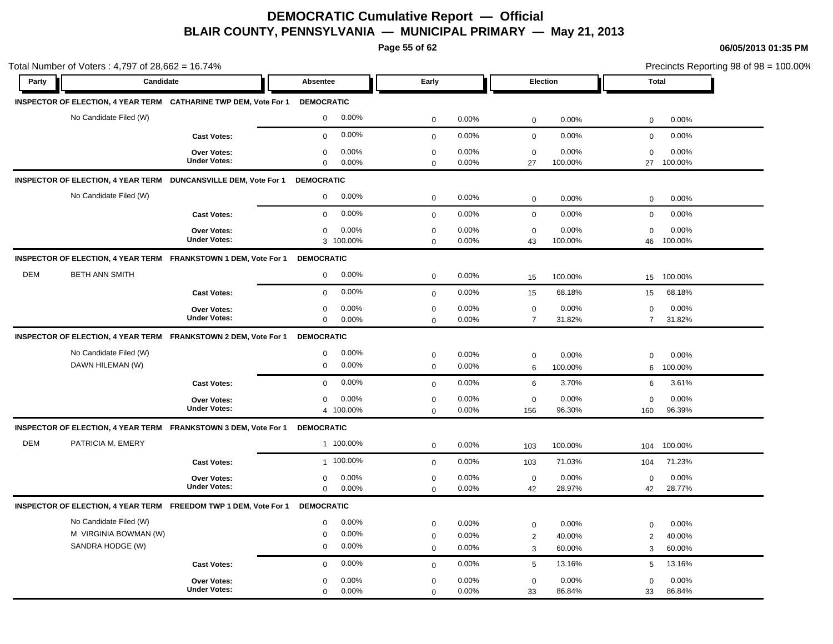**Page 55 of 62**

|            | Total Number of Voters: 4,797 of 28,662 = 16.74%                           |                                           |                                                                      |                                           |                         |                                               |                                                       | Precincts Reporting 98 of 98 = 100.00% |
|------------|----------------------------------------------------------------------------|-------------------------------------------|----------------------------------------------------------------------|-------------------------------------------|-------------------------|-----------------------------------------------|-------------------------------------------------------|----------------------------------------|
| Party      | Candidate                                                                  |                                           | Absentee                                                             | Early                                     |                         | Election                                      |                                                       | <b>Total</b>                           |
|            | INSPECTOR OF ELECTION, 4 YEAR TERM CATHARINE TWP DEM, Vote For 1           |                                           | <b>DEMOCRATIC</b>                                                    |                                           |                         |                                               |                                                       |                                        |
|            | No Candidate Filed (W)                                                     |                                           | 0.00%<br>$\mathbf 0$                                                 | $\mathbf 0$                               | 0.00%                   | $\mathbf 0$                                   | 0.00%<br>0                                            | 0.00%                                  |
|            |                                                                            | <b>Cast Votes:</b>                        | 0.00%<br>$\mathbf 0$                                                 | $\mathbf 0$                               | 0.00%                   | $\mathbf 0$                                   | 0.00%<br>$\mathbf 0$                                  | 0.00%                                  |
|            |                                                                            | Over Votes:<br><b>Under Votes:</b>        | 0.00%<br>0<br>$\mathbf 0$<br>0.00%                                   | $\mathbf 0$<br>$\mathbf 0$                | 0.00%<br>0.00%          | $\mathbf 0$<br>27                             | 0.00%<br>$\Omega$<br>100.00%<br>27                    | 0.00%<br>100.00%                       |
|            | INSPECTOR OF ELECTION, 4 YEAR TERM DUNCANSVILLE DEM, Vote For 1 DEMOCRATIC |                                           |                                                                      |                                           |                         |                                               |                                                       |                                        |
|            | No Candidate Filed (W)                                                     |                                           | 0.00%<br>$\mathbf 0$                                                 | $\mathbf 0$                               | 0.00%                   | $\mathbf 0$                                   | 0.00%<br>$\mathbf 0$                                  | 0.00%                                  |
|            |                                                                            | <b>Cast Votes:</b>                        | 0.00%<br>$\mathbf 0$                                                 | $\mathbf 0$                               | 0.00%                   | $\mathbf 0$                                   | 0.00%<br>$\mathbf 0$                                  | 0.00%                                  |
|            |                                                                            | Over Votes:<br><b>Under Votes:</b>        | 0.00%<br>$\mathbf 0$<br>3 100.00%                                    | $\mathbf 0$<br>$\mathbf 0$                | 0.00%<br>0.00%          | $\mathbf 0$<br>43                             | 0.00%<br>$\mathbf 0$<br>100.00%<br>46                 | 0.00%<br>100.00%                       |
|            | INSPECTOR OF ELECTION, 4 YEAR TERM FRANKSTOWN 1 DEM, Vote For 1 DEMOCRATIC |                                           |                                                                      |                                           |                         |                                               |                                                       |                                        |
| <b>DEM</b> | <b>BETH ANN SMITH</b>                                                      |                                           | 0.00%<br>$\mathbf 0$                                                 | $\mathbf 0$                               | 0.00%                   | 15                                            | 100.00%<br>15                                         | 100.00%                                |
|            |                                                                            | <b>Cast Votes:</b>                        | 0.00%<br>$\mathbf 0$                                                 | $\mathbf 0$                               | 0.00%                   | 15                                            | 68.18%<br>15                                          | 68.18%                                 |
|            |                                                                            | <b>Over Votes:</b><br><b>Under Votes:</b> | $\mathbf 0$<br>0.00%<br>$\mathbf 0$<br>0.00%                         | $\mathbf 0$<br>$\mathbf 0$                | 0.00%<br>0.00%          | $\mathbf 0$<br>$\overline{7}$                 | 0.00%<br>$\mathbf 0$<br>31.82%<br>$\overline{7}$      | 0.00%<br>31.82%                        |
|            | INSPECTOR OF ELECTION, 4 YEAR TERM FRANKSTOWN 2 DEM, Vote For 1            |                                           | <b>DEMOCRATIC</b>                                                    |                                           |                         |                                               |                                                       |                                        |
|            | No Candidate Filed (W)<br>DAWN HILEMAN (W)                                 |                                           | 0.00%<br>$\mathbf 0$<br>$\mathbf 0$<br>0.00%                         | $\mathbf 0$<br>$\mathbf 0$                | 0.00%<br>0.00%          | $\mathbf 0$<br>6                              | 0.00%<br>0<br>100.00%<br>6                            | 0.00%<br>100.00%                       |
|            |                                                                            | <b>Cast Votes:</b>                        | 0.00%<br>$\Omega$                                                    | $\mathbf 0$                               | 0.00%                   | 6                                             | 3.70%<br>6                                            | 3.61%                                  |
|            |                                                                            | Over Votes:<br><b>Under Votes:</b>        | 0.00%<br>$\mathbf 0$<br>4 100.00%                                    | $\mathbf 0$<br>$\Omega$                   | 0.00%<br>0.00%          | $\mathbf 0$<br>156                            | 0.00%<br>$\mathbf 0$<br>96.30%<br>160                 | 0.00%<br>96.39%                        |
|            | INSPECTOR OF ELECTION, 4 YEAR TERM FRANKSTOWN 3 DEM, Vote For 1            |                                           | <b>DEMOCRATIC</b>                                                    |                                           |                         |                                               |                                                       |                                        |
| <b>DEM</b> | PATRICIA M. EMERY                                                          |                                           | 1 100.00%                                                            | $\mathbf 0$                               | 0.00%                   | 103                                           | 100.00%<br>104                                        | 100.00%                                |
|            |                                                                            | <b>Cast Votes:</b>                        | 1 100.00%                                                            | $\mathbf 0$                               | 0.00%                   | 103                                           | 71.03%<br>104                                         | 71.23%                                 |
|            |                                                                            | Over Votes:<br><b>Under Votes:</b>        | 0.00%<br>$\mathbf 0$<br>0.00%<br>$\mathbf 0$                         | $\pmb{0}$<br>$\mathbf 0$                  | 0.00%<br>0.00%          | $\mathbf 0$<br>42                             | 0.00%<br>$\mathbf 0$<br>28.97%<br>42                  | 0.00%<br>28.77%                        |
|            | INSPECTOR OF ELECTION, 4 YEAR TERM FREEDOM TWP 1 DEM, Vote For 1           |                                           | <b>DEMOCRATIC</b>                                                    |                                           |                         |                                               |                                                       |                                        |
|            | No Candidate Filed (W)<br>M VIRGINIA BOWMAN (W)<br>SANDRA HODGE (W)        |                                           | 0.00%<br>$\mathbf 0$<br>0.00%<br>$\mathbf 0$<br>0.00%<br>$\mathbf 0$ | $\mathbf 0$<br>$\mathbf 0$<br>$\mathbf 0$ | 0.00%<br>0.00%<br>0.00% | $\mathbf 0$<br>$\overline{2}$<br>$\mathbf{3}$ | 0.00%<br>0<br>40.00%<br>$\overline{2}$<br>60.00%<br>3 | 0.00%<br>40.00%<br>60.00%              |
|            |                                                                            | <b>Cast Votes:</b>                        | 0.00%<br>$\mathbf 0$                                                 | $\mathbf{0}$                              | 0.00%                   | $5\phantom{.0}$                               | 13.16%<br>5                                           | 13.16%                                 |
|            |                                                                            | <b>Over Votes:</b><br><b>Under Votes:</b> | 0.00%<br>$\mathbf 0$<br>$\Omega$<br>0.00%                            | $\mathbf 0$<br>$\Omega$                   | 0.00%<br>0.00%          | $\mathbf 0$<br>33                             | 0.00%<br>$\mathbf 0$<br>86.84%<br>33                  | 0.00%<br>86.84%                        |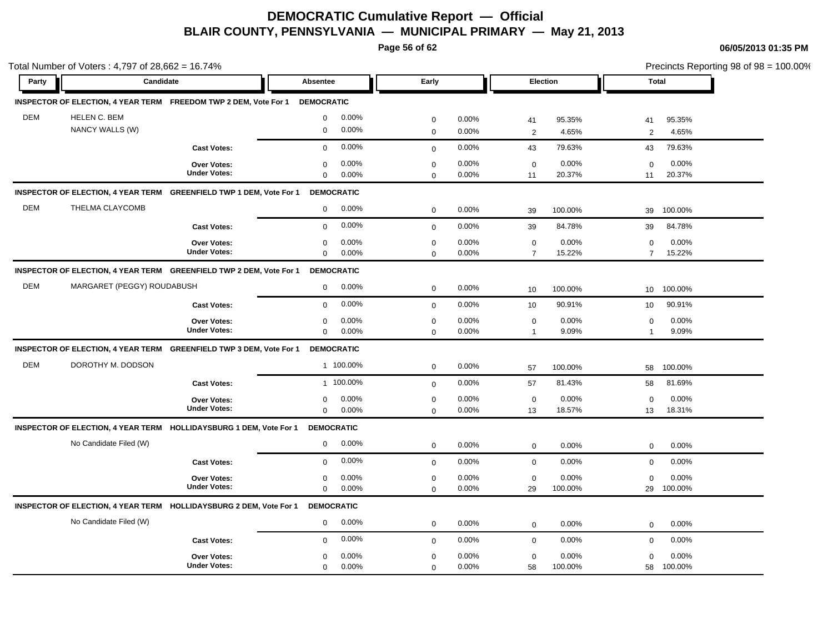**Page 56 of 62**

|            | Total Number of Voters: 4,797 of 28,662 = 16.74% |                                                                               |                      |              |       |                           | Precincts Reporting 98 of 98 = 100.00% |
|------------|--------------------------------------------------|-------------------------------------------------------------------------------|----------------------|--------------|-------|---------------------------|----------------------------------------|
| Party      | Candidate                                        |                                                                               | Absentee             | Early        |       | Election                  | <b>Total</b>                           |
|            |                                                  | INSPECTOR OF ELECTION, 4 YEAR TERM FREEDOM TWP 2 DEM, Vote For 1              | <b>DEMOCRATIC</b>    |              |       |                           |                                        |
| <b>DEM</b> | HELEN C. BEM                                     |                                                                               | 0.00%<br>$\mathbf 0$ | $\mathbf 0$  | 0.00% | 41<br>95.35%              | 95.35%<br>41                           |
|            | NANCY WALLS (W)                                  |                                                                               | 0.00%<br>$\mathbf 0$ | $\mathbf{0}$ | 0.00% | 4.65%<br>$\overline{2}$   | 2<br>4.65%                             |
|            |                                                  | <b>Cast Votes:</b>                                                            | 0.00%<br>$\mathbf 0$ | $\mathbf 0$  | 0.00% | 79.63%<br>43              | 79.63%<br>43                           |
|            |                                                  | Over Votes:                                                                   | 0.00%<br>$\mathbf 0$ | $\mathbf 0$  | 0.00% | 0.00%<br>$\mathbf 0$      | 0.00%<br>0                             |
|            |                                                  | <b>Under Votes:</b>                                                           | 0.00%<br>$\mathbf 0$ | $\mathbf 0$  | 0.00% | 20.37%<br>11              | 20.37%<br>11                           |
|            |                                                  | INSPECTOR OF ELECTION, 4 YEAR TERM GREENFIELD TWP 1 DEM, Vote For 1           | <b>DEMOCRATIC</b>    |              |       |                           |                                        |
| <b>DEM</b> | THELMA CLAYCOMB                                  |                                                                               | 0.00%<br>$\mathbf 0$ | $\mathbf 0$  | 0.00% | 100.00%<br>39             | 100.00%<br>39                          |
|            |                                                  | <b>Cast Votes:</b>                                                            | 0.00%<br>$\mathbf 0$ | $\mathbf{0}$ | 0.00% | 84.78%<br>39              | 84.78%<br>39                           |
|            |                                                  | <b>Over Votes:</b>                                                            | 0.00%<br>$\mathbf 0$ | $\mathbf 0$  | 0.00% | 0.00%<br>$\mathbf 0$      | 0.00%<br>$\mathbf 0$                   |
|            |                                                  | <b>Under Votes:</b>                                                           | $\mathbf 0$<br>0.00% | $\mathbf 0$  | 0.00% | 15.22%<br>$\overline{7}$  | 15.22%<br>$\overline{7}$               |
|            |                                                  | INSPECTOR OF ELECTION, 4 YEAR TERM GREENFIELD TWP 2 DEM, Vote For 1           | <b>DEMOCRATIC</b>    |              |       |                           |                                        |
| <b>DEM</b> | MARGARET (PEGGY) ROUDABUSH                       |                                                                               | $\mathbf 0$<br>0.00% | $\mathbf 0$  | 0.00% | 100.00%<br>10             | 100.00%<br>10 <sup>°</sup>             |
|            |                                                  | <b>Cast Votes:</b>                                                            | 0.00%<br>$\Omega$    | $\mathbf 0$  | 0.00% | 90.91%<br>10 <sup>1</sup> | 90.91%<br>10                           |
|            |                                                  | Over Votes:                                                                   | 0.00%<br>0           | $\mathbf 0$  | 0.00% | 0.00%<br>$\mathbf 0$      | 0.00%<br>0                             |
|            |                                                  | <b>Under Votes:</b>                                                           | 0.00%<br>$\mathbf 0$ | $\mathbf 0$  | 0.00% | 9.09%<br>$\mathbf{1}$     | 9.09%<br>1                             |
|            |                                                  | INSPECTOR OF ELECTION, 4 YEAR TERM GREENFIELD TWP 3 DEM, Vote For 1           | <b>DEMOCRATIC</b>    |              |       |                           |                                        |
| <b>DEM</b> | DOROTHY M. DODSON                                |                                                                               | 1 100.00%            | $\mathbf 0$  | 0.00% | 100.00%<br>57             | 100.00%<br>58                          |
|            |                                                  | <b>Cast Votes:</b>                                                            | 1 100.00%            | $\mathbf 0$  | 0.00% | 81.43%<br>57              | 81.69%<br>58                           |
|            |                                                  | <b>Over Votes:</b>                                                            | 0.00%<br>$\mathbf 0$ | $\mathbf 0$  | 0.00% | 0.00%<br>$\mathbf 0$      | 0.00%<br>$\Omega$                      |
|            |                                                  | <b>Under Votes:</b>                                                           | $\mathbf 0$<br>0.00% | $\mathbf 0$  | 0.00% | 13<br>18.57%              | 18.31%<br>13                           |
|            |                                                  | INSPECTOR OF ELECTION, 4 YEAR TERM HOLLIDAYSBURG 1 DEM, Vote For 1            | <b>DEMOCRATIC</b>    |              |       |                           |                                        |
|            | No Candidate Filed (W)                           |                                                                               | 0.00%<br>0           | $\mathbf 0$  | 0.00% | $\mathbf 0$<br>0.00%      | 0.00%<br>$\mathbf 0$                   |
|            |                                                  | <b>Cast Votes:</b>                                                            | 0.00%<br>$\mathbf 0$ | $\mathbf 0$  | 0.00% | 0.00%<br>$\mathbf 0$      | 0.00%<br>$\mathbf 0$                   |
|            |                                                  | Over Votes:                                                                   | 0.00%<br>$\mathbf 0$ | $\pmb{0}$    | 0.00% | 0.00%<br>$\mathbf 0$      | 0.00%<br>$\mathbf 0$                   |
|            |                                                  | <b>Under Votes:</b>                                                           | 0.00%<br>$\mathbf 0$ | $\mathbf 0$  | 0.00% | 100.00%<br>29             | 100.00%<br>29                          |
|            |                                                  | INSPECTOR OF ELECTION, 4 YEAR TERM HOLLIDAYSBURG 2 DEM, Vote For 1 DEMOCRATIC |                      |              |       |                           |                                        |
|            | No Candidate Filed (W)                           |                                                                               | 0.00%<br>$\mathbf 0$ | $\mathbf 0$  | 0.00% | 0.00%<br>$\mathbf 0$      | 0.00%<br>0                             |
|            |                                                  | <b>Cast Votes:</b>                                                            | 0.00%<br>$\mathbf 0$ | $\mathbf 0$  | 0.00% | 0.00%<br>$\mathbf 0$      | 0.00%<br>$\mathbf 0$                   |
|            |                                                  | <b>Over Votes:</b>                                                            | 0.00%<br>$\mathbf 0$ | $\mathbf 0$  | 0.00% | 0.00%<br>$\mathsf 0$      | 0.00%<br>$\mathbf 0$                   |
|            |                                                  | <b>Under Votes:</b>                                                           | 0.00%<br>$\Omega$    | $\mathbf 0$  | 0.00% | 58<br>100.00%             | 100.00%<br>58                          |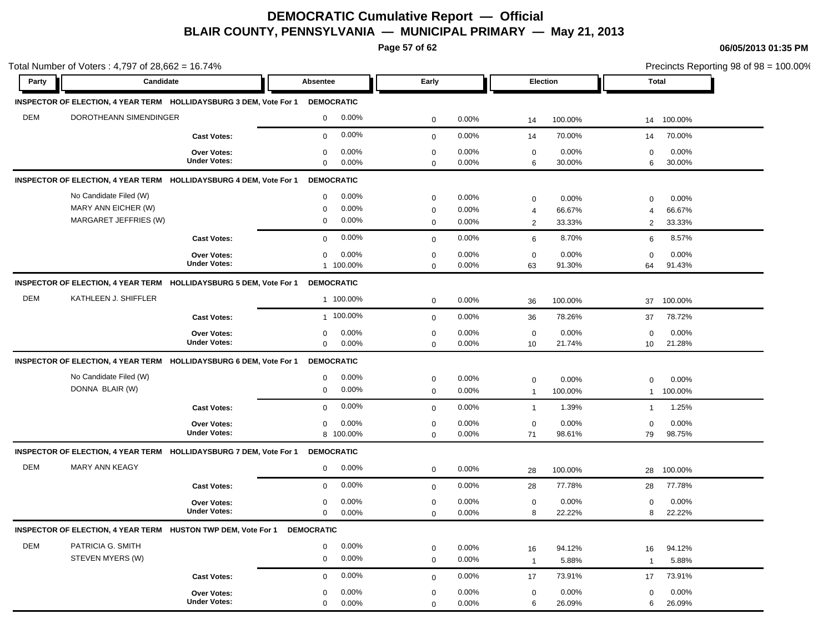**Page 57 of 62**

| Party      | Candidate                                                                     | Absentee             | Early       |       | <b>Election</b> |         |              | Total   |
|------------|-------------------------------------------------------------------------------|----------------------|-------------|-------|-----------------|---------|--------------|---------|
|            |                                                                               |                      |             |       |                 |         |              |         |
|            | INSPECTOR OF ELECTION, 4 YEAR TERM HOLLIDAYSBURG 3 DEM, Vote For 1 DEMOCRATIC |                      |             |       |                 |         |              |         |
| <b>DEM</b> | DOROTHEANN SIMENDINGER                                                        | 0.00%<br>$\mathbf 0$ | $\mathbf 0$ | 0.00% | 14              | 100.00% | 14           | 100.00% |
|            | <b>Cast Votes:</b>                                                            | 0.00%<br>$\mathbf 0$ | $\mathbf 0$ | 0.00% | 14              | 70.00%  | 14           | 70.00%  |
|            | <b>Over Votes:</b>                                                            | 0.00%<br>$\mathbf 0$ | $\mathbf 0$ | 0.00% | $\mathbf 0$     | 0.00%   | 0            | 0.00%   |
|            | <b>Under Votes:</b>                                                           | 0.00%<br>$\mathbf 0$ | $\mathbf 0$ | 0.00% | 6               | 30.00%  | 6            | 30.00%  |
|            | INSPECTOR OF ELECTION, 4 YEAR TERM HOLLIDAYSBURG 4 DEM, Vote For 1            | <b>DEMOCRATIC</b>    |             |       |                 |         |              |         |
|            | No Candidate Filed (W)                                                        | 0.00%<br>$\mathbf 0$ | $\mathbf 0$ | 0.00% | $\mathbf 0$     | 0.00%   | 0            | 0.00%   |
|            | MARY ANN EICHER (W)                                                           | 0.00%<br>$\Omega$    | $\mathbf 0$ | 0.00% | $\overline{4}$  | 66.67%  | 4            | 66.67%  |
|            | MARGARET JEFFRIES (W)                                                         | 0.00%<br>0           | $\mathbf 0$ | 0.00% | $\overline{2}$  | 33.33%  | 2            | 33.33%  |
|            | <b>Cast Votes:</b>                                                            | 0.00%<br>$\mathbf 0$ | $\mathbf 0$ | 0.00% | 6               | 8.70%   | 6            | 8.57%   |
|            | Over Votes:                                                                   | 0.00%<br>$\mathbf 0$ | $\mathbf 0$ | 0.00% | $\mathbf 0$     | 0.00%   | $\Omega$     | 0.00%   |
|            | <b>Under Votes:</b>                                                           | 1 100.00%            | $\mathbf 0$ | 0.00% | 63              | 91.30%  | 64           | 91.43%  |
|            | INSPECTOR OF ELECTION, 4 YEAR TERM HOLLIDAYSBURG 5 DEM, Vote For 1            | <b>DEMOCRATIC</b>    |             |       |                 |         |              |         |
| <b>DEM</b> | KATHLEEN J. SHIFFLER                                                          | 1 100.00%            | $\mathbf 0$ | 0.00% | 36              | 100.00% | 37           | 100.00% |
|            | <b>Cast Votes:</b>                                                            | 1 100.00%            | $\mathbf 0$ | 0.00% | 36              | 78.26%  | 37           | 78.72%  |
|            | <b>Over Votes:</b>                                                            | 0.00%<br>0           | $\mathbf 0$ | 0.00% | $\mathbf 0$     | 0.00%   | $\mathbf 0$  | 0.00%   |
|            | <b>Under Votes:</b>                                                           | 0.00%<br>$\mathbf 0$ | $\mathbf 0$ | 0.00% | 10              | 21.74%  | 10           | 21.28%  |
|            | INSPECTOR OF ELECTION, 4 YEAR TERM HOLLIDAYSBURG 6 DEM, Vote For 1            | <b>DEMOCRATIC</b>    |             |       |                 |         |              |         |
|            | No Candidate Filed (W)                                                        | 0.00%<br>0           | $\mathbf 0$ | 0.00% | $\mathbf 0$     | 0.00%   | 0            | 0.00%   |
|            | DONNA BLAIR (W)                                                               | 0.00%<br>$\mathbf 0$ | $\mathbf 0$ | 0.00% | $\overline{1}$  | 100.00% | $\mathbf{1}$ | 100.00% |
|            | <b>Cast Votes:</b>                                                            | 0.00%<br>$\mathbf 0$ | $\mathbf 0$ | 0.00% | $\overline{1}$  | 1.39%   | $\mathbf{1}$ | 1.25%   |
|            | <b>Over Votes:</b>                                                            | 0.00%<br>0           | $\mathbf 0$ | 0.00% | $\mathbf 0$     | 0.00%   | $\mathbf 0$  | 0.00%   |
|            | <b>Under Votes:</b>                                                           | 8 100.00%            | $\mathbf 0$ | 0.00% | 71              | 98.61%  | 79           | 98.75%  |
|            | INSPECTOR OF ELECTION, 4 YEAR TERM HOLLIDAYSBURG 7 DEM, Vote For 1 DEMOCRATIC |                      |             |       |                 |         |              |         |
| <b>DEM</b> | <b>MARY ANN KEAGY</b>                                                         | 0.00%<br>$\mathbf 0$ | $\mathbf 0$ | 0.00% | 28              | 100.00% | 28           | 100.00% |
|            | <b>Cast Votes:</b>                                                            | 0.00%<br>$\mathbf 0$ | $\mathbf 0$ | 0.00% | 28              | 77.78%  | 28           | 77.78%  |
|            | <b>Over Votes:</b>                                                            | 0.00%<br>$\mathbf 0$ | $\mathbf 0$ | 0.00% | $\mathbf 0$     | 0.00%   | 0            | 0.00%   |
|            | <b>Under Votes:</b>                                                           | 0.00%<br>$\mathbf 0$ | $\mathbf 0$ | 0.00% | 8               | 22.22%  | 8            | 22.22%  |
|            | INSPECTOR OF ELECTION, 4 YEAR TERM HUSTON TWP DEM, Vote For 1 DEMOCRATIC      |                      |             |       |                 |         |              |         |
| DEM        | PATRICIA G. SMITH                                                             | 0.00%<br>$\mathbf 0$ | $\mathbf 0$ | 0.00% | 16              | 94.12%  | 16           | 94.12%  |
|            | STEVEN MYERS (W)                                                              | 0.00%<br>$\mathbf 0$ | $\mathbf 0$ | 0.00% | $\overline{1}$  | 5.88%   | $\mathbf{1}$ | 5.88%   |
|            | <b>Cast Votes:</b>                                                            | 0.00%<br>$\mathbf 0$ | $\mathbf 0$ | 0.00% | 17              | 73.91%  | 17           | 73.91%  |
|            | Over Votes:                                                                   | 0.00%<br>0           | 0           | 0.00% | $\mathbf 0$     | 0.00%   | 0            | 0.00%   |
|            | <b>Under Votes:</b>                                                           | $\mathbf 0$<br>0.00% | $\mathbf 0$ | 0.00% | 6               | 26.09%  | 6            | 26.09%  |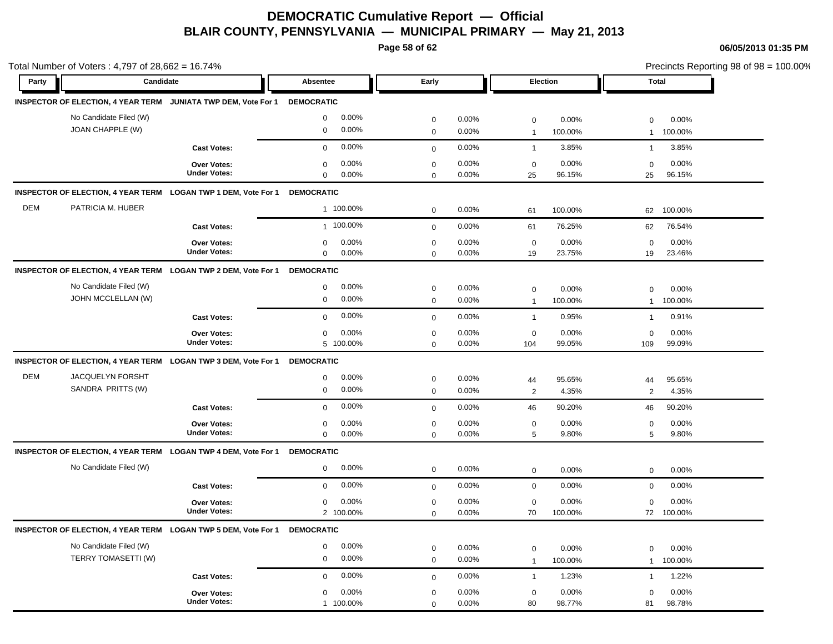**Page 58 of 62**

|            | Total Number of Voters : 4,797 of 28,662 = 16.74% |                                                                           |                                              |                             |                |                             |                  |                             | Precincts Reporting 98 of 98 = 100.00% |
|------------|---------------------------------------------------|---------------------------------------------------------------------------|----------------------------------------------|-----------------------------|----------------|-----------------------------|------------------|-----------------------------|----------------------------------------|
| Party      | Candidate                                         |                                                                           | Absentee                                     | Early                       |                | Election                    |                  | <b>Total</b>                |                                        |
|            |                                                   | INSPECTOR OF ELECTION, 4 YEAR TERM JUNIATA TWP DEM, Vote For 1 DEMOCRATIC |                                              |                             |                |                             |                  |                             |                                        |
|            | No Candidate Filed (W)<br>JOAN CHAPPLE (W)        |                                                                           | 0.00%<br>$\mathbf 0$<br>0.00%<br>$\mathbf 0$ | $\mathbf 0$<br>$\mathbf{0}$ | 0.00%<br>0.00% | $\mathbf 0$<br>$\mathbf{1}$ | 0.00%<br>100.00% | $\Omega$<br>-1              | 0.00%<br>100.00%                       |
|            |                                                   | <b>Cast Votes:</b>                                                        | 0.00%<br>$\mathbf 0$                         | $\mathbf{0}$                | 0.00%          | $\overline{1}$              | 3.85%            | $\mathbf{1}$                | 3.85%                                  |
|            |                                                   | <b>Over Votes:</b><br><b>Under Votes:</b>                                 | 0.00%<br>$\mathbf 0$<br>$\mathbf 0$<br>0.00% | $\mathbf 0$<br>$\mathbf 0$  | 0.00%<br>0.00% | $\mathbf 0$<br>25           | 0.00%<br>96.15%  | $\mathbf 0$<br>25           | 0.00%<br>96.15%                        |
|            |                                                   | INSPECTOR OF ELECTION, 4 YEAR TERM LOGAN TWP 1 DEM, Vote For 1            | <b>DEMOCRATIC</b>                            |                             |                |                             |                  |                             |                                        |
| <b>DEM</b> | PATRICIA M. HUBER                                 |                                                                           | 1 100.00%                                    | $\mathbf 0$                 | 0.00%          | 61                          | 100.00%          | 62                          | 100.00%                                |
|            |                                                   | <b>Cast Votes:</b>                                                        | 1 100.00%                                    | $\mathbf{0}$                | 0.00%          | 61                          | 76.25%           | 62                          | 76.54%                                 |
|            |                                                   | Over Votes:<br><b>Under Votes:</b>                                        | 0.00%<br>$\mathbf 0$<br>$\mathbf 0$<br>0.00% | $\mathbf 0$<br>$\mathbf 0$  | 0.00%<br>0.00% | $\mathbf 0$<br>19           | 0.00%<br>23.75%  | $\mathbf 0$<br>19           | 0.00%<br>23.46%                        |
|            |                                                   | INSPECTOR OF ELECTION, 4 YEAR TERM LOGAN TWP 2 DEM, Vote For 1 DEMOCRATIC |                                              |                             |                |                             |                  |                             |                                        |
|            | No Candidate Filed (W)<br>JOHN MCCLELLAN (W)      |                                                                           | 0.00%<br>$\mathbf 0$<br>0.00%<br>$\mathbf 0$ | $\mathbf 0$<br>$\mathbf 0$  | 0.00%<br>0.00% | $\mathbf 0$<br>$\mathbf{1}$ | 0.00%<br>100.00% | $\Omega$<br>$\mathbf{1}$    | 0.00%<br>100.00%                       |
|            |                                                   | <b>Cast Votes:</b>                                                        | 0.00%<br>$\mathbf 0$                         | $\mathbf 0$                 | 0.00%          | $\overline{1}$              | 0.95%            | $\mathbf{1}$                | 0.91%                                  |
|            |                                                   | <b>Over Votes:</b><br><b>Under Votes:</b>                                 | 0.00%<br>$\mathbf 0$<br>5 100.00%            | $\mathbf 0$<br>$\mathbf 0$  | 0.00%<br>0.00% | $\mathbf 0$<br>104          | 0.00%<br>99.05%  | 0<br>109                    | 0.00%<br>99.09%                        |
|            |                                                   | INSPECTOR OF ELECTION, 4 YEAR TERM LOGAN TWP 3 DEM, Vote For 1            | <b>DEMOCRATIC</b>                            |                             |                |                             |                  |                             |                                        |
| <b>DEM</b> | JACQUELYN FORSHT<br>SANDRA PRITTS (W)             |                                                                           | 0.00%<br>$\mathbf 0$<br>0.00%<br>$\mathbf 0$ | $\mathbf 0$<br>$\mathbf 0$  | 0.00%<br>0.00% | 44<br>$\overline{2}$        | 95.65%<br>4.35%  | 44<br>2                     | 95.65%<br>4.35%                        |
|            |                                                   | <b>Cast Votes:</b>                                                        | 0.00%<br>$\mathbf 0$                         | $\mathbf{0}$                | 0.00%          | 46                          | 90.20%           | 46                          | 90.20%                                 |
|            |                                                   | Over Votes:<br><b>Under Votes:</b>                                        | 0.00%<br>0<br>$\mathbf 0$<br>0.00%           | $\mathbf 0$<br>$\mathbf 0$  | 0.00%<br>0.00% | $\mathbf 0$<br>5            | 0.00%<br>9.80%   | $\mathbf 0$<br>5            | 0.00%<br>9.80%                         |
|            |                                                   | INSPECTOR OF ELECTION, 4 YEAR TERM LOGAN TWP 4 DEM, Vote For 1            | <b>DEMOCRATIC</b>                            |                             |                |                             |                  |                             |                                        |
|            | No Candidate Filed (W)                            |                                                                           | 0.00%<br>$\mathbf 0$                         | $\mathbf 0$                 | 0.00%          | $\mathbf 0$                 | 0.00%            | $\mathbf 0$                 | 0.00%                                  |
|            |                                                   | <b>Cast Votes:</b>                                                        | 0.00%<br>$\mathbf 0$                         | $\mathbf 0$                 | 0.00%          | $\mathbf 0$                 | 0.00%            | $\mathbf 0$                 | 0.00%                                  |
|            |                                                   | <b>Over Votes:</b><br><b>Under Votes:</b>                                 | 0.00%<br>$\mathbf 0$<br>2 100.00%            | $\mathbf 0$<br>$\mathbf 0$  | 0.00%<br>0.00% | $\mathbf 0$<br>70           | 0.00%<br>100.00% | $\mathbf 0$<br>72           | 0.00%<br>100.00%                       |
|            |                                                   | INSPECTOR OF ELECTION, 4 YEAR TERM LOGAN TWP 5 DEM, Vote For 1            | <b>DEMOCRATIC</b>                            |                             |                |                             |                  |                             |                                        |
|            | No Candidate Filed (W)<br>TERRY TOMASETTI (W)     |                                                                           | 0.00%<br>$\mathsf 0$<br>0.00%<br>$\mathsf 0$ | $\mathbf 0$<br>$\mathbf 0$  | 0.00%<br>0.00% | $\mathbf 0$<br>$\mathbf{1}$ | 0.00%<br>100.00% | $\mathbf 0$<br>$\mathbf{1}$ | 0.00%<br>100.00%                       |
|            |                                                   | <b>Cast Votes:</b>                                                        | 0.00%<br>$\mathbf 0$                         | $\mathbf{0}$                | 0.00%          | $\overline{1}$              | 1.23%            | $\mathbf{1}$                | 1.22%                                  |
|            |                                                   | <b>Over Votes:</b><br><b>Under Votes:</b>                                 | 0.00%<br>$\mathbf 0$<br>1 100.00%            | $\mathbf 0$<br>$\mathbf 0$  | 0.00%<br>0.00% | $\mathbf 0$<br>80           | 0.00%<br>98.77%  | $\mathbf 0$<br>81           | 0.00%<br>98.78%                        |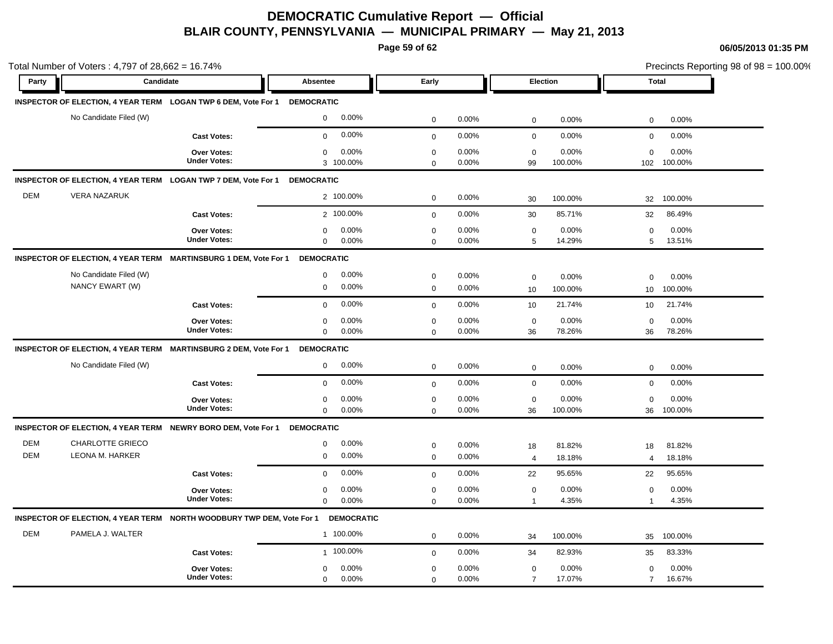**Page 59 of 62**

|                          | Total Number of Voters: 4,797 of 28,662 = 16.74%                          |                                           |                                              |                                              |                               |                                                                 | Precincts Reporting 98 of 98 = 100.00% |  |
|--------------------------|---------------------------------------------------------------------------|-------------------------------------------|----------------------------------------------|----------------------------------------------|-------------------------------|-----------------------------------------------------------------|----------------------------------------|--|
| Party                    | Candidate                                                                 |                                           | <b>Absentee</b>                              | Early                                        | Election                      | <b>Total</b>                                                    |                                        |  |
|                          | INSPECTOR OF ELECTION, 4 YEAR TERM LOGAN TWP 6 DEM, Vote For 1 DEMOCRATIC |                                           |                                              |                                              |                               |                                                                 |                                        |  |
|                          | No Candidate Filed (W)                                                    |                                           | 0.00%<br>$\mathbf 0$                         | $\mathbf 0$<br>0.00%                         | $\mathsf 0$                   | 0.00%<br>0.00%<br>0                                             |                                        |  |
|                          |                                                                           | <b>Cast Votes:</b>                        | 0.00%<br>$\mathbf 0$                         | 0.00%<br>$\mathbf 0$                         | $\mathbf 0$                   | 0.00%<br>0.00%<br>$\mathbf 0$                                   |                                        |  |
|                          |                                                                           | Over Votes:<br><b>Under Votes:</b>        | 0.00%<br>$\mathbf 0$<br>3 100.00%            | 0.00%<br>$\mathbf 0$<br>0.00%<br>$\Omega$    | $\mathbf 0$<br>99             | 0.00%<br>0.00%<br>$\mathbf 0$<br>100.00%<br>102<br>100.00%      |                                        |  |
|                          | INSPECTOR OF ELECTION, 4 YEAR TERM LOGAN TWP 7 DEM, Vote For 1 DEMOCRATIC |                                           |                                              |                                              |                               |                                                                 |                                        |  |
| <b>DEM</b>               | <b>VERA NAZARUK</b>                                                       |                                           | 2 100.00%                                    | $\mathbf 0$<br>0.00%                         | 30                            | 100.00%<br>100.00%<br>32                                        |                                        |  |
|                          |                                                                           | <b>Cast Votes:</b>                        | 2 100.00%                                    | 0.00%<br>$\pmb{0}$                           | 30                            | 85.71%<br>86.49%<br>32                                          |                                        |  |
|                          |                                                                           | Over Votes:<br><b>Under Votes:</b>        | 0.00%<br>0<br>$\mathbf 0$<br>0.00%           | 0.00%<br>$\mathbf 0$<br>0.00%<br>$\mathbf 0$ | $\mathbf 0$<br>$\,$ 5 $\,$    | 0.00%<br>0.00%<br>$\mathbf 0$<br>14.29%<br>5<br>13.51%          |                                        |  |
|                          | INSPECTOR OF ELECTION, 4 YEAR TERM MARTINSBURG 1 DEM, Vote For 1          |                                           | <b>DEMOCRATIC</b>                            |                                              |                               |                                                                 |                                        |  |
|                          | No Candidate Filed (W)<br>NANCY EWART (W)                                 |                                           | 0.00%<br>$\mathbf 0$<br>0.00%<br>$\mathbf 0$ | $\mathbf 0$<br>0.00%<br>0.00%<br>$\mathbf 0$ | $\mathbf 0$<br>10             | 0.00%<br>0.00%<br>$\mathbf 0$<br>100.00%<br>100.00%<br>10       |                                        |  |
|                          |                                                                           | <b>Cast Votes:</b>                        | 0.00%<br>$\mathbf 0$                         | 0.00%<br>$\mathbf 0$                         | 10                            | 21.74%<br>21.74%<br>10                                          |                                        |  |
|                          |                                                                           | <b>Over Votes:</b><br><b>Under Votes:</b> | 0.00%<br>$\mathbf 0$<br>0.00%<br>$\mathbf 0$ | 0.00%<br>$\mathbf 0$<br>0.00%<br>$\mathbf 0$ | $\mathbf 0$<br>36             | 0.00%<br>0.00%<br>0<br>78.26%<br>78.26%<br>36                   |                                        |  |
|                          | INSPECTOR OF ELECTION, 4 YEAR TERM MARTINSBURG 2 DEM, Vote For 1          |                                           | <b>DEMOCRATIC</b>                            |                                              |                               |                                                                 |                                        |  |
|                          | No Candidate Filed (W)                                                    |                                           | 0.00%<br>0                                   | 0.00%<br>$\mathbf 0$                         | $\mathbf 0$                   | 0.00%<br>0.00%<br>0                                             |                                        |  |
|                          |                                                                           | <b>Cast Votes:</b>                        | 0.00%<br>$\mathbf 0$                         | 0.00%<br>$\mathbf 0$                         | $\mathbf 0$                   | 0.00%<br>0.00%<br>$\mathbf 0$                                   |                                        |  |
|                          |                                                                           | Over Votes:<br><b>Under Votes:</b>        | 0.00%<br>$\mathbf 0$<br>0.00%<br>$\mathbf 0$ | 0.00%<br>$\pmb{0}$<br>$\mathsf 0$<br>0.00%   | $\mathbf 0$<br>36             | 0.00%<br>0.00%<br>$\mathbf 0$<br>100.00%<br>100.00%<br>36       |                                        |  |
|                          | INSPECTOR OF ELECTION, 4 YEAR TERM NEWRY BORO DEM, Vote For 1             |                                           | <b>DEMOCRATIC</b>                            |                                              |                               |                                                                 |                                        |  |
| <b>DEM</b><br><b>DEM</b> | CHARLOTTE GRIECO<br>LEONA M. HARKER                                       |                                           | 0.00%<br>$\mathbf 0$<br>0.00%<br>$\mathbf 0$ | 0.00%<br>$\pmb{0}$<br>$\mathbf 0$<br>0.00%   | 18<br>$\overline{4}$          | 81.82%<br>81.82%<br>18<br>18.18%<br>18.18%<br>$\overline{4}$    |                                        |  |
|                          |                                                                           | <b>Cast Votes:</b>                        | 0.00%<br>$\mathbf 0$                         | 0.00%<br>$\mathbf 0$                         | 22                            | 95.65%<br>95.65%<br>22                                          |                                        |  |
|                          |                                                                           | Over Votes:<br><b>Under Votes:</b>        | 0.00%<br>0<br>0.00%<br>$\mathbf 0$           | $\mathbf 0$<br>0.00%<br>0.00%<br>$\Omega$    | $\mathbf 0$<br>$\mathbf{1}$   | 0.00%<br>0.00%<br>$\mathbf 0$<br>4.35%<br>4.35%<br>$\mathbf{1}$ |                                        |  |
|                          | INSPECTOR OF ELECTION, 4 YEAR TERM NORTH WOODBURY TWP DEM, Vote For 1     |                                           | <b>DEMOCRATIC</b>                            |                                              |                               |                                                                 |                                        |  |
| <b>DEM</b>               | PAMELA J. WALTER                                                          |                                           | 1 100.00%                                    | 0.00%<br>$\mathbf 0$                         | 34                            | 100.00%<br>100.00%<br>35                                        |                                        |  |
|                          |                                                                           | <b>Cast Votes:</b>                        | 1 100.00%                                    | 0.00%<br>$\mathbf 0$                         | 34                            | 82.93%<br>83.33%<br>35                                          |                                        |  |
|                          |                                                                           | Over Votes:<br><b>Under Votes:</b>        | 0.00%<br>0<br>$\mathbf 0$<br>0.00%           | $\mathbf 0$<br>0.00%<br>0.00%<br>$\mathbf 0$ | $\mathbf 0$<br>$\overline{7}$ | 0.00%<br>0.00%<br>0<br>17.07%<br>16.67%<br>$\overline{7}$       |                                        |  |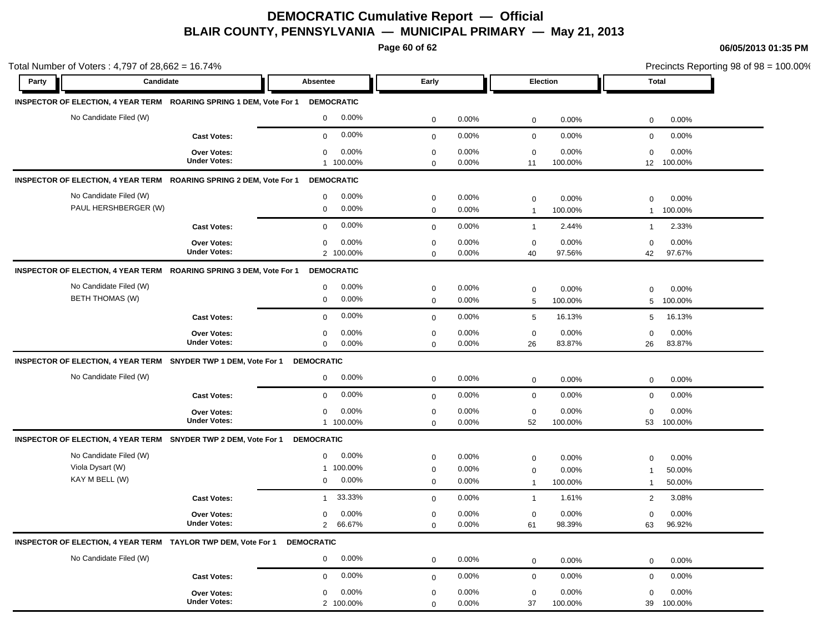**Page 60 of 62**

| Party                  | Candidate                                                                | Absentee                 | Early        |          | <b>Election</b>           | Total                   |
|------------------------|--------------------------------------------------------------------------|--------------------------|--------------|----------|---------------------------|-------------------------|
|                        |                                                                          |                          |              |          |                           |                         |
|                        | INSPECTOR OF ELECTION, 4 YEAR TERM ROARING SPRING 1 DEM, Vote For 1      | <b>DEMOCRATIC</b>        |              |          |                           |                         |
|                        | No Candidate Filed (W)                                                   | 0.00%<br>$\mathbf{0}$    | 0            | 0.00%    | 0.00%<br>$\mathbf 0$      | 0.00%<br>$\mathbf 0$    |
|                        | <b>Cast Votes:</b>                                                       | 0.00%<br>$\mathbf 0$     | $\mathbf 0$  | 0.00%    | 0.00%<br>$\mathbf 0$      | 0.00%<br>$\mathbf 0$    |
|                        | Over Votes:                                                              | 0.00%<br>$\mathbf 0$     | $\mathbf 0$  | 0.00%    | $\mathbf 0$<br>0.00%      | 0.00%<br>$\mathbf 0$    |
|                        | <b>Under Votes:</b>                                                      | 1 100.00%                | $\mathbf 0$  | $0.00\%$ | 100.00%<br>11             | 100.00%<br>12           |
|                        | INSPECTOR OF ELECTION, 4 YEAR TERM ROARING SPRING 2 DEM, Vote For 1      | <b>DEMOCRATIC</b>        |              |          |                           |                         |
|                        | No Candidate Filed (W)                                                   | 0.00%<br>$\mathbf 0$     | $\mathbf 0$  | 0.00%    | 0.00%<br>$\mathbf 0$      | $\mathbf 0$<br>0.00%    |
|                        | PAUL HERSHBERGER (W)                                                     | 0.00%<br>$\mathbf 0$     | $\mathbf 0$  | $0.00\%$ | 100.00%<br>$\overline{1}$ | 100.00%<br>$\mathbf{1}$ |
|                        | <b>Cast Votes:</b>                                                       | 0.00%<br>$\mathbf{0}$    | $\mathbf{0}$ | 0.00%    | 2.44%<br>$\overline{1}$   | 2.33%<br>$\mathbf{1}$   |
|                        | Over Votes:                                                              | 0.00%<br>$\mathbf 0$     | $\mathbf 0$  | $0.00\%$ | 0.00%<br>$\mathbf 0$      | 0.00%<br>$\mathbf 0$    |
|                        | <b>Under Votes:</b>                                                      | 2 100.00%                | 0            | 0.00%    | 40<br>97.56%              | 97.67%<br>42            |
|                        | INSPECTOR OF ELECTION, 4 YEAR TERM ROARING SPRING 3 DEM, Vote For 1      | <b>DEMOCRATIC</b>        |              |          |                           |                         |
|                        | No Candidate Filed (W)                                                   | $\mathbf 0$<br>0.00%     | $\mathbf 0$  | $0.00\%$ | 0.00%<br>$\mathbf 0$      | 0.00%<br>$\Omega$       |
| <b>BETH THOMAS (W)</b> |                                                                          | 0.00%<br>0               | 0            | 0.00%    | 5<br>100.00%              | 5<br>100.00%            |
|                        | <b>Cast Votes:</b>                                                       | 0.00%<br>$\mathbf 0$     | $\mathbf 0$  | 0.00%    | 5<br>16.13%               | 16.13%<br>5             |
|                        | Over Votes:                                                              | 0.00%<br>0               | $\mathbf 0$  | 0.00%    | 0.00%<br>$\mathbf 0$      | $\mathbf 0$<br>0.00%    |
|                        | <b>Under Votes:</b>                                                      | $\mathbf 0$<br>0.00%     | $\mathbf 0$  | $0.00\%$ | 83.87%<br>26              | 26<br>83.87%            |
|                        | INSPECTOR OF ELECTION, 4 YEAR TERM SNYDER TWP 1 DEM, Vote For 1          | <b>DEMOCRATIC</b>        |              |          |                           |                         |
|                        | No Candidate Filed (W)                                                   | 0.00%<br>$\mathbf 0$     | 0            | 0.00%    | 0.00%<br>$\mathbf 0$      | 0.00%<br>$\mathbf 0$    |
|                        | <b>Cast Votes:</b>                                                       | 0.00%<br>$\mathbf 0$     | $\mathbf{0}$ | $0.00\%$ | 0.00%<br>$\mathbf 0$      | 0.00%<br>$\mathbf 0$    |
|                        | Over Votes:                                                              | 0.00%<br>$\mathbf 0$     | $\mathbf 0$  | 0.00%    | $\mathbf 0$<br>0.00%      | $\mathbf 0$<br>0.00%    |
|                        | <b>Under Votes:</b>                                                      | 1 100.00%                | $\mathbf 0$  | $0.00\%$ | 100.00%<br>52             | 53<br>100.00%           |
|                        | INSPECTOR OF ELECTION, 4 YEAR TERM SNYDER TWP 2 DEM, Vote For 1          | <b>DEMOCRATIC</b>        |              |          |                           |                         |
|                        | No Candidate Filed (W)                                                   | 0.00%<br>$\mathbf 0$     | $\mathbf 0$  | $0.00\%$ | 0.00%<br>0                | 0.00%<br>$\mathbf 0$    |
| Viola Dysart (W)       |                                                                          | 1 100.00%                | $\mathbf 0$  | 0.00%    | 0.00%<br>0                | 50.00%<br>-1            |
| KAY M BELL (W)         |                                                                          | 0.00%<br>$\mathbf 0$     | $\mathbf 0$  | $0.00\%$ | 100.00%<br>$\mathbf{1}$   | 50.00%<br>$\mathbf{1}$  |
|                        | <b>Cast Votes:</b>                                                       | 33.33%<br>$\overline{1}$ | $\mathbf 0$  | 0.00%    | 1.61%<br>$\overline{1}$   | 3.08%<br>2              |
|                        | Over Votes:                                                              | 0.00%<br>$\mathbf 0$     | $\mathbf 0$  | $0.00\%$ | 0.00%<br>0                | 0.00%<br>$\mathbf 0$    |
|                        | <b>Under Votes:</b>                                                      | 66.67%<br>2              | 0            | 0.00%    | 98.39%<br>61              | 96.92%<br>63            |
|                        | INSPECTOR OF ELECTION, 4 YEAR TERM TAYLOR TWP DEM, Vote For 1 DEMOCRATIC |                          |              |          |                           |                         |
|                        | No Candidate Filed (W)                                                   | 0.00%<br>$\mathbf{0}$    | $\mathbf 0$  | 0.00%    | 0.00%<br>$\mathbf 0$      | 0.00%<br>$\mathbf 0$    |
|                        | <b>Cast Votes:</b>                                                       | 0.00%<br>$\mathbf 0$     | $\mathbf 0$  | 0.00%    | 0.00%<br>$\mathbf 0$      | 0.00%<br>$\mathbf 0$    |
|                        | Over Votes:                                                              | 0.00%<br>$\mathbf 0$     | 0            | $0.00\%$ | 0.00%<br>0                | 0.00%<br>0              |
|                        | <b>Under Votes:</b>                                                      | 2 100.00%                | 0            | 0.00%    | 37<br>100.00%             | 100.00%<br>39           |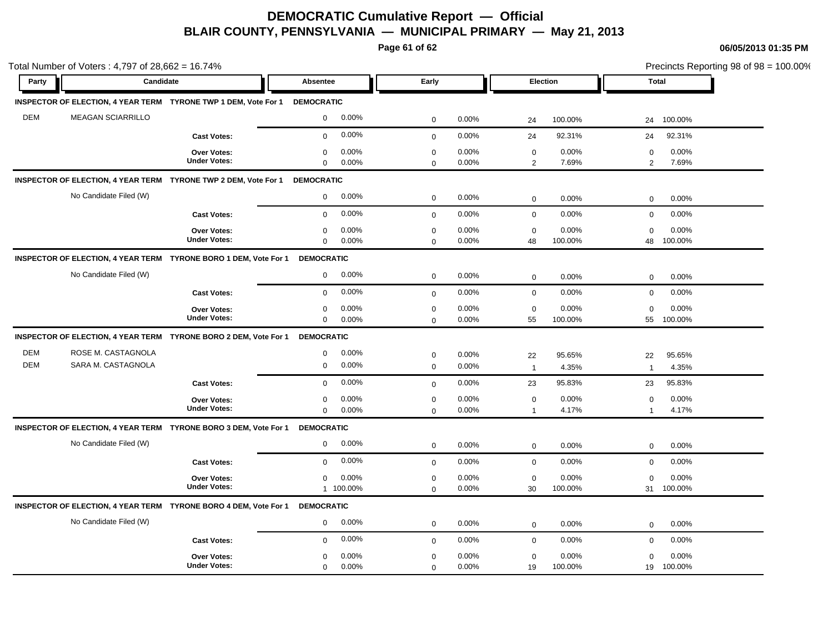**Page 61 of 62**

|                          | Total Number of Voters: 4,797 of 28,662 = 16.74%                           |                                           |                                 |                    |                            |                |                             | Precincts Reporting 98 of 98 = 100.00% |                          |                  |  |
|--------------------------|----------------------------------------------------------------------------|-------------------------------------------|---------------------------------|--------------------|----------------------------|----------------|-----------------------------|----------------------------------------|--------------------------|------------------|--|
| Party                    | Candidate                                                                  |                                           | Absentee                        |                    | Early                      |                | Election                    |                                        |                          | <b>Total</b>     |  |
|                          | INSPECTOR OF ELECTION, 4 YEAR TERM TYRONE TWP 1 DEM, Vote For 1 DEMOCRATIC |                                           |                                 |                    |                            |                |                             |                                        |                          |                  |  |
| <b>DEM</b>               | <b>MEAGAN SCIARRILLO</b>                                                   |                                           | $\mathbf 0$                     | 0.00%              | $\mathbf 0$                | 0.00%          | 24                          | 100.00%                                | 24                       | 100.00%          |  |
|                          |                                                                            | <b>Cast Votes:</b>                        | $\mathbf 0$                     | 0.00%              | $\mathbf 0$                | 0.00%          | 24                          | 92.31%                                 | 24                       | 92.31%           |  |
|                          |                                                                            | Over Votes:<br><b>Under Votes:</b>        | $\mathbf 0$<br>$\mathbf 0$      | 0.00%<br>0.00%     | $\pmb{0}$<br>$\mathbf 0$   | 0.00%<br>0.00% | $\mathbf 0$<br>2            | 0.00%<br>7.69%                         | $\mathbf 0$<br>2         | 0.00%<br>7.69%   |  |
|                          | INSPECTOR OF ELECTION, 4 YEAR TERM TYRONE TWP 2 DEM, Vote For 1            |                                           | <b>DEMOCRATIC</b>               |                    |                            |                |                             |                                        |                          |                  |  |
|                          | No Candidate Filed (W)                                                     |                                           | $\mathbf 0$                     | 0.00%              | $\mathbf 0$                | 0.00%          | $\mathbf 0$                 | 0.00%                                  | $\mathbf 0$              | 0.00%            |  |
|                          |                                                                            | <b>Cast Votes:</b>                        | $\mathbf 0$                     | 0.00%              | $\mathbf 0$                | 0.00%          | $\mathsf 0$                 | 0.00%                                  | $\mathbf 0$              | 0.00%            |  |
|                          |                                                                            | <b>Over Votes:</b><br><b>Under Votes:</b> | 0<br>$\mathbf 0$                | 0.00%<br>0.00%     | $\mathbf 0$<br>$\mathbf 0$ | 0.00%<br>0.00% | $\mathbf 0$<br>48           | 0.00%<br>100.00%                       | $\mathbf 0$<br>48        | 0.00%<br>100.00% |  |
|                          | INSPECTOR OF ELECTION, 4 YEAR TERM TYRONE BORO 1 DEM, Vote For 1           |                                           | <b>DEMOCRATIC</b>               |                    |                            |                |                             |                                        |                          |                  |  |
|                          | No Candidate Filed (W)                                                     |                                           | $\mathbf 0$                     | 0.00%              | $\mathbf 0$                | 0.00%          | $\mathbf 0$                 | 0.00%                                  | $\mathbf 0$              | 0.00%            |  |
|                          |                                                                            | <b>Cast Votes:</b>                        | $\mathbf 0$                     | 0.00%              | $\mathbf 0$                | 0.00%          | $\mathbf 0$                 | 0.00%                                  | $\mathbf 0$              | 0.00%            |  |
|                          |                                                                            | <b>Over Votes:</b><br><b>Under Votes:</b> | $\mathbf 0$<br>$\mathbf 0$      | 0.00%<br>0.00%     | $\mathbf 0$<br>$\mathbf 0$ | 0.00%<br>0.00% | $\mathbf 0$<br>55           | 0.00%<br>100.00%                       | $\mathbf 0$<br>55        | 0.00%<br>100.00% |  |
|                          | INSPECTOR OF ELECTION, 4 YEAR TERM TYRONE BORO 2 DEM, Vote For 1           |                                           | <b>DEMOCRATIC</b>               |                    |                            |                |                             |                                        |                          |                  |  |
| <b>DEM</b><br><b>DEM</b> | ROSE M. CASTAGNOLA<br>SARA M. CASTAGNOLA                                   |                                           | $\mathbf 0$<br>$\boldsymbol{0}$ | 0.00%<br>0.00%     | $\pmb{0}$<br>$\mathbf 0$   | 0.00%<br>0.00% | 22<br>$\overline{1}$        | 95.65%<br>4.35%                        | 22<br>$\mathbf{1}$       | 95.65%<br>4.35%  |  |
|                          |                                                                            | <b>Cast Votes:</b>                        | $\mathbf 0$                     | 0.00%              | $\mathbf 0$                | 0.00%          | 23                          | 95.83%                                 | 23                       | 95.83%           |  |
|                          |                                                                            | <b>Over Votes:</b><br><b>Under Votes:</b> | $\mathbf 0$<br>$\mathbf 0$      | 0.00%<br>0.00%     | $\mathbf 0$<br>$\mathbf 0$ | 0.00%<br>0.00% | $\mathbf 0$<br>$\mathbf{1}$ | 0.00%<br>4.17%                         | $\Omega$<br>$\mathbf{1}$ | 0.00%<br>4.17%   |  |
|                          | INSPECTOR OF ELECTION, 4 YEAR TERM TYRONE BORO 3 DEM, Vote For 1           |                                           | <b>DEMOCRATIC</b>               |                    |                            |                |                             |                                        |                          |                  |  |
|                          | No Candidate Filed (W)                                                     |                                           | 0                               | 0.00%              | $\mathbf 0$                | 0.00%          | $\mathbf 0$                 | 0.00%                                  | $\mathbf 0$              | 0.00%            |  |
|                          |                                                                            | <b>Cast Votes:</b>                        | $\mathbf 0$                     | 0.00%              | $\mathbf 0$                | 0.00%          | $\mathbf 0$                 | 0.00%                                  | $\mathbf 0$              | 0.00%            |  |
|                          |                                                                            | Over Votes:<br><b>Under Votes:</b>        | $\mathbf 0$                     | 0.00%<br>1 100.00% | $\pmb{0}$<br>$\mathbf 0$   | 0.00%<br>0.00% | $\mathbf 0$<br>30           | 0.00%<br>100.00%                       | $\mathbf 0$<br>31        | 0.00%<br>100.00% |  |
|                          | INSPECTOR OF ELECTION, 4 YEAR TERM TYRONE BORO 4 DEM, Vote For 1           |                                           | <b>DEMOCRATIC</b>               |                    |                            |                |                             |                                        |                          |                  |  |
|                          | No Candidate Filed (W)                                                     |                                           | $\mathbf 0$                     | 0.00%              | $\mathbf 0$                | 0.00%          | $\mathbf 0$                 | 0.00%                                  | 0                        | 0.00%            |  |
|                          |                                                                            | <b>Cast Votes:</b>                        | $\mathbf 0$                     | 0.00%              | $\mathbf 0$                | 0.00%          | $\mathbf 0$                 | 0.00%                                  | $\mathbf 0$              | 0.00%            |  |
|                          |                                                                            | <b>Over Votes:</b><br><b>Under Votes:</b> | $\mathbf 0$<br>$\mathbf 0$      | 0.00%<br>0.00%     | $\mathbf 0$<br>$\mathbf 0$ | 0.00%<br>0.00% | $\mathbf 0$<br>19           | 0.00%<br>100.00%                       | $\mathbf 0$<br>19        | 0.00%<br>100.00% |  |